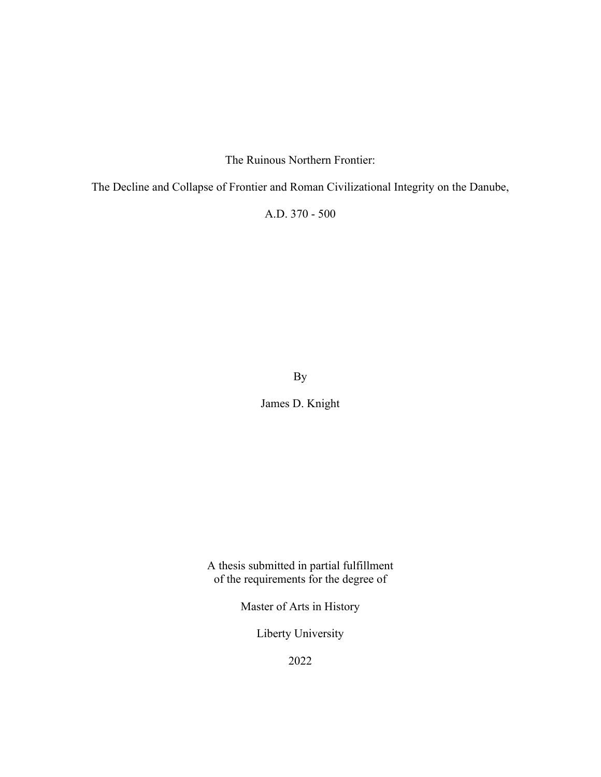The Ruinous Northern Frontier:

The Decline and Collapse of Frontier and Roman Civilizational Integrity on the Danube,

A.D. 370 - 500

By

James D. Knight

A thesis submitted in partial fulfillment of the requirements for the degree of

Master of Arts in History

Liberty University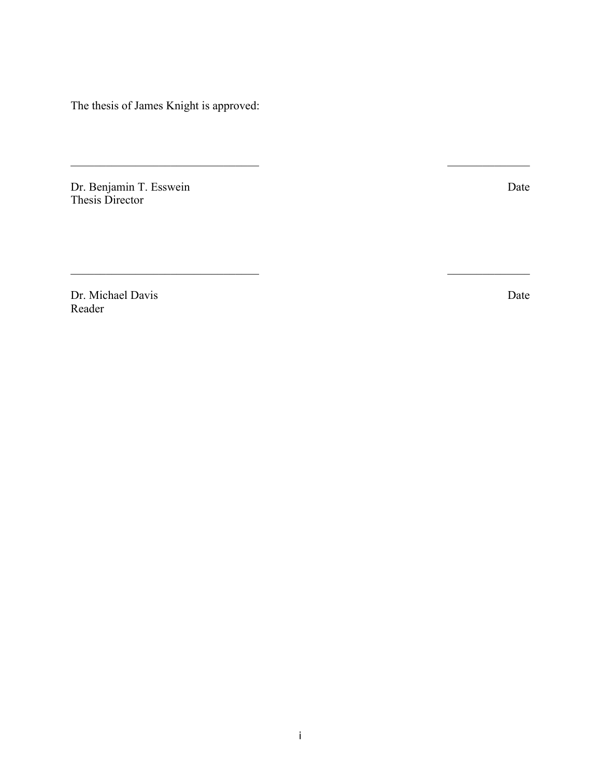The thesis of James Knight is approved:

Dr. Benjamin T. Esswein Date Thesis Director

Dr. Michael Davis Date Reader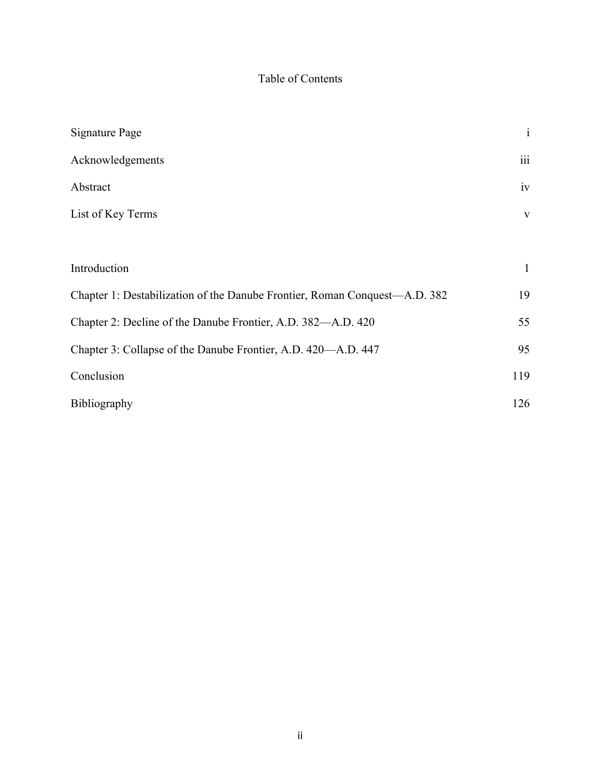# Table of Contents

| <b>Signature Page</b>                                                      | $\rm i$      |
|----------------------------------------------------------------------------|--------------|
| Acknowledgements                                                           | iii          |
| Abstract                                                                   | iv           |
| List of Key Terms                                                          | $\mathbf{V}$ |
|                                                                            |              |
| Introduction                                                               | $\mathbf{1}$ |
| Chapter 1: Destabilization of the Danube Frontier, Roman Conquest—A.D. 382 | 19           |
| Chapter 2: Decline of the Danube Frontier, A.D. 382—A.D. 420               | 55           |
| Chapter 3: Collapse of the Danube Frontier, A.D. 420—A.D. 447              | 95           |
| Conclusion                                                                 | 119          |
| Bibliography                                                               | 126          |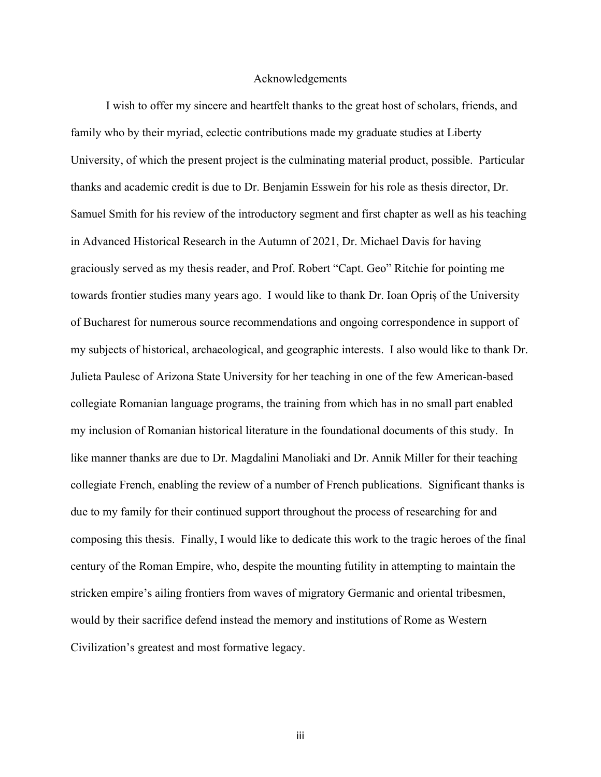## Acknowledgements

I wish to offer my sincere and heartfelt thanks to the great host of scholars, friends, and family who by their myriad, eclectic contributions made my graduate studies at Liberty University, of which the present project is the culminating material product, possible. Particular thanks and academic credit is due to Dr. Benjamin Esswein for his role as thesis director, Dr. Samuel Smith for his review of the introductory segment and first chapter as well as his teaching in Advanced Historical Research in the Autumn of 2021, Dr. Michael Davis for having graciously served as my thesis reader, and Prof. Robert "Capt. Geo" Ritchie for pointing me towards frontier studies many years ago. I would like to thank Dr. Ioan Opriș of the University of Bucharest for numerous source recommendations and ongoing correspondence in support of my subjects of historical, archaeological, and geographic interests. I also would like to thank Dr. Julieta Paulesc of Arizona State University for her teaching in one of the few American-based collegiate Romanian language programs, the training from which has in no small part enabled my inclusion of Romanian historical literature in the foundational documents of this study. In like manner thanks are due to Dr. Magdalini Manoliaki and Dr. Annik Miller for their teaching collegiate French, enabling the review of a number of French publications. Significant thanks is due to my family for their continued support throughout the process of researching for and composing this thesis. Finally, I would like to dedicate this work to the tragic heroes of the final century of the Roman Empire, who, despite the mounting futility in attempting to maintain the stricken empire's ailing frontiers from waves of migratory Germanic and oriental tribesmen, would by their sacrifice defend instead the memory and institutions of Rome as Western Civilization's greatest and most formative legacy.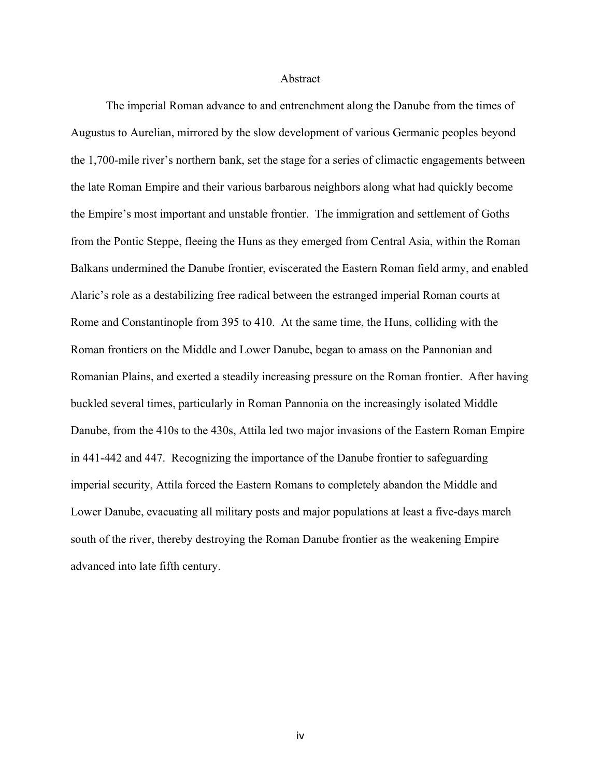### Abstract

The imperial Roman advance to and entrenchment along the Danube from the times of Augustus to Aurelian, mirrored by the slow development of various Germanic peoples beyond the 1,700-mile river's northern bank, set the stage for a series of climactic engagements between the late Roman Empire and their various barbarous neighbors along what had quickly become the Empire's most important and unstable frontier. The immigration and settlement of Goths from the Pontic Steppe, fleeing the Huns as they emerged from Central Asia, within the Roman Balkans undermined the Danube frontier, eviscerated the Eastern Roman field army, and enabled Alaric's role as a destabilizing free radical between the estranged imperial Roman courts at Rome and Constantinople from 395 to 410. At the same time, the Huns, colliding with the Roman frontiers on the Middle and Lower Danube, began to amass on the Pannonian and Romanian Plains, and exerted a steadily increasing pressure on the Roman frontier. After having buckled several times, particularly in Roman Pannonia on the increasingly isolated Middle Danube, from the 410s to the 430s, Attila led two major invasions of the Eastern Roman Empire in 441-442 and 447. Recognizing the importance of the Danube frontier to safeguarding imperial security, Attila forced the Eastern Romans to completely abandon the Middle and Lower Danube, evacuating all military posts and major populations at least a five-days march south of the river, thereby destroying the Roman Danube frontier as the weakening Empire advanced into late fifth century.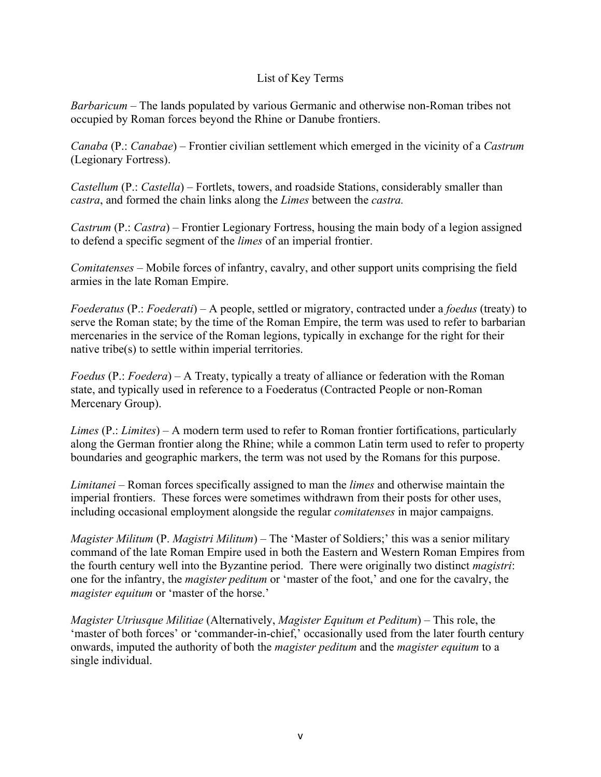# List of Key Terms

*Barbaricum* – The lands populated by various Germanic and otherwise non-Roman tribes not occupied by Roman forces beyond the Rhine or Danube frontiers.

*Canaba* (P.: *Canabae*) – Frontier civilian settlement which emerged in the vicinity of a *Castrum* (Legionary Fortress).

*Castellum* (P.: *Castella*) – Fortlets, towers, and roadside Stations, considerably smaller than *castra*, and formed the chain links along the *Limes* between the *castra.*

*Castrum* (P.: *Castra*) – Frontier Legionary Fortress, housing the main body of a legion assigned to defend a specific segment of the *limes* of an imperial frontier.

*Comitatenses* – Mobile forces of infantry, cavalry, and other support units comprising the field armies in the late Roman Empire.

*Foederatus* (P.: *Foederati*) – A people, settled or migratory, contracted under a *foedus* (treaty) to serve the Roman state; by the time of the Roman Empire, the term was used to refer to barbarian mercenaries in the service of the Roman legions, typically in exchange for the right for their native tribe(s) to settle within imperial territories.

*Foedus* (P.: *Foedera*) – A Treaty, typically a treaty of alliance or federation with the Roman state, and typically used in reference to a Foederatus (Contracted People or non-Roman Mercenary Group).

*Limes* (P.: *Limites*) – A modern term used to refer to Roman frontier fortifications, particularly along the German frontier along the Rhine; while a common Latin term used to refer to property boundaries and geographic markers, the term was not used by the Romans for this purpose.

*Limitanei* – Roman forces specifically assigned to man the *limes* and otherwise maintain the imperial frontiers. These forces were sometimes withdrawn from their posts for other uses, including occasional employment alongside the regular *comitatenses* in major campaigns.

*Magister Militum* (P. *Magistri Militum*) – The 'Master of Soldiers;' this was a senior military command of the late Roman Empire used in both the Eastern and Western Roman Empires from the fourth century well into the Byzantine period. There were originally two distinct *magistri*: one for the infantry, the *magister peditum* or 'master of the foot,' and one for the cavalry, the *magister equitum* or 'master of the horse.'

*Magister Utriusque Militiae* (Alternatively, *Magister Equitum et Peditum*) – This role, the 'master of both forces' or 'commander-in-chief,' occasionally used from the later fourth century onwards, imputed the authority of both the *magister peditum* and the *magister equitum* to a single individual.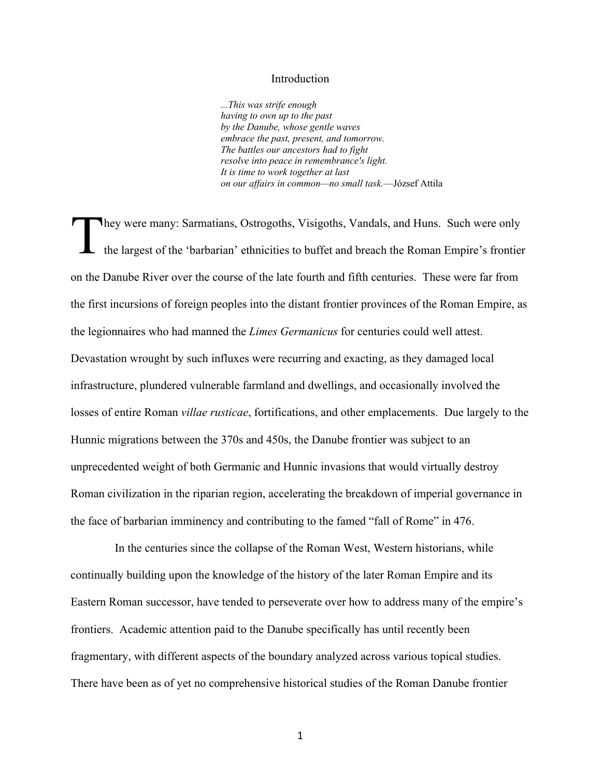### Introduction

*...This was strife enough having to own up to the past by the Danube, whose gentle waves embrace the past, present, and tomorrow. The battles our ancestors had to fight resolve into peace in remembrance's light. It is time to work together at last on our affairs in common—no small task.*—József Attila

hey were many: Sarmatians, Ostrogoths, Visigoths, Vandals, and Huns. Such were only the largest of the 'barbarian' ethnicities to buffet and breach the Roman Empire's frontier on the Danube River over the course of the late fourth and fifth centuries. These were far from the first incursions of foreign peoples into the distant frontier provinces of the Roman Empire, as the legionnaires who had manned the *Limes Germanicus* for centuries could well attest. Devastation wrought by such influxes were recurring and exacting, as they damaged local infrastructure, plundered vulnerable farmland and dwellings, and occasionally involved the losses of entire Roman *villae rusticae*, fortifications, and other emplacements. Due largely to the Hunnic migrations between the 370s and 450s, the Danube frontier was subject to an unprecedented weight of both Germanic and Hunnic invasions that would virtually destroy Roman civilization in the riparian region, accelerating the breakdown of imperial governance in the face of barbarian imminency and contributing to the famed "fall of Rome" in 476. T

 In the centuries since the collapse of the Roman West, Western historians, while continually building upon the knowledge of the history of the later Roman Empire and its Eastern Roman successor, have tended to perseverate over how to address many of the empire's frontiers. Academic attention paid to the Danube specifically has until recently been fragmentary, with different aspects of the boundary analyzed across various topical studies. There have been as of yet no comprehensive historical studies of the Roman Danube frontier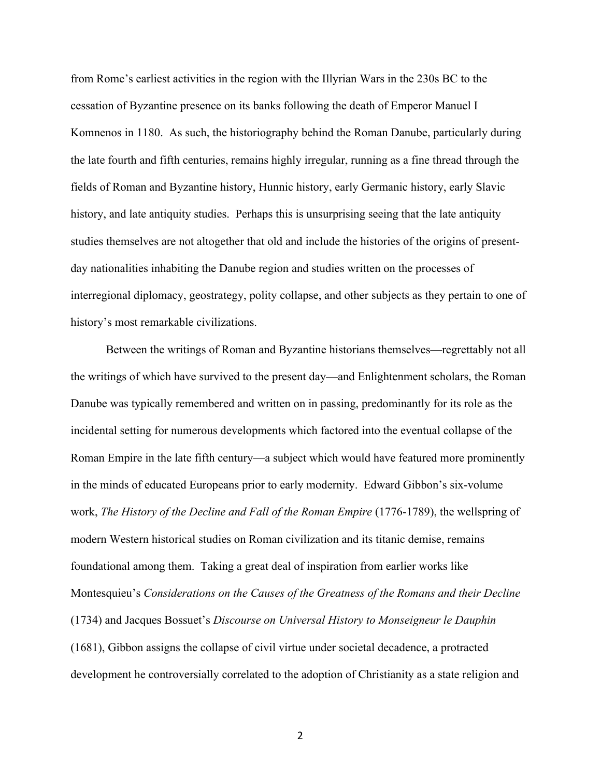from Rome's earliest activities in the region with the Illyrian Wars in the 230s BC to the cessation of Byzantine presence on its banks following the death of Emperor Manuel I Komnenos in 1180. As such, the historiography behind the Roman Danube, particularly during the late fourth and fifth centuries, remains highly irregular, running as a fine thread through the fields of Roman and Byzantine history, Hunnic history, early Germanic history, early Slavic history, and late antiquity studies. Perhaps this is unsurprising seeing that the late antiquity studies themselves are not altogether that old and include the histories of the origins of presentday nationalities inhabiting the Danube region and studies written on the processes of interregional diplomacy, geostrategy, polity collapse, and other subjects as they pertain to one of history's most remarkable civilizations.

Between the writings of Roman and Byzantine historians themselves—regrettably not all the writings of which have survived to the present day—and Enlightenment scholars, the Roman Danube was typically remembered and written on in passing, predominantly for its role as the incidental setting for numerous developments which factored into the eventual collapse of the Roman Empire in the late fifth century—a subject which would have featured more prominently in the minds of educated Europeans prior to early modernity. Edward Gibbon's six-volume work, *The History of the Decline and Fall of the Roman Empire* (1776-1789), the wellspring of modern Western historical studies on Roman civilization and its titanic demise, remains foundational among them. Taking a great deal of inspiration from earlier works like Montesquieu's *Considerations on the Causes of the Greatness of the Romans and their Decline* (1734) and Jacques Bossuet's *Discourse on Universal History to Monseigneur le Dauphin*  (1681), Gibbon assigns the collapse of civil virtue under societal decadence, a protracted development he controversially correlated to the adoption of Christianity as a state religion and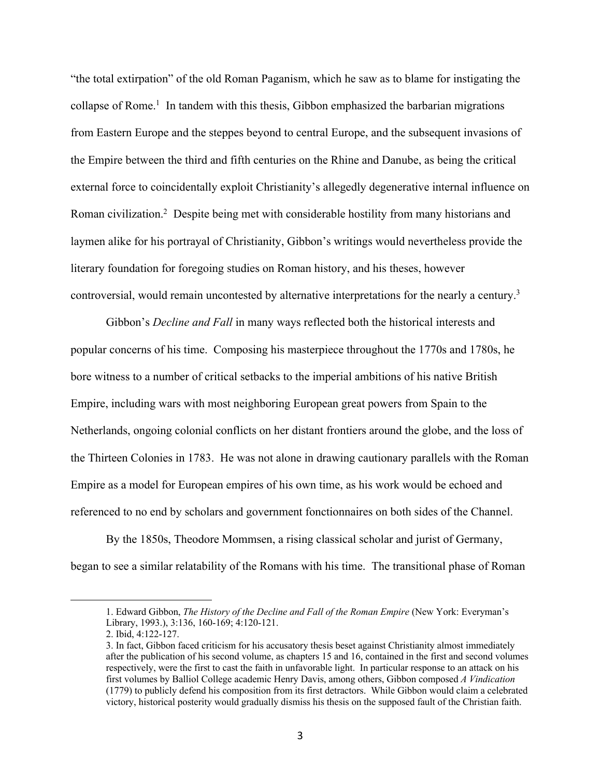"the total extirpation" of the old Roman Paganism, which he saw as to blame for instigating the collapse of Rome.<sup>1</sup> In tandem with this thesis, Gibbon emphasized the barbarian migrations from Eastern Europe and the steppes beyond to central Europe, and the subsequent invasions of the Empire between the third and fifth centuries on the Rhine and Danube, as being the critical external force to coincidentally exploit Christianity's allegedly degenerative internal influence on Roman civilization.2 Despite being met with considerable hostility from many historians and laymen alike for his portrayal of Christianity, Gibbon's writings would nevertheless provide the literary foundation for foregoing studies on Roman history, and his theses, however controversial, would remain uncontested by alternative interpretations for the nearly a century.3

Gibbon's *Decline and Fall* in many ways reflected both the historical interests and popular concerns of his time. Composing his masterpiece throughout the 1770s and 1780s, he bore witness to a number of critical setbacks to the imperial ambitions of his native British Empire, including wars with most neighboring European great powers from Spain to the Netherlands, ongoing colonial conflicts on her distant frontiers around the globe, and the loss of the Thirteen Colonies in 1783. He was not alone in drawing cautionary parallels with the Roman Empire as a model for European empires of his own time, as his work would be echoed and referenced to no end by scholars and government fonctionnaires on both sides of the Channel.

By the 1850s, Theodore Mommsen, a rising classical scholar and jurist of Germany, began to see a similar relatability of the Romans with his time. The transitional phase of Roman

<sup>1.</sup> Edward Gibbon, *The History of the Decline and Fall of the Roman Empire* (New York: Everyman's Library, 1993.), 3:136, 160-169; 4:120-121.

<sup>2.</sup> Ibid, 4:122-127.

<sup>3.</sup> In fact, Gibbon faced criticism for his accusatory thesis beset against Christianity almost immediately after the publication of his second volume, as chapters 15 and 16, contained in the first and second volumes respectively, were the first to cast the faith in unfavorable light. In particular response to an attack on his first volumes by Balliol College academic Henry Davis, among others, Gibbon composed *A Vindication* (1779) to publicly defend his composition from its first detractors. While Gibbon would claim a celebrated victory, historical posterity would gradually dismiss his thesis on the supposed fault of the Christian faith.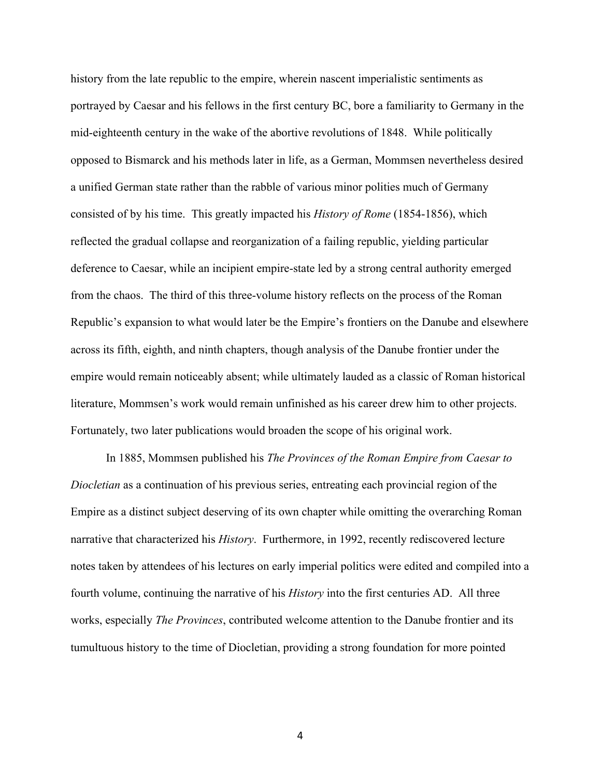history from the late republic to the empire, wherein nascent imperialistic sentiments as portrayed by Caesar and his fellows in the first century BC, bore a familiarity to Germany in the mid-eighteenth century in the wake of the abortive revolutions of 1848. While politically opposed to Bismarck and his methods later in life, as a German, Mommsen nevertheless desired a unified German state rather than the rabble of various minor polities much of Germany consisted of by his time. This greatly impacted his *History of Rome* (1854-1856), which reflected the gradual collapse and reorganization of a failing republic, yielding particular deference to Caesar, while an incipient empire-state led by a strong central authority emerged from the chaos. The third of this three-volume history reflects on the process of the Roman Republic's expansion to what would later be the Empire's frontiers on the Danube and elsewhere across its fifth, eighth, and ninth chapters, though analysis of the Danube frontier under the empire would remain noticeably absent; while ultimately lauded as a classic of Roman historical literature, Mommsen's work would remain unfinished as his career drew him to other projects. Fortunately, two later publications would broaden the scope of his original work.

In 1885, Mommsen published his *The Provinces of the Roman Empire from Caesar to Diocletian* as a continuation of his previous series, entreating each provincial region of the Empire as a distinct subject deserving of its own chapter while omitting the overarching Roman narrative that characterized his *History*. Furthermore, in 1992, recently rediscovered lecture notes taken by attendees of his lectures on early imperial politics were edited and compiled into a fourth volume, continuing the narrative of his *History* into the first centuries AD. All three works, especially *The Provinces*, contributed welcome attention to the Danube frontier and its tumultuous history to the time of Diocletian, providing a strong foundation for more pointed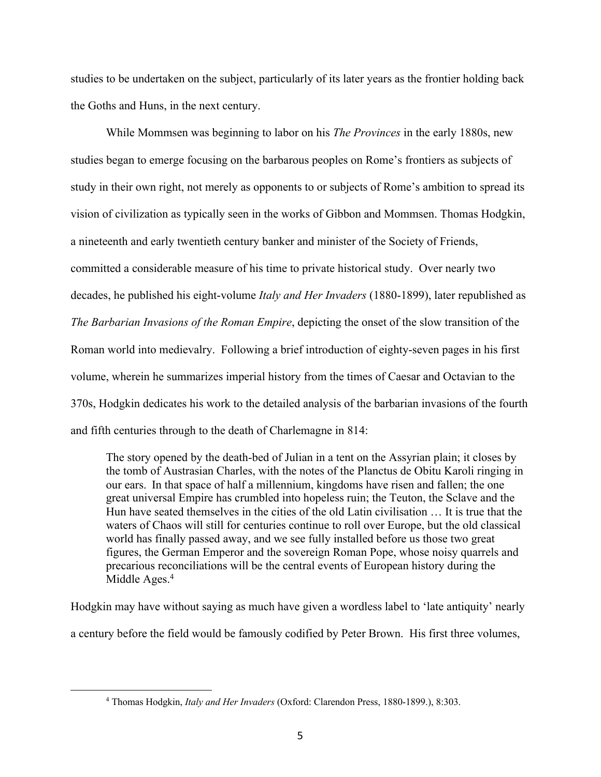studies to be undertaken on the subject, particularly of its later years as the frontier holding back the Goths and Huns, in the next century.

While Mommsen was beginning to labor on his *The Provinces* in the early 1880s, new studies began to emerge focusing on the barbarous peoples on Rome's frontiers as subjects of study in their own right, not merely as opponents to or subjects of Rome's ambition to spread its vision of civilization as typically seen in the works of Gibbon and Mommsen. Thomas Hodgkin, a nineteenth and early twentieth century banker and minister of the Society of Friends, committed a considerable measure of his time to private historical study. Over nearly two decades, he published his eight-volume *Italy and Her Invaders* (1880-1899), later republished as *The Barbarian Invasions of the Roman Empire*, depicting the onset of the slow transition of the Roman world into medievalry. Following a brief introduction of eighty-seven pages in his first volume, wherein he summarizes imperial history from the times of Caesar and Octavian to the 370s, Hodgkin dedicates his work to the detailed analysis of the barbarian invasions of the fourth and fifth centuries through to the death of Charlemagne in 814:

The story opened by the death-bed of Julian in a tent on the Assyrian plain; it closes by the tomb of Austrasian Charles, with the notes of the Planctus de Obitu Karoli ringing in our ears. In that space of half a millennium, kingdoms have risen and fallen; the one great universal Empire has crumbled into hopeless ruin; the Teuton, the Sclave and the Hun have seated themselves in the cities of the old Latin civilisation … It is true that the waters of Chaos will still for centuries continue to roll over Europe, but the old classical world has finally passed away, and we see fully installed before us those two great figures, the German Emperor and the sovereign Roman Pope, whose noisy quarrels and precarious reconciliations will be the central events of European history during the Middle Ages.<sup>4</sup>

Hodgkin may have without saying as much have given a wordless label to 'late antiquity' nearly a century before the field would be famously codified by Peter Brown. His first three volumes,

<sup>4</sup> Thomas Hodgkin, *Italy and Her Invaders* (Oxford: Clarendon Press, 1880-1899.), 8:303.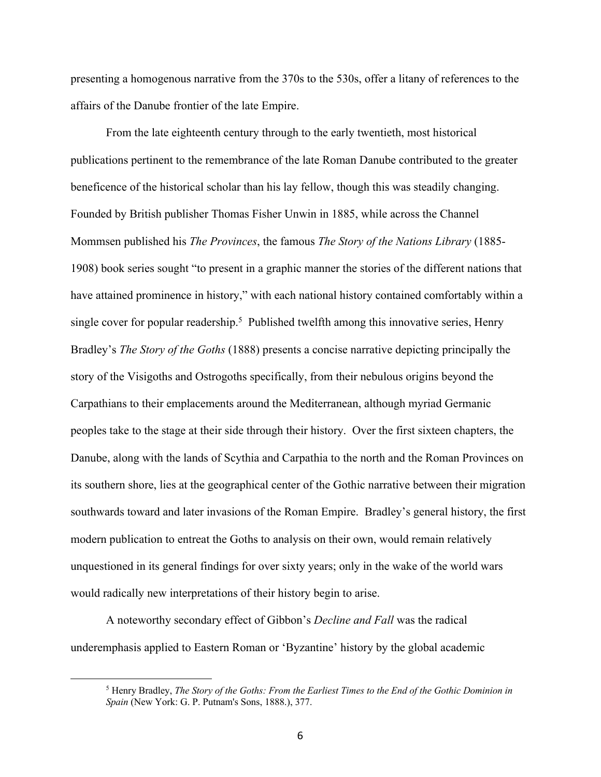presenting a homogenous narrative from the 370s to the 530s, offer a litany of references to the affairs of the Danube frontier of the late Empire.

From the late eighteenth century through to the early twentieth, most historical publications pertinent to the remembrance of the late Roman Danube contributed to the greater beneficence of the historical scholar than his lay fellow, though this was steadily changing. Founded by British publisher Thomas Fisher Unwin in 1885, while across the Channel Mommsen published his *The Provinces*, the famous *The Story of the Nations Library* (1885- 1908) book series sought "to present in a graphic manner the stories of the different nations that have attained prominence in history," with each national history contained comfortably within a single cover for popular readership.<sup>5</sup> Published twelfth among this innovative series, Henry Bradley's *The Story of the Goths* (1888) presents a concise narrative depicting principally the story of the Visigoths and Ostrogoths specifically, from their nebulous origins beyond the Carpathians to their emplacements around the Mediterranean, although myriad Germanic peoples take to the stage at their side through their history. Over the first sixteen chapters, the Danube, along with the lands of Scythia and Carpathia to the north and the Roman Provinces on its southern shore, lies at the geographical center of the Gothic narrative between their migration southwards toward and later invasions of the Roman Empire. Bradley's general history, the first modern publication to entreat the Goths to analysis on their own, would remain relatively unquestioned in its general findings for over sixty years; only in the wake of the world wars would radically new interpretations of their history begin to arise.

A noteworthy secondary effect of Gibbon's *Decline and Fall* was the radical underemphasis applied to Eastern Roman or 'Byzantine' history by the global academic

<sup>5</sup> Henry Bradley, *The Story of the Goths: From the Earliest Times to the End of the Gothic Dominion in Spain* (New York: G. P. Putnam's Sons, 1888.), 377.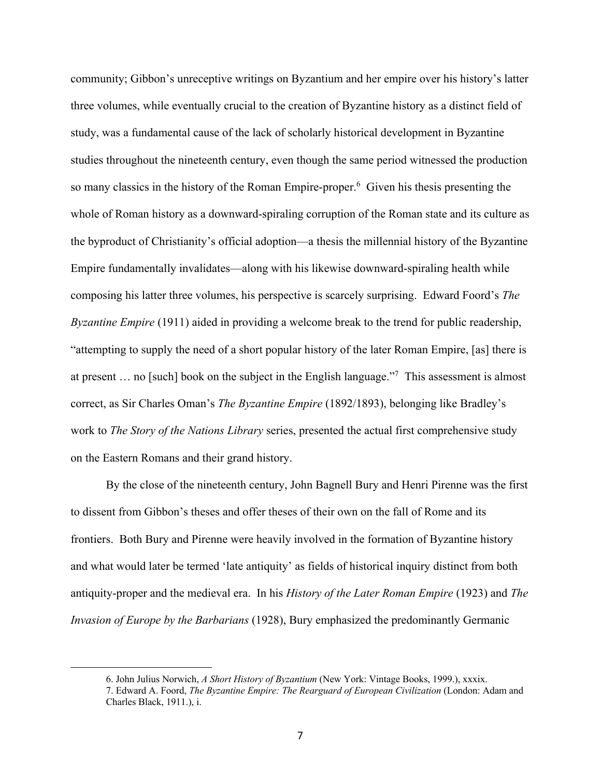community; Gibbon's unreceptive writings on Byzantium and her empire over his history's latter three volumes, while eventually crucial to the creation of Byzantine history as a distinct field of study, was a fundamental cause of the lack of scholarly historical development in Byzantine studies throughout the nineteenth century, even though the same period witnessed the production so many classics in the history of the Roman Empire-proper. 6 Given his thesis presenting the whole of Roman history as a downward-spiraling corruption of the Roman state and its culture as the byproduct of Christianity's official adoption—a thesis the millennial history of the Byzantine Empire fundamentally invalidates—along with his likewise downward-spiraling health while composing his latter three volumes, his perspective is scarcely surprising. Edward Foord's *The Byzantine Empire* (1911) aided in providing a welcome break to the trend for public readership, "attempting to supply the need of a short popular history of the later Roman Empire, [as] there is at present … no [such] book on the subject in the English language."7 This assessment is almost correct, as Sir Charles Oman's *The Byzantine Empire* (1892/1893), belonging like Bradley's work to *The Story of the Nations Library* series, presented the actual first comprehensive study on the Eastern Romans and their grand history.

By the close of the nineteenth century, John Bagnell Bury and Henri Pirenne was the first to dissent from Gibbon's theses and offer theses of their own on the fall of Rome and its frontiers. Both Bury and Pirenne were heavily involved in the formation of Byzantine history and what would later be termed 'late antiquity' as fields of historical inquiry distinct from both antiquity-proper and the medieval era. In his *History of the Later Roman Empire* (1923) and *The Invasion of Europe by the Barbarians* (1928), Bury emphasized the predominantly Germanic

<sup>6.</sup> John Julius Norwich, *A Short History of Byzantium* (New York: Vintage Books, 1999.), xxxix.

<sup>7.</sup> Edward A. Foord, *The Byzantine Empire: The Rearguard of European Civilization* (London: Adam and Charles Black, 1911.), i.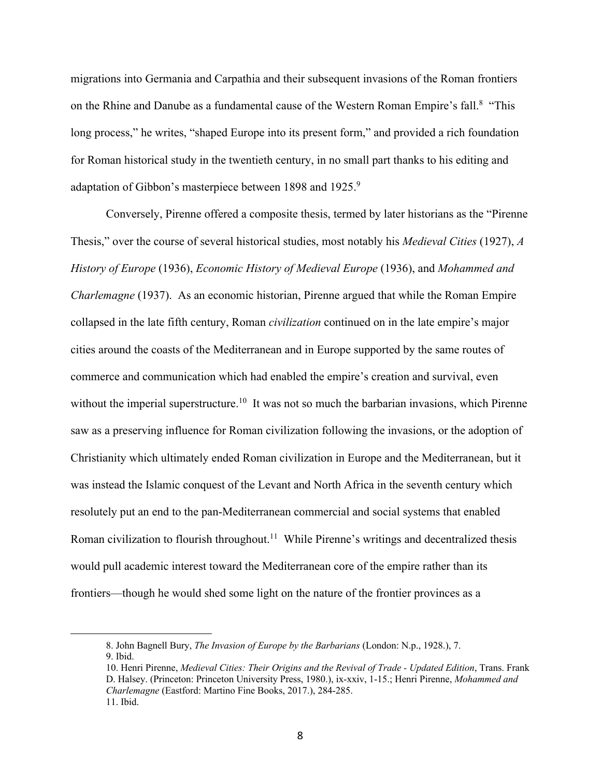migrations into Germania and Carpathia and their subsequent invasions of the Roman frontiers on the Rhine and Danube as a fundamental cause of the Western Roman Empire's fall.8 "This long process," he writes, "shaped Europe into its present form," and provided a rich foundation for Roman historical study in the twentieth century, in no small part thanks to his editing and adaptation of Gibbon's masterpiece between 1898 and 1925.<sup>9</sup>

Conversely, Pirenne offered a composite thesis, termed by later historians as the "Pirenne Thesis," over the course of several historical studies, most notably his *Medieval Cities* (1927), *A History of Europe* (1936), *Economic History of Medieval Europe* (1936), and *Mohammed and Charlemagne* (1937). As an economic historian, Pirenne argued that while the Roman Empire collapsed in the late fifth century, Roman *civilization* continued on in the late empire's major cities around the coasts of the Mediterranean and in Europe supported by the same routes of commerce and communication which had enabled the empire's creation and survival, even without the imperial superstructure.<sup>10</sup> It was not so much the barbarian invasions, which Pirenne saw as a preserving influence for Roman civilization following the invasions, or the adoption of Christianity which ultimately ended Roman civilization in Europe and the Mediterranean, but it was instead the Islamic conquest of the Levant and North Africa in the seventh century which resolutely put an end to the pan-Mediterranean commercial and social systems that enabled Roman civilization to flourish throughout.<sup>11</sup> While Pirenne's writings and decentralized thesis would pull academic interest toward the Mediterranean core of the empire rather than its frontiers—though he would shed some light on the nature of the frontier provinces as a

<sup>8.</sup> John Bagnell Bury, *The Invasion of Europe by the Barbarians* (London: N.p., 1928.), 7. 9. Ibid.

<sup>10.</sup> Henri Pirenne, *Medieval Cities: Their Origins and the Revival of Trade - Updated Edition*, Trans. Frank D. Halsey. (Princeton: Princeton University Press, 1980.), ix-xxiv, 1-15.; Henri Pirenne, *Mohammed and Charlemagne* (Eastford: Martino Fine Books, 2017.), 284-285. 11. Ibid.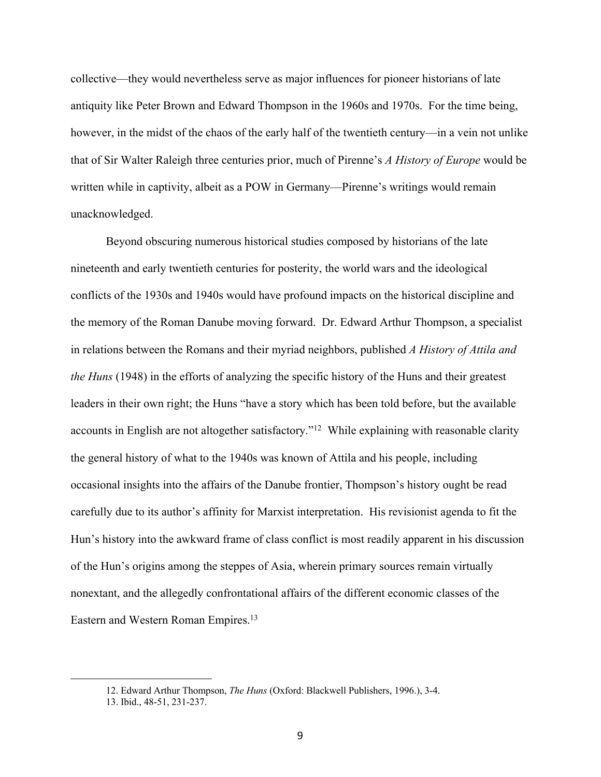collective—they would nevertheless serve as major influences for pioneer historians of late antiquity like Peter Brown and Edward Thompson in the 1960s and 1970s. For the time being, however, in the midst of the chaos of the early half of the twentieth century—in a vein not unlike that of Sir Walter Raleigh three centuries prior, much of Pirenne's *A History of Europe* would be written while in captivity, albeit as a POW in Germany—Pirenne's writings would remain unacknowledged.

Beyond obscuring numerous historical studies composed by historians of the late nineteenth and early twentieth centuries for posterity, the world wars and the ideological conflicts of the 1930s and 1940s would have profound impacts on the historical discipline and the memory of the Roman Danube moving forward. Dr. Edward Arthur Thompson, a specialist in relations between the Romans and their myriad neighbors, published *A History of Attila and the Huns* (1948) in the efforts of analyzing the specific history of the Huns and their greatest leaders in their own right; the Huns "have a story which has been told before, but the available accounts in English are not altogether satisfactory."12 While explaining with reasonable clarity the general history of what to the 1940s was known of Attila and his people, including occasional insights into the affairs of the Danube frontier, Thompson's history ought be read carefully due to its author's affinity for Marxist interpretation. His revisionist agenda to fit the Hun's history into the awkward frame of class conflict is most readily apparent in his discussion of the Hun's origins among the steppes of Asia, wherein primary sources remain virtually nonextant, and the allegedly confrontational affairs of the different economic classes of the Eastern and Western Roman Empires.<sup>13</sup>

<sup>12.</sup> Edward Arthur Thompson, *The Huns* (Oxford: Blackwell Publishers, 1996.), 3-4.

<sup>13.</sup> Ibid., 48-51, 231-237.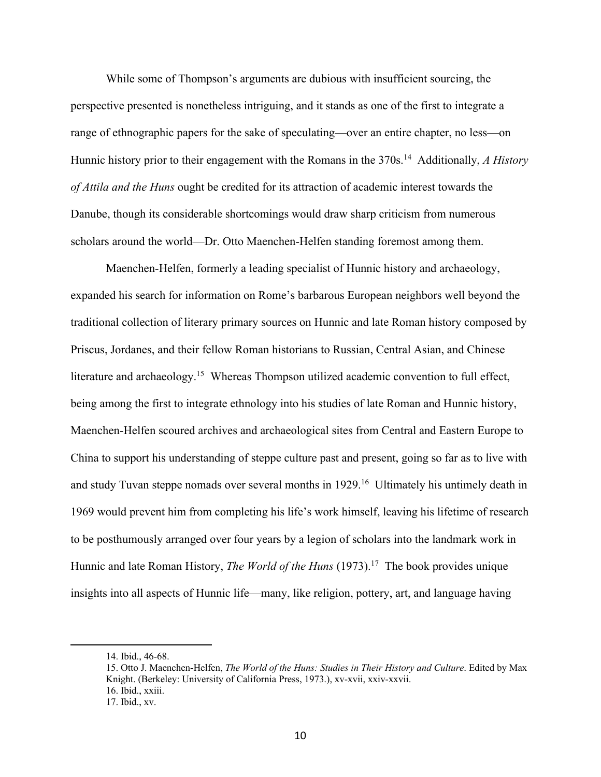While some of Thompson's arguments are dubious with insufficient sourcing, the perspective presented is nonetheless intriguing, and it stands as one of the first to integrate a range of ethnographic papers for the sake of speculating—over an entire chapter, no less—on Hunnic history prior to their engagement with the Romans in the 370s.<sup>14</sup> Additionally, *A History of Attila and the Huns* ought be credited for its attraction of academic interest towards the Danube, though its considerable shortcomings would draw sharp criticism from numerous scholars around the world—Dr. Otto Maenchen-Helfen standing foremost among them.

Maenchen-Helfen, formerly a leading specialist of Hunnic history and archaeology, expanded his search for information on Rome's barbarous European neighbors well beyond the traditional collection of literary primary sources on Hunnic and late Roman history composed by Priscus, Jordanes, and their fellow Roman historians to Russian, Central Asian, and Chinese literature and archaeology.<sup>15</sup> Whereas Thompson utilized academic convention to full effect, being among the first to integrate ethnology into his studies of late Roman and Hunnic history, Maenchen-Helfen scoured archives and archaeological sites from Central and Eastern Europe to China to support his understanding of steppe culture past and present, going so far as to live with and study Tuvan steppe nomads over several months in 1929.16 Ultimately his untimely death in 1969 would prevent him from completing his life's work himself, leaving his lifetime of research to be posthumously arranged over four years by a legion of scholars into the landmark work in Hunnic and late Roman History, *The World of the Huns* (1973).<sup>17</sup> The book provides unique insights into all aspects of Hunnic life—many, like religion, pottery, art, and language having

<sup>14.</sup> Ibid., 46-68.

<sup>15.</sup> Otto J. Maenchen-Helfen, *The World of the Huns: Studies in Their History and Culture*. Edited by Max Knight. (Berkeley: University of California Press, 1973.), xv-xvii, xxiv-xxvii. 16. Ibid., xxiii. 17. Ibid., xv.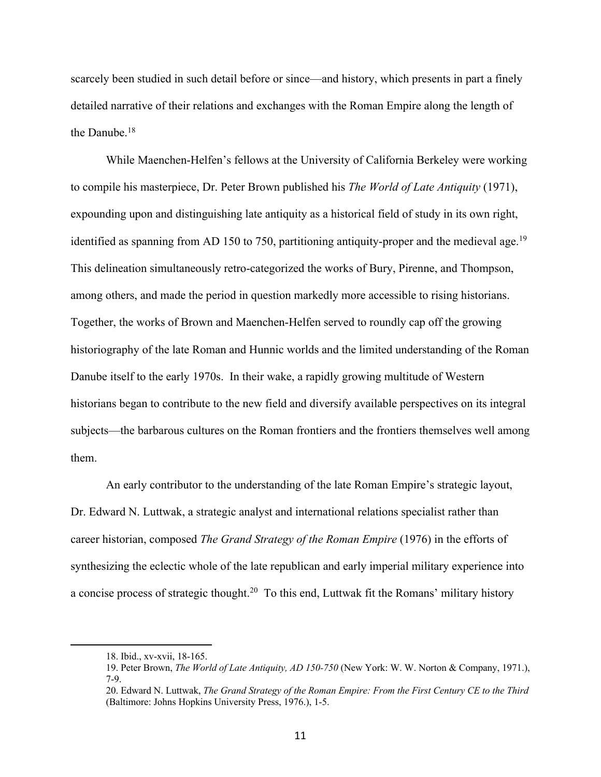scarcely been studied in such detail before or since—and history, which presents in part a finely detailed narrative of their relations and exchanges with the Roman Empire along the length of the Danube.18

While Maenchen-Helfen's fellows at the University of California Berkeley were working to compile his masterpiece, Dr. Peter Brown published his *The World of Late Antiquity* (1971), expounding upon and distinguishing late antiquity as a historical field of study in its own right, identified as spanning from AD 150 to 750, partitioning antiquity-proper and the medieval age.<sup>19</sup> This delineation simultaneously retro-categorized the works of Bury, Pirenne, and Thompson, among others, and made the period in question markedly more accessible to rising historians. Together, the works of Brown and Maenchen-Helfen served to roundly cap off the growing historiography of the late Roman and Hunnic worlds and the limited understanding of the Roman Danube itself to the early 1970s. In their wake, a rapidly growing multitude of Western historians began to contribute to the new field and diversify available perspectives on its integral subjects—the barbarous cultures on the Roman frontiers and the frontiers themselves well among them.

An early contributor to the understanding of the late Roman Empire's strategic layout, Dr. Edward N. Luttwak, a strategic analyst and international relations specialist rather than career historian, composed *The Grand Strategy of the Roman Empire* (1976) in the efforts of synthesizing the eclectic whole of the late republican and early imperial military experience into a concise process of strategic thought.20 To this end, Luttwak fit the Romans' military history

<sup>18.</sup> Ibid., xv-xvii, 18-165.

<sup>19.</sup> Peter Brown, *The World of Late Antiquity, AD 150-750* (New York: W. W. Norton & Company, 1971.), 7-9.

<sup>20.</sup> Edward N. Luttwak, *The Grand Strategy of the Roman Empire: From the First Century CE to the Third* (Baltimore: Johns Hopkins University Press, 1976.), 1-5.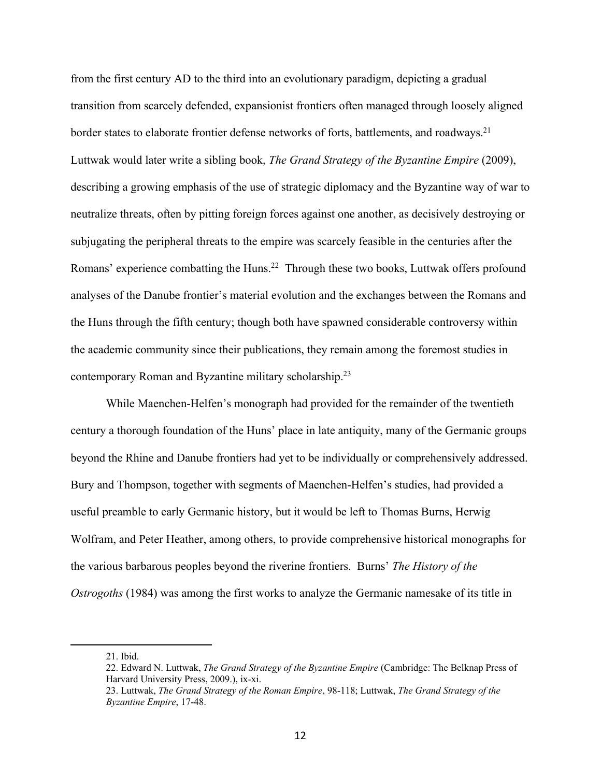from the first century AD to the third into an evolutionary paradigm, depicting a gradual transition from scarcely defended, expansionist frontiers often managed through loosely aligned border states to elaborate frontier defense networks of forts, battlements, and roadways.<sup>21</sup> Luttwak would later write a sibling book, *The Grand Strategy of the Byzantine Empire* (2009), describing a growing emphasis of the use of strategic diplomacy and the Byzantine way of war to neutralize threats, often by pitting foreign forces against one another, as decisively destroying or subjugating the peripheral threats to the empire was scarcely feasible in the centuries after the Romans' experience combatting the Huns.<sup>22</sup> Through these two books, Luttwak offers profound analyses of the Danube frontier's material evolution and the exchanges between the Romans and the Huns through the fifth century; though both have spawned considerable controversy within the academic community since their publications, they remain among the foremost studies in contemporary Roman and Byzantine military scholarship.23

While Maenchen-Helfen's monograph had provided for the remainder of the twentieth century a thorough foundation of the Huns' place in late antiquity, many of the Germanic groups beyond the Rhine and Danube frontiers had yet to be individually or comprehensively addressed. Bury and Thompson, together with segments of Maenchen-Helfen's studies, had provided a useful preamble to early Germanic history, but it would be left to Thomas Burns, Herwig Wolfram, and Peter Heather, among others, to provide comprehensive historical monographs for the various barbarous peoples beyond the riverine frontiers. Burns' *The History of the Ostrogoths* (1984) was among the first works to analyze the Germanic namesake of its title in

<sup>21.</sup> Ibid.

<sup>22.</sup> Edward N. Luttwak, *The Grand Strategy of the Byzantine Empire* (Cambridge: The Belknap Press of Harvard University Press, 2009.), ix-xi.

<sup>23.</sup> Luttwak, *The Grand Strategy of the Roman Empire*, 98-118; Luttwak, *The Grand Strategy of the Byzantine Empire*, 17-48.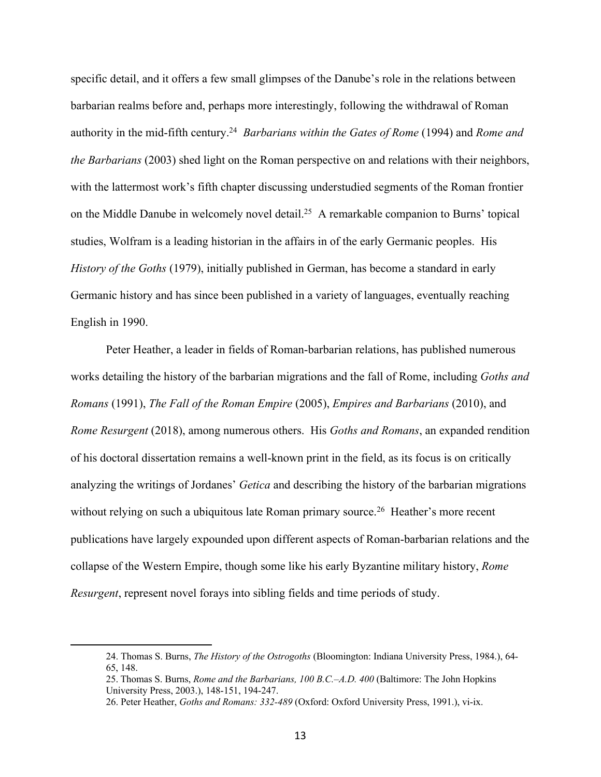specific detail, and it offers a few small glimpses of the Danube's role in the relations between barbarian realms before and, perhaps more interestingly, following the withdrawal of Roman authority in the mid-fifth century.24 *Barbarians within the Gates of Rome* (1994) and *Rome and the Barbarians* (2003) shed light on the Roman perspective on and relations with their neighbors, with the lattermost work's fifth chapter discussing understudied segments of the Roman frontier on the Middle Danube in welcomely novel detail.<sup>25</sup> A remarkable companion to Burns' topical studies, Wolfram is a leading historian in the affairs in of the early Germanic peoples. His *History of the Goths* (1979), initially published in German, has become a standard in early Germanic history and has since been published in a variety of languages, eventually reaching English in 1990.

Peter Heather, a leader in fields of Roman-barbarian relations, has published numerous works detailing the history of the barbarian migrations and the fall of Rome, including *Goths and Romans* (1991), *The Fall of the Roman Empire* (2005), *Empires and Barbarians* (2010), and *Rome Resurgent* (2018), among numerous others. His *Goths and Romans*, an expanded rendition of his doctoral dissertation remains a well-known print in the field, as its focus is on critically analyzing the writings of Jordanes' *Getica* and describing the history of the barbarian migrations without relying on such a ubiquitous late Roman primary source.<sup>26</sup> Heather's more recent publications have largely expounded upon different aspects of Roman-barbarian relations and the collapse of the Western Empire, though some like his early Byzantine military history, *Rome Resurgent*, represent novel forays into sibling fields and time periods of study.

<sup>24.</sup> Thomas S. Burns, *The History of the Ostrogoths* (Bloomington: Indiana University Press, 1984.), 64- 65, 148.

<sup>25.</sup> Thomas S. Burns, *Rome and the Barbarians, 100 B.C.*–*A.D. 400* (Baltimore: The John Hopkins University Press, 2003.), 148-151, 194-247.

<sup>26.</sup> Peter Heather, *Goths and Romans: 332-489* (Oxford: Oxford University Press, 1991.), vi-ix.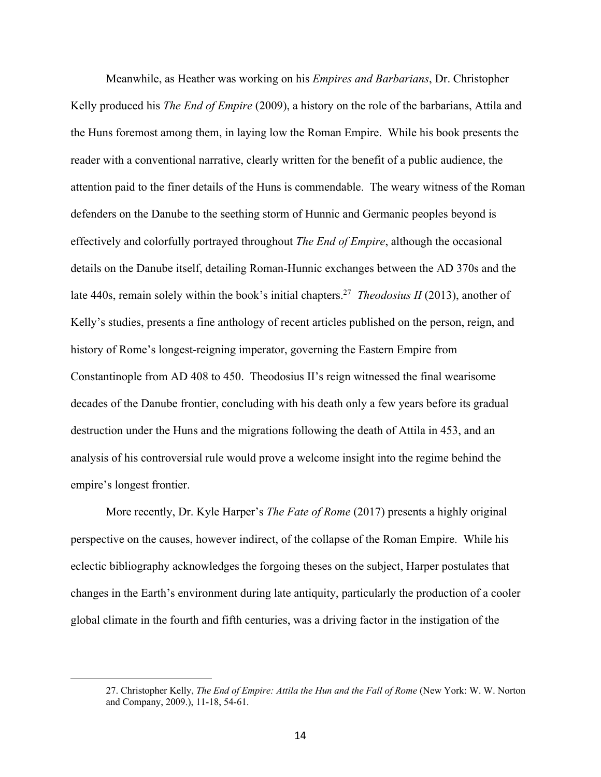Meanwhile, as Heather was working on his *Empires and Barbarians*, Dr. Christopher Kelly produced his *The End of Empire* (2009), a history on the role of the barbarians, Attila and the Huns foremost among them, in laying low the Roman Empire. While his book presents the reader with a conventional narrative, clearly written for the benefit of a public audience, the attention paid to the finer details of the Huns is commendable. The weary witness of the Roman defenders on the Danube to the seething storm of Hunnic and Germanic peoples beyond is effectively and colorfully portrayed throughout *The End of Empire*, although the occasional details on the Danube itself, detailing Roman-Hunnic exchanges between the AD 370s and the late 440s, remain solely within the book's initial chapters.27 *Theodosius II* (2013), another of Kelly's studies, presents a fine anthology of recent articles published on the person, reign, and history of Rome's longest-reigning imperator, governing the Eastern Empire from Constantinople from AD 408 to 450. Theodosius II's reign witnessed the final wearisome decades of the Danube frontier, concluding with his death only a few years before its gradual destruction under the Huns and the migrations following the death of Attila in 453, and an analysis of his controversial rule would prove a welcome insight into the regime behind the empire's longest frontier.

More recently, Dr. Kyle Harper's *The Fate of Rome* (2017) presents a highly original perspective on the causes, however indirect, of the collapse of the Roman Empire. While his eclectic bibliography acknowledges the forgoing theses on the subject, Harper postulates that changes in the Earth's environment during late antiquity, particularly the production of a cooler global climate in the fourth and fifth centuries, was a driving factor in the instigation of the

<sup>27.</sup> Christopher Kelly, *The End of Empire: Attila the Hun and the Fall of Rome* (New York: W. W. Norton and Company, 2009.), 11-18, 54-61.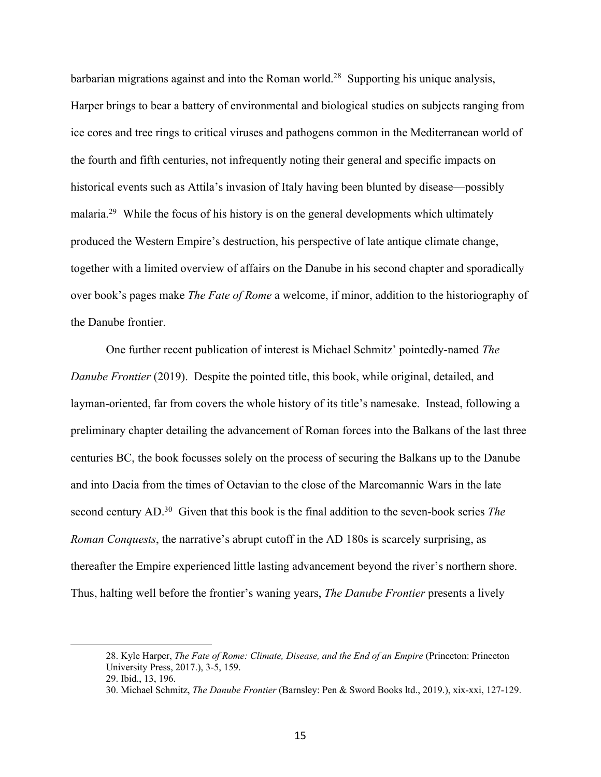barbarian migrations against and into the Roman world.<sup>28</sup> Supporting his unique analysis, Harper brings to bear a battery of environmental and biological studies on subjects ranging from ice cores and tree rings to critical viruses and pathogens common in the Mediterranean world of the fourth and fifth centuries, not infrequently noting their general and specific impacts on historical events such as Attila's invasion of Italy having been blunted by disease—possibly malaria.<sup>29</sup> While the focus of his history is on the general developments which ultimately produced the Western Empire's destruction, his perspective of late antique climate change, together with a limited overview of affairs on the Danube in his second chapter and sporadically over book's pages make *The Fate of Rome* a welcome, if minor, addition to the historiography of the Danube frontier.

One further recent publication of interest is Michael Schmitz' pointedly-named *The Danube Frontier* (2019). Despite the pointed title, this book, while original, detailed, and layman-oriented, far from covers the whole history of its title's namesake. Instead, following a preliminary chapter detailing the advancement of Roman forces into the Balkans of the last three centuries BC, the book focusses solely on the process of securing the Balkans up to the Danube and into Dacia from the times of Octavian to the close of the Marcomannic Wars in the late second century AD.30 Given that this book is the final addition to the seven-book series *The Roman Conquests*, the narrative's abrupt cutoff in the AD 180s is scarcely surprising, as thereafter the Empire experienced little lasting advancement beyond the river's northern shore. Thus, halting well before the frontier's waning years, *The Danube Frontier* presents a lively

<sup>28.</sup> Kyle Harper, *The Fate of Rome: Climate, Disease, and the End of an Empire* (Princeton: Princeton University Press, 2017.), 3-5, 159.

<sup>29.</sup> Ibid., 13, 196.

<sup>30.</sup> Michael Schmitz, *The Danube Frontier* (Barnsley: Pen & Sword Books ltd., 2019.), xix-xxi, 127-129.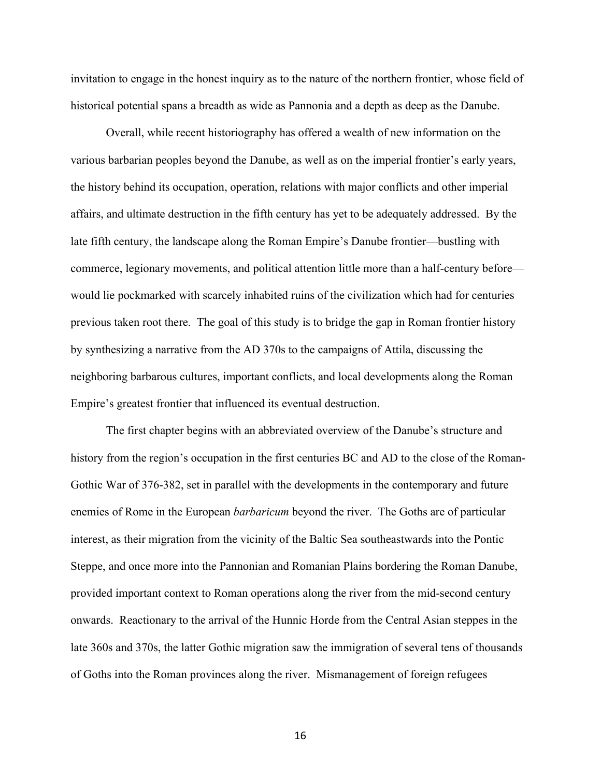invitation to engage in the honest inquiry as to the nature of the northern frontier, whose field of historical potential spans a breadth as wide as Pannonia and a depth as deep as the Danube.

Overall, while recent historiography has offered a wealth of new information on the various barbarian peoples beyond the Danube, as well as on the imperial frontier's early years, the history behind its occupation, operation, relations with major conflicts and other imperial affairs, and ultimate destruction in the fifth century has yet to be adequately addressed. By the late fifth century, the landscape along the Roman Empire's Danube frontier—bustling with commerce, legionary movements, and political attention little more than a half-century before would lie pockmarked with scarcely inhabited ruins of the civilization which had for centuries previous taken root there. The goal of this study is to bridge the gap in Roman frontier history by synthesizing a narrative from the AD 370s to the campaigns of Attila, discussing the neighboring barbarous cultures, important conflicts, and local developments along the Roman Empire's greatest frontier that influenced its eventual destruction.

The first chapter begins with an abbreviated overview of the Danube's structure and history from the region's occupation in the first centuries BC and AD to the close of the Roman-Gothic War of 376-382, set in parallel with the developments in the contemporary and future enemies of Rome in the European *barbaricum* beyond the river. The Goths are of particular interest, as their migration from the vicinity of the Baltic Sea southeastwards into the Pontic Steppe, and once more into the Pannonian and Romanian Plains bordering the Roman Danube, provided important context to Roman operations along the river from the mid-second century onwards. Reactionary to the arrival of the Hunnic Horde from the Central Asian steppes in the late 360s and 370s, the latter Gothic migration saw the immigration of several tens of thousands of Goths into the Roman provinces along the river. Mismanagement of foreign refugees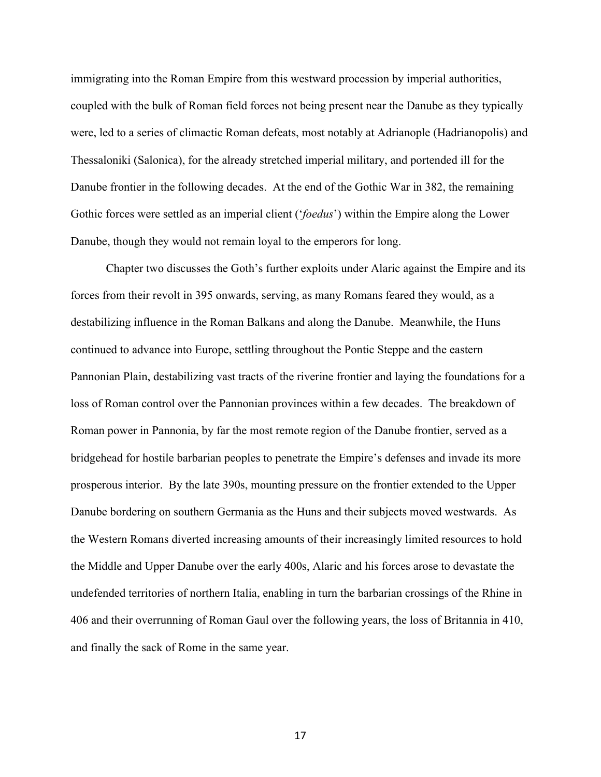immigrating into the Roman Empire from this westward procession by imperial authorities, coupled with the bulk of Roman field forces not being present near the Danube as they typically were, led to a series of climactic Roman defeats, most notably at Adrianople (Hadrianopolis) and Thessaloniki (Salonica), for the already stretched imperial military, and portended ill for the Danube frontier in the following decades. At the end of the Gothic War in 382, the remaining Gothic forces were settled as an imperial client ('*foedus*') within the Empire along the Lower Danube, though they would not remain loyal to the emperors for long.

Chapter two discusses the Goth's further exploits under Alaric against the Empire and its forces from their revolt in 395 onwards, serving, as many Romans feared they would, as a destabilizing influence in the Roman Balkans and along the Danube. Meanwhile, the Huns continued to advance into Europe, settling throughout the Pontic Steppe and the eastern Pannonian Plain, destabilizing vast tracts of the riverine frontier and laying the foundations for a loss of Roman control over the Pannonian provinces within a few decades. The breakdown of Roman power in Pannonia, by far the most remote region of the Danube frontier, served as a bridgehead for hostile barbarian peoples to penetrate the Empire's defenses and invade its more prosperous interior. By the late 390s, mounting pressure on the frontier extended to the Upper Danube bordering on southern Germania as the Huns and their subjects moved westwards. As the Western Romans diverted increasing amounts of their increasingly limited resources to hold the Middle and Upper Danube over the early 400s, Alaric and his forces arose to devastate the undefended territories of northern Italia, enabling in turn the barbarian crossings of the Rhine in 406 and their overrunning of Roman Gaul over the following years, the loss of Britannia in 410, and finally the sack of Rome in the same year.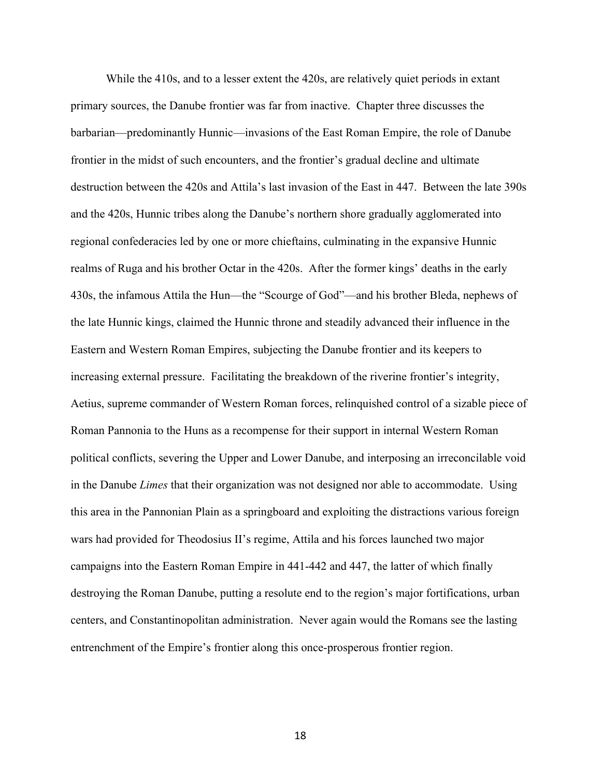While the 410s, and to a lesser extent the 420s, are relatively quiet periods in extant primary sources, the Danube frontier was far from inactive. Chapter three discusses the barbarian—predominantly Hunnic—invasions of the East Roman Empire, the role of Danube frontier in the midst of such encounters, and the frontier's gradual decline and ultimate destruction between the 420s and Attila's last invasion of the East in 447. Between the late 390s and the 420s, Hunnic tribes along the Danube's northern shore gradually agglomerated into regional confederacies led by one or more chieftains, culminating in the expansive Hunnic realms of Ruga and his brother Octar in the 420s. After the former kings' deaths in the early 430s, the infamous Attila the Hun—the "Scourge of God"—and his brother Bleda, nephews of the late Hunnic kings, claimed the Hunnic throne and steadily advanced their influence in the Eastern and Western Roman Empires, subjecting the Danube frontier and its keepers to increasing external pressure. Facilitating the breakdown of the riverine frontier's integrity, Aetius, supreme commander of Western Roman forces, relinquished control of a sizable piece of Roman Pannonia to the Huns as a recompense for their support in internal Western Roman political conflicts, severing the Upper and Lower Danube, and interposing an irreconcilable void in the Danube *Limes* that their organization was not designed nor able to accommodate. Using this area in the Pannonian Plain as a springboard and exploiting the distractions various foreign wars had provided for Theodosius II's regime, Attila and his forces launched two major campaigns into the Eastern Roman Empire in 441-442 and 447, the latter of which finally destroying the Roman Danube, putting a resolute end to the region's major fortifications, urban centers, and Constantinopolitan administration. Never again would the Romans see the lasting entrenchment of the Empire's frontier along this once-prosperous frontier region.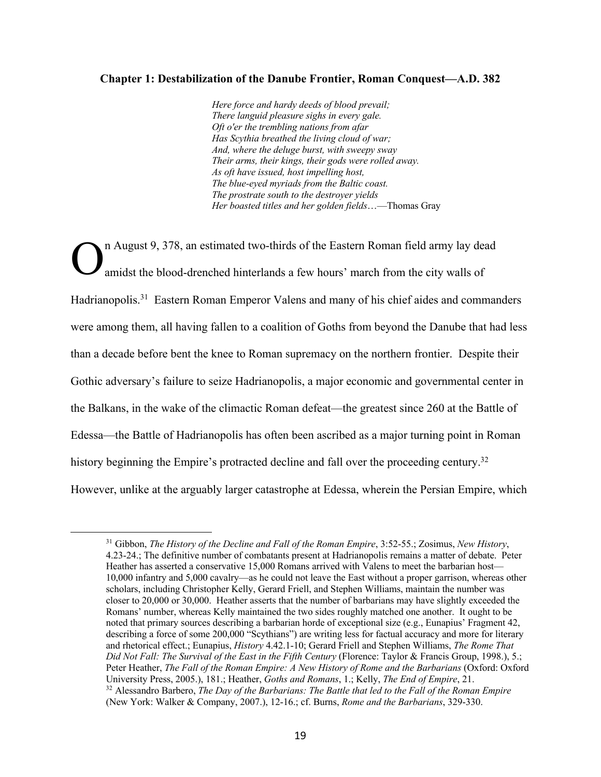## **Chapter 1: Destabilization of the Danube Frontier, Roman Conquest—A.D. 382**

*Here force and hardy deeds of blood prevail; There languid pleasure sighs in every gale. Oft o'er the trembling nations from afar Has Scythia breathed the living cloud of war; And, where the deluge burst, with sweepy sway Their arms, their kings, their gods were rolled away. As oft have issued, host impelling host, The blue-eyed myriads from the Baltic coast. The prostrate south to the destroyer yields Her boasted titles and her golden fields*…—Thomas Gray

n August 9, 378, an estimated two-thirds of the Eastern Roman field army lay dead amidst the blood-drenched hinterlands a few hours' march from the city walls of Hadrianopolis.<sup>31</sup> Eastern Roman Emperor Valens and many of his chief aides and commanders were among them, all having fallen to a coalition of Goths from beyond the Danube that had less than a decade before bent the knee to Roman supremacy on the northern frontier. Despite their Gothic adversary's failure to seize Hadrianopolis, a major economic and governmental center in the Balkans, in the wake of the climactic Roman defeat—the greatest since 260 at the Battle of Edessa—the Battle of Hadrianopolis has often been ascribed as a major turning point in Roman history beginning the Empire's protracted decline and fall over the proceeding century.<sup>32</sup> However, unlike at the arguably larger catastrophe at Edessa, wherein the Persian Empire, which O

<sup>31</sup> Gibbon, *The History of the Decline and Fall of the Roman Empire*, 3:52-55.; Zosimus, *New History*, 4.23-24.; The definitive number of combatants present at Hadrianopolis remains a matter of debate. Peter Heather has asserted a conservative 15,000 Romans arrived with Valens to meet the barbarian host— 10,000 infantry and 5,000 cavalry—as he could not leave the East without a proper garrison, whereas other scholars, including Christopher Kelly, Gerard Friell, and Stephen Williams, maintain the number was closer to 20,000 or 30,000. Heather asserts that the number of barbarians may have slightly exceeded the Romans' number, whereas Kelly maintained the two sides roughly matched one another. It ought to be noted that primary sources describing a barbarian horde of exceptional size (e.g., Eunapius' Fragment 42, describing a force of some 200,000 "Scythians") are writing less for factual accuracy and more for literary and rhetorical effect.; Eunapius, *History* 4.42.1-10; Gerard Friell and Stephen Williams, *The Rome That Did Not Fall: The Survival of the East in the Fifth Century* (Florence: Taylor & Francis Group, 1998.), 5.; Peter Heather, *The Fall of the Roman Empire: A New History of Rome and the Barbarians* (Oxford: Oxford University Press, 2005.), 181.; Heather, *Goths and Romans*, 1.; Kelly, *The End of Empire*, 21. <sup>32</sup> Alessandro Barbero, *The Day of the Barbarians: The Battle that led to the Fall of the Roman Empire* (New York: Walker & Company, 2007.), 12-16.; cf. Burns, *Rome and the Barbarians*, 329-330.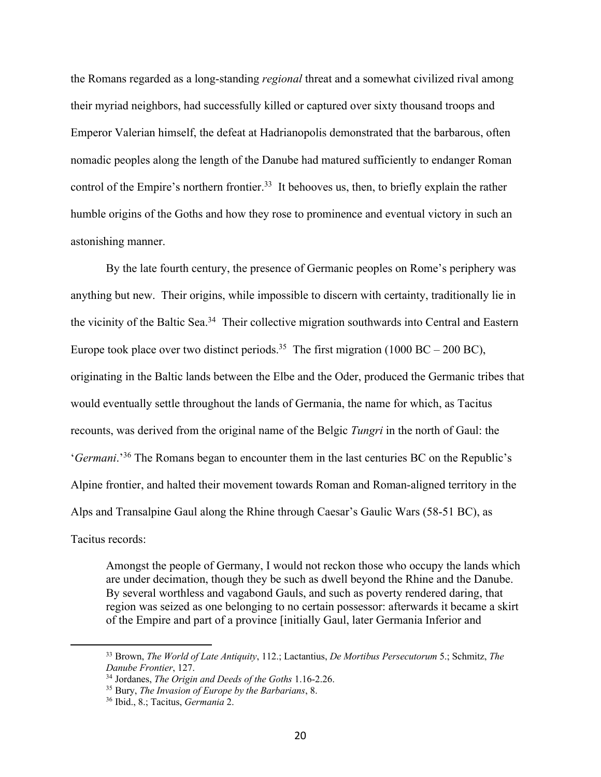the Romans regarded as a long-standing *regional* threat and a somewhat civilized rival among their myriad neighbors, had successfully killed or captured over sixty thousand troops and Emperor Valerian himself, the defeat at Hadrianopolis demonstrated that the barbarous, often nomadic peoples along the length of the Danube had matured sufficiently to endanger Roman control of the Empire's northern frontier.<sup>33</sup> It behooves us, then, to briefly explain the rather humble origins of the Goths and how they rose to prominence and eventual victory in such an astonishing manner.

By the late fourth century, the presence of Germanic peoples on Rome's periphery was anything but new. Their origins, while impossible to discern with certainty, traditionally lie in the vicinity of the Baltic Sea.<sup>34</sup> Their collective migration southwards into Central and Eastern Europe took place over two distinct periods.<sup>35</sup> The first migration (1000 BC – 200 BC), originating in the Baltic lands between the Elbe and the Oder, produced the Germanic tribes that would eventually settle throughout the lands of Germania, the name for which, as Tacitus recounts, was derived from the original name of the Belgic *Tungri* in the north of Gaul: the '*Germani*.'36 The Romans began to encounter them in the last centuries BC on the Republic's Alpine frontier, and halted their movement towards Roman and Roman-aligned territory in the Alps and Transalpine Gaul along the Rhine through Caesar's Gaulic Wars (58-51 BC), as Tacitus records:

Amongst the people of Germany, I would not reckon those who occupy the lands which are under decimation, though they be such as dwell beyond the Rhine and the Danube. By several worthless and vagabond Gauls, and such as poverty rendered daring, that region was seized as one belonging to no certain possessor: afterwards it became a skirt of the Empire and part of a province [initially Gaul, later Germania Inferior and

<sup>33</sup> Brown, *The World of Late Antiquity*, 112.; Lactantius, *De Mortibus Persecutorum* 5.; Schmitz, *The Danube Frontier*, 127.

<sup>34</sup> Jordanes, *The Origin and Deeds of the Goths* 1.16-2.26.

<sup>35</sup> Bury, *The Invasion of Europe by the Barbarians*, 8.

<sup>36</sup> Ibid., 8.; Tacitus, *Germania* 2.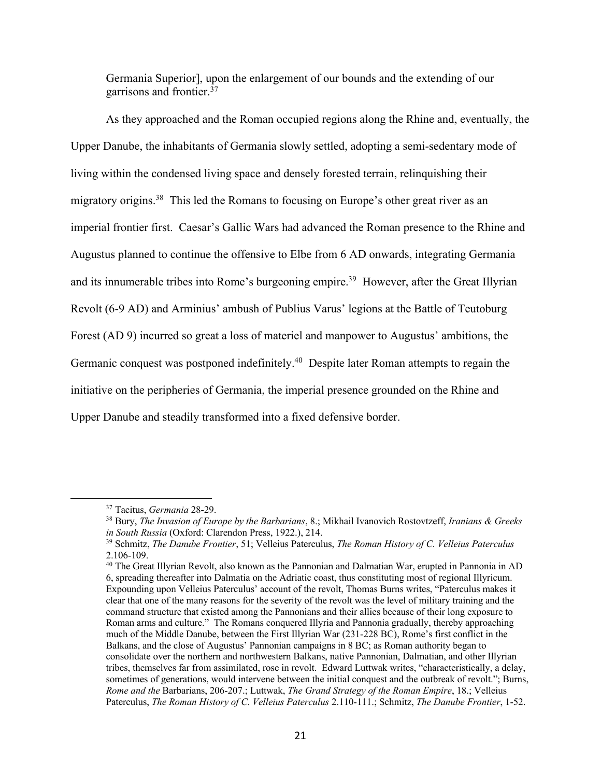Germania Superior], upon the enlargement of our bounds and the extending of our garrisons and frontier.37

As they approached and the Roman occupied regions along the Rhine and, eventually, the Upper Danube, the inhabitants of Germania slowly settled, adopting a semi-sedentary mode of living within the condensed living space and densely forested terrain, relinquishing their migratory origins.<sup>38</sup> This led the Romans to focusing on Europe's other great river as an imperial frontier first. Caesar's Gallic Wars had advanced the Roman presence to the Rhine and Augustus planned to continue the offensive to Elbe from 6 AD onwards, integrating Germania and its innumerable tribes into Rome's burgeoning empire.<sup>39</sup> However, after the Great Illyrian Revolt (6-9 AD) and Arminius' ambush of Publius Varus' legions at the Battle of Teutoburg Forest (AD 9) incurred so great a loss of materiel and manpower to Augustus' ambitions, the Germanic conquest was postponed indefinitely.40 Despite later Roman attempts to regain the initiative on the peripheries of Germania, the imperial presence grounded on the Rhine and Upper Danube and steadily transformed into a fixed defensive border.

<sup>37</sup> Tacitus, *Germania* 28-29.

<sup>38</sup> Bury, *The Invasion of Europe by the Barbarians*, 8.; Mikhail Ivanovich Rostovtzeff, *Iranians & Greeks in South Russia* (Oxford: Clarendon Press, 1922.), 214.

<sup>39</sup> Schmitz, *The Danube Frontier*, 51; Velleius Paterculus, *The Roman History of C. Velleius Paterculus* 2.106-109.

<sup>&</sup>lt;sup>40</sup> The Great Illyrian Revolt, also known as the Pannonian and Dalmatian War, erupted in Pannonia in AD 6, spreading thereafter into Dalmatia on the Adriatic coast, thus constituting most of regional Illyricum. Expounding upon Velleius Paterculus' account of the revolt, Thomas Burns writes, "Paterculus makes it clear that one of the many reasons for the severity of the revolt was the level of military training and the command structure that existed among the Pannonians and their allies because of their long exposure to Roman arms and culture." The Romans conquered Illyria and Pannonia gradually, thereby approaching much of the Middle Danube, between the First Illyrian War (231-228 BC), Rome's first conflict in the Balkans, and the close of Augustus' Pannonian campaigns in 8 BC; as Roman authority began to consolidate over the northern and northwestern Balkans, native Pannonian, Dalmatian, and other Illyrian tribes, themselves far from assimilated, rose in revolt. Edward Luttwak writes, "characteristically, a delay, sometimes of generations, would intervene between the initial conquest and the outbreak of revolt."; Burns, *Rome and the* Barbarians, 206-207.; Luttwak, *The Grand Strategy of the Roman Empire*, 18.; Velleius Paterculus, *The Roman History of C. Velleius Paterculus* 2.110-111.; Schmitz, *The Danube Frontier*, 1-52.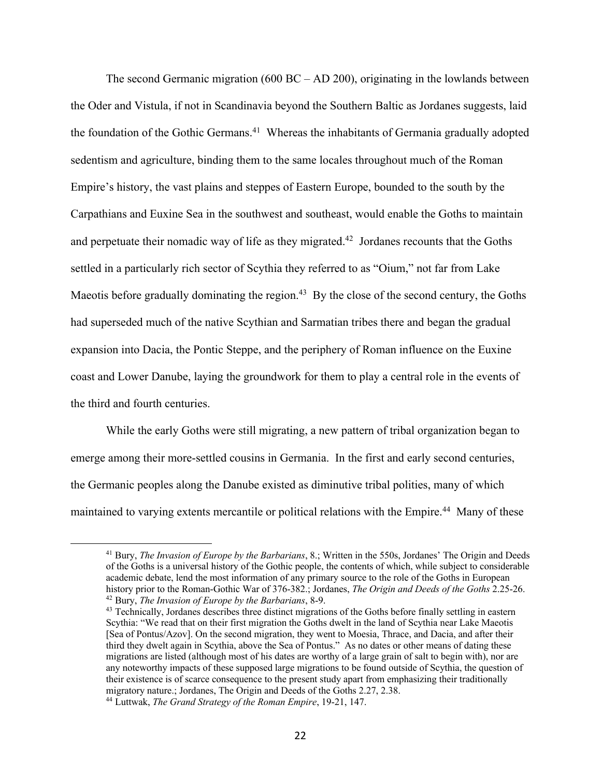The second Germanic migration (600 BC – AD 200), originating in the lowlands between the Oder and Vistula, if not in Scandinavia beyond the Southern Baltic as Jordanes suggests, laid the foundation of the Gothic Germans.<sup>41</sup> Whereas the inhabitants of Germania gradually adopted sedentism and agriculture, binding them to the same locales throughout much of the Roman Empire's history, the vast plains and steppes of Eastern Europe, bounded to the south by the Carpathians and Euxine Sea in the southwest and southeast, would enable the Goths to maintain and perpetuate their nomadic way of life as they migrated.<sup>42</sup> Jordanes recounts that the Goths settled in a particularly rich sector of Scythia they referred to as "Oium," not far from Lake Maeotis before gradually dominating the region.<sup>43</sup> By the close of the second century, the Goths had superseded much of the native Scythian and Sarmatian tribes there and began the gradual expansion into Dacia, the Pontic Steppe, and the periphery of Roman influence on the Euxine coast and Lower Danube, laying the groundwork for them to play a central role in the events of the third and fourth centuries.

While the early Goths were still migrating, a new pattern of tribal organization began to emerge among their more-settled cousins in Germania. In the first and early second centuries, the Germanic peoples along the Danube existed as diminutive tribal polities, many of which maintained to varying extents mercantile or political relations with the Empire.<sup>44</sup> Many of these

<sup>41</sup> Bury, *The Invasion of Europe by the Barbarians*, 8.; Written in the 550s, Jordanes' The Origin and Deeds of the Goths is a universal history of the Gothic people, the contents of which, while subject to considerable academic debate, lend the most information of any primary source to the role of the Goths in European history prior to the Roman-Gothic War of 376-382.; Jordanes, *The Origin and Deeds of the Goths* 2.25-26. <sup>42</sup> Bury, *The Invasion of Europe by the Barbarians*, 8-9.

<sup>&</sup>lt;sup>43</sup> Technically, Jordanes describes three distinct migrations of the Goths before finally settling in eastern Scythia: "We read that on their first migration the Goths dwelt in the land of Scythia near Lake Maeotis [Sea of Pontus/Azov]. On the second migration, they went to Moesia, Thrace, and Dacia, and after their third they dwelt again in Scythia, above the Sea of Pontus." As no dates or other means of dating these migrations are listed (although most of his dates are worthy of a large grain of salt to begin with), nor are any noteworthy impacts of these supposed large migrations to be found outside of Scythia, the question of their existence is of scarce consequence to the present study apart from emphasizing their traditionally migratory nature.; Jordanes, The Origin and Deeds of the Goths 2.27, 2.38.

<sup>44</sup> Luttwak, *The Grand Strategy of the Roman Empire*, 19-21, 147.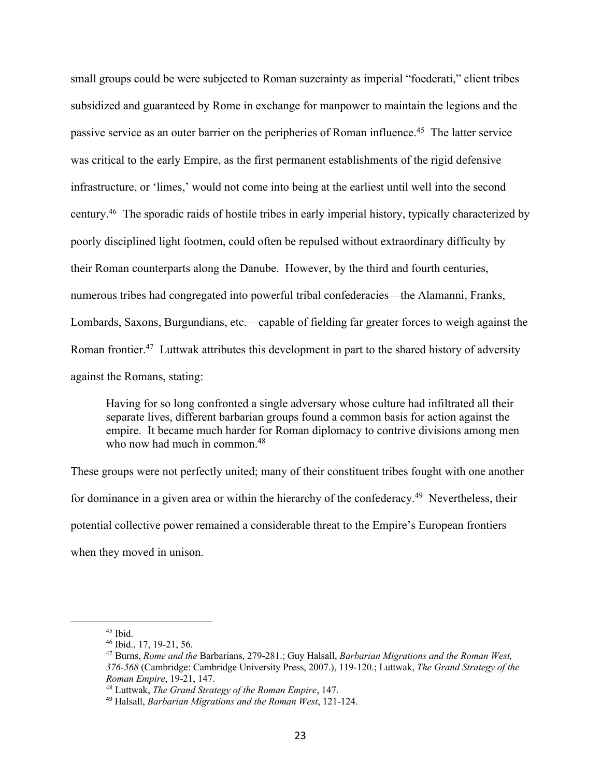small groups could be were subjected to Roman suzerainty as imperial "foederati," client tribes subsidized and guaranteed by Rome in exchange for manpower to maintain the legions and the passive service as an outer barrier on the peripheries of Roman influence.45 The latter service was critical to the early Empire, as the first permanent establishments of the rigid defensive infrastructure, or 'limes,' would not come into being at the earliest until well into the second century.46 The sporadic raids of hostile tribes in early imperial history, typically characterized by poorly disciplined light footmen, could often be repulsed without extraordinary difficulty by their Roman counterparts along the Danube. However, by the third and fourth centuries, numerous tribes had congregated into powerful tribal confederacies—the Alamanni, Franks, Lombards, Saxons, Burgundians, etc.—capable of fielding far greater forces to weigh against the Roman frontier.<sup>47</sup> Luttwak attributes this development in part to the shared history of adversity against the Romans, stating:

Having for so long confronted a single adversary whose culture had infiltrated all their separate lives, different barbarian groups found a common basis for action against the empire. It became much harder for Roman diplomacy to contrive divisions among men who now had much in common.<sup>48</sup>

These groups were not perfectly united; many of their constituent tribes fought with one another for dominance in a given area or within the hierarchy of the confederacy.<sup>49</sup> Nevertheless, their potential collective power remained a considerable threat to the Empire's European frontiers when they moved in unison.

<sup>45</sup> Ibid.

<sup>46</sup> Ibid., 17, 19-21, 56.

<sup>47</sup> Burns, *Rome and the* Barbarians, 279-281.; Guy Halsall, *Barbarian Migrations and the Roman West, 376-568* (Cambridge: Cambridge University Press, 2007.), 119-120.; Luttwak, *The Grand Strategy of the Roman Empire*, 19-21, 147.

<sup>48</sup> Luttwak, *The Grand Strategy of the Roman Empire*, 147.

<sup>49</sup> Halsall, *Barbarian Migrations and the Roman West*, 121-124.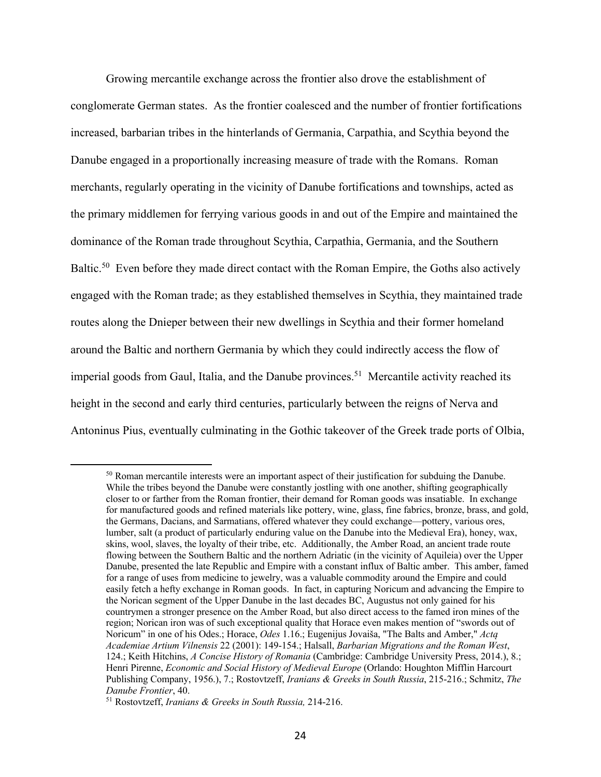Growing mercantile exchange across the frontier also drove the establishment of conglomerate German states. As the frontier coalesced and the number of frontier fortifications increased, barbarian tribes in the hinterlands of Germania, Carpathia, and Scythia beyond the Danube engaged in a proportionally increasing measure of trade with the Romans. Roman merchants, regularly operating in the vicinity of Danube fortifications and townships, acted as the primary middlemen for ferrying various goods in and out of the Empire and maintained the dominance of the Roman trade throughout Scythia, Carpathia, Germania, and the Southern Baltic.<sup>50</sup> Even before they made direct contact with the Roman Empire, the Goths also actively engaged with the Roman trade; as they established themselves in Scythia, they maintained trade routes along the Dnieper between their new dwellings in Scythia and their former homeland around the Baltic and northern Germania by which they could indirectly access the flow of imperial goods from Gaul, Italia, and the Danube provinces.<sup>51</sup> Mercantile activity reached its height in the second and early third centuries, particularly between the reigns of Nerva and Antoninus Pius, eventually culminating in the Gothic takeover of the Greek trade ports of Olbia,

<sup>&</sup>lt;sup>50</sup> Roman mercantile interests were an important aspect of their justification for subduing the Danube. While the tribes beyond the Danube were constantly jostling with one another, shifting geographically closer to or farther from the Roman frontier, their demand for Roman goods was insatiable. In exchange for manufactured goods and refined materials like pottery, wine, glass, fine fabrics, bronze, brass, and gold, the Germans, Dacians, and Sarmatians, offered whatever they could exchange—pottery, various ores, lumber, salt (a product of particularly enduring value on the Danube into the Medieval Era), honey, wax, skins, wool, slaves, the loyalty of their tribe, etc. Additionally, the Amber Road, an ancient trade route flowing between the Southern Baltic and the northern Adriatic (in the vicinity of Aquileia) over the Upper Danube, presented the late Republic and Empire with a constant influx of Baltic amber. This amber, famed for a range of uses from medicine to jewelry, was a valuable commodity around the Empire and could easily fetch a hefty exchange in Roman goods. In fact, in capturing Noricum and advancing the Empire to the Norican segment of the Upper Danube in the last decades BC, Augustus not only gained for his countrymen a stronger presence on the Amber Road, but also direct access to the famed iron mines of the region; Norican iron was of such exceptional quality that Horace even makes mention of "swords out of Noricum" in one of his Odes.; Horace, *Odes* 1.16.; Eugenijus Jovaiša, "The Balts and Amber," *Actą Academiae Artium Vilnensis* 22 (2001): 149-154.; Halsall, *Barbarian Migrations and the Roman West*, 124.; Keith Hitchins, *A Concise History of Romania* (Cambridge: Cambridge University Press, 2014.), 8.; Henri Pirenne, *Economic and Social History of Medieval Europe* (Orlando: Houghton Mifflin Harcourt Publishing Company, 1956.), 7.; Rostovtzeff, *Iranians & Greeks in South Russia*, 215-216.; Schmitz, *The Danube Frontier*, 40.

<sup>51</sup> Rostovtzeff, *Iranians & Greeks in South Russia,* 214-216.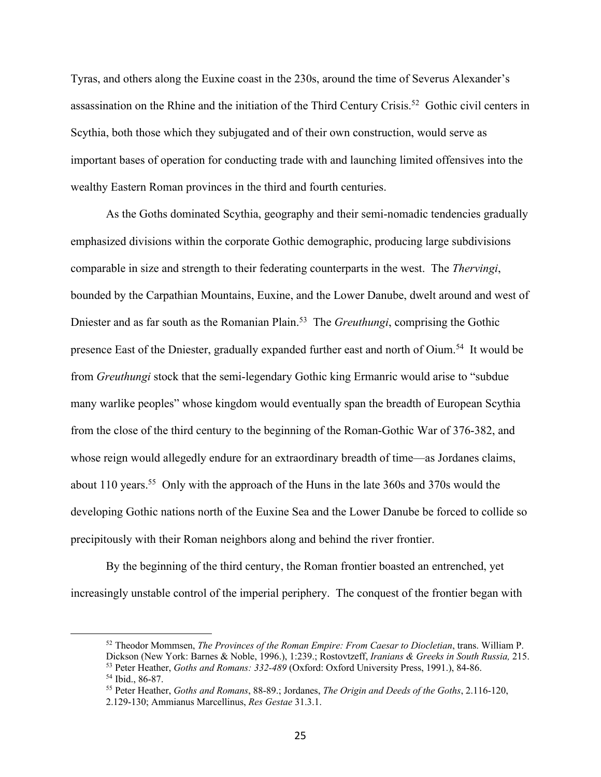Tyras, and others along the Euxine coast in the 230s, around the time of Severus Alexander's assassination on the Rhine and the initiation of the Third Century Crisis.52 Gothic civil centers in Scythia, both those which they subjugated and of their own construction, would serve as important bases of operation for conducting trade with and launching limited offensives into the wealthy Eastern Roman provinces in the third and fourth centuries.

As the Goths dominated Scythia, geography and their semi-nomadic tendencies gradually emphasized divisions within the corporate Gothic demographic, producing large subdivisions comparable in size and strength to their federating counterparts in the west. The *Thervingi*, bounded by the Carpathian Mountains, Euxine, and the Lower Danube, dwelt around and west of Dniester and as far south as the Romanian Plain.53 The *Greuthungi*, comprising the Gothic presence East of the Dniester, gradually expanded further east and north of Oium.<sup>54</sup> It would be from *Greuthungi* stock that the semi-legendary Gothic king Ermanric would arise to "subdue many warlike peoples" whose kingdom would eventually span the breadth of European Scythia from the close of the third century to the beginning of the Roman-Gothic War of 376-382, and whose reign would allegedly endure for an extraordinary breadth of time—as Jordanes claims, about 110 years.55 Only with the approach of the Huns in the late 360s and 370s would the developing Gothic nations north of the Euxine Sea and the Lower Danube be forced to collide so precipitously with their Roman neighbors along and behind the river frontier.

By the beginning of the third century, the Roman frontier boasted an entrenched, yet increasingly unstable control of the imperial periphery. The conquest of the frontier began with

<sup>52</sup> Theodor Mommsen, *The Provinces of the Roman Empire: From Caesar to Diocletian*, trans. William P. <sup>53</sup> Peter Heather, *Goths and Romans: 332-489* (Oxford: Oxford University Press, 1991.), 84-86.

<sup>54</sup> Ibid., 86-87.

<sup>55</sup> Peter Heather, *Goths and Romans*, 88-89.; Jordanes, *The Origin and Deeds of the Goths*, 2.116-120, 2.129-130; Ammianus Marcellinus, *Res Gestae* 31.3.1.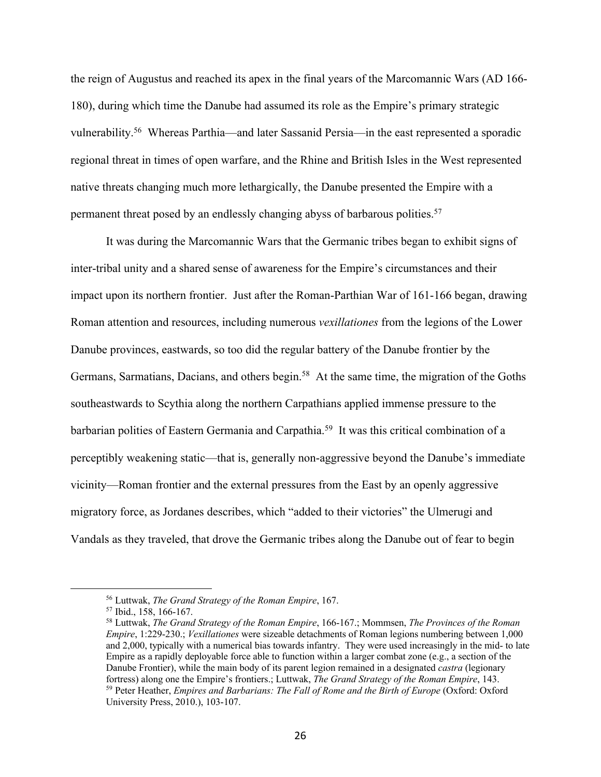the reign of Augustus and reached its apex in the final years of the Marcomannic Wars (AD 166- 180), during which time the Danube had assumed its role as the Empire's primary strategic vulnerability.56 Whereas Parthia—and later Sassanid Persia—in the east represented a sporadic regional threat in times of open warfare, and the Rhine and British Isles in the West represented native threats changing much more lethargically, the Danube presented the Empire with a permanent threat posed by an endlessly changing abyss of barbarous polities.57

It was during the Marcomannic Wars that the Germanic tribes began to exhibit signs of inter-tribal unity and a shared sense of awareness for the Empire's circumstances and their impact upon its northern frontier. Just after the Roman-Parthian War of 161-166 began, drawing Roman attention and resources, including numerous *vexillationes* from the legions of the Lower Danube provinces, eastwards, so too did the regular battery of the Danube frontier by the Germans, Sarmatians, Dacians, and others begin.<sup>58</sup> At the same time, the migration of the Goths southeastwards to Scythia along the northern Carpathians applied immense pressure to the barbarian polities of Eastern Germania and Carpathia.<sup>59</sup> It was this critical combination of a perceptibly weakening static—that is, generally non-aggressive beyond the Danube's immediate vicinity—Roman frontier and the external pressures from the East by an openly aggressive migratory force, as Jordanes describes, which "added to their victories" the Ulmerugi and Vandals as they traveled, that drove the Germanic tribes along the Danube out of fear to begin

<sup>56</sup> Luttwak, *The Grand Strategy of the Roman Empire*, 167.

<sup>57</sup> Ibid., 158, 166-167.

<sup>58</sup> Luttwak, *The Grand Strategy of the Roman Empire*, 166-167.; Mommsen, *The Provinces of the Roman Empire*, 1:229-230.; *Vexillationes* were sizeable detachments of Roman legions numbering between 1,000 and 2,000, typically with a numerical bias towards infantry. They were used increasingly in the mid- to late Empire as a rapidly deployable force able to function within a larger combat zone (e.g., a section of the Danube Frontier), while the main body of its parent legion remained in a designated *castra* (legionary fortress) along one the Empire's frontiers.; Luttwak, *The Grand Strategy of the Roman Empire*, 143. <sup>59</sup> Peter Heather, *Empires and Barbarians: The Fall of Rome and the Birth of Europe* (Oxford: Oxford University Press, 2010.), 103-107.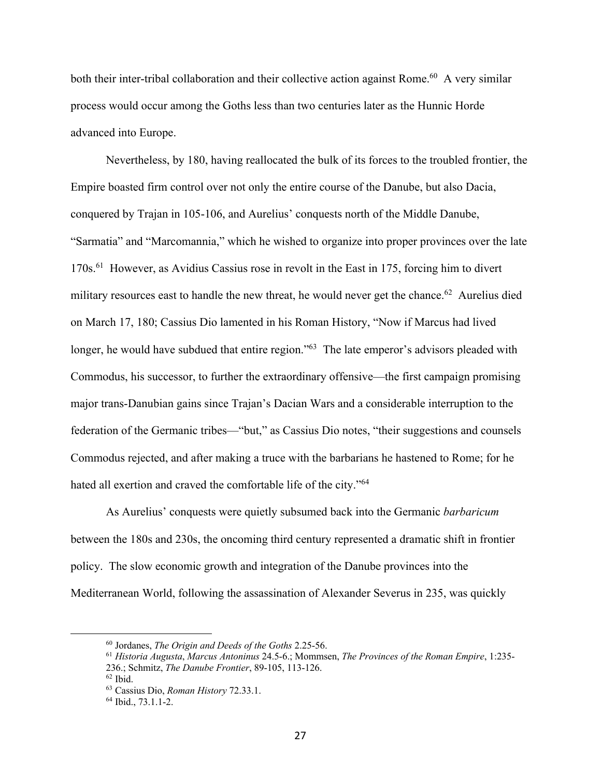both their inter-tribal collaboration and their collective action against Rome.<sup>60</sup> A very similar process would occur among the Goths less than two centuries later as the Hunnic Horde advanced into Europe.

Nevertheless, by 180, having reallocated the bulk of its forces to the troubled frontier, the Empire boasted firm control over not only the entire course of the Danube, but also Dacia, conquered by Trajan in 105-106, and Aurelius' conquests north of the Middle Danube, "Sarmatia" and "Marcomannia," which he wished to organize into proper provinces over the late 170s.61 However, as Avidius Cassius rose in revolt in the East in 175, forcing him to divert military resources east to handle the new threat, he would never get the chance.<sup>62</sup> Aurelius died on March 17, 180; Cassius Dio lamented in his Roman History, "Now if Marcus had lived longer, he would have subdued that entire region."<sup>63</sup> The late emperor's advisors pleaded with Commodus, his successor, to further the extraordinary offensive—the first campaign promising major trans-Danubian gains since Trajan's Dacian Wars and a considerable interruption to the federation of the Germanic tribes—"but," as Cassius Dio notes, "their suggestions and counsels Commodus rejected, and after making a truce with the barbarians he hastened to Rome; for he hated all exertion and craved the comfortable life of the city."64

As Aurelius' conquests were quietly subsumed back into the Germanic *barbaricum* between the 180s and 230s, the oncoming third century represented a dramatic shift in frontier policy. The slow economic growth and integration of the Danube provinces into the Mediterranean World, following the assassination of Alexander Severus in 235, was quickly

<sup>60</sup> Jordanes, *The Origin and Deeds of the Goths* 2.25-56.

<sup>61</sup> *Historia Augusta*, *Marcus Antoninus* 24.5-6.; Mommsen, *The Provinces of the Roman Empire*, 1:235- 236.; Schmitz, *The Danube Frontier*, 89-105, 113-126.

 $62$  Ibid.

<sup>63</sup> Cassius Dio, *Roman History* 72.33.1.

<sup>64</sup> Ibid., 73.1.1-2.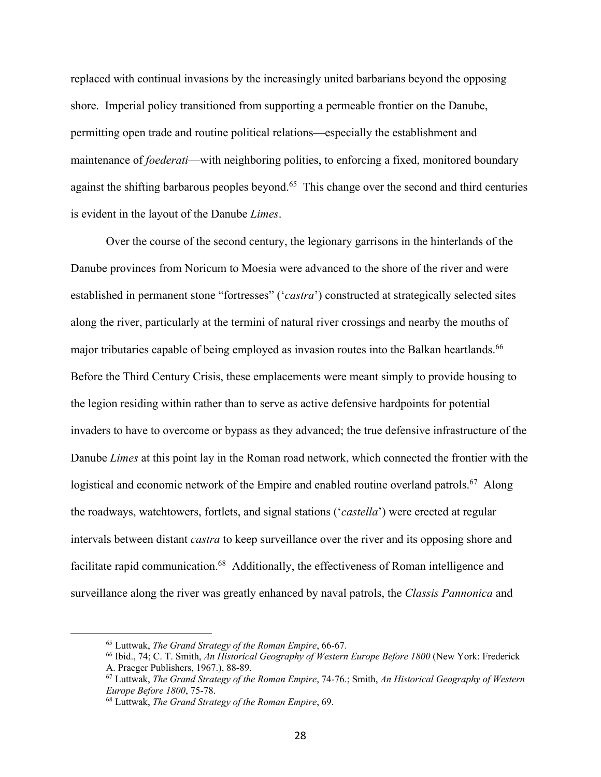replaced with continual invasions by the increasingly united barbarians beyond the opposing shore. Imperial policy transitioned from supporting a permeable frontier on the Danube, permitting open trade and routine political relations—especially the establishment and maintenance of *foederati*—with neighboring polities, to enforcing a fixed, monitored boundary against the shifting barbarous peoples beyond.<sup>65</sup> This change over the second and third centuries is evident in the layout of the Danube *Limes*.

Over the course of the second century, the legionary garrisons in the hinterlands of the Danube provinces from Noricum to Moesia were advanced to the shore of the river and were established in permanent stone "fortresses" ('*castra*') constructed at strategically selected sites along the river, particularly at the termini of natural river crossings and nearby the mouths of major tributaries capable of being employed as invasion routes into the Balkan heartlands.<sup>66</sup> Before the Third Century Crisis, these emplacements were meant simply to provide housing to the legion residing within rather than to serve as active defensive hardpoints for potential invaders to have to overcome or bypass as they advanced; the true defensive infrastructure of the Danube *Limes* at this point lay in the Roman road network, which connected the frontier with the logistical and economic network of the Empire and enabled routine overland patrols.<sup>67</sup> Along the roadways, watchtowers, fortlets, and signal stations ('*castella*') were erected at regular intervals between distant *castra* to keep surveillance over the river and its opposing shore and facilitate rapid communication.<sup>68</sup> Additionally, the effectiveness of Roman intelligence and surveillance along the river was greatly enhanced by naval patrols, the *Classis Pannonica* and

<sup>65</sup> Luttwak, *The Grand Strategy of the Roman Empire*, 66-67.

<sup>66</sup> Ibid., 74; C. T. Smith, *An Historical Geography of Western Europe Before 1800* (New York: Frederick A. Praeger Publishers, 1967.), 88-89.

<sup>67</sup> Luttwak, *The Grand Strategy of the Roman Empire*, 74-76.; Smith, *An Historical Geography of Western Europe Before 1800*, 75-78.

<sup>68</sup> Luttwak, *The Grand Strategy of the Roman Empire*, 69.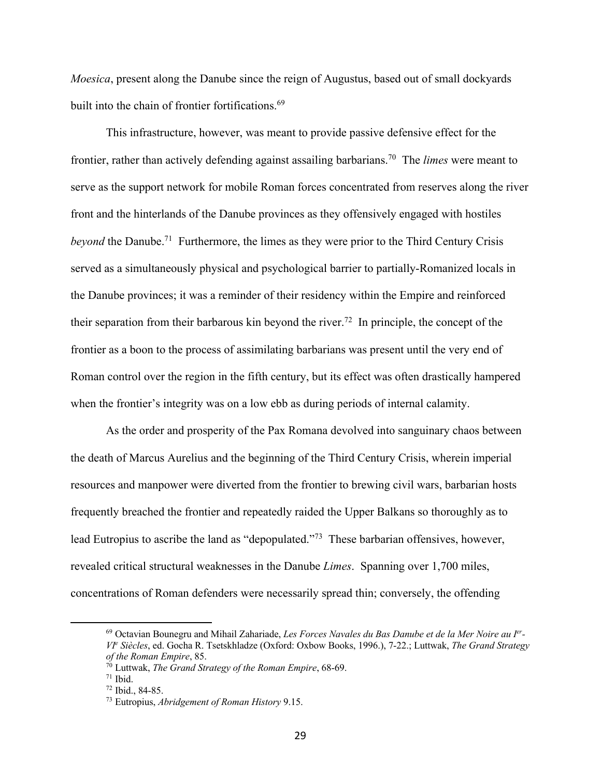*Moesica*, present along the Danube since the reign of Augustus, based out of small dockyards built into the chain of frontier fortifications.<sup>69</sup>

This infrastructure, however, was meant to provide passive defensive effect for the frontier, rather than actively defending against assailing barbarians.70 The *limes* were meant to serve as the support network for mobile Roman forces concentrated from reserves along the river front and the hinterlands of the Danube provinces as they offensively engaged with hostiles *beyond* the Danube.<sup>71</sup> Furthermore, the limes as they were prior to the Third Century Crisis served as a simultaneously physical and psychological barrier to partially-Romanized locals in the Danube provinces; it was a reminder of their residency within the Empire and reinforced their separation from their barbarous kin beyond the river.<sup>72</sup> In principle, the concept of the frontier as a boon to the process of assimilating barbarians was present until the very end of Roman control over the region in the fifth century, but its effect was often drastically hampered when the frontier's integrity was on a low ebb as during periods of internal calamity.

As the order and prosperity of the Pax Romana devolved into sanguinary chaos between the death of Marcus Aurelius and the beginning of the Third Century Crisis, wherein imperial resources and manpower were diverted from the frontier to brewing civil wars, barbarian hosts frequently breached the frontier and repeatedly raided the Upper Balkans so thoroughly as to lead Eutropius to ascribe the land as "depopulated."73 These barbarian offensives, however, revealed critical structural weaknesses in the Danube *Limes*. Spanning over 1,700 miles, concentrations of Roman defenders were necessarily spread thin; conversely, the offending

<sup>69</sup> Octavian Bounegru and Mihail Zahariade, *Les Forces Navales du Bas Danube et de la Mer Noire au Ier-VIe Siècles*, ed. Gocha R. Tsetskhladze (Oxford: Oxbow Books, 1996.), 7-22.; Luttwak, *The Grand Strategy of the Roman Empire*, 85.

<sup>70</sup> Luttwak, *The Grand Strategy of the Roman Empire*, 68-69.

 $71$  Ibid.

<sup>72</sup> Ibid., 84-85.

<sup>73</sup> Eutropius, *Abridgement of Roman History* 9.15.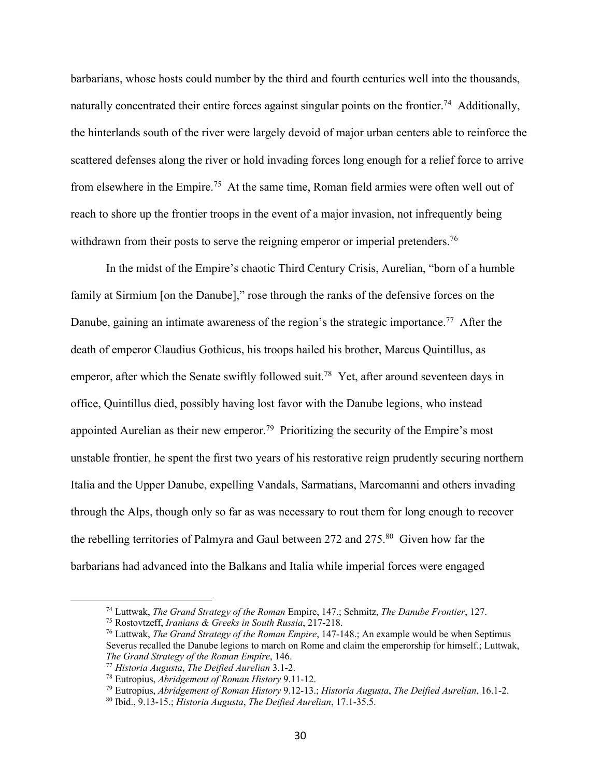barbarians, whose hosts could number by the third and fourth centuries well into the thousands, naturally concentrated their entire forces against singular points on the frontier.<sup>74</sup> Additionally, the hinterlands south of the river were largely devoid of major urban centers able to reinforce the scattered defenses along the river or hold invading forces long enough for a relief force to arrive from elsewhere in the Empire.75 At the same time, Roman field armies were often well out of reach to shore up the frontier troops in the event of a major invasion, not infrequently being withdrawn from their posts to serve the reigning emperor or imperial pretenders.<sup>76</sup>

In the midst of the Empire's chaotic Third Century Crisis, Aurelian, "born of a humble family at Sirmium [on the Danube]," rose through the ranks of the defensive forces on the Danube, gaining an intimate awareness of the region's the strategic importance.<sup>77</sup> After the death of emperor Claudius Gothicus, his troops hailed his brother, Marcus Quintillus, as emperor, after which the Senate swiftly followed suit.<sup>78</sup> Yet, after around seventeen days in office, Quintillus died, possibly having lost favor with the Danube legions, who instead appointed Aurelian as their new emperor.<sup>79</sup> Prioritizing the security of the Empire's most unstable frontier, he spent the first two years of his restorative reign prudently securing northern Italia and the Upper Danube, expelling Vandals, Sarmatians, Marcomanni and others invading through the Alps, though only so far as was necessary to rout them for long enough to recover the rebelling territories of Palmyra and Gaul between 272 and 275.80 Given how far the barbarians had advanced into the Balkans and Italia while imperial forces were engaged

<sup>74</sup> Luttwak, *The Grand Strategy of the Roman* Empire, 147.; Schmitz, *The Danube Frontier*, 127.

<sup>75</sup> Rostovtzeff, *Iranians & Greeks in South Russia*, 217-218.

<sup>76</sup> Luttwak, *The Grand Strategy of the Roman Empire*, 147-148.; An example would be when Septimus Severus recalled the Danube legions to march on Rome and claim the emperorship for himself.; Luttwak, *The Grand Strategy of the Roman Empire*, 146.

<sup>77</sup> *Historia Augusta*, *The Deified Aurelian* 3.1-2.

<sup>78</sup> Eutropius, *Abridgement of Roman History* 9.11-12.

<sup>79</sup> Eutropius, *Abridgement of Roman History* 9.12-13.; *Historia Augusta*, *The Deified Aurelian*, 16.1-2.

<sup>80</sup> Ibid., 9.13-15.; *Historia Augusta*, *The Deified Aurelian*, 17.1-35.5.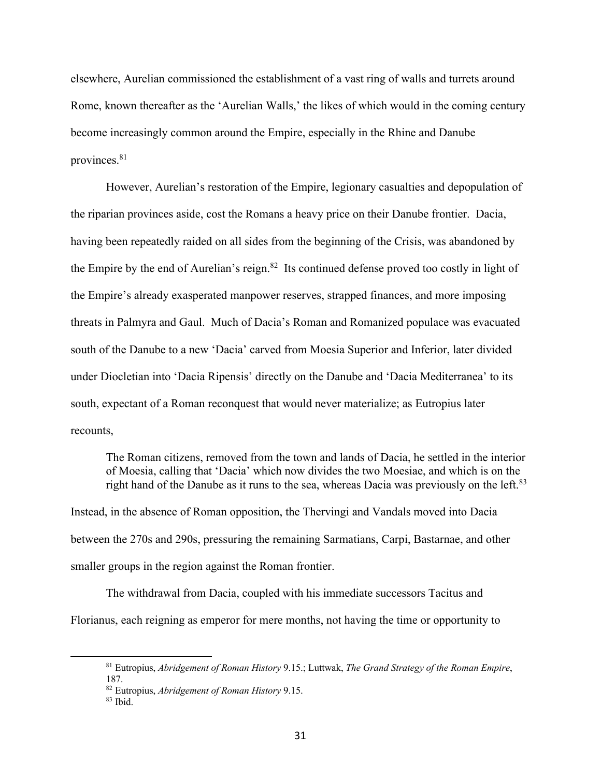elsewhere, Aurelian commissioned the establishment of a vast ring of walls and turrets around Rome, known thereafter as the 'Aurelian Walls,' the likes of which would in the coming century become increasingly common around the Empire, especially in the Rhine and Danube provinces.81

However, Aurelian's restoration of the Empire, legionary casualties and depopulation of the riparian provinces aside, cost the Romans a heavy price on their Danube frontier. Dacia, having been repeatedly raided on all sides from the beginning of the Crisis, was abandoned by the Empire by the end of Aurelian's reign.<sup>82</sup> Its continued defense proved too costly in light of the Empire's already exasperated manpower reserves, strapped finances, and more imposing threats in Palmyra and Gaul. Much of Dacia's Roman and Romanized populace was evacuated south of the Danube to a new 'Dacia' carved from Moesia Superior and Inferior, later divided under Diocletian into 'Dacia Ripensis' directly on the Danube and 'Dacia Mediterranea' to its south, expectant of a Roman reconquest that would never materialize; as Eutropius later recounts,

The Roman citizens, removed from the town and lands of Dacia, he settled in the interior of Moesia, calling that 'Dacia' which now divides the two Moesiae, and which is on the right hand of the Danube as it runs to the sea, whereas Dacia was previously on the left.<sup>83</sup>

Instead, in the absence of Roman opposition, the Thervingi and Vandals moved into Dacia between the 270s and 290s, pressuring the remaining Sarmatians, Carpi, Bastarnae, and other smaller groups in the region against the Roman frontier.

The withdrawal from Dacia, coupled with his immediate successors Tacitus and Florianus, each reigning as emperor for mere months, not having the time or opportunity to

<sup>81</sup> Eutropius, *Abridgement of Roman History* 9.15.; Luttwak, *The Grand Strategy of the Roman Empire*, 187.

<sup>82</sup> Eutropius, *Abridgement of Roman History* 9.15.

 $83$  Ibid.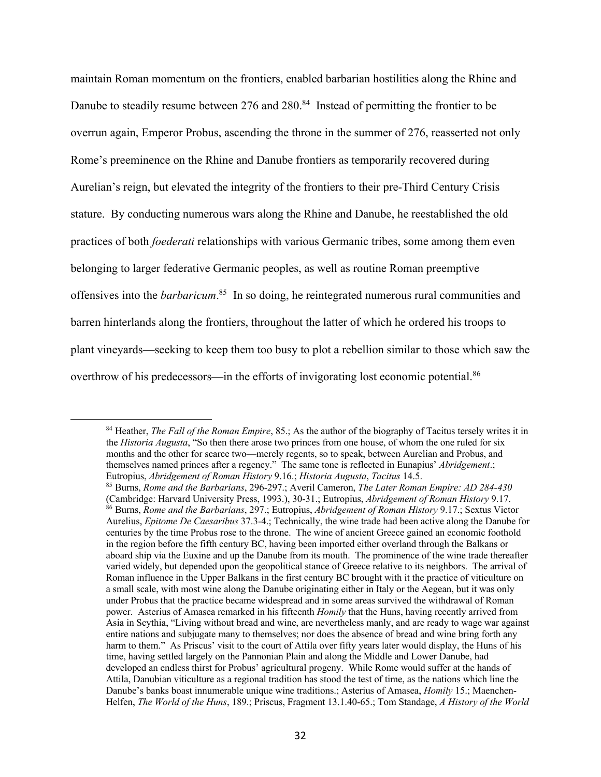maintain Roman momentum on the frontiers, enabled barbarian hostilities along the Rhine and Danube to steadily resume between 276 and 280.<sup>84</sup> Instead of permitting the frontier to be overrun again, Emperor Probus, ascending the throne in the summer of 276, reasserted not only Rome's preeminence on the Rhine and Danube frontiers as temporarily recovered during Aurelian's reign, but elevated the integrity of the frontiers to their pre-Third Century Crisis stature. By conducting numerous wars along the Rhine and Danube, he reestablished the old practices of both *foederati* relationships with various Germanic tribes, some among them even belonging to larger federative Germanic peoples, as well as routine Roman preemptive offensives into the *barbaricum*. 85 In so doing, he reintegrated numerous rural communities and barren hinterlands along the frontiers, throughout the latter of which he ordered his troops to plant vineyards—seeking to keep them too busy to plot a rebellion similar to those which saw the overthrow of his predecessors—in the efforts of invigorating lost economic potential.<sup>86</sup>

<sup>84</sup> Heather, *The Fall of the Roman Empire*, 85.; As the author of the biography of Tacitus tersely writes it in the *Historia Augusta*, "So then there arose two princes from one house, of whom the one ruled for six months and the other for scarce two—merely regents, so to speak, between Aurelian and Probus, and themselves named princes after a regency." The same tone is reflected in Eunapius' *Abridgement*.; Eutropius, *Abridgement of Roman History* 9.16.; *Historia Augusta*, *Tacitus* 14.5.

<sup>85</sup> Burns, *Rome and the Barbarians*, 296-297.; Averil Cameron, *The Later Roman Empire: AD 284-430* (Cambridge: Harvard University Press, 1993.), 30-31.; Eutropius, *Abridgement of Roman History* 9.17.<br><sup>86</sup> Burns, *Rome and the Barbarians*, 297.; Eutropius, *Abridgement of Roman History* 9.17.; Sextus Victor Aurelius, *Epitome De Caesaribus* 37.3-4.; Technically, the wine trade had been active along the Danube for centuries by the time Probus rose to the throne. The wine of ancient Greece gained an economic foothold in the region before the fifth century BC, having been imported either overland through the Balkans or aboard ship via the Euxine and up the Danube from its mouth. The prominence of the wine trade thereafter varied widely, but depended upon the geopolitical stance of Greece relative to its neighbors. The arrival of Roman influence in the Upper Balkans in the first century BC brought with it the practice of viticulture on a small scale, with most wine along the Danube originating either in Italy or the Aegean, but it was only under Probus that the practice became widespread and in some areas survived the withdrawal of Roman power. Asterius of Amasea remarked in his fifteenth *Homily* that the Huns, having recently arrived from Asia in Scythia, "Living without bread and wine, are nevertheless manly, and are ready to wage war against entire nations and subjugate many to themselves; nor does the absence of bread and wine bring forth any harm to them." As Priscus' visit to the court of Attila over fifty years later would display, the Huns of his time, having settled largely on the Pannonian Plain and along the Middle and Lower Danube, had developed an endless thirst for Probus' agricultural progeny. While Rome would suffer at the hands of Attila, Danubian viticulture as a regional tradition has stood the test of time, as the nations which line the Danube's banks boast innumerable unique wine traditions.; Asterius of Amasea, *Homily* 15.; Maenchen-Helfen, *The World of the Huns*, 189.; Priscus, Fragment 13.1.40-65.; Tom Standage, *A History of the World*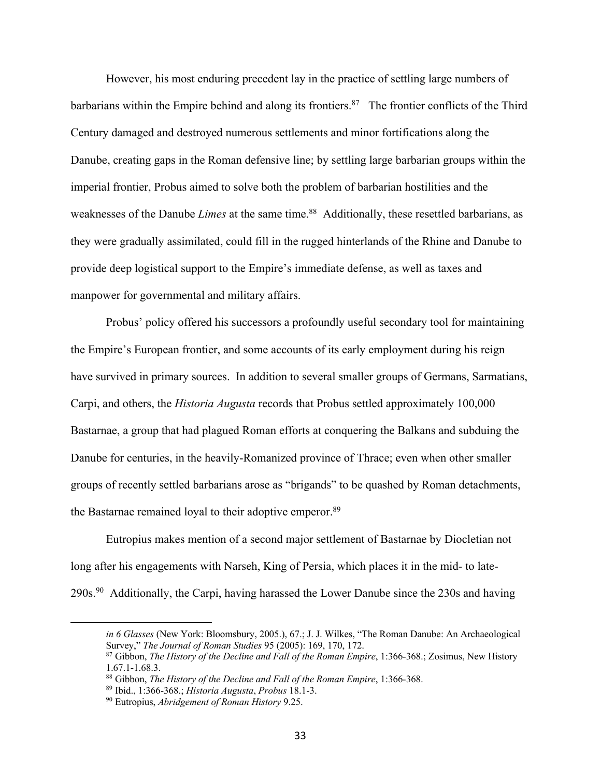However, his most enduring precedent lay in the practice of settling large numbers of barbarians within the Empire behind and along its frontiers.<sup>87</sup> The frontier conflicts of the Third Century damaged and destroyed numerous settlements and minor fortifications along the Danube, creating gaps in the Roman defensive line; by settling large barbarian groups within the imperial frontier, Probus aimed to solve both the problem of barbarian hostilities and the weaknesses of the Danube *Limes* at the same time.<sup>88</sup> Additionally, these resettled barbarians, as they were gradually assimilated, could fill in the rugged hinterlands of the Rhine and Danube to provide deep logistical support to the Empire's immediate defense, as well as taxes and manpower for governmental and military affairs.

Probus' policy offered his successors a profoundly useful secondary tool for maintaining the Empire's European frontier, and some accounts of its early employment during his reign have survived in primary sources. In addition to several smaller groups of Germans, Sarmatians, Carpi, and others, the *Historia Augusta* records that Probus settled approximately 100,000 Bastarnae, a group that had plagued Roman efforts at conquering the Balkans and subduing the Danube for centuries, in the heavily-Romanized province of Thrace; even when other smaller groups of recently settled barbarians arose as "brigands" to be quashed by Roman detachments, the Bastarnae remained loyal to their adoptive emperor.<sup>89</sup>

Eutropius makes mention of a second major settlement of Bastarnae by Diocletian not long after his engagements with Narseh, King of Persia, which places it in the mid- to late-290s.90 Additionally, the Carpi, having harassed the Lower Danube since the 230s and having

*in 6 Glasses* (New York: Bloomsbury, 2005.), 67.; J. J. Wilkes, "The Roman Danube: An Archaeological Survey," *The Journal of Roman Studies* 95 (2005): 169, 170, 172.

<sup>87</sup> Gibbon, *The History of the Decline and Fall of the Roman Empire*, 1:366-368.; Zosimus, New History 1.67.1-1.68.3.

<sup>88</sup> Gibbon, *The History of the Decline and Fall of the Roman Empire*, 1:366-368.

<sup>89</sup> Ibid., 1:366-368.; *Historia Augusta*, *Probus* 18.1-3.

<sup>90</sup> Eutropius, *Abridgement of Roman History* 9.25.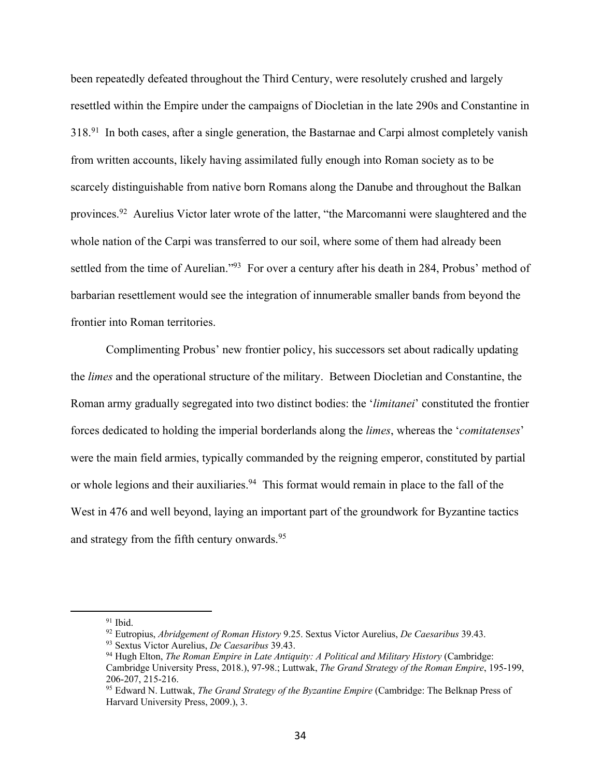been repeatedly defeated throughout the Third Century, were resolutely crushed and largely resettled within the Empire under the campaigns of Diocletian in the late 290s and Constantine in 318.91 In both cases, after a single generation, the Bastarnae and Carpi almost completely vanish from written accounts, likely having assimilated fully enough into Roman society as to be scarcely distinguishable from native born Romans along the Danube and throughout the Balkan provinces.92 Aurelius Victor later wrote of the latter, "the Marcomanni were slaughtered and the whole nation of the Carpi was transferred to our soil, where some of them had already been settled from the time of Aurelian."<sup>93</sup> For over a century after his death in 284, Probus' method of barbarian resettlement would see the integration of innumerable smaller bands from beyond the frontier into Roman territories.

Complimenting Probus' new frontier policy, his successors set about radically updating the *limes* and the operational structure of the military. Between Diocletian and Constantine, the Roman army gradually segregated into two distinct bodies: the '*limitanei*' constituted the frontier forces dedicated to holding the imperial borderlands along the *limes*, whereas the '*comitatenses*' were the main field armies, typically commanded by the reigning emperor, constituted by partial or whole legions and their auxiliaries.<sup>94</sup> This format would remain in place to the fall of the West in 476 and well beyond, laying an important part of the groundwork for Byzantine tactics and strategy from the fifth century onwards.<sup>95</sup>

 $91$  Ibid.

<sup>92</sup> Eutropius, *Abridgement of Roman History* 9.25. Sextus Victor Aurelius, *De Caesaribus* 39.43.

<sup>93</sup> Sextus Victor Aurelius, *De Caesaribus* 39.43.

<sup>94</sup> Hugh Elton, *The Roman Empire in Late Antiquity: A Political and Military History* (Cambridge: Cambridge University Press, 2018.), 97-98.; Luttwak, *The Grand Strategy of the Roman Empire*, 195-199, 206-207, 215-216.

<sup>95</sup> Edward N. Luttwak, *The Grand Strategy of the Byzantine Empire* (Cambridge: The Belknap Press of Harvard University Press, 2009.), 3.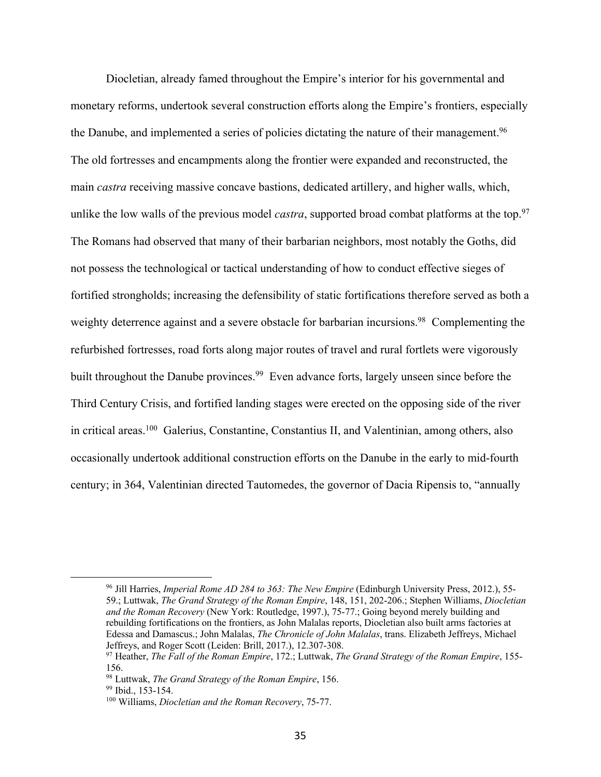Diocletian, already famed throughout the Empire's interior for his governmental and monetary reforms, undertook several construction efforts along the Empire's frontiers, especially the Danube, and implemented a series of policies dictating the nature of their management.<sup>96</sup> The old fortresses and encampments along the frontier were expanded and reconstructed, the main *castra* receiving massive concave bastions, dedicated artillery, and higher walls, which, unlike the low walls of the previous model *castra*, supported broad combat platforms at the top.<sup>97</sup> The Romans had observed that many of their barbarian neighbors, most notably the Goths, did not possess the technological or tactical understanding of how to conduct effective sieges of fortified strongholds; increasing the defensibility of static fortifications therefore served as both a weighty deterrence against and a severe obstacle for barbarian incursions.<sup>98</sup> Complementing the refurbished fortresses, road forts along major routes of travel and rural fortlets were vigorously built throughout the Danube provinces.<sup>99</sup> Even advance forts, largely unseen since before the Third Century Crisis, and fortified landing stages were erected on the opposing side of the river in critical areas.100 Galerius, Constantine, Constantius II, and Valentinian, among others, also occasionally undertook additional construction efforts on the Danube in the early to mid-fourth century; in 364, Valentinian directed Tautomedes, the governor of Dacia Ripensis to, "annually

<sup>96</sup> Jill Harries, *Imperial Rome AD 284 to 363: The New Empire* (Edinburgh University Press, 2012.), 55- 59.; Luttwak, *The Grand Strategy of the Roman Empire*, 148, 151, 202-206.; Stephen Williams, *Diocletian and the Roman Recovery* (New York: Routledge, 1997.), 75-77.; Going beyond merely building and rebuilding fortifications on the frontiers, as John Malalas reports, Diocletian also built arms factories at Edessa and Damascus.; John Malalas, *The Chronicle of John Malalas*, trans. Elizabeth Jeffreys, Michael Jeffreys, and Roger Scott (Leiden: Brill, 2017.), 12.307-308.

<sup>97</sup> Heather, *The Fall of the Roman Empire*, 172.; Luttwak, *The Grand Strategy of the Roman Empire*, 155- 156.

<sup>98</sup> Luttwak, *The Grand Strategy of the Roman Empire*, 156.

<sup>99</sup> Ibid., 153-154.

<sup>100</sup> Williams, *Diocletian and the Roman Recovery*, 75-77.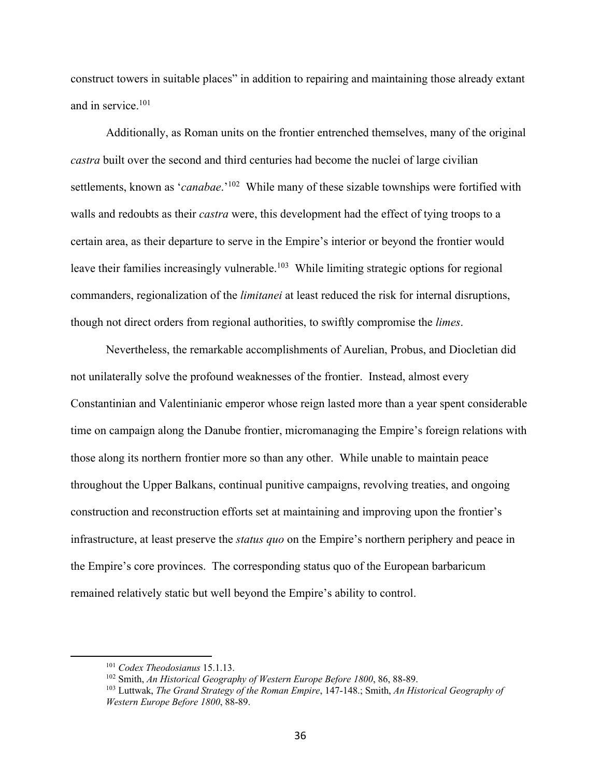construct towers in suitable places" in addition to repairing and maintaining those already extant and in service.101

Additionally, as Roman units on the frontier entrenched themselves, many of the original *castra* built over the second and third centuries had become the nuclei of large civilian settlements, known as '*canabae*.'102 While many of these sizable townships were fortified with walls and redoubts as their *castra* were, this development had the effect of tying troops to a certain area, as their departure to serve in the Empire's interior or beyond the frontier would leave their families increasingly vulnerable.<sup>103</sup> While limiting strategic options for regional commanders, regionalization of the *limitanei* at least reduced the risk for internal disruptions, though not direct orders from regional authorities, to swiftly compromise the *limes*.

Nevertheless, the remarkable accomplishments of Aurelian, Probus, and Diocletian did not unilaterally solve the profound weaknesses of the frontier. Instead, almost every Constantinian and Valentinianic emperor whose reign lasted more than a year spent considerable time on campaign along the Danube frontier, micromanaging the Empire's foreign relations with those along its northern frontier more so than any other. While unable to maintain peace throughout the Upper Balkans, continual punitive campaigns, revolving treaties, and ongoing construction and reconstruction efforts set at maintaining and improving upon the frontier's infrastructure, at least preserve the *status quo* on the Empire's northern periphery and peace in the Empire's core provinces. The corresponding status quo of the European barbaricum remained relatively static but well beyond the Empire's ability to control.

<sup>101</sup> *Codex Theodosianus* 15.1.13.

<sup>102</sup> Smith, *An Historical Geography of Western Europe Before 1800*, 86, 88-89.

<sup>103</sup> Luttwak, *The Grand Strategy of the Roman Empire*, 147-148.; Smith, *An Historical Geography of Western Europe Before 1800*, 88-89.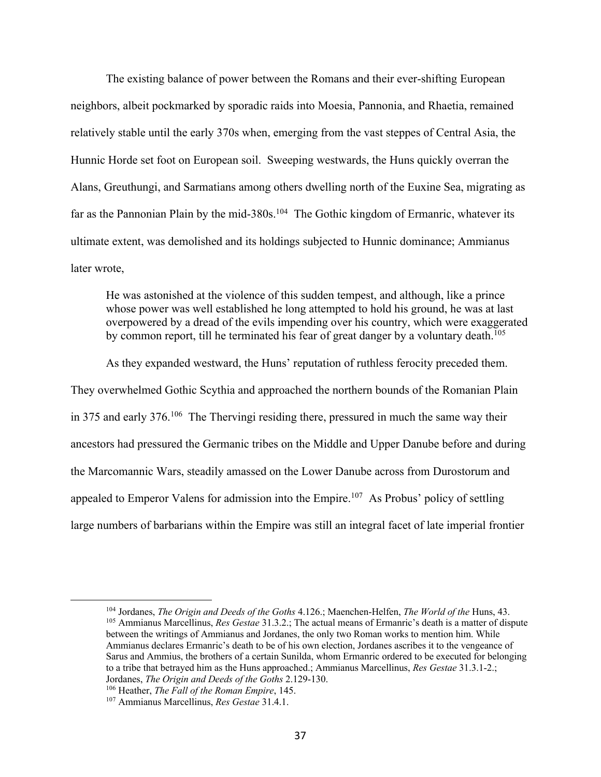The existing balance of power between the Romans and their ever-shifting European neighbors, albeit pockmarked by sporadic raids into Moesia, Pannonia, and Rhaetia, remained relatively stable until the early 370s when, emerging from the vast steppes of Central Asia, the Hunnic Horde set foot on European soil. Sweeping westwards, the Huns quickly overran the Alans, Greuthungi, and Sarmatians among others dwelling north of the Euxine Sea, migrating as far as the Pannonian Plain by the mid-380s.<sup>104</sup> The Gothic kingdom of Ermanric, whatever its ultimate extent, was demolished and its holdings subjected to Hunnic dominance; Ammianus later wrote,

He was astonished at the violence of this sudden tempest, and although, like a prince whose power was well established he long attempted to hold his ground, he was at last overpowered by a dread of the evils impending over his country, which were exaggerated by common report, till he terminated his fear of great danger by a voluntary death.<sup>105</sup>

As they expanded westward, the Huns' reputation of ruthless ferocity preceded them. They overwhelmed Gothic Scythia and approached the northern bounds of the Romanian Plain in 375 and early 376.106 The Thervingi residing there, pressured in much the same way their ancestors had pressured the Germanic tribes on the Middle and Upper Danube before and during the Marcomannic Wars, steadily amassed on the Lower Danube across from Durostorum and appealed to Emperor Valens for admission into the Empire.<sup>107</sup> As Probus' policy of settling large numbers of barbarians within the Empire was still an integral facet of late imperial frontier

<sup>104</sup> Jordanes, *The Origin and Deeds of the Goths* 4.126.; Maenchen-Helfen, *The World of the* Huns, 43. <sup>105</sup> Ammianus Marcellinus, *Res Gestae* 31.3.2.; The actual means of Ermanric's death is a matter of dispute between the writings of Ammianus and Jordanes, the only two Roman works to mention him. While Ammianus declares Ermanric's death to be of his own election, Jordanes ascribes it to the vengeance of Sarus and Ammius, the brothers of a certain Sunilda, whom Ermanric ordered to be executed for belonging to a tribe that betrayed him as the Huns approached.; Ammianus Marcellinus, *Res Gestae* 31.3.1-2.; Jordanes, *The Origin and Deeds of the Goths* 2.129-130.

<sup>106</sup> Heather, *The Fall of the Roman Empire*, 145. <sup>107</sup> Ammianus Marcellinus, *Res Gestae* 31.4.1.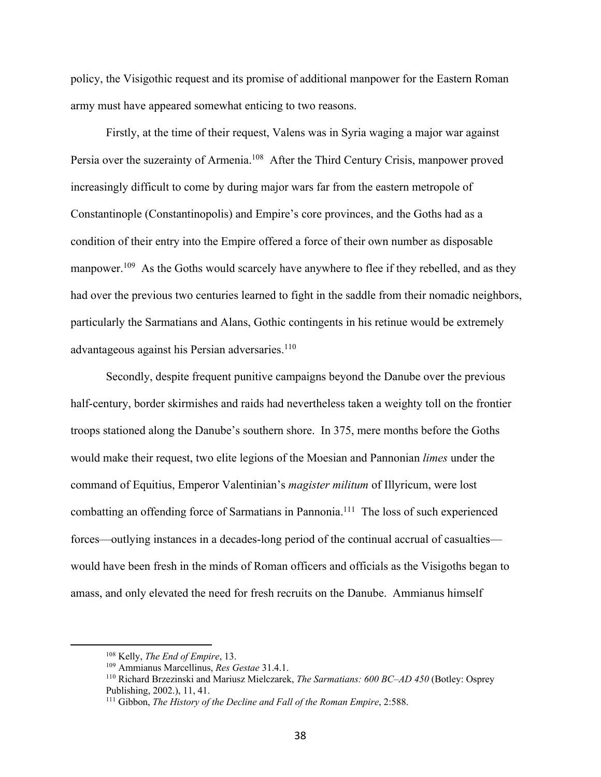policy, the Visigothic request and its promise of additional manpower for the Eastern Roman army must have appeared somewhat enticing to two reasons.

Firstly, at the time of their request, Valens was in Syria waging a major war against Persia over the suzerainty of Armenia.<sup>108</sup> After the Third Century Crisis, manpower proved increasingly difficult to come by during major wars far from the eastern metropole of Constantinople (Constantinopolis) and Empire's core provinces, and the Goths had as a condition of their entry into the Empire offered a force of their own number as disposable manpower.<sup>109</sup> As the Goths would scarcely have anywhere to flee if they rebelled, and as they had over the previous two centuries learned to fight in the saddle from their nomadic neighbors, particularly the Sarmatians and Alans, Gothic contingents in his retinue would be extremely advantageous against his Persian adversaries.<sup>110</sup>

Secondly, despite frequent punitive campaigns beyond the Danube over the previous half-century, border skirmishes and raids had nevertheless taken a weighty toll on the frontier troops stationed along the Danube's southern shore. In 375, mere months before the Goths would make their request, two elite legions of the Moesian and Pannonian *limes* under the command of Equitius, Emperor Valentinian's *magister militum* of Illyricum, were lost combatting an offending force of Sarmatians in Pannonia.<sup>111</sup> The loss of such experienced forces—outlying instances in a decades-long period of the continual accrual of casualties would have been fresh in the minds of Roman officers and officials as the Visigoths began to amass, and only elevated the need for fresh recruits on the Danube. Ammianus himself

<sup>108</sup> Kelly, *The End of Empire*, 13.

<sup>109</sup> Ammianus Marcellinus, *Res Gestae* 31.4.1.

<sup>110</sup> Richard Brzezinski and Mariusz Mielczarek, *The Sarmatians: 600 BC–AD 450* (Botley: Osprey Publishing, 2002.), 11, 41.

<sup>111</sup> Gibbon, *The History of the Decline and Fall of the Roman Empire*, 2:588.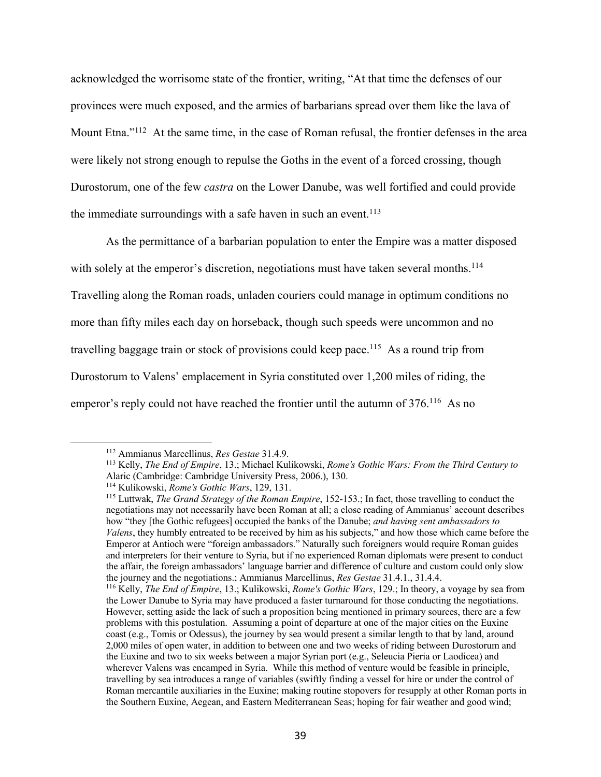acknowledged the worrisome state of the frontier, writing, "At that time the defenses of our provinces were much exposed, and the armies of barbarians spread over them like the lava of Mount Etna."<sup>112</sup> At the same time, in the case of Roman refusal, the frontier defenses in the area were likely not strong enough to repulse the Goths in the event of a forced crossing, though Durostorum, one of the few *castra* on the Lower Danube, was well fortified and could provide the immediate surroundings with a safe haven in such an event.<sup>113</sup>

As the permittance of a barbarian population to enter the Empire was a matter disposed with solely at the emperor's discretion, negotiations must have taken several months.<sup>114</sup> Travelling along the Roman roads, unladen couriers could manage in optimum conditions no more than fifty miles each day on horseback, though such speeds were uncommon and no travelling baggage train or stock of provisions could keep pace.<sup>115</sup> As a round trip from Durostorum to Valens' emplacement in Syria constituted over 1,200 miles of riding, the emperor's reply could not have reached the frontier until the autumn of 376.<sup>116</sup> As no

<sup>112</sup> Ammianus Marcellinus, *Res Gestae* 31.4.9.

<sup>113</sup> Kelly, *The End of Empire*, 13.; Michael Kulikowski, *Rome's Gothic Wars: From the Third Century to*  Alaric (Cambridge: Cambridge University Press, 2006.), 130.

<sup>114</sup> Kulikowski, *Rome's Gothic Wars*, 129, 131.

<sup>115</sup> Luttwak, *The Grand Strategy of the Roman Empire*, 152-153.; In fact, those travelling to conduct the negotiations may not necessarily have been Roman at all; a close reading of Ammianus' account describes how "they [the Gothic refugees] occupied the banks of the Danube; *and having sent ambassadors to Valens*, they humbly entreated to be received by him as his subjects," and how those which came before the Emperor at Antioch were "foreign ambassadors." Naturally such foreigners would require Roman guides and interpreters for their venture to Syria, but if no experienced Roman diplomats were present to conduct the affair, the foreign ambassadors' language barrier and difference of culture and custom could only slow the journey and the negotiations.; Ammianus Marcellinus, *Res Gestae* 31.4.1., 31.4.4.

<sup>116</sup> Kelly, *The End of Empire*, 13.; Kulikowski, *Rome's Gothic Wars*, 129.; In theory, a voyage by sea from the Lower Danube to Syria may have produced a faster turnaround for those conducting the negotiations. However, setting aside the lack of such a proposition being mentioned in primary sources, there are a few problems with this postulation. Assuming a point of departure at one of the major cities on the Euxine coast (e.g., Tomis or Odessus), the journey by sea would present a similar length to that by land, around 2,000 miles of open water, in addition to between one and two weeks of riding between Durostorum and the Euxine and two to six weeks between a major Syrian port (e.g., Seleucia Pieria or Laodicea) and wherever Valens was encamped in Syria. While this method of venture would be feasible in principle, travelling by sea introduces a range of variables (swiftly finding a vessel for hire or under the control of Roman mercantile auxiliaries in the Euxine; making routine stopovers for resupply at other Roman ports in the Southern Euxine, Aegean, and Eastern Mediterranean Seas; hoping for fair weather and good wind;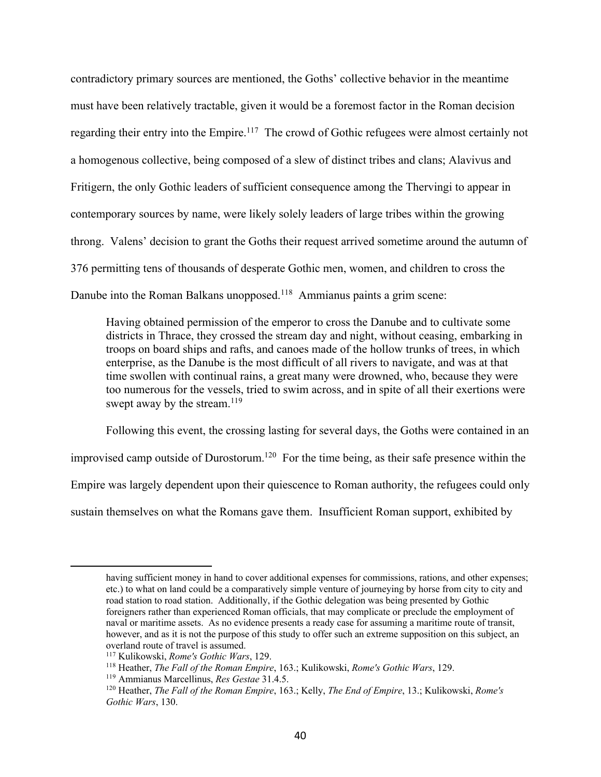contradictory primary sources are mentioned, the Goths' collective behavior in the meantime must have been relatively tractable, given it would be a foremost factor in the Roman decision regarding their entry into the Empire.<sup>117</sup> The crowd of Gothic refugees were almost certainly not a homogenous collective, being composed of a slew of distinct tribes and clans; Alavivus and Fritigern, the only Gothic leaders of sufficient consequence among the Thervingi to appear in contemporary sources by name, were likely solely leaders of large tribes within the growing throng. Valens' decision to grant the Goths their request arrived sometime around the autumn of 376 permitting tens of thousands of desperate Gothic men, women, and children to cross the Danube into the Roman Balkans unopposed.<sup>118</sup> Ammianus paints a grim scene:

Having obtained permission of the emperor to cross the Danube and to cultivate some districts in Thrace, they crossed the stream day and night, without ceasing, embarking in troops on board ships and rafts, and canoes made of the hollow trunks of trees, in which enterprise, as the Danube is the most difficult of all rivers to navigate, and was at that time swollen with continual rains, a great many were drowned, who, because they were too numerous for the vessels, tried to swim across, and in spite of all their exertions were swept away by the stream. $119$ 

Following this event, the crossing lasting for several days, the Goths were contained in an improvised camp outside of Durostorum.<sup>120</sup> For the time being, as their safe presence within the Empire was largely dependent upon their quiescence to Roman authority, the refugees could only sustain themselves on what the Romans gave them. Insufficient Roman support, exhibited by

having sufficient money in hand to cover additional expenses for commissions, rations, and other expenses; etc.) to what on land could be a comparatively simple venture of journeying by horse from city to city and road station to road station. Additionally, if the Gothic delegation was being presented by Gothic foreigners rather than experienced Roman officials, that may complicate or preclude the employment of naval or maritime assets. As no evidence presents a ready case for assuming a maritime route of transit, however, and as it is not the purpose of this study to offer such an extreme supposition on this subject, an overland route of travel is assumed.

<sup>117</sup> Kulikowski, *Rome's Gothic Wars*, 129.

<sup>118</sup> Heather, *The Fall of the Roman Empire*, 163.; Kulikowski, *Rome's Gothic Wars*, 129.

<sup>119</sup> Ammianus Marcellinus, *Res Gestae* 31.4.5.

<sup>120</sup> Heather, *The Fall of the Roman Empire*, 163.; Kelly, *The End of Empire*, 13.; Kulikowski, *Rome's Gothic Wars*, 130.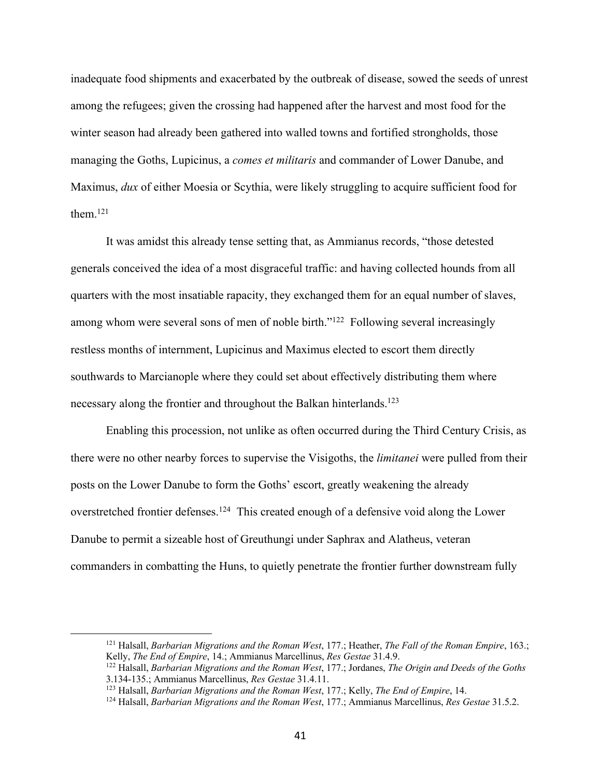inadequate food shipments and exacerbated by the outbreak of disease, sowed the seeds of unrest among the refugees; given the crossing had happened after the harvest and most food for the winter season had already been gathered into walled towns and fortified strongholds, those managing the Goths, Lupicinus, a *comes et militaris* and commander of Lower Danube, and Maximus, *dux* of either Moesia or Scythia, were likely struggling to acquire sufficient food for them.121

It was amidst this already tense setting that, as Ammianus records, "those detested generals conceived the idea of a most disgraceful traffic: and having collected hounds from all quarters with the most insatiable rapacity, they exchanged them for an equal number of slaves, among whom were several sons of men of noble birth."<sup>122</sup> Following several increasingly restless months of internment, Lupicinus and Maximus elected to escort them directly southwards to Marcianople where they could set about effectively distributing them where necessary along the frontier and throughout the Balkan hinterlands.123

Enabling this procession, not unlike as often occurred during the Third Century Crisis, as there were no other nearby forces to supervise the Visigoths, the *limitanei* were pulled from their posts on the Lower Danube to form the Goths' escort, greatly weakening the already overstretched frontier defenses.<sup>124</sup> This created enough of a defensive void along the Lower Danube to permit a sizeable host of Greuthungi under Saphrax and Alatheus, veteran commanders in combatting the Huns, to quietly penetrate the frontier further downstream fully

<sup>121</sup> Halsall, *Barbarian Migrations and the Roman West*, 177.; Heather, *The Fall of the Roman Empire*, 163.; Kelly, *The End of Empire*, 14.; Ammianus Marcellinus, *Res Gestae* 31.4.9.

<sup>122</sup> Halsall, *Barbarian Migrations and the Roman West*, 177.; Jordanes, *The Origin and Deeds of the Goths* 3.134-135.; Ammianus Marcellinus, *Res Gestae* 31.4.11.

<sup>123</sup> Halsall, *Barbarian Migrations and the Roman West*, 177.; Kelly, *The End of Empire*, 14.

<sup>124</sup> Halsall, *Barbarian Migrations and the Roman West*, 177.; Ammianus Marcellinus, *Res Gestae* 31.5.2.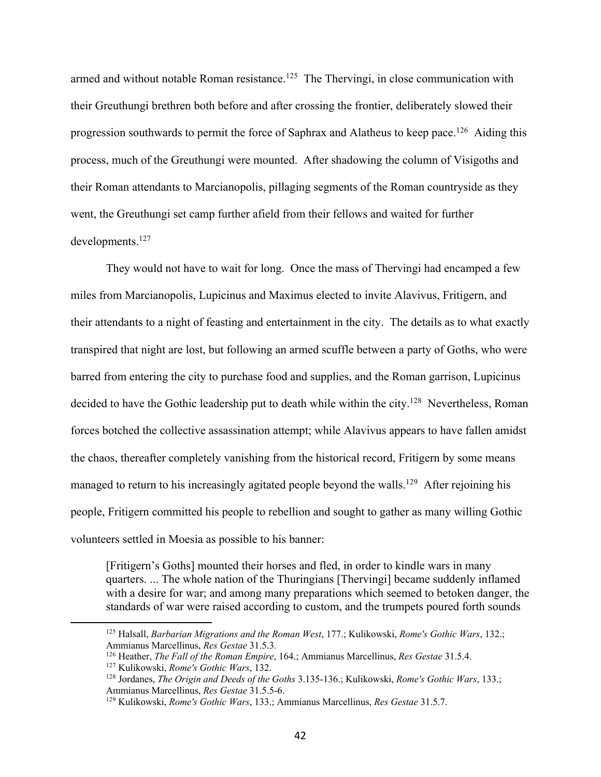armed and without notable Roman resistance.<sup>125</sup> The Thervingi, in close communication with their Greuthungi brethren both before and after crossing the frontier, deliberately slowed their progression southwards to permit the force of Saphrax and Alatheus to keep pace.126 Aiding this process, much of the Greuthungi were mounted. After shadowing the column of Visigoths and their Roman attendants to Marcianopolis, pillaging segments of the Roman countryside as they went, the Greuthungi set camp further afield from their fellows and waited for further developments.127

They would not have to wait for long. Once the mass of Thervingi had encamped a few miles from Marcianopolis, Lupicinus and Maximus elected to invite Alavivus, Fritigern, and their attendants to a night of feasting and entertainment in the city. The details as to what exactly transpired that night are lost, but following an armed scuffle between a party of Goths, who were barred from entering the city to purchase food and supplies, and the Roman garrison, Lupicinus decided to have the Gothic leadership put to death while within the city.<sup>128</sup> Nevertheless, Roman forces botched the collective assassination attempt; while Alavivus appears to have fallen amidst the chaos, thereafter completely vanishing from the historical record, Fritigern by some means managed to return to his increasingly agitated people beyond the walls.<sup>129</sup> After rejoining his people, Fritigern committed his people to rebellion and sought to gather as many willing Gothic volunteers settled in Moesia as possible to his banner:

[Fritigern's Goths] mounted their horses and fled, in order to kindle wars in many quarters. ... The whole nation of the Thuringians [Thervingi] became suddenly inflamed with a desire for war; and among many preparations which seemed to betoken danger, the standards of war were raised according to custom, and the trumpets poured forth sounds

<sup>125</sup> Halsall, *Barbarian Migrations and the Roman West*, 177.; Kulikowski, *Rome's Gothic Wars*, 132.; Ammianus Marcellinus, *Res Gestae* 31.5.3.

<sup>126</sup> Heather, *The Fall of the Roman Empire*, 164.; Ammianus Marcellinus, *Res Gestae* 31.5.4.

<sup>127</sup> Kulikowski, *Rome's Gothic Wars*, 132.

<sup>128</sup> Jordanes, *The Origin and Deeds of the Goths* 3.135-136.; Kulikowski, *Rome's Gothic Wars*, 133.; Ammianus Marcellinus, *Res Gestae* 31.5.5-6.

<sup>129</sup> Kulikowski, *Rome's Gothic Wars*, 133.; Ammianus Marcellinus, *Res Gestae* 31.5.7.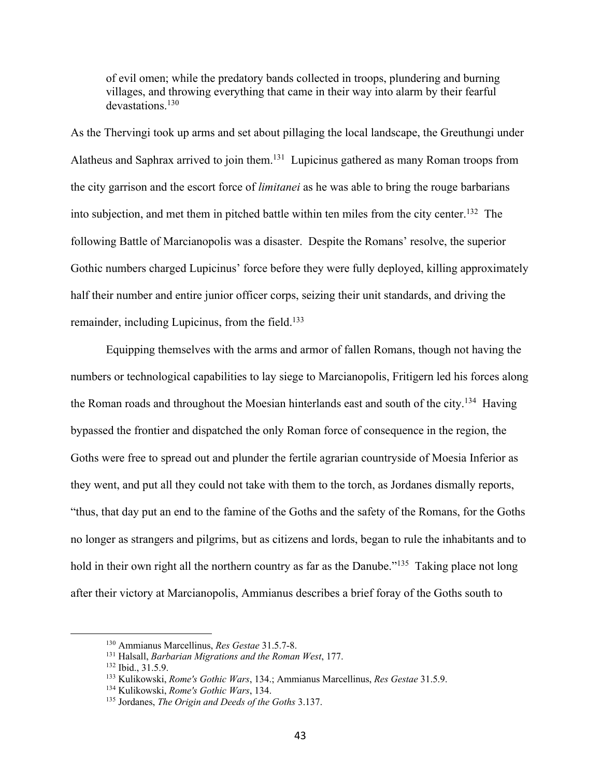of evil omen; while the predatory bands collected in troops, plundering and burning villages, and throwing everything that came in their way into alarm by their fearful devastations.130

As the Thervingi took up arms and set about pillaging the local landscape, the Greuthungi under Alatheus and Saphrax arrived to join them.131 Lupicinus gathered as many Roman troops from the city garrison and the escort force of *limitanei* as he was able to bring the rouge barbarians into subjection, and met them in pitched battle within ten miles from the city center.132 The following Battle of Marcianopolis was a disaster. Despite the Romans' resolve, the superior Gothic numbers charged Lupicinus' force before they were fully deployed, killing approximately half their number and entire junior officer corps, seizing their unit standards, and driving the remainder, including Lupicinus, from the field.<sup>133</sup>

Equipping themselves with the arms and armor of fallen Romans, though not having the numbers or technological capabilities to lay siege to Marcianopolis, Fritigern led his forces along the Roman roads and throughout the Moesian hinterlands east and south of the city.<sup>134</sup> Having bypassed the frontier and dispatched the only Roman force of consequence in the region, the Goths were free to spread out and plunder the fertile agrarian countryside of Moesia Inferior as they went, and put all they could not take with them to the torch, as Jordanes dismally reports, "thus, that day put an end to the famine of the Goths and the safety of the Romans, for the Goths no longer as strangers and pilgrims, but as citizens and lords, began to rule the inhabitants and to hold in their own right all the northern country as far as the Danube."<sup>135</sup> Taking place not long after their victory at Marcianopolis, Ammianus describes a brief foray of the Goths south to

<sup>130</sup> Ammianus Marcellinus, *Res Gestae* 31.5.7-8.

<sup>131</sup> Halsall, *Barbarian Migrations and the Roman West*, 177.

<sup>132</sup> Ibid., 31.5.9.

<sup>133</sup> Kulikowski, *Rome's Gothic Wars*, 134.; Ammianus Marcellinus, *Res Gestae* 31.5.9.

<sup>134</sup> Kulikowski, *Rome's Gothic Wars*, 134.

<sup>135</sup> Jordanes, *The Origin and Deeds of the Goths* 3.137.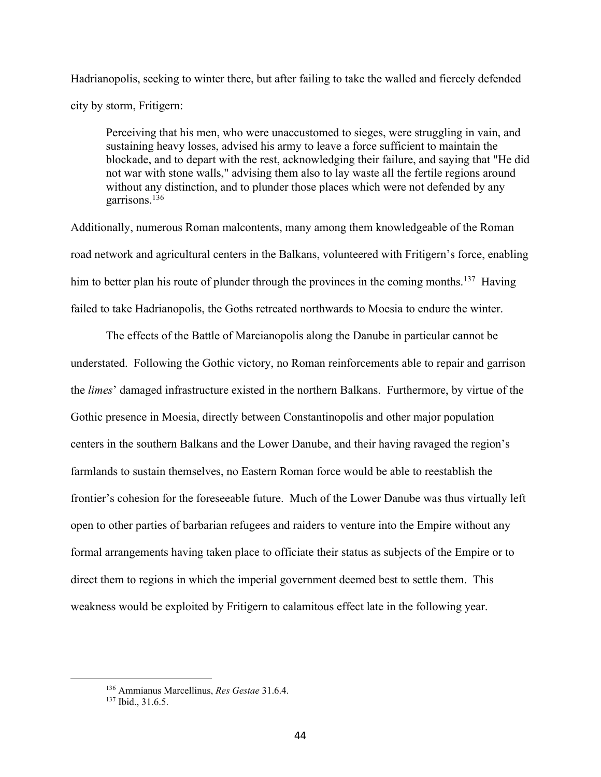Hadrianopolis, seeking to winter there, but after failing to take the walled and fiercely defended city by storm, Fritigern:

Perceiving that his men, who were unaccustomed to sieges, were struggling in vain, and sustaining heavy losses, advised his army to leave a force sufficient to maintain the blockade, and to depart with the rest, acknowledging their failure, and saying that "He did not war with stone walls," advising them also to lay waste all the fertile regions around without any distinction, and to plunder those places which were not defended by any garrisons.136

Additionally, numerous Roman malcontents, many among them knowledgeable of the Roman road network and agricultural centers in the Balkans, volunteered with Fritigern's force, enabling him to better plan his route of plunder through the provinces in the coming months.<sup>137</sup> Having failed to take Hadrianopolis, the Goths retreated northwards to Moesia to endure the winter.

The effects of the Battle of Marcianopolis along the Danube in particular cannot be understated. Following the Gothic victory, no Roman reinforcements able to repair and garrison the *limes*' damaged infrastructure existed in the northern Balkans. Furthermore, by virtue of the Gothic presence in Moesia, directly between Constantinopolis and other major population centers in the southern Balkans and the Lower Danube, and their having ravaged the region's farmlands to sustain themselves, no Eastern Roman force would be able to reestablish the frontier's cohesion for the foreseeable future. Much of the Lower Danube was thus virtually left open to other parties of barbarian refugees and raiders to venture into the Empire without any formal arrangements having taken place to officiate their status as subjects of the Empire or to direct them to regions in which the imperial government deemed best to settle them. This weakness would be exploited by Fritigern to calamitous effect late in the following year.

<sup>136</sup> Ammianus Marcellinus, *Res Gestae* 31.6.4.

<sup>&</sup>lt;sup>137</sup> Ibid., 31.6.5.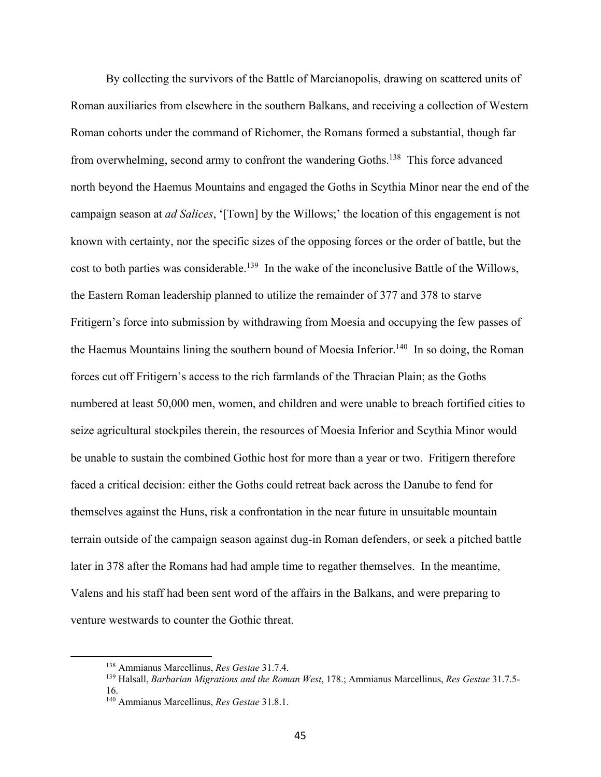By collecting the survivors of the Battle of Marcianopolis, drawing on scattered units of Roman auxiliaries from elsewhere in the southern Balkans, and receiving a collection of Western Roman cohorts under the command of Richomer, the Romans formed a substantial, though far from overwhelming, second army to confront the wandering Goths.138 This force advanced north beyond the Haemus Mountains and engaged the Goths in Scythia Minor near the end of the campaign season at *ad Salices*, '[Town] by the Willows;' the location of this engagement is not known with certainty, nor the specific sizes of the opposing forces or the order of battle, but the cost to both parties was considerable.<sup>139</sup> In the wake of the inconclusive Battle of the Willows, the Eastern Roman leadership planned to utilize the remainder of 377 and 378 to starve Fritigern's force into submission by withdrawing from Moesia and occupying the few passes of the Haemus Mountains lining the southern bound of Moesia Inferior.<sup>140</sup> In so doing, the Roman forces cut off Fritigern's access to the rich farmlands of the Thracian Plain; as the Goths numbered at least 50,000 men, women, and children and were unable to breach fortified cities to seize agricultural stockpiles therein, the resources of Moesia Inferior and Scythia Minor would be unable to sustain the combined Gothic host for more than a year or two. Fritigern therefore faced a critical decision: either the Goths could retreat back across the Danube to fend for themselves against the Huns, risk a confrontation in the near future in unsuitable mountain terrain outside of the campaign season against dug-in Roman defenders, or seek a pitched battle later in 378 after the Romans had had ample time to regather themselves. In the meantime, Valens and his staff had been sent word of the affairs in the Balkans, and were preparing to venture westwards to counter the Gothic threat.

<sup>138</sup> Ammianus Marcellinus, *Res Gestae* 31.7.4.

<sup>139</sup> Halsall, *Barbarian Migrations and the Roman West*, 178.; Ammianus Marcellinus, *Res Gestae* 31.7.5- 16.

<sup>140</sup> Ammianus Marcellinus, *Res Gestae* 31.8.1.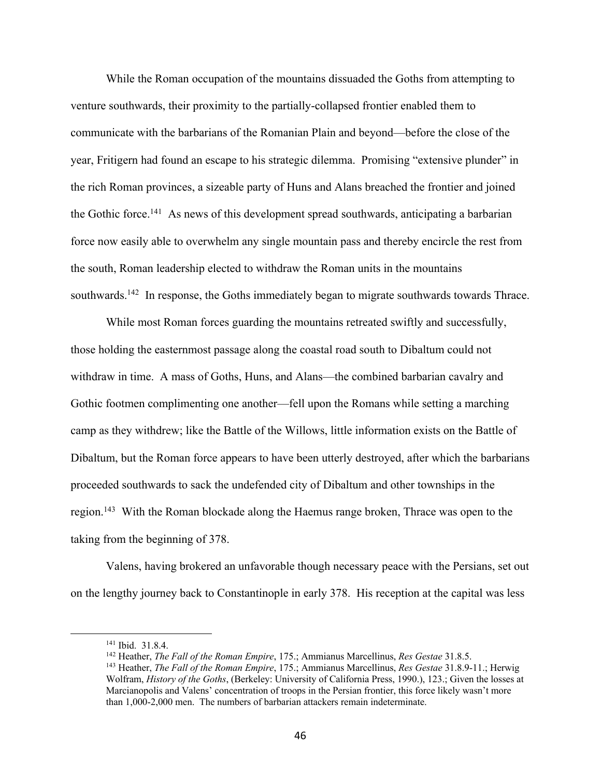While the Roman occupation of the mountains dissuaded the Goths from attempting to venture southwards, their proximity to the partially-collapsed frontier enabled them to communicate with the barbarians of the Romanian Plain and beyond—before the close of the year, Fritigern had found an escape to his strategic dilemma. Promising "extensive plunder" in the rich Roman provinces, a sizeable party of Huns and Alans breached the frontier and joined the Gothic force.<sup>141</sup> As news of this development spread southwards, anticipating a barbarian force now easily able to overwhelm any single mountain pass and thereby encircle the rest from the south, Roman leadership elected to withdraw the Roman units in the mountains southwards.<sup>142</sup> In response, the Goths immediately began to migrate southwards towards Thrace.

While most Roman forces guarding the mountains retreated swiftly and successfully, those holding the easternmost passage along the coastal road south to Dibaltum could not withdraw in time. A mass of Goths, Huns, and Alans—the combined barbarian cavalry and Gothic footmen complimenting one another—fell upon the Romans while setting a marching camp as they withdrew; like the Battle of the Willows, little information exists on the Battle of Dibaltum, but the Roman force appears to have been utterly destroyed, after which the barbarians proceeded southwards to sack the undefended city of Dibaltum and other townships in the region.<sup>143</sup> With the Roman blockade along the Haemus range broken, Thrace was open to the taking from the beginning of 378.

Valens, having brokered an unfavorable though necessary peace with the Persians, set out on the lengthy journey back to Constantinople in early 378. His reception at the capital was less

<sup>141</sup> Ibid. 31.8.4.

<sup>142</sup> Heather, *The Fall of the Roman Empire*, 175.; Ammianus Marcellinus, *Res Gestae* 31.8.5.

<sup>143</sup> Heather, *The Fall of the Roman Empire*, 175.; Ammianus Marcellinus, *Res Gestae* 31.8.9-11.; Herwig Wolfram, *History of the Goths*, (Berkeley: University of California Press, 1990.), 123.; Given the losses at Marcianopolis and Valens' concentration of troops in the Persian frontier, this force likely wasn't more than 1,000-2,000 men. The numbers of barbarian attackers remain indeterminate.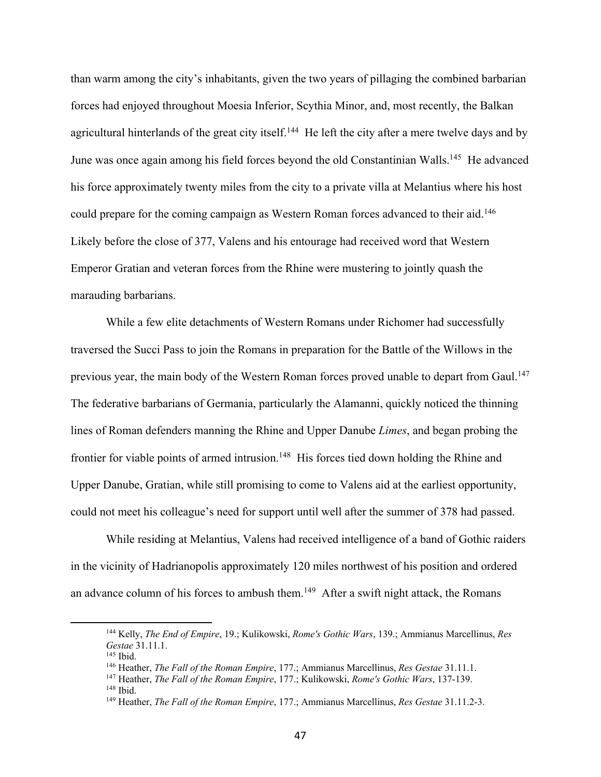than warm among the city's inhabitants, given the two years of pillaging the combined barbarian forces had enjoyed throughout Moesia Inferior, Scythia Minor, and, most recently, the Balkan agricultural hinterlands of the great city itself.<sup>144</sup> He left the city after a mere twelve days and by June was once again among his field forces beyond the old Constantinian Walls.<sup>145</sup> He advanced his force approximately twenty miles from the city to a private villa at Melantius where his host could prepare for the coming campaign as Western Roman forces advanced to their aid.<sup>146</sup> Likely before the close of 377, Valens and his entourage had received word that Western Emperor Gratian and veteran forces from the Rhine were mustering to jointly quash the marauding barbarians.

While a few elite detachments of Western Romans under Richomer had successfully traversed the Succi Pass to join the Romans in preparation for the Battle of the Willows in the previous year, the main body of the Western Roman forces proved unable to depart from Gaul.<sup>147</sup> The federative barbarians of Germania, particularly the Alamanni, quickly noticed the thinning lines of Roman defenders manning the Rhine and Upper Danube *Limes*, and began probing the frontier for viable points of armed intrusion.<sup>148</sup> His forces tied down holding the Rhine and Upper Danube, Gratian, while still promising to come to Valens aid at the earliest opportunity, could not meet his colleague's need for support until well after the summer of 378 had passed.

While residing at Melantius, Valens had received intelligence of a band of Gothic raiders in the vicinity of Hadrianopolis approximately 120 miles northwest of his position and ordered an advance column of his forces to ambush them.<sup>149</sup> After a swift night attack, the Romans

<sup>144</sup> Kelly, *The End of Empire*, 19.; Kulikowski, *Rome's Gothic Wars*, 139.; Ammianus Marcellinus, *Res Gestae* 31.11.1.

<sup>145</sup> Ibid.

<sup>146</sup> Heather, *The Fall of the Roman Empire*, 177.; Ammianus Marcellinus, *Res Gestae* 31.11.1.

<sup>147</sup> Heather, *The Fall of the Roman Empire*, 177.; Kulikowski, *Rome's Gothic Wars*, 137-139. <sup>148</sup> Ibid.

<sup>149</sup> Heather, *The Fall of the Roman Empire*, 177.; Ammianus Marcellinus, *Res Gestae* 31.11.2-3.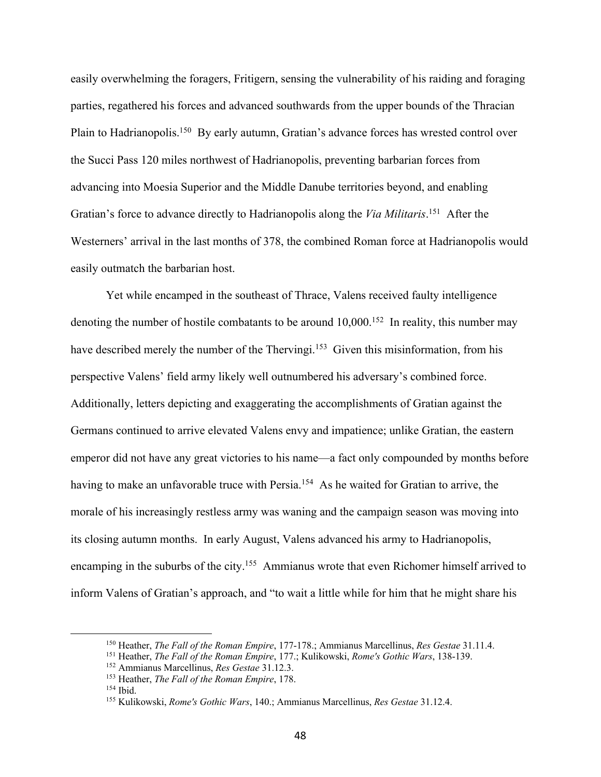easily overwhelming the foragers, Fritigern, sensing the vulnerability of his raiding and foraging parties, regathered his forces and advanced southwards from the upper bounds of the Thracian Plain to Hadrianopolis.<sup>150</sup> By early autumn, Gratian's advance forces has wrested control over the Succi Pass 120 miles northwest of Hadrianopolis, preventing barbarian forces from advancing into Moesia Superior and the Middle Danube territories beyond, and enabling Gratian's force to advance directly to Hadrianopolis along the *Via Militaris*. 151 After the Westerners' arrival in the last months of 378, the combined Roman force at Hadrianopolis would easily outmatch the barbarian host.

Yet while encamped in the southeast of Thrace, Valens received faulty intelligence denoting the number of hostile combatants to be around  $10,000$ .<sup>152</sup> In reality, this number may have described merely the number of the Thervingi.<sup>153</sup> Given this misinformation, from his perspective Valens' field army likely well outnumbered his adversary's combined force. Additionally, letters depicting and exaggerating the accomplishments of Gratian against the Germans continued to arrive elevated Valens envy and impatience; unlike Gratian, the eastern emperor did not have any great victories to his name—a fact only compounded by months before having to make an unfavorable truce with Persia.<sup>154</sup> As he waited for Gratian to arrive, the morale of his increasingly restless army was waning and the campaign season was moving into its closing autumn months. In early August, Valens advanced his army to Hadrianopolis, encamping in the suburbs of the city.<sup>155</sup> Ammianus wrote that even Richomer himself arrived to inform Valens of Gratian's approach, and "to wait a little while for him that he might share his

<sup>150</sup> Heather, *The Fall of the Roman Empire*, 177-178.; Ammianus Marcellinus, *Res Gestae* 31.11.4.

<sup>151</sup> Heather, *The Fall of the Roman Empire*, 177.; Kulikowski, *Rome's Gothic Wars*, 138-139.

<sup>152</sup> Ammianus Marcellinus, *Res Gestae* 31.12.3.

<sup>153</sup> Heather, *The Fall of the Roman Empire*, 178.

<sup>154</sup> Ibid.

<sup>155</sup> Kulikowski, *Rome's Gothic Wars*, 140.; Ammianus Marcellinus, *Res Gestae* 31.12.4.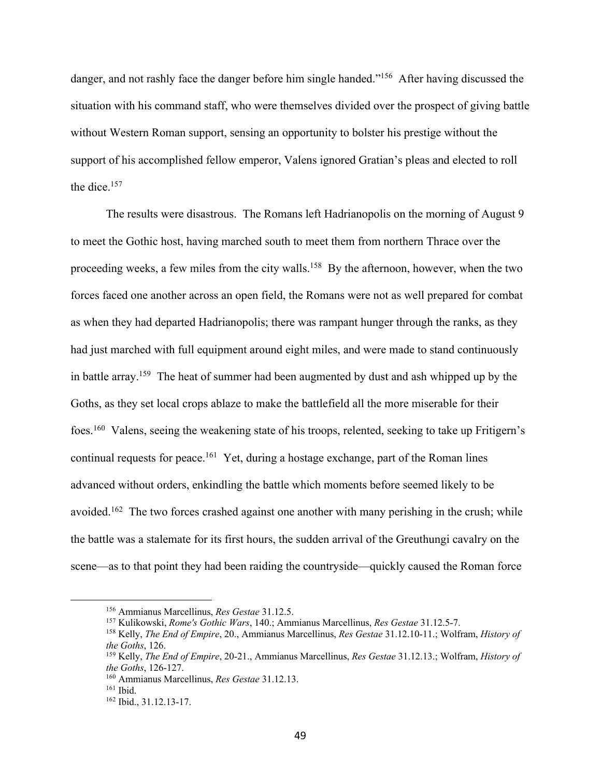danger, and not rashly face the danger before him single handed."<sup>156</sup> After having discussed the situation with his command staff, who were themselves divided over the prospect of giving battle without Western Roman support, sensing an opportunity to bolster his prestige without the support of his accomplished fellow emperor, Valens ignored Gratian's pleas and elected to roll the dice. $157$ 

The results were disastrous. The Romans left Hadrianopolis on the morning of August 9 to meet the Gothic host, having marched south to meet them from northern Thrace over the proceeding weeks, a few miles from the city walls.<sup>158</sup> By the afternoon, however, when the two forces faced one another across an open field, the Romans were not as well prepared for combat as when they had departed Hadrianopolis; there was rampant hunger through the ranks, as they had just marched with full equipment around eight miles, and were made to stand continuously in battle array.159 The heat of summer had been augmented by dust and ash whipped up by the Goths, as they set local crops ablaze to make the battlefield all the more miserable for their foes.160 Valens, seeing the weakening state of his troops, relented, seeking to take up Fritigern's continual requests for peace.<sup>161</sup> Yet, during a hostage exchange, part of the Roman lines advanced without orders, enkindling the battle which moments before seemed likely to be avoided.<sup>162</sup> The two forces crashed against one another with many perishing in the crush; while the battle was a stalemate for its first hours, the sudden arrival of the Greuthungi cavalry on the scene—as to that point they had been raiding the countryside—quickly caused the Roman force

<sup>156</sup> Ammianus Marcellinus, *Res Gestae* 31.12.5.

<sup>157</sup> Kulikowski, *Rome's Gothic Wars*, 140.; Ammianus Marcellinus, *Res Gestae* 31.12.5-7.

<sup>158</sup> Kelly, *The End of Empire*, 20., Ammianus Marcellinus, *Res Gestae* 31.12.10-11.; Wolfram, *History of the Goths*, 126.

<sup>159</sup> Kelly, *The End of Empire*, 20-21., Ammianus Marcellinus, *Res Gestae* 31.12.13.; Wolfram, *History of the Goths*, 126-127.

<sup>160</sup> Ammianus Marcellinus, *Res Gestae* 31.12.13.

<sup>161</sup> Ibid.

<sup>162</sup> Ibid., 31.12.13-17.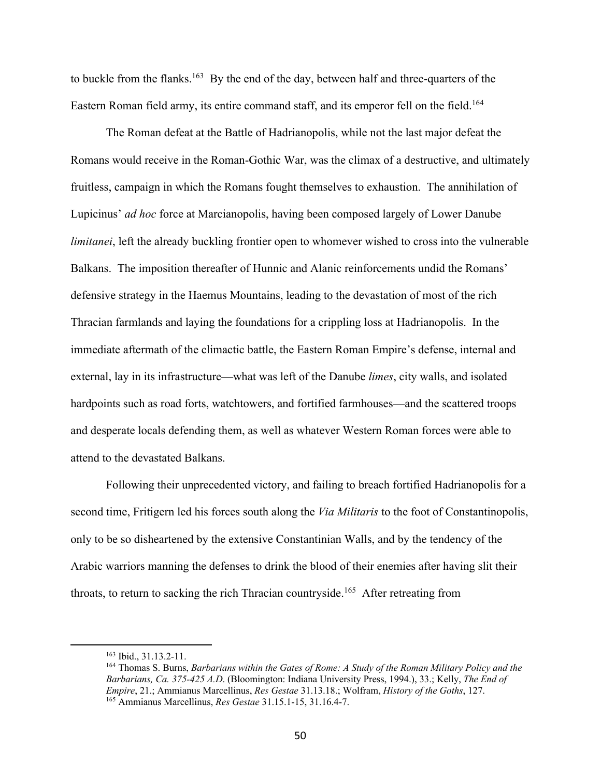to buckle from the flanks.<sup>163</sup> By the end of the day, between half and three-quarters of the Eastern Roman field army, its entire command staff, and its emperor fell on the field.<sup>164</sup>

The Roman defeat at the Battle of Hadrianopolis, while not the last major defeat the Romans would receive in the Roman-Gothic War, was the climax of a destructive, and ultimately fruitless, campaign in which the Romans fought themselves to exhaustion. The annihilation of Lupicinus' *ad hoc* force at Marcianopolis, having been composed largely of Lower Danube *limitanei*, left the already buckling frontier open to whomever wished to cross into the vulnerable Balkans. The imposition thereafter of Hunnic and Alanic reinforcements undid the Romans' defensive strategy in the Haemus Mountains, leading to the devastation of most of the rich Thracian farmlands and laying the foundations for a crippling loss at Hadrianopolis. In the immediate aftermath of the climactic battle, the Eastern Roman Empire's defense, internal and external, lay in its infrastructure—what was left of the Danube *limes*, city walls, and isolated hardpoints such as road forts, watchtowers, and fortified farmhouses—and the scattered troops and desperate locals defending them, as well as whatever Western Roman forces were able to attend to the devastated Balkans.

Following their unprecedented victory, and failing to breach fortified Hadrianopolis for a second time, Fritigern led his forces south along the *Via Militaris* to the foot of Constantinopolis, only to be so disheartened by the extensive Constantinian Walls, and by the tendency of the Arabic warriors manning the defenses to drink the blood of their enemies after having slit their throats, to return to sacking the rich Thracian countryside.<sup>165</sup> After retreating from

<sup>164</sup> Thomas S. Burns, *Barbarians within the Gates of Rome: A Study of the Roman Military Policy and the Barbarians, Ca. 375-425 A.D*. (Bloomington: Indiana University Press, 1994.), 33.; Kelly, *The End of Empire*, 21.; Ammianus Marcellinus, *Res Gestae* 31.13.18.; Wolfram, *History of the Goths*, 127. <sup>165</sup> Ammianus Marcellinus, *Res Gestae* 31.15.1-15, 31.16.4-7.

 $163$  Ibid.,  $31.13.2-11$ .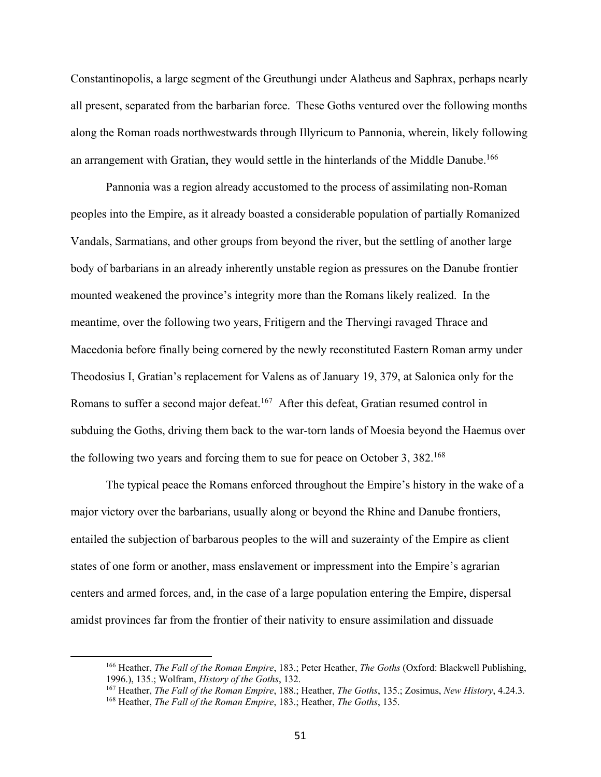Constantinopolis, a large segment of the Greuthungi under Alatheus and Saphrax, perhaps nearly all present, separated from the barbarian force. These Goths ventured over the following months along the Roman roads northwestwards through Illyricum to Pannonia, wherein, likely following an arrangement with Gratian, they would settle in the hinterlands of the Middle Danube.<sup>166</sup>

Pannonia was a region already accustomed to the process of assimilating non-Roman peoples into the Empire, as it already boasted a considerable population of partially Romanized Vandals, Sarmatians, and other groups from beyond the river, but the settling of another large body of barbarians in an already inherently unstable region as pressures on the Danube frontier mounted weakened the province's integrity more than the Romans likely realized. In the meantime, over the following two years, Fritigern and the Thervingi ravaged Thrace and Macedonia before finally being cornered by the newly reconstituted Eastern Roman army under Theodosius I, Gratian's replacement for Valens as of January 19, 379, at Salonica only for the Romans to suffer a second major defeat.<sup>167</sup> After this defeat, Gratian resumed control in subduing the Goths, driving them back to the war-torn lands of Moesia beyond the Haemus over the following two years and forcing them to sue for peace on October 3, 382.<sup>168</sup>

The typical peace the Romans enforced throughout the Empire's history in the wake of a major victory over the barbarians, usually along or beyond the Rhine and Danube frontiers, entailed the subjection of barbarous peoples to the will and suzerainty of the Empire as client states of one form or another, mass enslavement or impressment into the Empire's agrarian centers and armed forces, and, in the case of a large population entering the Empire, dispersal amidst provinces far from the frontier of their nativity to ensure assimilation and dissuade

<sup>166</sup> Heather, *The Fall of the Roman Empire*, 183.; Peter Heather, *The Goths* (Oxford: Blackwell Publishing, 1996.), 135.; Wolfram, *History of the Goths*, 132.

<sup>167</sup> Heather, *The Fall of the Roman Empire*, 188.; Heather, *The Goths*, 135.; Zosimus, *New History*, 4.24.3. <sup>168</sup> Heather, *The Fall of the Roman Empire*, 183.; Heather, *The Goths*, 135.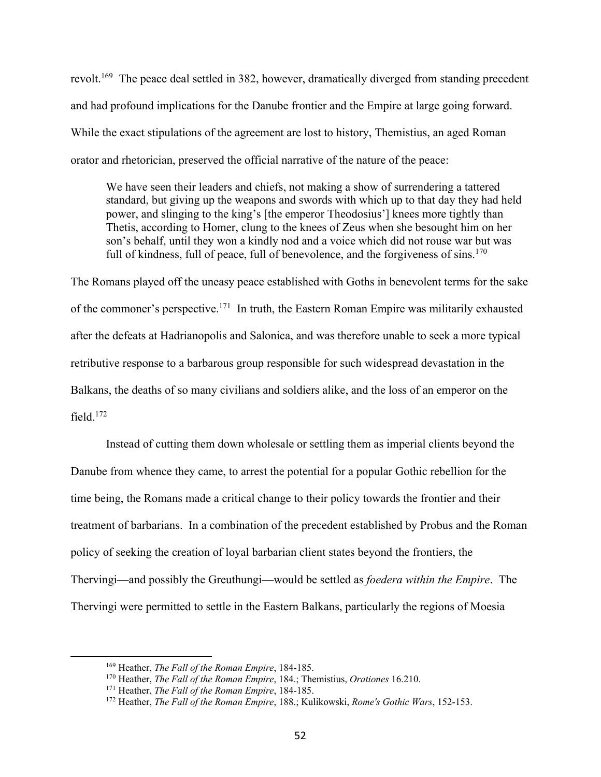revolt.<sup>169</sup> The peace deal settled in 382, however, dramatically diverged from standing precedent and had profound implications for the Danube frontier and the Empire at large going forward. While the exact stipulations of the agreement are lost to history, Themistius, an aged Roman orator and rhetorician, preserved the official narrative of the nature of the peace:

We have seen their leaders and chiefs, not making a show of surrendering a tattered standard, but giving up the weapons and swords with which up to that day they had held power, and slinging to the king's [the emperor Theodosius'] knees more tightly than Thetis, according to Homer, clung to the knees of Zeus when she besought him on her son's behalf, until they won a kindly nod and a voice which did not rouse war but was full of kindness, full of peace, full of benevolence, and the forgiveness of sins.<sup>170</sup>

The Romans played off the uneasy peace established with Goths in benevolent terms for the sake of the commoner's perspective.171 In truth, the Eastern Roman Empire was militarily exhausted after the defeats at Hadrianopolis and Salonica, and was therefore unable to seek a more typical retributive response to a barbarous group responsible for such widespread devastation in the Balkans, the deaths of so many civilians and soldiers alike, and the loss of an emperor on the field.172

Instead of cutting them down wholesale or settling them as imperial clients beyond the Danube from whence they came, to arrest the potential for a popular Gothic rebellion for the time being, the Romans made a critical change to their policy towards the frontier and their treatment of barbarians. In a combination of the precedent established by Probus and the Roman policy of seeking the creation of loyal barbarian client states beyond the frontiers, the Thervingi—and possibly the Greuthungi—would be settled as *foedera within the Empire*. The Thervingi were permitted to settle in the Eastern Balkans, particularly the regions of Moesia

<sup>169</sup> Heather, *The Fall of the Roman Empire*, 184-185.

<sup>170</sup> Heather, *The Fall of the Roman Empire*, 184.; Themistius, *Orationes* 16.210.

<sup>171</sup> Heather, *The Fall of the Roman Empire*, 184-185.

<sup>172</sup> Heather, *The Fall of the Roman Empire*, 188.; Kulikowski, *Rome's Gothic Wars*, 152-153.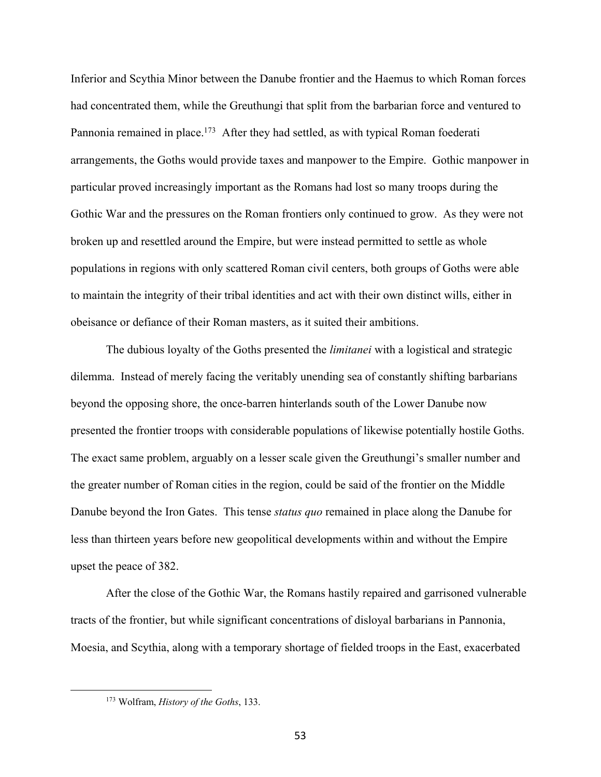Inferior and Scythia Minor between the Danube frontier and the Haemus to which Roman forces had concentrated them, while the Greuthungi that split from the barbarian force and ventured to Pannonia remained in place.<sup>173</sup> After they had settled, as with typical Roman foederati arrangements, the Goths would provide taxes and manpower to the Empire. Gothic manpower in particular proved increasingly important as the Romans had lost so many troops during the Gothic War and the pressures on the Roman frontiers only continued to grow. As they were not broken up and resettled around the Empire, but were instead permitted to settle as whole populations in regions with only scattered Roman civil centers, both groups of Goths were able to maintain the integrity of their tribal identities and act with their own distinct wills, either in obeisance or defiance of their Roman masters, as it suited their ambitions.

The dubious loyalty of the Goths presented the *limitanei* with a logistical and strategic dilemma. Instead of merely facing the veritably unending sea of constantly shifting barbarians beyond the opposing shore, the once-barren hinterlands south of the Lower Danube now presented the frontier troops with considerable populations of likewise potentially hostile Goths. The exact same problem, arguably on a lesser scale given the Greuthungi's smaller number and the greater number of Roman cities in the region, could be said of the frontier on the Middle Danube beyond the Iron Gates. This tense *status quo* remained in place along the Danube for less than thirteen years before new geopolitical developments within and without the Empire upset the peace of 382.

After the close of the Gothic War, the Romans hastily repaired and garrisoned vulnerable tracts of the frontier, but while significant concentrations of disloyal barbarians in Pannonia, Moesia, and Scythia, along with a temporary shortage of fielded troops in the East, exacerbated

<sup>173</sup> Wolfram, *History of the Goths*, 133.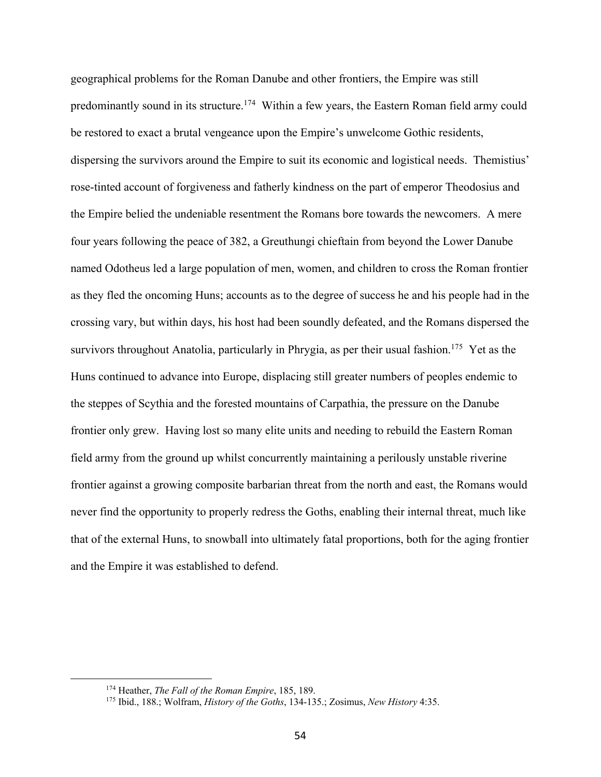geographical problems for the Roman Danube and other frontiers, the Empire was still predominantly sound in its structure.<sup>174</sup> Within a few years, the Eastern Roman field army could be restored to exact a brutal vengeance upon the Empire's unwelcome Gothic residents, dispersing the survivors around the Empire to suit its economic and logistical needs. Themistius' rose-tinted account of forgiveness and fatherly kindness on the part of emperor Theodosius and the Empire belied the undeniable resentment the Romans bore towards the newcomers. A mere four years following the peace of 382, a Greuthungi chieftain from beyond the Lower Danube named Odotheus led a large population of men, women, and children to cross the Roman frontier as they fled the oncoming Huns; accounts as to the degree of success he and his people had in the crossing vary, but within days, his host had been soundly defeated, and the Romans dispersed the survivors throughout Anatolia, particularly in Phrygia, as per their usual fashion.<sup>175</sup> Yet as the Huns continued to advance into Europe, displacing still greater numbers of peoples endemic to the steppes of Scythia and the forested mountains of Carpathia, the pressure on the Danube frontier only grew. Having lost so many elite units and needing to rebuild the Eastern Roman field army from the ground up whilst concurrently maintaining a perilously unstable riverine frontier against a growing composite barbarian threat from the north and east, the Romans would never find the opportunity to properly redress the Goths, enabling their internal threat, much like that of the external Huns, to snowball into ultimately fatal proportions, both for the aging frontier and the Empire it was established to defend.

<sup>174</sup> Heather, *The Fall of the Roman Empire*, 185, 189.

<sup>175</sup> Ibid., 188.; Wolfram, *History of the Goths*, 134-135.; Zosimus, *New History* 4:35.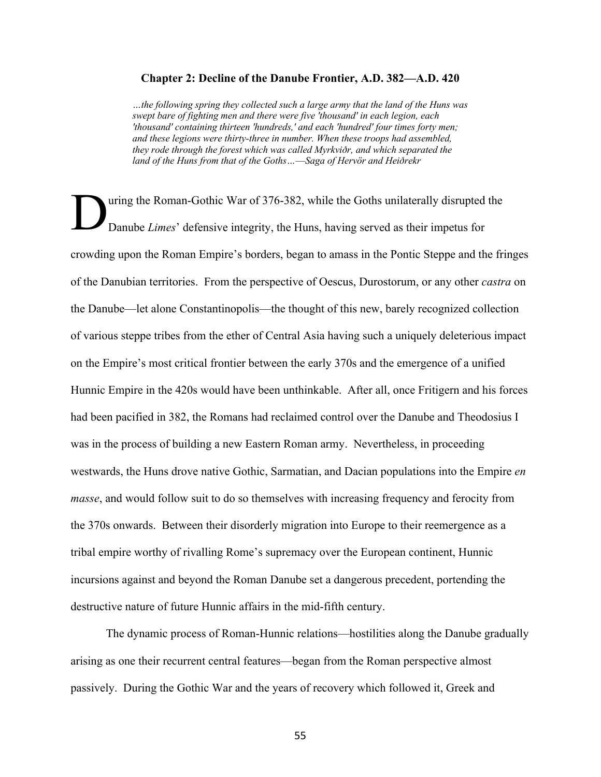## **Chapter 2: Decline of the Danube Frontier, A.D. 382—A.D. 420**

*…the following spring they collected such a large army that the land of the Huns was swept bare of fighting men and there were five 'thousand' in each legion, each 'thousand' containing thirteen 'hundreds,' and each 'hundred' four times forty men; and these legions were thirty-three in number. When these troops had assembled, they rode through the forest which was called Myrkviðr, and which separated the land of the Huns from that of the Goths…*—*Saga of Hervör and Heiðrekr*

uring the Roman-Gothic War of 376-382, while the Goths unilaterally disrupted the Danube *Limes*' defensive integrity, the Huns, having served as their impetus for crowding upon the Roman Empire's borders, began to amass in the Pontic Steppe and the fringes of the Danubian territories. From the perspective of Oescus, Durostorum, or any other *castra* on the Danube—let alone Constantinopolis—the thought of this new, barely recognized collection of various steppe tribes from the ether of Central Asia having such a uniquely deleterious impact on the Empire's most critical frontier between the early 370s and the emergence of a unified Hunnic Empire in the 420s would have been unthinkable. After all, once Fritigern and his forces had been pacified in 382, the Romans had reclaimed control over the Danube and Theodosius I was in the process of building a new Eastern Roman army. Nevertheless, in proceeding westwards, the Huns drove native Gothic, Sarmatian, and Dacian populations into the Empire *en masse*, and would follow suit to do so themselves with increasing frequency and ferocity from the 370s onwards. Between their disorderly migration into Europe to their reemergence as a tribal empire worthy of rivalling Rome's supremacy over the European continent, Hunnic incursions against and beyond the Roman Danube set a dangerous precedent, portending the destructive nature of future Hunnic affairs in the mid-fifth century. D

The dynamic process of Roman-Hunnic relations—hostilities along the Danube gradually arising as one their recurrent central features—began from the Roman perspective almost passively. During the Gothic War and the years of recovery which followed it, Greek and

55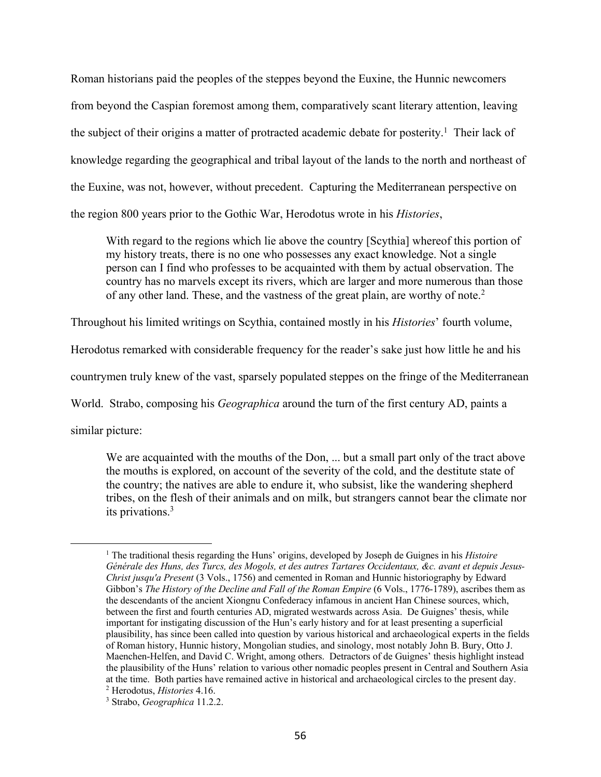Roman historians paid the peoples of the steppes beyond the Euxine, the Hunnic newcomers from beyond the Caspian foremost among them, comparatively scant literary attention, leaving the subject of their origins a matter of protracted academic debate for posterity.<sup>1</sup> Their lack of knowledge regarding the geographical and tribal layout of the lands to the north and northeast of the Euxine, was not, however, without precedent. Capturing the Mediterranean perspective on the region 800 years prior to the Gothic War, Herodotus wrote in his *Histories*,

With regard to the regions which lie above the country [Scythia] whereof this portion of my history treats, there is no one who possesses any exact knowledge. Not a single person can I find who professes to be acquainted with them by actual observation. The country has no marvels except its rivers, which are larger and more numerous than those of any other land. These, and the vastness of the great plain, are worthy of note. 2

Throughout his limited writings on Scythia, contained mostly in his *Histories*' fourth volume,

Herodotus remarked with considerable frequency for the reader's sake just how little he and his

countrymen truly knew of the vast, sparsely populated steppes on the fringe of the Mediterranean

World. Strabo, composing his *Geographica* around the turn of the first century AD, paints a

similar picture:

We are acquainted with the mouths of the Don, ... but a small part only of the tract above the mouths is explored, on account of the severity of the cold, and the destitute state of the country; the natives are able to endure it, who subsist, like the wandering shepherd tribes, on the flesh of their animals and on milk, but strangers cannot bear the climate nor its privations.3

<sup>1</sup> The traditional thesis regarding the Huns' origins, developed by Joseph de Guignes in his *Histoire Générale des Huns, des Turcs, des Mogols, et des autres Tartares Occidentaux, &c. avant et depuis Jesus-Christ jusqu'a Present* (3 Vols., 1756) and cemented in Roman and Hunnic historiography by Edward Gibbon's *The History of the Decline and Fall of the Roman Empire* (6 Vols., 1776-1789), ascribes them as the descendants of the ancient Xiongnu Confederacy infamous in ancient Han Chinese sources, which, between the first and fourth centuries AD, migrated westwards across Asia. De Guignes' thesis, while important for instigating discussion of the Hun's early history and for at least presenting a superficial plausibility, has since been called into question by various historical and archaeological experts in the fields of Roman history, Hunnic history, Mongolian studies, and sinology, most notably John B. Bury, Otto J. Maenchen-Helfen, and David C. Wright, among others. Detractors of de Guignes' thesis highlight instead the plausibility of the Huns' relation to various other nomadic peoples present in Central and Southern Asia at the time. Both parties have remained active in historical and archaeological circles to the present day.

<sup>2</sup> Herodotus, *Histories* 4.16.

<sup>3</sup> Strabo, *Geographica* 11.2.2.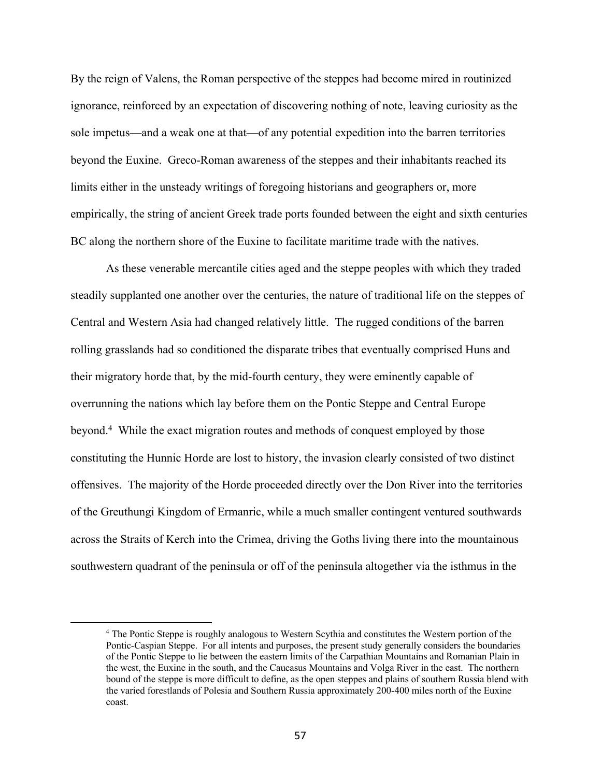By the reign of Valens, the Roman perspective of the steppes had become mired in routinized ignorance, reinforced by an expectation of discovering nothing of note, leaving curiosity as the sole impetus—and a weak one at that—of any potential expedition into the barren territories beyond the Euxine. Greco-Roman awareness of the steppes and their inhabitants reached its limits either in the unsteady writings of foregoing historians and geographers or, more empirically, the string of ancient Greek trade ports founded between the eight and sixth centuries BC along the northern shore of the Euxine to facilitate maritime trade with the natives.

As these venerable mercantile cities aged and the steppe peoples with which they traded steadily supplanted one another over the centuries, the nature of traditional life on the steppes of Central and Western Asia had changed relatively little. The rugged conditions of the barren rolling grasslands had so conditioned the disparate tribes that eventually comprised Huns and their migratory horde that, by the mid-fourth century, they were eminently capable of overrunning the nations which lay before them on the Pontic Steppe and Central Europe beyond.4 While the exact migration routes and methods of conquest employed by those constituting the Hunnic Horde are lost to history, the invasion clearly consisted of two distinct offensives. The majority of the Horde proceeded directly over the Don River into the territories of the Greuthungi Kingdom of Ermanric, while a much smaller contingent ventured southwards across the Straits of Kerch into the Crimea, driving the Goths living there into the mountainous southwestern quadrant of the peninsula or off of the peninsula altogether via the isthmus in the

<sup>4</sup> The Pontic Steppe is roughly analogous to Western Scythia and constitutes the Western portion of the Pontic-Caspian Steppe. For all intents and purposes, the present study generally considers the boundaries of the Pontic Steppe to lie between the eastern limits of the Carpathian Mountains and Romanian Plain in the west, the Euxine in the south, and the Caucasus Mountains and Volga River in the east. The northern bound of the steppe is more difficult to define, as the open steppes and plains of southern Russia blend with the varied forestlands of Polesia and Southern Russia approximately 200-400 miles north of the Euxine coast.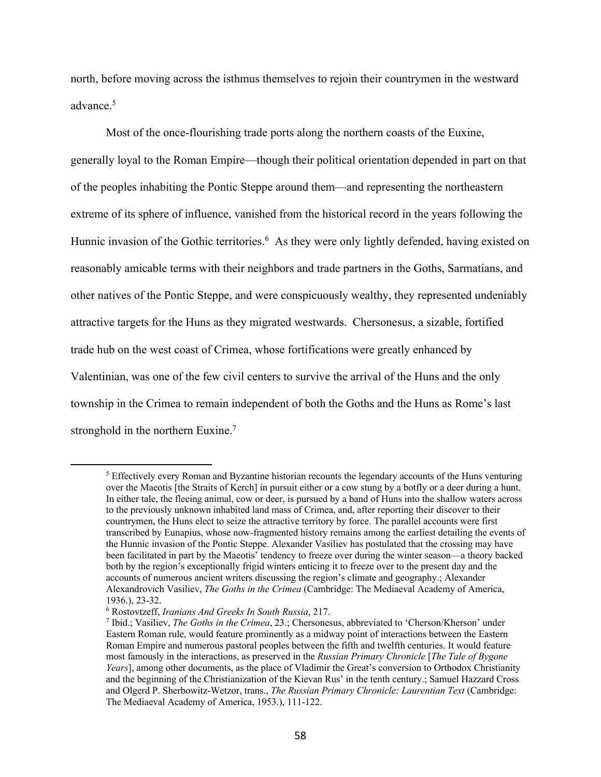north, before moving across the isthmus themselves to rejoin their countrymen in the westward advance.5

Most of the once-flourishing trade ports along the northern coasts of the Euxine, generally loyal to the Roman Empire—though their political orientation depended in part on that of the peoples inhabiting the Pontic Steppe around them—and representing the northeastern extreme of its sphere of influence, vanished from the historical record in the years following the Hunnic invasion of the Gothic territories.<sup>6</sup> As they were only lightly defended, having existed on reasonably amicable terms with their neighbors and trade partners in the Goths, Sarmatians, and other natives of the Pontic Steppe, and were conspicuously wealthy, they represented undeniably attractive targets for the Huns as they migrated westwards. Chersonesus, a sizable, fortified trade hub on the west coast of Crimea, whose fortifications were greatly enhanced by Valentinian, was one of the few civil centers to survive the arrival of the Huns and the only township in the Crimea to remain independent of both the Goths and the Huns as Rome's last stronghold in the northern Euxine.<sup>7</sup>

<sup>&</sup>lt;sup>5</sup> Effectively every Roman and Byzantine historian recounts the legendary accounts of the Huns venturing over the Maeotis [the Straits of Kerch] in pursuit either or a cow stung by a botfly or a deer during a hunt. In either tale, the fleeing animal, cow or deer, is pursued by a band of Huns into the shallow waters across to the previously unknown inhabited land mass of Crimea, and, after reporting their discover to their countrymen, the Huns elect to seize the attractive territory by force. The parallel accounts were first transcribed by Eunapius, whose now-fragmented history remains among the earliest detailing the events of the Hunnic invasion of the Pontic Steppe. Alexander Vasiliev has postulated that the crossing may have been facilitated in part by the Maeotis' tendency to freeze over during the winter season—a theory backed both by the region's exceptionally frigid winters enticing it to freeze over to the present day and the accounts of numerous ancient writers discussing the region's climate and geography.; Alexander Alexandrovich Vasiliev, *The Goths in the Crimea* (Cambridge: The Mediaeval Academy of America, 1936.), 23-32.

<sup>6</sup> Rostovtzeff, *Iranians And Greeks In South Russia*, 217. 7 Ibid.; Vasiliev, *The Goths in the Crimea*, 23.; Chersonesus, abbreviated to 'Cherson/Kherson' under Eastern Roman rule, would feature prominently as a midway point of interactions between the Eastern Roman Empire and numerous pastoral peoples between the fifth and twelfth centuries. It would feature most famously in the interactions, as preserved in the *Russian Primary Chronicle* [*The Tale of Bygone Years*], among other documents, as the place of Vladimir the Great's conversion to Orthodox Christianity and the beginning of the Christianization of the Kievan Rus' in the tenth century.; Samuel Hazzard Cross and Olgerd P. Sherbowitz-Wetzor, trans., *The Russian Primary Chronicle: Laurentian Text* (Cambridge: The Mediaeval Academy of America, 1953.), 111-122.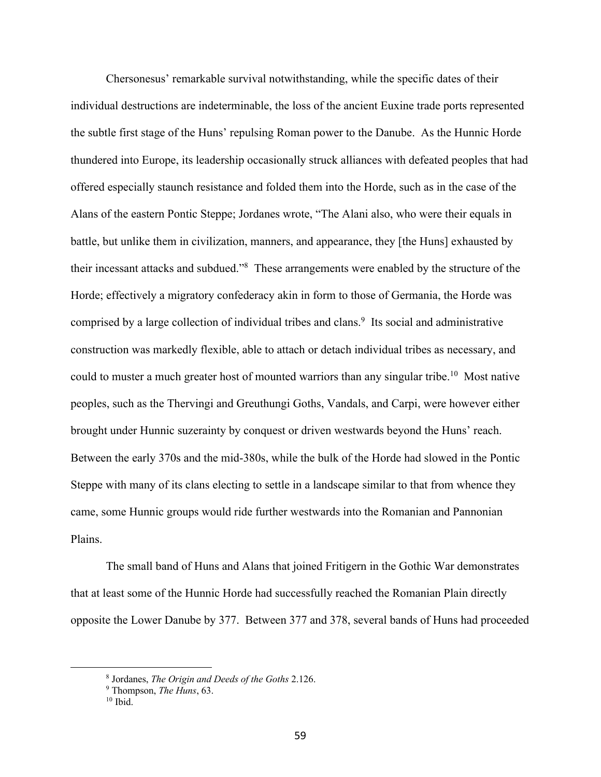Chersonesus' remarkable survival notwithstanding, while the specific dates of their individual destructions are indeterminable, the loss of the ancient Euxine trade ports represented the subtle first stage of the Huns' repulsing Roman power to the Danube. As the Hunnic Horde thundered into Europe, its leadership occasionally struck alliances with defeated peoples that had offered especially staunch resistance and folded them into the Horde, such as in the case of the Alans of the eastern Pontic Steppe; Jordanes wrote, "The Alani also, who were their equals in battle, but unlike them in civilization, manners, and appearance, they [the Huns] exhausted by their incessant attacks and subdued."8 These arrangements were enabled by the structure of the Horde; effectively a migratory confederacy akin in form to those of Germania, the Horde was comprised by a large collection of individual tribes and clans.<sup>9</sup> Its social and administrative construction was markedly flexible, able to attach or detach individual tribes as necessary, and could to muster a much greater host of mounted warriors than any singular tribe.<sup>10</sup> Most native peoples, such as the Thervingi and Greuthungi Goths, Vandals, and Carpi, were however either brought under Hunnic suzerainty by conquest or driven westwards beyond the Huns' reach. Between the early 370s and the mid-380s, while the bulk of the Horde had slowed in the Pontic Steppe with many of its clans electing to settle in a landscape similar to that from whence they came, some Hunnic groups would ride further westwards into the Romanian and Pannonian Plains.

The small band of Huns and Alans that joined Fritigern in the Gothic War demonstrates that at least some of the Hunnic Horde had successfully reached the Romanian Plain directly opposite the Lower Danube by 377. Between 377 and 378, several bands of Huns had proceeded

<sup>8</sup> Jordanes, *The Origin and Deeds of the Goths* 2.126.

<sup>9</sup> Thompson, *The Huns*, 63.

 $10$  Ibid.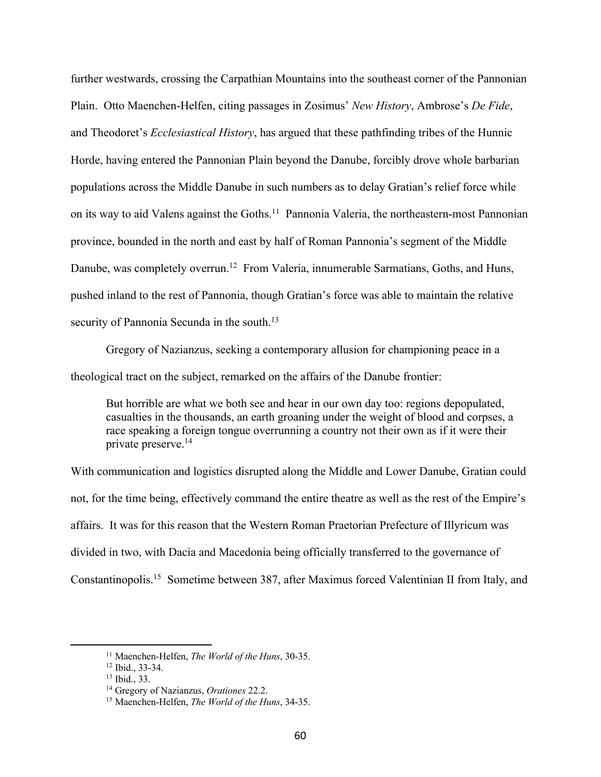further westwards, crossing the Carpathian Mountains into the southeast corner of the Pannonian Plain. Otto Maenchen-Helfen, citing passages in Zosimus' *New History*, Ambrose's *De Fide*, and Theodoret's *Ecclesiastical History*, has argued that these pathfinding tribes of the Hunnic Horde, having entered the Pannonian Plain beyond the Danube, forcibly drove whole barbarian populations across the Middle Danube in such numbers as to delay Gratian's relief force while on its way to aid Valens against the Goths.<sup>11</sup> Pannonia Valeria, the northeastern-most Pannonian province, bounded in the north and east by half of Roman Pannonia's segment of the Middle Danube, was completely overrun.<sup>12</sup> From Valeria, innumerable Sarmatians, Goths, and Huns, pushed inland to the rest of Pannonia, though Gratian's force was able to maintain the relative security of Pannonia Secunda in the south.<sup>13</sup>

Gregory of Nazianzus, seeking a contemporary allusion for championing peace in a theological tract on the subject, remarked on the affairs of the Danube frontier:

But horrible are what we both see and hear in our own day too: regions depopulated, casualties in the thousands, an earth groaning under the weight of blood and corpses, a race speaking a foreign tongue overrunning a country not their own as if it were their private preserve.14

With communication and logistics disrupted along the Middle and Lower Danube, Gratian could not, for the time being, effectively command the entire theatre as well as the rest of the Empire's affairs. It was for this reason that the Western Roman Praetorian Prefecture of Illyricum was divided in two, with Dacia and Macedonia being officially transferred to the governance of Constantinopolis.15 Sometime between 387, after Maximus forced Valentinian II from Italy, and

<sup>11</sup> Maenchen-Helfen, *The World of the Huns*, 30-35.

<sup>12</sup> Ibid., 33-34.

<sup>13</sup> Ibid., 33.

<sup>14</sup> Gregory of Nazianzus, *Orationes* 22.2.

<sup>15</sup> Maenchen-Helfen, *The World of the Huns*, 34-35.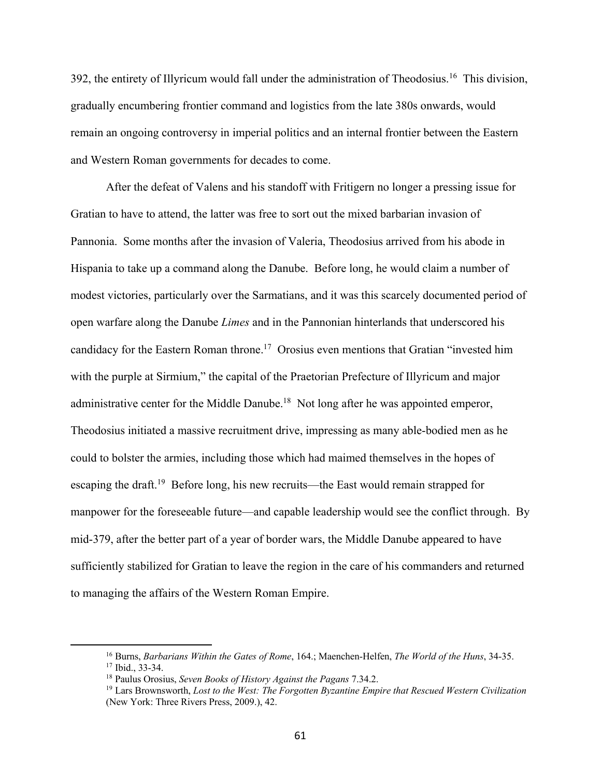392, the entirety of Illyricum would fall under the administration of Theodosius.16 This division, gradually encumbering frontier command and logistics from the late 380s onwards, would remain an ongoing controversy in imperial politics and an internal frontier between the Eastern and Western Roman governments for decades to come.

After the defeat of Valens and his standoff with Fritigern no longer a pressing issue for Gratian to have to attend, the latter was free to sort out the mixed barbarian invasion of Pannonia. Some months after the invasion of Valeria, Theodosius arrived from his abode in Hispania to take up a command along the Danube. Before long, he would claim a number of modest victories, particularly over the Sarmatians, and it was this scarcely documented period of open warfare along the Danube *Limes* and in the Pannonian hinterlands that underscored his candidacy for the Eastern Roman throne.<sup>17</sup> Orosius even mentions that Gratian "invested him with the purple at Sirmium," the capital of the Praetorian Prefecture of Illyricum and major administrative center for the Middle Danube.<sup>18</sup> Not long after he was appointed emperor, Theodosius initiated a massive recruitment drive, impressing as many able-bodied men as he could to bolster the armies, including those which had maimed themselves in the hopes of escaping the draft.<sup>19</sup> Before long, his new recruits—the East would remain strapped for manpower for the foreseeable future—and capable leadership would see the conflict through. By mid-379, after the better part of a year of border wars, the Middle Danube appeared to have sufficiently stabilized for Gratian to leave the region in the care of his commanders and returned to managing the affairs of the Western Roman Empire.

<sup>16</sup> Burns, *Barbarians Within the Gates of Rome*, 164.; Maenchen-Helfen, *The World of the Huns*, 34-35. <sup>17</sup> Ibid., 33-34.

<sup>18</sup> Paulus Orosius, *Seven Books of History Against the Pagans* 7.34.2.

<sup>19</sup> Lars Brownsworth, *Lost to the West: The Forgotten Byzantine Empire that Rescued Western Civilization* (New York: Three Rivers Press, 2009.), 42.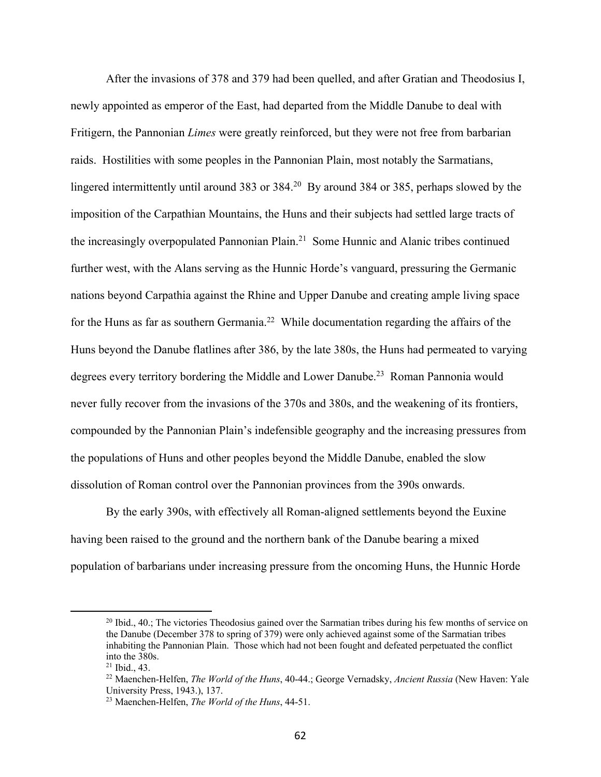After the invasions of 378 and 379 had been quelled, and after Gratian and Theodosius I, newly appointed as emperor of the East, had departed from the Middle Danube to deal with Fritigern, the Pannonian *Limes* were greatly reinforced, but they were not free from barbarian raids. Hostilities with some peoples in the Pannonian Plain, most notably the Sarmatians, lingered intermittently until around 383 or 384.<sup>20</sup> By around 384 or 385, perhaps slowed by the imposition of the Carpathian Mountains, the Huns and their subjects had settled large tracts of the increasingly overpopulated Pannonian Plain.<sup>21</sup> Some Hunnic and Alanic tribes continued further west, with the Alans serving as the Hunnic Horde's vanguard, pressuring the Germanic nations beyond Carpathia against the Rhine and Upper Danube and creating ample living space for the Huns as far as southern Germania.<sup>22</sup> While documentation regarding the affairs of the Huns beyond the Danube flatlines after 386, by the late 380s, the Huns had permeated to varying degrees every territory bordering the Middle and Lower Danube.<sup>23</sup> Roman Pannonia would never fully recover from the invasions of the 370s and 380s, and the weakening of its frontiers, compounded by the Pannonian Plain's indefensible geography and the increasing pressures from the populations of Huns and other peoples beyond the Middle Danube, enabled the slow dissolution of Roman control over the Pannonian provinces from the 390s onwards.

By the early 390s, with effectively all Roman-aligned settlements beyond the Euxine having been raised to the ground and the northern bank of the Danube bearing a mixed population of barbarians under increasing pressure from the oncoming Huns, the Hunnic Horde

<sup>&</sup>lt;sup>20</sup> Ibid., 40.; The victories Theodosius gained over the Sarmatian tribes during his few months of service on the Danube (December 378 to spring of 379) were only achieved against some of the Sarmatian tribes inhabiting the Pannonian Plain. Those which had not been fought and defeated perpetuated the conflict into the 380s.

<sup>21</sup> Ibid., 43.

<sup>22</sup> Maenchen-Helfen, *The World of the Huns*, 40-44.; George Vernadsky, *Ancient Russia* (New Haven: Yale University Press, 1943.), 137.

<sup>23</sup> Maenchen-Helfen, *The World of the Huns*, 44-51.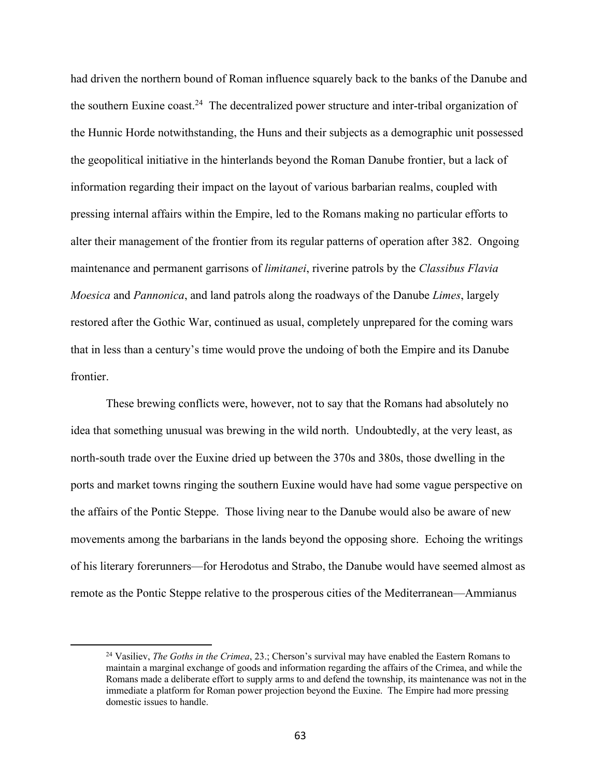had driven the northern bound of Roman influence squarely back to the banks of the Danube and the southern Euxine coast.<sup>24</sup> The decentralized power structure and inter-tribal organization of the Hunnic Horde notwithstanding, the Huns and their subjects as a demographic unit possessed the geopolitical initiative in the hinterlands beyond the Roman Danube frontier, but a lack of information regarding their impact on the layout of various barbarian realms, coupled with pressing internal affairs within the Empire, led to the Romans making no particular efforts to alter their management of the frontier from its regular patterns of operation after 382. Ongoing maintenance and permanent garrisons of *limitanei*, riverine patrols by the *Classibus Flavia Moesica* and *Pannonica*, and land patrols along the roadways of the Danube *Limes*, largely restored after the Gothic War, continued as usual, completely unprepared for the coming wars that in less than a century's time would prove the undoing of both the Empire and its Danube frontier.

These brewing conflicts were, however, not to say that the Romans had absolutely no idea that something unusual was brewing in the wild north. Undoubtedly, at the very least, as north-south trade over the Euxine dried up between the 370s and 380s, those dwelling in the ports and market towns ringing the southern Euxine would have had some vague perspective on the affairs of the Pontic Steppe. Those living near to the Danube would also be aware of new movements among the barbarians in the lands beyond the opposing shore. Echoing the writings of his literary forerunners—for Herodotus and Strabo, the Danube would have seemed almost as remote as the Pontic Steppe relative to the prosperous cities of the Mediterranean—Ammianus

<sup>24</sup> Vasiliev, *The Goths in the Crimea*, 23.; Cherson's survival may have enabled the Eastern Romans to maintain a marginal exchange of goods and information regarding the affairs of the Crimea, and while the Romans made a deliberate effort to supply arms to and defend the township, its maintenance was not in the immediate a platform for Roman power projection beyond the Euxine. The Empire had more pressing domestic issues to handle.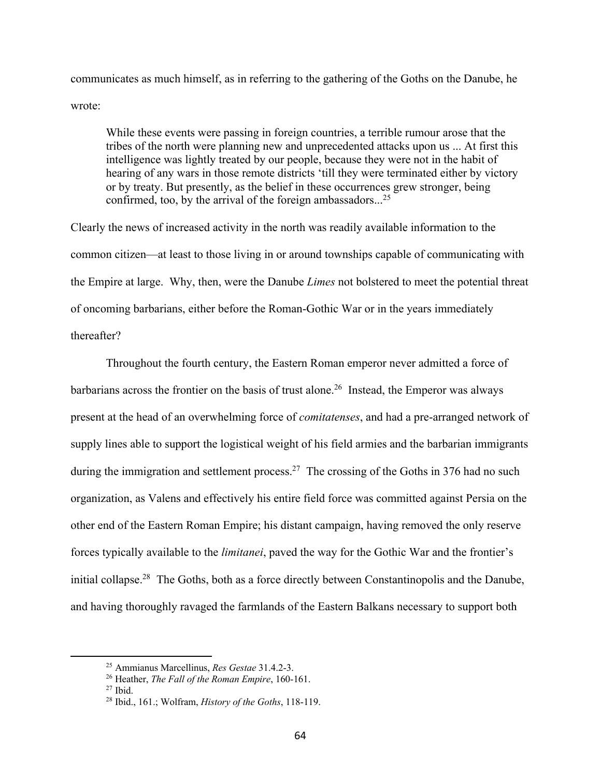communicates as much himself, as in referring to the gathering of the Goths on the Danube, he wrote:

While these events were passing in foreign countries, a terrible rumour arose that the tribes of the north were planning new and unprecedented attacks upon us ... At first this intelligence was lightly treated by our people, because they were not in the habit of hearing of any wars in those remote districts 'till they were terminated either by victory or by treaty. But presently, as the belief in these occurrences grew stronger, being confirmed, too, by the arrival of the foreign ambassadors...<sup>25</sup>

Clearly the news of increased activity in the north was readily available information to the common citizen—at least to those living in or around townships capable of communicating with the Empire at large. Why, then, were the Danube *Limes* not bolstered to meet the potential threat of oncoming barbarians, either before the Roman-Gothic War or in the years immediately thereafter?

Throughout the fourth century, the Eastern Roman emperor never admitted a force of barbarians across the frontier on the basis of trust alone.<sup>26</sup> Instead, the Emperor was always present at the head of an overwhelming force of *comitatenses*, and had a pre-arranged network of supply lines able to support the logistical weight of his field armies and the barbarian immigrants during the immigration and settlement process.<sup>27</sup> The crossing of the Goths in 376 had no such organization, as Valens and effectively his entire field force was committed against Persia on the other end of the Eastern Roman Empire; his distant campaign, having removed the only reserve forces typically available to the *limitanei*, paved the way for the Gothic War and the frontier's initial collapse.<sup>28</sup> The Goths, both as a force directly between Constantinopolis and the Danube, and having thoroughly ravaged the farmlands of the Eastern Balkans necessary to support both

<sup>25</sup> Ammianus Marcellinus, *Res Gestae* 31.4.2-3.

<sup>26</sup> Heather, *The Fall of the Roman Empire*, 160-161.

 $27$  Ibid.

<sup>28</sup> Ibid., 161.; Wolfram, *History of the Goths*, 118-119.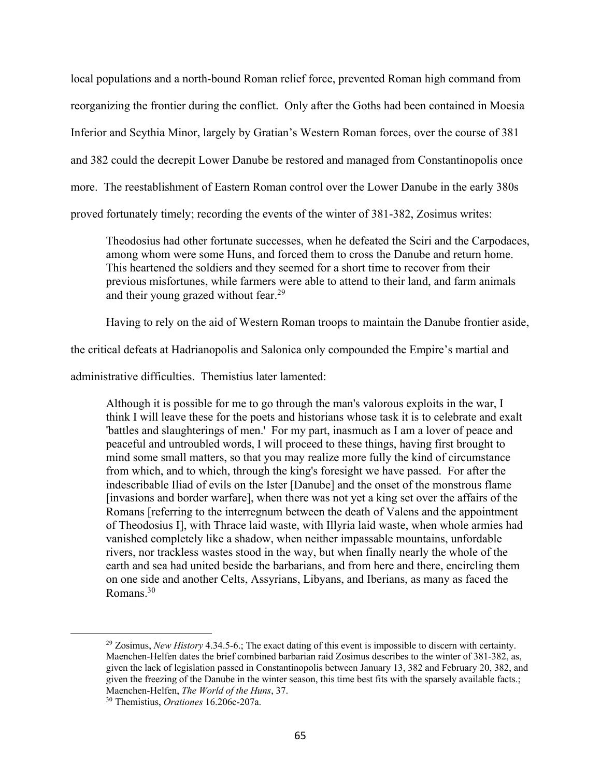local populations and a north-bound Roman relief force, prevented Roman high command from reorganizing the frontier during the conflict. Only after the Goths had been contained in Moesia Inferior and Scythia Minor, largely by Gratian's Western Roman forces, over the course of 381 and 382 could the decrepit Lower Danube be restored and managed from Constantinopolis once more. The reestablishment of Eastern Roman control over the Lower Danube in the early 380s proved fortunately timely; recording the events of the winter of 381-382, Zosimus writes:

Theodosius had other fortunate successes, when he defeated the Sciri and the Carpodaces, among whom were some Huns, and forced them to cross the Danube and return home. This heartened the soldiers and they seemed for a short time to recover from their previous misfortunes, while farmers were able to attend to their land, and farm animals and their young grazed without fear.<sup>29</sup>

Having to rely on the aid of Western Roman troops to maintain the Danube frontier aside,

the critical defeats at Hadrianopolis and Salonica only compounded the Empire's martial and

administrative difficulties. Themistius later lamented:

Although it is possible for me to go through the man's valorous exploits in the war, I think I will leave these for the poets and historians whose task it is to celebrate and exalt 'battles and slaughterings of men.' For my part, inasmuch as I am a lover of peace and peaceful and untroubled words, I will proceed to these things, having first brought to mind some small matters, so that you may realize more fully the kind of circumstance from which, and to which, through the king's foresight we have passed. For after the indescribable Iliad of evils on the Ister [Danube] and the onset of the monstrous flame [invasions and border warfare], when there was not yet a king set over the affairs of the Romans [referring to the interregnum between the death of Valens and the appointment of Theodosius I], with Thrace laid waste, with Illyria laid waste, when whole armies had vanished completely like a shadow, when neither impassable mountains, unfordable rivers, nor trackless wastes stood in the way, but when finally nearly the whole of the earth and sea had united beside the barbarians, and from here and there, encircling them on one side and another Celts, Assyrians, Libyans, and Iberians, as many as faced the Romans.30

<sup>29</sup> Zosimus, *New History* 4.34.5-6.; The exact dating of this event is impossible to discern with certainty. Maenchen-Helfen dates the brief combined barbarian raid Zosimus describes to the winter of 381-382, as, given the lack of legislation passed in Constantinopolis between January 13, 382 and February 20, 382, and given the freezing of the Danube in the winter season, this time best fits with the sparsely available facts.; Maenchen-Helfen, *The World of the Huns*, 37.

<sup>30</sup> Themistius, *Orationes* 16.206c-207a.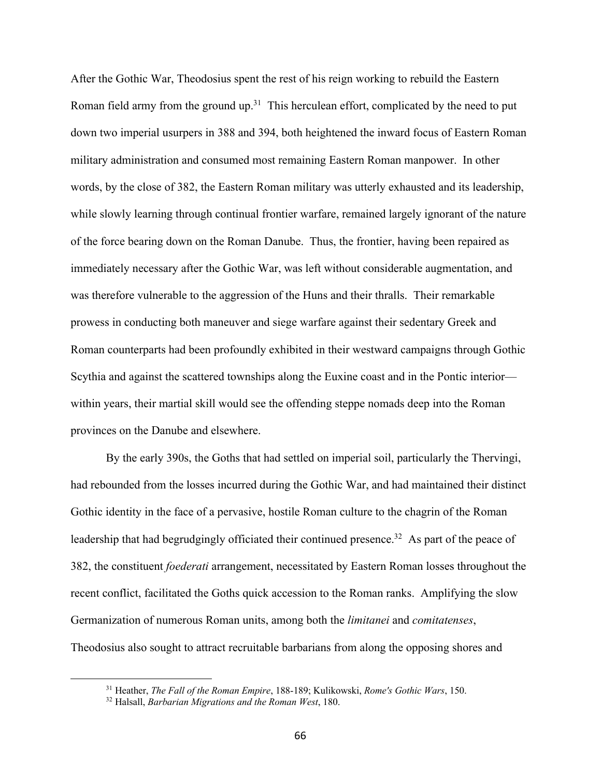After the Gothic War, Theodosius spent the rest of his reign working to rebuild the Eastern Roman field army from the ground up.<sup>31</sup> This herculean effort, complicated by the need to put down two imperial usurpers in 388 and 394, both heightened the inward focus of Eastern Roman military administration and consumed most remaining Eastern Roman manpower. In other words, by the close of 382, the Eastern Roman military was utterly exhausted and its leadership, while slowly learning through continual frontier warfare, remained largely ignorant of the nature of the force bearing down on the Roman Danube. Thus, the frontier, having been repaired as immediately necessary after the Gothic War, was left without considerable augmentation, and was therefore vulnerable to the aggression of the Huns and their thralls. Their remarkable prowess in conducting both maneuver and siege warfare against their sedentary Greek and Roman counterparts had been profoundly exhibited in their westward campaigns through Gothic Scythia and against the scattered townships along the Euxine coast and in the Pontic interior within years, their martial skill would see the offending steppe nomads deep into the Roman provinces on the Danube and elsewhere.

By the early 390s, the Goths that had settled on imperial soil, particularly the Thervingi, had rebounded from the losses incurred during the Gothic War, and had maintained their distinct Gothic identity in the face of a pervasive, hostile Roman culture to the chagrin of the Roman leadership that had begrudgingly officiated their continued presence.<sup>32</sup> As part of the peace of 382, the constituent *foederati* arrangement, necessitated by Eastern Roman losses throughout the recent conflict, facilitated the Goths quick accession to the Roman ranks. Amplifying the slow Germanization of numerous Roman units, among both the *limitanei* and *comitatenses*, Theodosius also sought to attract recruitable barbarians from along the opposing shores and

<sup>31</sup> Heather, *The Fall of the Roman Empire*, 188-189; Kulikowski, *Rome's Gothic Wars*, 150.

<sup>32</sup> Halsall, *Barbarian Migrations and the Roman West*, 180.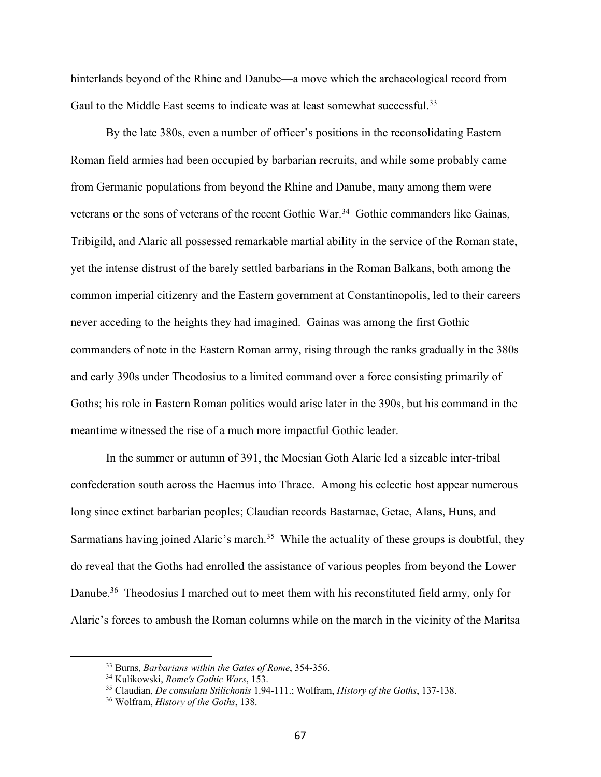hinterlands beyond of the Rhine and Danube—a move which the archaeological record from Gaul to the Middle East seems to indicate was at least somewhat successful.<sup>33</sup>

By the late 380s, even a number of officer's positions in the reconsolidating Eastern Roman field armies had been occupied by barbarian recruits, and while some probably came from Germanic populations from beyond the Rhine and Danube, many among them were veterans or the sons of veterans of the recent Gothic War.<sup>34</sup> Gothic commanders like Gainas, Tribigild, and Alaric all possessed remarkable martial ability in the service of the Roman state, yet the intense distrust of the barely settled barbarians in the Roman Balkans, both among the common imperial citizenry and the Eastern government at Constantinopolis, led to their careers never acceding to the heights they had imagined. Gainas was among the first Gothic commanders of note in the Eastern Roman army, rising through the ranks gradually in the 380s and early 390s under Theodosius to a limited command over a force consisting primarily of Goths; his role in Eastern Roman politics would arise later in the 390s, but his command in the meantime witnessed the rise of a much more impactful Gothic leader.

In the summer or autumn of 391, the Moesian Goth Alaric led a sizeable inter-tribal confederation south across the Haemus into Thrace. Among his eclectic host appear numerous long since extinct barbarian peoples; Claudian records Bastarnae, Getae, Alans, Huns, and Sarmatians having joined Alaric's march.<sup>35</sup> While the actuality of these groups is doubtful, they do reveal that the Goths had enrolled the assistance of various peoples from beyond the Lower Danube.<sup>36</sup> Theodosius I marched out to meet them with his reconstituted field army, only for Alaric's forces to ambush the Roman columns while on the march in the vicinity of the Maritsa

<sup>33</sup> Burns, *Barbarians within the Gates of Rome*, 354-356.

<sup>34</sup> Kulikowski, *Rome's Gothic Wars*, 153.

<sup>35</sup> Claudian, *De consulatu Stilichonis* 1.94-111.; Wolfram, *History of the Goths*, 137-138.

<sup>36</sup> Wolfram, *History of the Goths*, 138.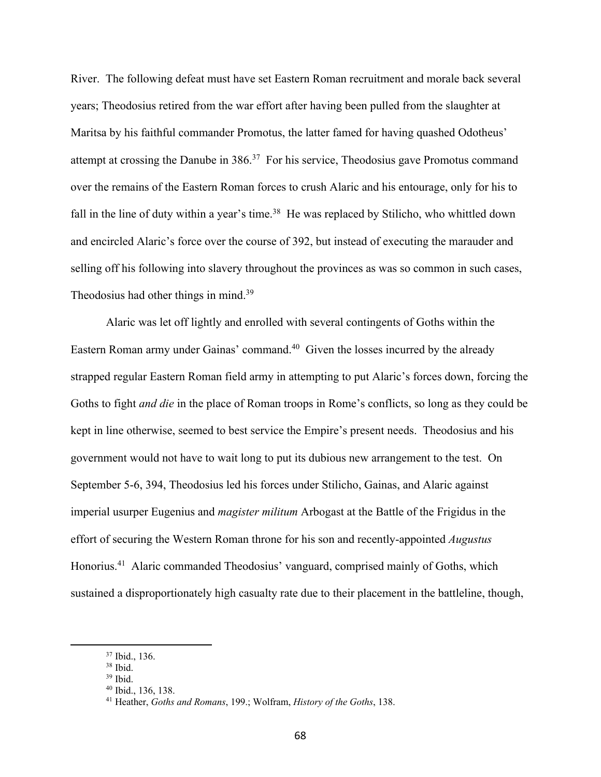River. The following defeat must have set Eastern Roman recruitment and morale back several years; Theodosius retired from the war effort after having been pulled from the slaughter at Maritsa by his faithful commander Promotus, the latter famed for having quashed Odotheus' attempt at crossing the Danube in 386.<sup>37</sup> For his service, Theodosius gave Promotus command over the remains of the Eastern Roman forces to crush Alaric and his entourage, only for his to fall in the line of duty within a year's time.<sup>38</sup> He was replaced by Stilicho, who whittled down and encircled Alaric's force over the course of 392, but instead of executing the marauder and selling off his following into slavery throughout the provinces as was so common in such cases, Theodosius had other things in mind.<sup>39</sup>

Alaric was let off lightly and enrolled with several contingents of Goths within the Eastern Roman army under Gainas' command.40 Given the losses incurred by the already strapped regular Eastern Roman field army in attempting to put Alaric's forces down, forcing the Goths to fight *and die* in the place of Roman troops in Rome's conflicts, so long as they could be kept in line otherwise, seemed to best service the Empire's present needs. Theodosius and his government would not have to wait long to put its dubious new arrangement to the test. On September 5-6, 394, Theodosius led his forces under Stilicho, Gainas, and Alaric against imperial usurper Eugenius and *magister militum* Arbogast at the Battle of the Frigidus in the effort of securing the Western Roman throne for his son and recently-appointed *Augustus* Honorius.41 Alaric commanded Theodosius' vanguard, comprised mainly of Goths, which sustained a disproportionately high casualty rate due to their placement in the battleline, though,

<sup>37</sup> Ibid., 136.

<sup>38</sup> Ibid.

 $39$  Ibid.

<sup>40</sup> Ibid., 136, 138.

<sup>41</sup> Heather, *Goths and Romans*, 199.; Wolfram, *History of the Goths*, 138.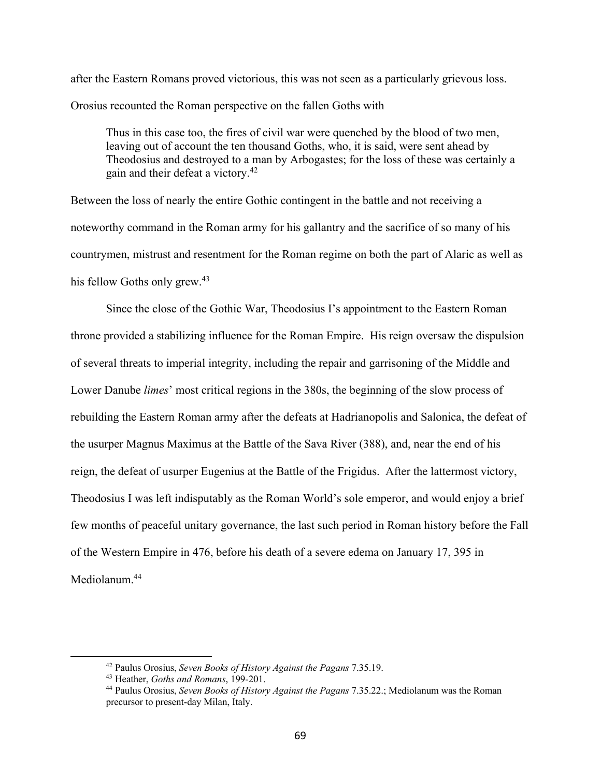after the Eastern Romans proved victorious, this was not seen as a particularly grievous loss. Orosius recounted the Roman perspective on the fallen Goths with

Thus in this case too, the fires of civil war were quenched by the blood of two men, leaving out of account the ten thousand Goths, who, it is said, were sent ahead by Theodosius and destroyed to a man by Arbogastes; for the loss of these was certainly a gain and their defeat a victory.42

Between the loss of nearly the entire Gothic contingent in the battle and not receiving a noteworthy command in the Roman army for his gallantry and the sacrifice of so many of his countrymen, mistrust and resentment for the Roman regime on both the part of Alaric as well as his fellow Goths only grew.<sup>43</sup>

Since the close of the Gothic War, Theodosius I's appointment to the Eastern Roman throne provided a stabilizing influence for the Roman Empire. His reign oversaw the dispulsion of several threats to imperial integrity, including the repair and garrisoning of the Middle and Lower Danube *limes*' most critical regions in the 380s, the beginning of the slow process of rebuilding the Eastern Roman army after the defeats at Hadrianopolis and Salonica, the defeat of the usurper Magnus Maximus at the Battle of the Sava River (388), and, near the end of his reign, the defeat of usurper Eugenius at the Battle of the Frigidus. After the lattermost victory, Theodosius I was left indisputably as the Roman World's sole emperor, and would enjoy a brief few months of peaceful unitary governance, the last such period in Roman history before the Fall of the Western Empire in 476, before his death of a severe edema on January 17, 395 in Mediolanum.44

<sup>42</sup> Paulus Orosius, *Seven Books of History Against the Pagans* 7.35.19.

<sup>43</sup> Heather, *Goths and Romans*, 199-201.

<sup>44</sup> Paulus Orosius, *Seven Books of History Against the Pagans* 7.35.22.; Mediolanum was the Roman precursor to present-day Milan, Italy.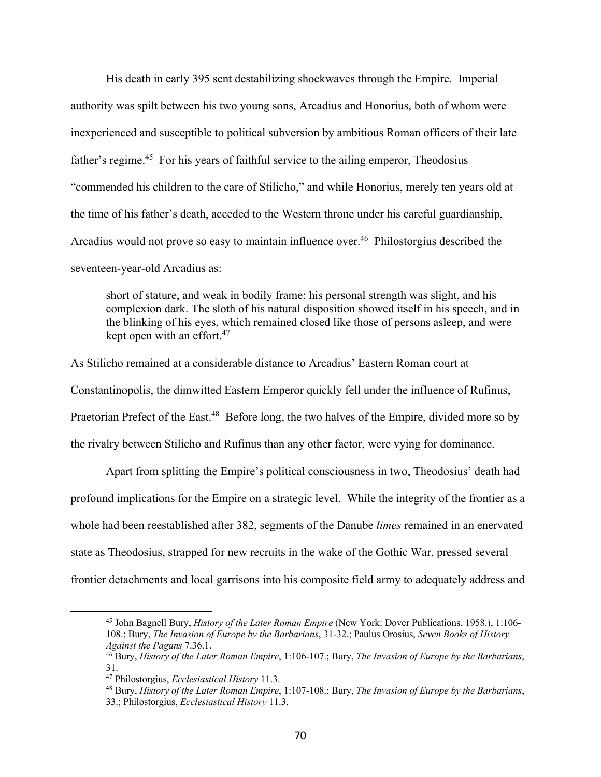His death in early 395 sent destabilizing shockwaves through the Empire. Imperial authority was spilt between his two young sons, Arcadius and Honorius, both of whom were inexperienced and susceptible to political subversion by ambitious Roman officers of their late father's regime.45 For his years of faithful service to the ailing emperor, Theodosius "commended his children to the care of Stilicho," and while Honorius, merely ten years old at the time of his father's death, acceded to the Western throne under his careful guardianship, Arcadius would not prove so easy to maintain influence over.<sup>46</sup> Philostorgius described the seventeen-year-old Arcadius as:

short of stature, and weak in bodily frame; his personal strength was slight, and his complexion dark. The sloth of his natural disposition showed itself in his speech, and in the blinking of his eyes, which remained closed like those of persons asleep, and were kept open with an effort.<sup>47</sup>

As Stilicho remained at a considerable distance to Arcadius' Eastern Roman court at Constantinopolis, the dimwitted Eastern Emperor quickly fell under the influence of Rufinus, Praetorian Prefect of the East.<sup>48</sup> Before long, the two halves of the Empire, divided more so by the rivalry between Stilicho and Rufinus than any other factor, were vying for dominance.

Apart from splitting the Empire's political consciousness in two, Theodosius' death had profound implications for the Empire on a strategic level. While the integrity of the frontier as a whole had been reestablished after 382, segments of the Danube *limes* remained in an enervated state as Theodosius, strapped for new recruits in the wake of the Gothic War, pressed several frontier detachments and local garrisons into his composite field army to adequately address and

<sup>45</sup> John Bagnell Bury, *History of the Later Roman Empire* (New York: Dover Publications, 1958.), 1:106- 108.; Bury, *The Invasion of Europe by the Barbarians*, 31-32.; Paulus Orosius, *Seven Books of History Against the Pagans* 7.36.1.

<sup>46</sup> Bury, *History of the Later Roman Empire*, 1:106-107.; Bury, *The Invasion of Europe by the Barbarians*, 31.

<sup>47</sup> Philostorgius, *Ecclesiastical History* 11.3.

<sup>48</sup> Bury, *History of the Later Roman Empire*, 1:107-108.; Bury, *The Invasion of Europe by the Barbarians*, 33.; Philostorgius, *Ecclesiastical History* 11.3.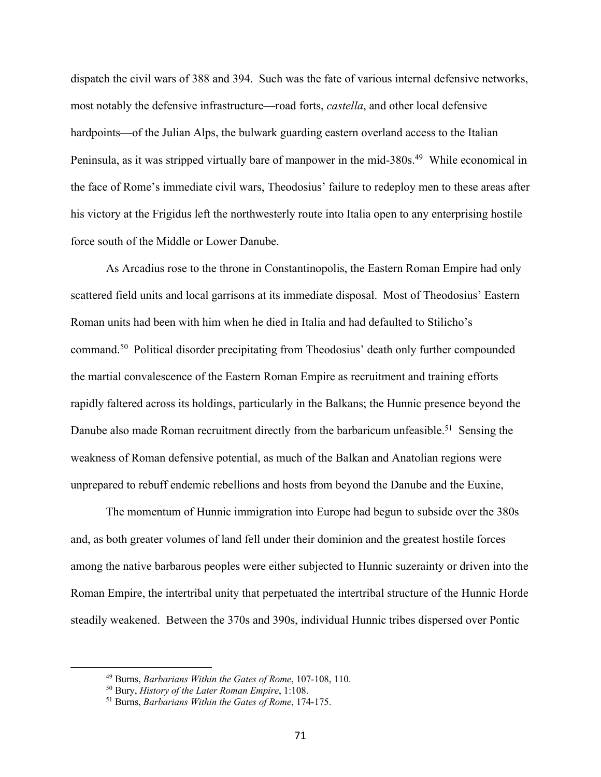dispatch the civil wars of 388 and 394. Such was the fate of various internal defensive networks, most notably the defensive infrastructure—road forts, *castella*, and other local defensive hardpoints—of the Julian Alps, the bulwark guarding eastern overland access to the Italian Peninsula, as it was stripped virtually bare of manpower in the mid-380s.<sup>49</sup> While economical in the face of Rome's immediate civil wars, Theodosius' failure to redeploy men to these areas after his victory at the Frigidus left the northwesterly route into Italia open to any enterprising hostile force south of the Middle or Lower Danube.

As Arcadius rose to the throne in Constantinopolis, the Eastern Roman Empire had only scattered field units and local garrisons at its immediate disposal. Most of Theodosius' Eastern Roman units had been with him when he died in Italia and had defaulted to Stilicho's command.50 Political disorder precipitating from Theodosius' death only further compounded the martial convalescence of the Eastern Roman Empire as recruitment and training efforts rapidly faltered across its holdings, particularly in the Balkans; the Hunnic presence beyond the Danube also made Roman recruitment directly from the barbaricum unfeasible.<sup>51</sup> Sensing the weakness of Roman defensive potential, as much of the Balkan and Anatolian regions were unprepared to rebuff endemic rebellions and hosts from beyond the Danube and the Euxine,

The momentum of Hunnic immigration into Europe had begun to subside over the 380s and, as both greater volumes of land fell under their dominion and the greatest hostile forces among the native barbarous peoples were either subjected to Hunnic suzerainty or driven into the Roman Empire, the intertribal unity that perpetuated the intertribal structure of the Hunnic Horde steadily weakened. Between the 370s and 390s, individual Hunnic tribes dispersed over Pontic

<sup>49</sup> Burns, *Barbarians Within the Gates of Rome*, 107-108, 110.

<sup>50</sup> Bury, *History of the Later Roman Empire*, 1:108.

<sup>51</sup> Burns, *Barbarians Within the Gates of Rome*, 174-175.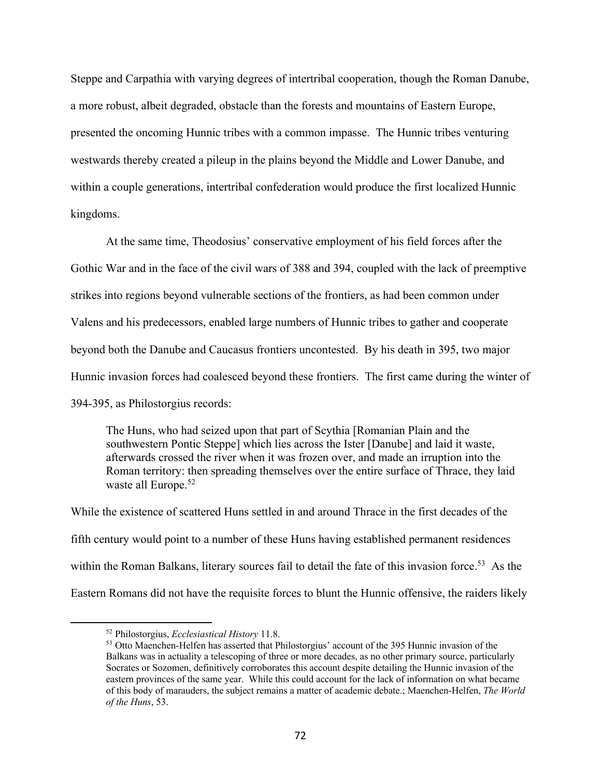Steppe and Carpathia with varying degrees of intertribal cooperation, though the Roman Danube, a more robust, albeit degraded, obstacle than the forests and mountains of Eastern Europe, presented the oncoming Hunnic tribes with a common impasse. The Hunnic tribes venturing westwards thereby created a pileup in the plains beyond the Middle and Lower Danube, and within a couple generations, intertribal confederation would produce the first localized Hunnic kingdoms.

At the same time, Theodosius' conservative employment of his field forces after the Gothic War and in the face of the civil wars of 388 and 394, coupled with the lack of preemptive strikes into regions beyond vulnerable sections of the frontiers, as had been common under Valens and his predecessors, enabled large numbers of Hunnic tribes to gather and cooperate beyond both the Danube and Caucasus frontiers uncontested. By his death in 395, two major Hunnic invasion forces had coalesced beyond these frontiers. The first came during the winter of 394-395, as Philostorgius records:

The Huns, who had seized upon that part of Scythia [Romanian Plain and the southwestern Pontic Steppe] which lies across the Ister [Danube] and laid it waste, afterwards crossed the river when it was frozen over, and made an irruption into the Roman territory: then spreading themselves over the entire surface of Thrace, they laid waste all Europe.<sup>52</sup>

While the existence of scattered Huns settled in and around Thrace in the first decades of the fifth century would point to a number of these Huns having established permanent residences within the Roman Balkans, literary sources fail to detail the fate of this invasion force.<sup>53</sup> As the Eastern Romans did not have the requisite forces to blunt the Hunnic offensive, the raiders likely

<sup>52</sup> Philostorgius, *Ecclesiastical History* 11.8.

<sup>&</sup>lt;sup>53</sup> Otto Maenchen-Helfen has asserted that Philostorgius' account of the 395 Hunnic invasion of the Balkans was in actuality a telescoping of three or more decades, as no other primary source, particularly Socrates or Sozomen, definitively corroborates this account despite detailing the Hunnic invasion of the eastern provinces of the same year. While this could account for the lack of information on what became of this body of marauders, the subject remains a matter of academic debate.; Maenchen-Helfen, *The World of the Huns*, 53.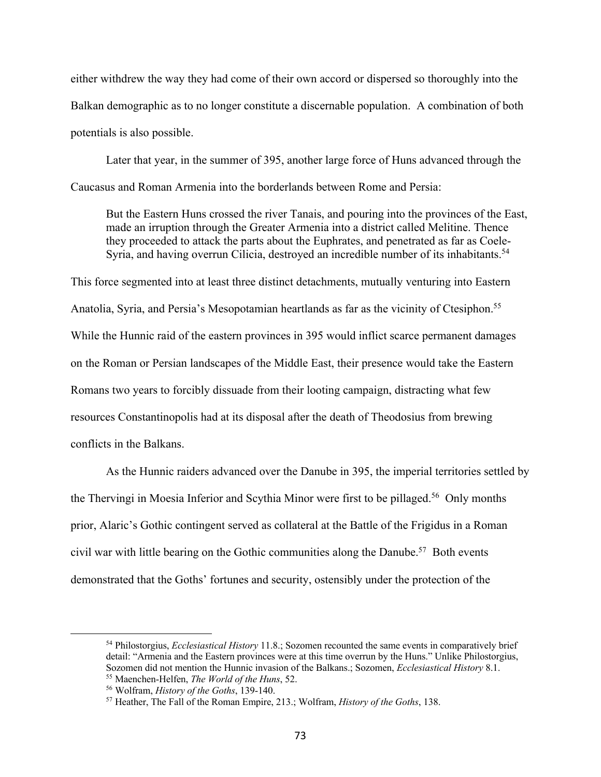either withdrew the way they had come of their own accord or dispersed so thoroughly into the Balkan demographic as to no longer constitute a discernable population. A combination of both potentials is also possible.

Later that year, in the summer of 395, another large force of Huns advanced through the Caucasus and Roman Armenia into the borderlands between Rome and Persia:

But the Eastern Huns crossed the river Tanais, and pouring into the provinces of the East, made an irruption through the Greater Armenia into a district called Melitine. Thence they proceeded to attack the parts about the Euphrates, and penetrated as far as Coele-Syria, and having overrun Cilicia, destroyed an incredible number of its inhabitants.<sup>54</sup>

This force segmented into at least three distinct detachments, mutually venturing into Eastern Anatolia, Syria, and Persia's Mesopotamian heartlands as far as the vicinity of Ctesiphon.<sup>55</sup> While the Hunnic raid of the eastern provinces in 395 would inflict scarce permanent damages on the Roman or Persian landscapes of the Middle East, their presence would take the Eastern Romans two years to forcibly dissuade from their looting campaign, distracting what few resources Constantinopolis had at its disposal after the death of Theodosius from brewing conflicts in the Balkans.

As the Hunnic raiders advanced over the Danube in 395, the imperial territories settled by the Thervingi in Moesia Inferior and Scythia Minor were first to be pillaged.<sup>56</sup> Only months prior, Alaric's Gothic contingent served as collateral at the Battle of the Frigidus in a Roman civil war with little bearing on the Gothic communities along the Danube.<sup>57</sup> Both events demonstrated that the Goths' fortunes and security, ostensibly under the protection of the

<sup>54</sup> Philostorgius, *Ecclesiastical History* 11.8.; Sozomen recounted the same events in comparatively brief detail: "Armenia and the Eastern provinces were at this time overrun by the Huns." Unlike Philostorgius, Sozomen did not mention the Hunnic invasion of the Balkans.; Sozomen, *Ecclesiastical History* 8.1. <sup>55</sup> Maenchen-Helfen, *The World of the Huns*, 52.

<sup>56</sup> Wolfram, *History of the Goths*, 139-140.

<sup>57</sup> Heather, The Fall of the Roman Empire, 213.; Wolfram, *History of the Goths*, 138.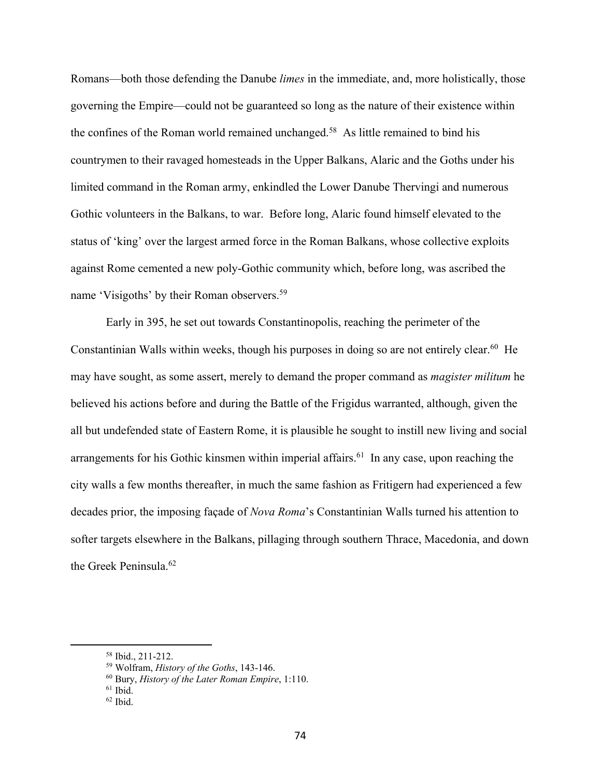Romans—both those defending the Danube *limes* in the immediate, and, more holistically, those governing the Empire—could not be guaranteed so long as the nature of their existence within the confines of the Roman world remained unchanged.58 As little remained to bind his countrymen to their ravaged homesteads in the Upper Balkans, Alaric and the Goths under his limited command in the Roman army, enkindled the Lower Danube Thervingi and numerous Gothic volunteers in the Balkans, to war. Before long, Alaric found himself elevated to the status of 'king' over the largest armed force in the Roman Balkans, whose collective exploits against Rome cemented a new poly-Gothic community which, before long, was ascribed the name 'Visigoths' by their Roman observers.59

Early in 395, he set out towards Constantinopolis, reaching the perimeter of the Constantinian Walls within weeks, though his purposes in doing so are not entirely clear.<sup>60</sup> He may have sought, as some assert, merely to demand the proper command as *magister militum* he believed his actions before and during the Battle of the Frigidus warranted, although, given the all but undefended state of Eastern Rome, it is plausible he sought to instill new living and social arrangements for his Gothic kinsmen within imperial affairs.<sup>61</sup> In any case, upon reaching the city walls a few months thereafter, in much the same fashion as Fritigern had experienced a few decades prior, the imposing façade of *Nova Roma*'s Constantinian Walls turned his attention to softer targets elsewhere in the Balkans, pillaging through southern Thrace, Macedonia, and down the Greek Peninsula.62

<sup>58</sup> Ibid., 211-212.

<sup>59</sup> Wolfram, *History of the Goths*, 143-146.

<sup>60</sup> Bury, *History of the Later Roman Empire*, 1:110.

 $61$  Ibid.

 $62$  Ibid.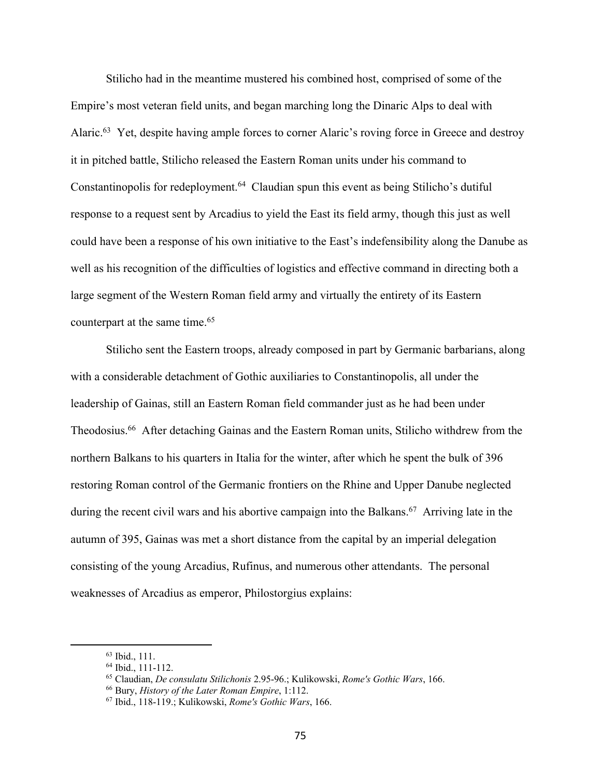Stilicho had in the meantime mustered his combined host, comprised of some of the Empire's most veteran field units, and began marching long the Dinaric Alps to deal with Alaric.<sup>63</sup> Yet, despite having ample forces to corner Alaric's roving force in Greece and destroy it in pitched battle, Stilicho released the Eastern Roman units under his command to Constantinopolis for redeployment.<sup>64</sup> Claudian spun this event as being Stilicho's dutiful response to a request sent by Arcadius to yield the East its field army, though this just as well could have been a response of his own initiative to the East's indefensibility along the Danube as well as his recognition of the difficulties of logistics and effective command in directing both a large segment of the Western Roman field army and virtually the entirety of its Eastern counterpart at the same time.<sup>65</sup>

Stilicho sent the Eastern troops, already composed in part by Germanic barbarians, along with a considerable detachment of Gothic auxiliaries to Constantinopolis, all under the leadership of Gainas, still an Eastern Roman field commander just as he had been under Theodosius.<sup>66</sup> After detaching Gainas and the Eastern Roman units, Stilicho withdrew from the northern Balkans to his quarters in Italia for the winter, after which he spent the bulk of 396 restoring Roman control of the Germanic frontiers on the Rhine and Upper Danube neglected during the recent civil wars and his abortive campaign into the Balkans.<sup>67</sup> Arriving late in the autumn of 395, Gainas was met a short distance from the capital by an imperial delegation consisting of the young Arcadius, Rufinus, and numerous other attendants. The personal weaknesses of Arcadius as emperor, Philostorgius explains:

<sup>63</sup> Ibid., 111.

<sup>64</sup> Ibid., 111-112.

<sup>65</sup> Claudian, *De consulatu Stilichonis* 2.95-96.; Kulikowski, *Rome's Gothic Wars*, 166.

<sup>66</sup> Bury, *History of the Later Roman Empire*, 1:112.

<sup>67</sup> Ibid., 118-119.; Kulikowski, *Rome's Gothic Wars*, 166.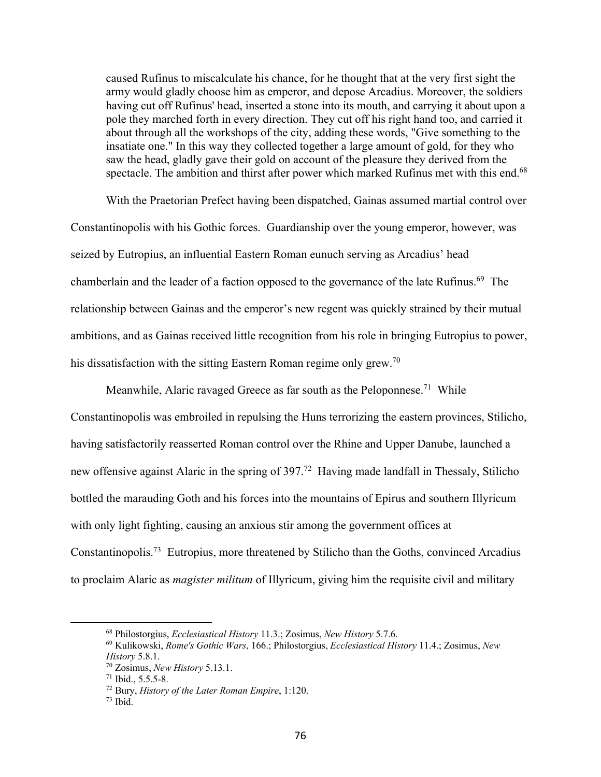caused Rufinus to miscalculate his chance, for he thought that at the very first sight the army would gladly choose him as emperor, and depose Arcadius. Moreover, the soldiers having cut off Rufinus' head, inserted a stone into its mouth, and carrying it about upon a pole they marched forth in every direction. They cut off his right hand too, and carried it about through all the workshops of the city, adding these words, "Give something to the insatiate one." In this way they collected together a large amount of gold, for they who saw the head, gladly gave their gold on account of the pleasure they derived from the spectacle. The ambition and thirst after power which marked Rufinus met with this end.<sup>68</sup>

With the Praetorian Prefect having been dispatched, Gainas assumed martial control over Constantinopolis with his Gothic forces. Guardianship over the young emperor, however, was seized by Eutropius, an influential Eastern Roman eunuch serving as Arcadius' head chamberlain and the leader of a faction opposed to the governance of the late Rufinus.<sup>69</sup> The relationship between Gainas and the emperor's new regent was quickly strained by their mutual ambitions, and as Gainas received little recognition from his role in bringing Eutropius to power, his dissatisfaction with the sitting Eastern Roman regime only grew.<sup>70</sup>

Meanwhile, Alaric ravaged Greece as far south as the Peloponnese.<sup>71</sup> While Constantinopolis was embroiled in repulsing the Huns terrorizing the eastern provinces, Stilicho, having satisfactorily reasserted Roman control over the Rhine and Upper Danube, launched a new offensive against Alaric in the spring of 397.72 Having made landfall in Thessaly, Stilicho bottled the marauding Goth and his forces into the mountains of Epirus and southern Illyricum with only light fighting, causing an anxious stir among the government offices at Constantinopolis.73 Eutropius, more threatened by Stilicho than the Goths, convinced Arcadius to proclaim Alaric as *magister militum* of Illyricum, giving him the requisite civil and military

<sup>68</sup> Philostorgius, *Ecclesiastical History* 11.3.; Zosimus, *New History* 5.7.6.

<sup>69</sup> Kulikowski, *Rome's Gothic Wars*, 166.; Philostorgius, *Ecclesiastical History* 11.4.; Zosimus, *New History* 5.8.1.

<sup>70</sup> Zosimus, *New History* 5.13.1.

<sup>71</sup> Ibid., 5.5.5-8.

<sup>72</sup> Bury, *History of the Later Roman Empire*, 1:120.

 $73$  Ibid.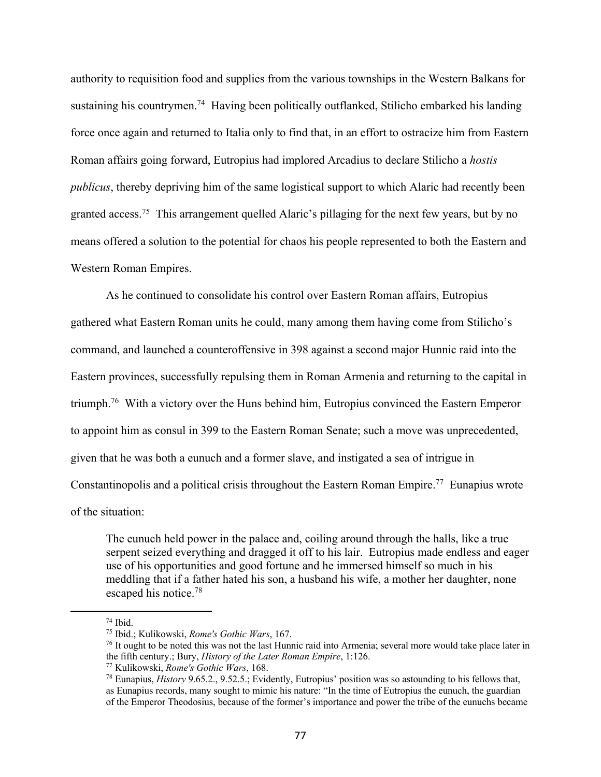authority to requisition food and supplies from the various townships in the Western Balkans for sustaining his countrymen.<sup>74</sup> Having been politically outflanked, Stilicho embarked his landing force once again and returned to Italia only to find that, in an effort to ostracize him from Eastern Roman affairs going forward, Eutropius had implored Arcadius to declare Stilicho a *hostis publicus*, thereby depriving him of the same logistical support to which Alaric had recently been granted access.75 This arrangement quelled Alaric's pillaging for the next few years, but by no means offered a solution to the potential for chaos his people represented to both the Eastern and Western Roman Empires.

As he continued to consolidate his control over Eastern Roman affairs, Eutropius gathered what Eastern Roman units he could, many among them having come from Stilicho's command, and launched a counteroffensive in 398 against a second major Hunnic raid into the Eastern provinces, successfully repulsing them in Roman Armenia and returning to the capital in triumph.76 With a victory over the Huns behind him, Eutropius convinced the Eastern Emperor to appoint him as consul in 399 to the Eastern Roman Senate; such a move was unprecedented, given that he was both a eunuch and a former slave, and instigated a sea of intrigue in Constantinopolis and a political crisis throughout the Eastern Roman Empire.<sup>77</sup> Eunapius wrote of the situation:

The eunuch held power in the palace and, coiling around through the halls, like a true serpent seized everything and dragged it off to his lair. Eutropius made endless and eager use of his opportunities and good fortune and he immersed himself so much in his meddling that if a father hated his son, a husband his wife, a mother her daughter, none escaped his notice.78

 $74$  Ibid.

<sup>75</sup> Ibid.; Kulikowski, *Rome's Gothic Wars*, 167.

<sup>&</sup>lt;sup>76</sup> It ought to be noted this was not the last Hunnic raid into Armenia; several more would take place later in the fifth century.; Bury, *History of the Later Roman Empire*, 1:126.

<sup>77</sup> Kulikowski, *Rome's Gothic Wars*, 168.

<sup>78</sup> Eunapius, *History* 9.65.2., 9.52.5.; Evidently, Eutropius' position was so astounding to his fellows that, as Eunapius records, many sought to mimic his nature: "In the time of Eutropius the eunuch, the guardian of the Emperor Theodosius, because of the former's importance and power the tribe of the eunuchs became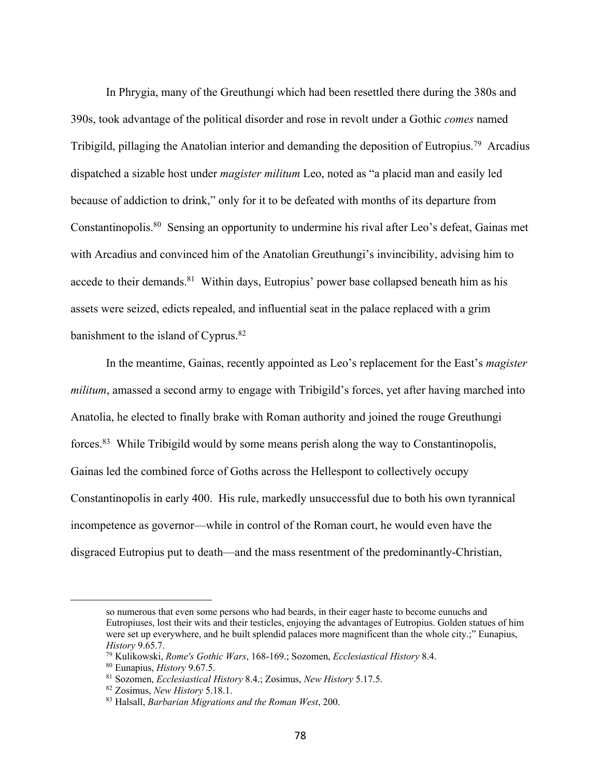In Phrygia, many of the Greuthungi which had been resettled there during the 380s and 390s, took advantage of the political disorder and rose in revolt under a Gothic *comes* named Tribigild, pillaging the Anatolian interior and demanding the deposition of Eutropius.<sup>79</sup> Arcadius dispatched a sizable host under *magister militum* Leo, noted as "a placid man and easily led because of addiction to drink," only for it to be defeated with months of its departure from Constantinopolis.80 Sensing an opportunity to undermine his rival after Leo's defeat, Gainas met with Arcadius and convinced him of the Anatolian Greuthungi's invincibility, advising him to accede to their demands.<sup>81</sup> Within days, Eutropius' power base collapsed beneath him as his assets were seized, edicts repealed, and influential seat in the palace replaced with a grim banishment to the island of Cyprus.<sup>82</sup>

In the meantime, Gainas, recently appointed as Leo's replacement for the East's *magister militum*, amassed a second army to engage with Tribigild's forces, yet after having marched into Anatolia, he elected to finally brake with Roman authority and joined the rouge Greuthungi forces.83 While Tribigild would by some means perish along the way to Constantinopolis, Gainas led the combined force of Goths across the Hellespont to collectively occupy Constantinopolis in early 400. His rule, markedly unsuccessful due to both his own tyrannical incompetence as governor—while in control of the Roman court, he would even have the disgraced Eutropius put to death—and the mass resentment of the predominantly-Christian,

so numerous that even some persons who had beards, in their eager haste to become eunuchs and Eutropiuses, lost their wits and their testicles, enjoying the advantages of Eutropius. Golden statues of him were set up everywhere, and he built splendid palaces more magnificent than the whole city.;" Eunapius, *History* 9.65.7.

<sup>79</sup> Kulikowski, *Rome's Gothic Wars*, 168-169.; Sozomen, *Ecclesiastical History* 8.4.

<sup>80</sup> Eunapius, *History* 9.67.5.

<sup>81</sup> Sozomen, *Ecclesiastical History* 8.4.; Zosimus, *New History* 5.17.5.

<sup>82</sup> Zosimus, *New History* 5.18.1.

<sup>83</sup> Halsall, *Barbarian Migrations and the Roman West*, 200.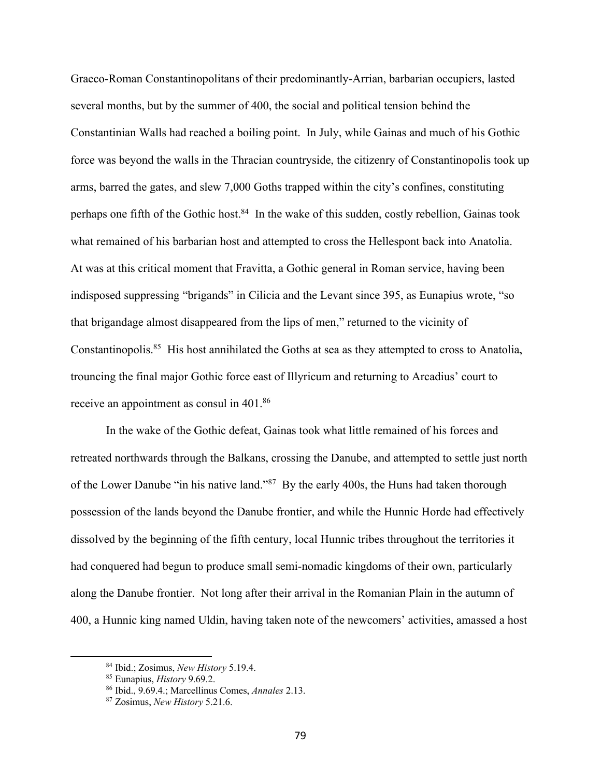Graeco-Roman Constantinopolitans of their predominantly-Arrian, barbarian occupiers, lasted several months, but by the summer of 400, the social and political tension behind the Constantinian Walls had reached a boiling point. In July, while Gainas and much of his Gothic force was beyond the walls in the Thracian countryside, the citizenry of Constantinopolis took up arms, barred the gates, and slew 7,000 Goths trapped within the city's confines, constituting perhaps one fifth of the Gothic host.<sup>84</sup> In the wake of this sudden, costly rebellion, Gainas took what remained of his barbarian host and attempted to cross the Hellespont back into Anatolia. At was at this critical moment that Fravitta, a Gothic general in Roman service, having been indisposed suppressing "brigands" in Cilicia and the Levant since 395, as Eunapius wrote, "so that brigandage almost disappeared from the lips of men," returned to the vicinity of Constantinopolis.85 His host annihilated the Goths at sea as they attempted to cross to Anatolia, trouncing the final major Gothic force east of Illyricum and returning to Arcadius' court to receive an appointment as consul in 401.86

In the wake of the Gothic defeat, Gainas took what little remained of his forces and retreated northwards through the Balkans, crossing the Danube, and attempted to settle just north of the Lower Danube "in his native land."87 By the early 400s, the Huns had taken thorough possession of the lands beyond the Danube frontier, and while the Hunnic Horde had effectively dissolved by the beginning of the fifth century, local Hunnic tribes throughout the territories it had conquered had begun to produce small semi-nomadic kingdoms of their own, particularly along the Danube frontier. Not long after their arrival in the Romanian Plain in the autumn of 400, a Hunnic king named Uldin, having taken note of the newcomers' activities, amassed a host

<sup>84</sup> Ibid.; Zosimus, *New History* 5.19.4.

<sup>85</sup> Eunapius, *History* 9.69.2.

<sup>86</sup> Ibid., 9.69.4.; Marcellinus Comes, *Annales* 2.13.

<sup>87</sup> Zosimus, *New History* 5.21.6.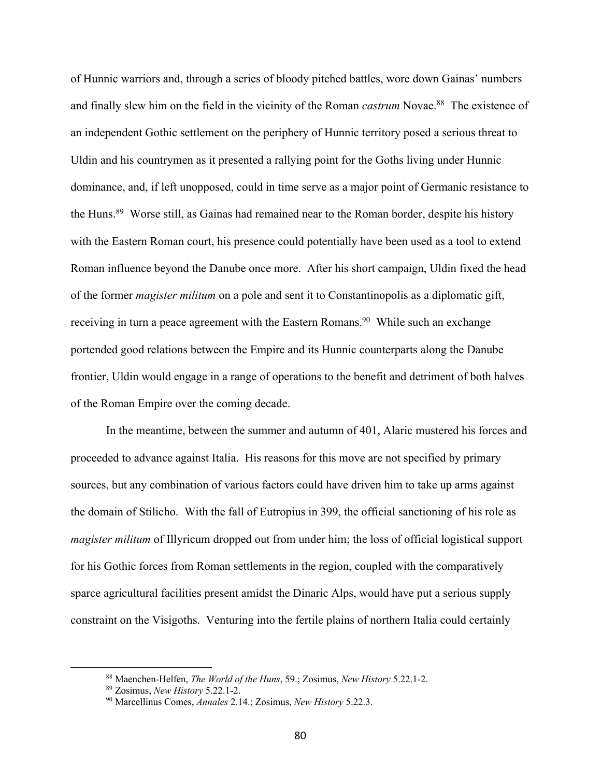of Hunnic warriors and, through a series of bloody pitched battles, wore down Gainas' numbers and finally slew him on the field in the vicinity of the Roman *castrum* Novae.<sup>88</sup> The existence of an independent Gothic settlement on the periphery of Hunnic territory posed a serious threat to Uldin and his countrymen as it presented a rallying point for the Goths living under Hunnic dominance, and, if left unopposed, could in time serve as a major point of Germanic resistance to the Huns.<sup>89</sup> Worse still, as Gainas had remained near to the Roman border, despite his history with the Eastern Roman court, his presence could potentially have been used as a tool to extend Roman influence beyond the Danube once more. After his short campaign, Uldin fixed the head of the former *magister militum* on a pole and sent it to Constantinopolis as a diplomatic gift, receiving in turn a peace agreement with the Eastern Romans.<sup>90</sup> While such an exchange portended good relations between the Empire and its Hunnic counterparts along the Danube frontier, Uldin would engage in a range of operations to the benefit and detriment of both halves of the Roman Empire over the coming decade.

In the meantime, between the summer and autumn of 401, Alaric mustered his forces and proceeded to advance against Italia. His reasons for this move are not specified by primary sources, but any combination of various factors could have driven him to take up arms against the domain of Stilicho. With the fall of Eutropius in 399, the official sanctioning of his role as *magister militum* of Illyricum dropped out from under him; the loss of official logistical support for his Gothic forces from Roman settlements in the region, coupled with the comparatively sparce agricultural facilities present amidst the Dinaric Alps, would have put a serious supply constraint on the Visigoths. Venturing into the fertile plains of northern Italia could certainly

<sup>88</sup> Maenchen-Helfen, *The World of the Huns*, 59.; Zosimus, *New History* 5.22.1-2.

<sup>89</sup> Zosimus, *New History* 5.22.1-2.

<sup>90</sup> Marcellinus Comes, *Annales* 2.14.; Zosimus, *New History* 5.22.3.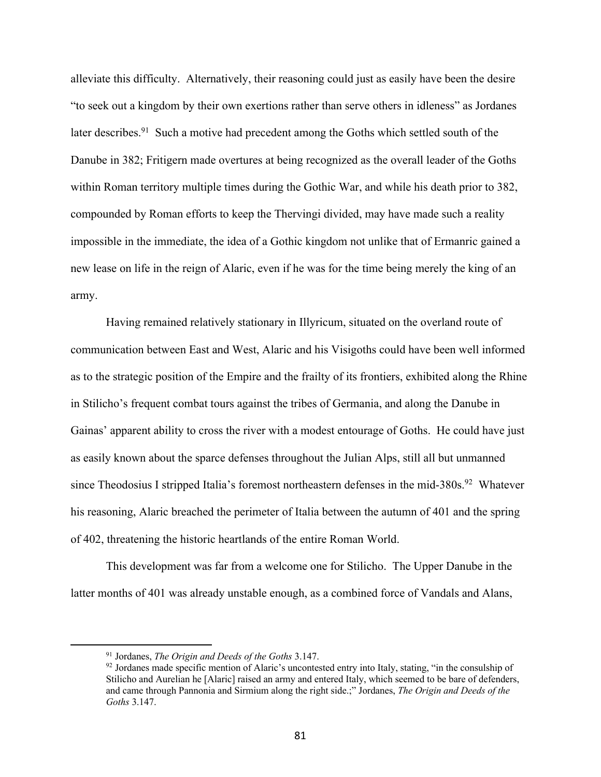alleviate this difficulty. Alternatively, their reasoning could just as easily have been the desire "to seek out a kingdom by their own exertions rather than serve others in idleness" as Jordanes later describes.<sup>91</sup> Such a motive had precedent among the Goths which settled south of the Danube in 382; Fritigern made overtures at being recognized as the overall leader of the Goths within Roman territory multiple times during the Gothic War, and while his death prior to 382, compounded by Roman efforts to keep the Thervingi divided, may have made such a reality impossible in the immediate, the idea of a Gothic kingdom not unlike that of Ermanric gained a new lease on life in the reign of Alaric, even if he was for the time being merely the king of an army.

Having remained relatively stationary in Illyricum, situated on the overland route of communication between East and West, Alaric and his Visigoths could have been well informed as to the strategic position of the Empire and the frailty of its frontiers, exhibited along the Rhine in Stilicho's frequent combat tours against the tribes of Germania, and along the Danube in Gainas' apparent ability to cross the river with a modest entourage of Goths. He could have just as easily known about the sparce defenses throughout the Julian Alps, still all but unmanned since Theodosius I stripped Italia's foremost northeastern defenses in the mid-380s.<sup>92</sup> Whatever his reasoning, Alaric breached the perimeter of Italia between the autumn of 401 and the spring of 402, threatening the historic heartlands of the entire Roman World.

This development was far from a welcome one for Stilicho. The Upper Danube in the latter months of 401 was already unstable enough, as a combined force of Vandals and Alans,

<sup>91</sup> Jordanes, *The Origin and Deeds of the Goths* 3.147.

<sup>&</sup>lt;sup>92</sup> Jordanes made specific mention of Alaric's uncontested entry into Italy, stating, "in the consulship of Stilicho and Aurelian he [Alaric] raised an army and entered Italy, which seemed to be bare of defenders, and came through Pannonia and Sirmium along the right side.;" Jordanes, *The Origin and Deeds of the Goths* 3.147.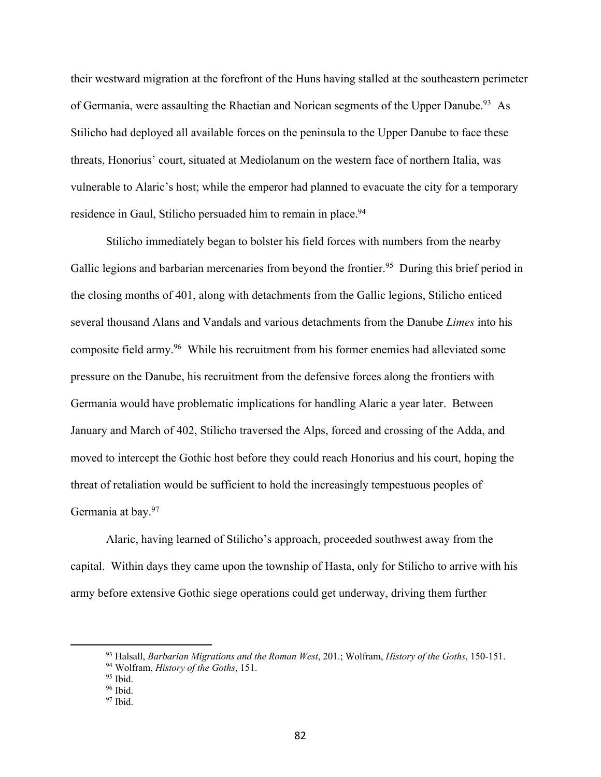their westward migration at the forefront of the Huns having stalled at the southeastern perimeter of Germania, were assaulting the Rhaetian and Norican segments of the Upper Danube.<sup>93</sup> As Stilicho had deployed all available forces on the peninsula to the Upper Danube to face these threats, Honorius' court, situated at Mediolanum on the western face of northern Italia, was vulnerable to Alaric's host; while the emperor had planned to evacuate the city for a temporary residence in Gaul, Stilicho persuaded him to remain in place.<sup>94</sup>

Stilicho immediately began to bolster his field forces with numbers from the nearby Gallic legions and barbarian mercenaries from beyond the frontier.<sup>95</sup> During this brief period in the closing months of 401, along with detachments from the Gallic legions, Stilicho enticed several thousand Alans and Vandals and various detachments from the Danube *Limes* into his composite field army.96 While his recruitment from his former enemies had alleviated some pressure on the Danube, his recruitment from the defensive forces along the frontiers with Germania would have problematic implications for handling Alaric a year later. Between January and March of 402, Stilicho traversed the Alps, forced and crossing of the Adda, and moved to intercept the Gothic host before they could reach Honorius and his court, hoping the threat of retaliation would be sufficient to hold the increasingly tempestuous peoples of Germania at bay.97

Alaric, having learned of Stilicho's approach, proceeded southwest away from the capital. Within days they came upon the township of Hasta, only for Stilicho to arrive with his army before extensive Gothic siege operations could get underway, driving them further

<sup>93</sup> Halsall, *Barbarian Migrations and the Roman West*, 201.; Wolfram, *History of the Goths*, 150-151.

<sup>94</sup> Wolfram, *History of the Goths*, 151.

 $95$  Ibid.

<sup>96</sup> Ibid.

 $97$  Ibid.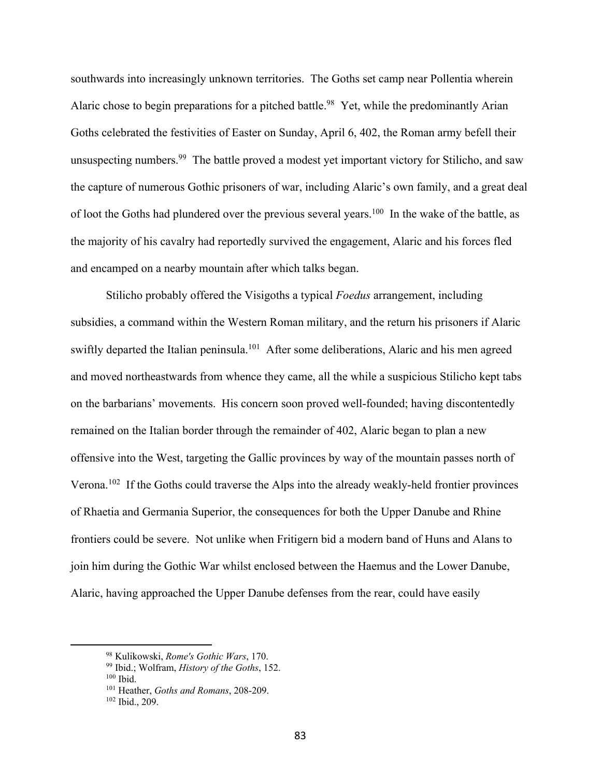southwards into increasingly unknown territories. The Goths set camp near Pollentia wherein Alaric chose to begin preparations for a pitched battle.<sup>98</sup> Yet, while the predominantly Arian Goths celebrated the festivities of Easter on Sunday, April 6, 402, the Roman army befell their unsuspecting numbers.<sup>99</sup> The battle proved a modest yet important victory for Stilicho, and saw the capture of numerous Gothic prisoners of war, including Alaric's own family, and a great deal of loot the Goths had plundered over the previous several years.100 In the wake of the battle, as the majority of his cavalry had reportedly survived the engagement, Alaric and his forces fled and encamped on a nearby mountain after which talks began.

Stilicho probably offered the Visigoths a typical *Foedus* arrangement, including subsidies, a command within the Western Roman military, and the return his prisoners if Alaric swiftly departed the Italian peninsula.<sup>101</sup> After some deliberations, Alaric and his men agreed and moved northeastwards from whence they came, all the while a suspicious Stilicho kept tabs on the barbarians' movements. His concern soon proved well-founded; having discontentedly remained on the Italian border through the remainder of 402, Alaric began to plan a new offensive into the West, targeting the Gallic provinces by way of the mountain passes north of Verona.102 If the Goths could traverse the Alps into the already weakly-held frontier provinces of Rhaetia and Germania Superior, the consequences for both the Upper Danube and Rhine frontiers could be severe. Not unlike when Fritigern bid a modern band of Huns and Alans to join him during the Gothic War whilst enclosed between the Haemus and the Lower Danube, Alaric, having approached the Upper Danube defenses from the rear, could have easily

<sup>98</sup> Kulikowski, *Rome's Gothic Wars*, 170.

<sup>99</sup> Ibid.; Wolfram, *History of the Goths*, 152. <sup>100</sup> Ibid.

<sup>101</sup> Heather, *Goths and Romans*, 208-209.

<sup>102</sup> Ibid., 209.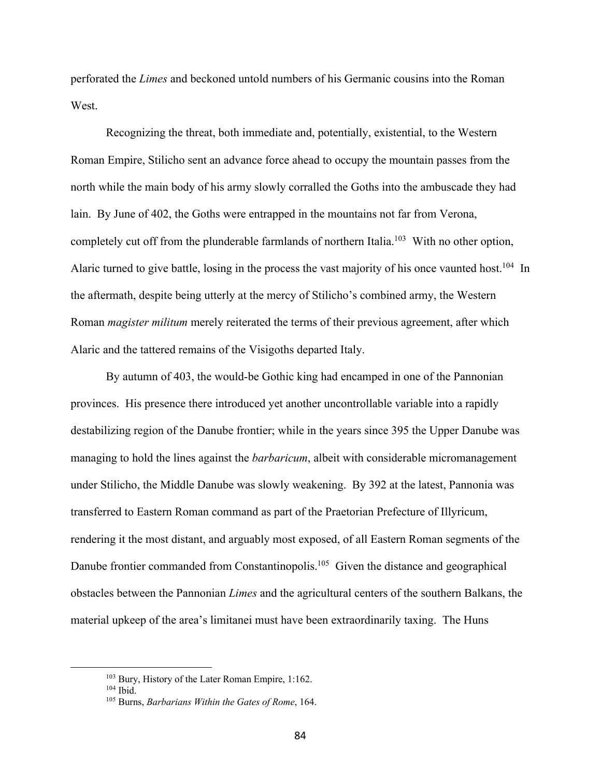perforated the *Limes* and beckoned untold numbers of his Germanic cousins into the Roman West.

Recognizing the threat, both immediate and, potentially, existential, to the Western Roman Empire, Stilicho sent an advance force ahead to occupy the mountain passes from the north while the main body of his army slowly corralled the Goths into the ambuscade they had lain. By June of 402, the Goths were entrapped in the mountains not far from Verona, completely cut off from the plunderable farmlands of northern Italia.<sup>103</sup> With no other option, Alaric turned to give battle, losing in the process the vast majority of his once vaunted host.<sup>104</sup> In the aftermath, despite being utterly at the mercy of Stilicho's combined army, the Western Roman *magister militum* merely reiterated the terms of their previous agreement, after which Alaric and the tattered remains of the Visigoths departed Italy.

By autumn of 403, the would-be Gothic king had encamped in one of the Pannonian provinces. His presence there introduced yet another uncontrollable variable into a rapidly destabilizing region of the Danube frontier; while in the years since 395 the Upper Danube was managing to hold the lines against the *barbaricum*, albeit with considerable micromanagement under Stilicho, the Middle Danube was slowly weakening. By 392 at the latest, Pannonia was transferred to Eastern Roman command as part of the Praetorian Prefecture of Illyricum, rendering it the most distant, and arguably most exposed, of all Eastern Roman segments of the Danube frontier commanded from Constantinopolis.<sup>105</sup> Given the distance and geographical obstacles between the Pannonian *Limes* and the agricultural centers of the southern Balkans, the material upkeep of the area's limitanei must have been extraordinarily taxing. The Huns

<sup>103</sup> Bury, History of the Later Roman Empire, 1:162.

<sup>104</sup> Ibid.

<sup>105</sup> Burns, *Barbarians Within the Gates of Rome*, 164.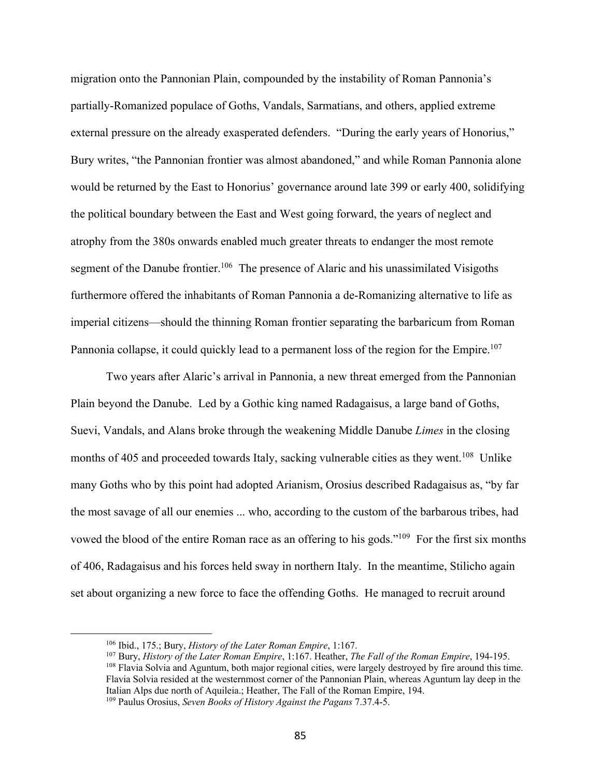migration onto the Pannonian Plain, compounded by the instability of Roman Pannonia's partially-Romanized populace of Goths, Vandals, Sarmatians, and others, applied extreme external pressure on the already exasperated defenders. "During the early years of Honorius," Bury writes, "the Pannonian frontier was almost abandoned," and while Roman Pannonia alone would be returned by the East to Honorius' governance around late 399 or early 400, solidifying the political boundary between the East and West going forward, the years of neglect and atrophy from the 380s onwards enabled much greater threats to endanger the most remote segment of the Danube frontier.<sup>106</sup> The presence of Alaric and his unassimilated Visigoths furthermore offered the inhabitants of Roman Pannonia a de-Romanizing alternative to life as imperial citizens—should the thinning Roman frontier separating the barbaricum from Roman Pannonia collapse, it could quickly lead to a permanent loss of the region for the Empire.<sup>107</sup>

Two years after Alaric's arrival in Pannonia, a new threat emerged from the Pannonian Plain beyond the Danube. Led by a Gothic king named Radagaisus, a large band of Goths, Suevi, Vandals, and Alans broke through the weakening Middle Danube *Limes* in the closing months of 405 and proceeded towards Italy, sacking vulnerable cities as they went.<sup>108</sup> Unlike many Goths who by this point had adopted Arianism, Orosius described Radagaisus as, "by far the most savage of all our enemies ... who, according to the custom of the barbarous tribes, had vowed the blood of the entire Roman race as an offering to his gods."<sup>109</sup> For the first six months of 406, Radagaisus and his forces held sway in northern Italy. In the meantime, Stilicho again set about organizing a new force to face the offending Goths. He managed to recruit around

<sup>106</sup> Ibid., 175.; Bury, *History of the Later Roman Empire*, 1:167.

<sup>107</sup> Bury, *History of the Later Roman Empire*, 1:167. Heather, *The Fall of the Roman Empire*, 194-195. <sup>108</sup> Flavia Solvia and Aguntum, both major regional cities, were largely destroyed by fire around this time. Flavia Solvia resided at the westernmost corner of the Pannonian Plain, whereas Aguntum lay deep in the Italian Alps due north of Aquileia.; Heather, The Fall of the Roman Empire, 194.

<sup>109</sup> Paulus Orosius, *Seven Books of History Against the Pagans* 7.37.4-5.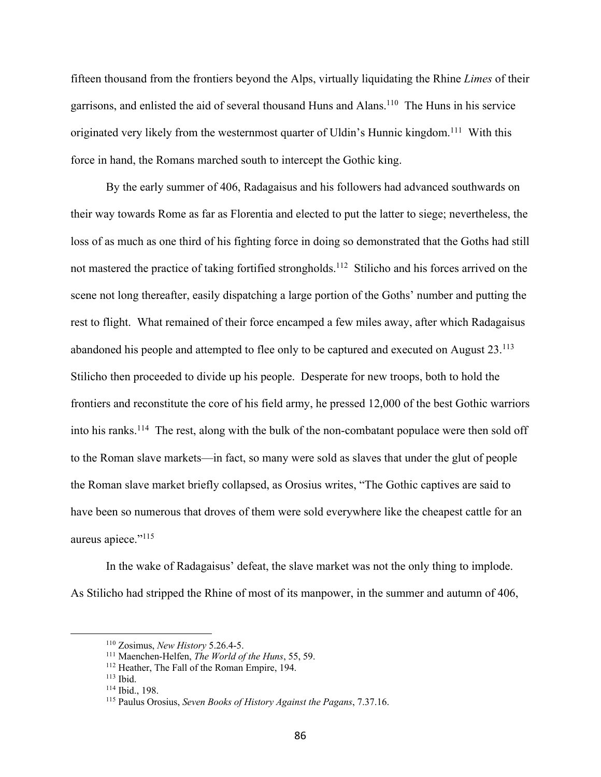fifteen thousand from the frontiers beyond the Alps, virtually liquidating the Rhine *Limes* of their garrisons, and enlisted the aid of several thousand Huns and Alans.110 The Huns in his service originated very likely from the westernmost quarter of Uldin's Hunnic kingdom.<sup>111</sup> With this force in hand, the Romans marched south to intercept the Gothic king.

By the early summer of 406, Radagaisus and his followers had advanced southwards on their way towards Rome as far as Florentia and elected to put the latter to siege; nevertheless, the loss of as much as one third of his fighting force in doing so demonstrated that the Goths had still not mastered the practice of taking fortified strongholds.<sup>112</sup> Stilicho and his forces arrived on the scene not long thereafter, easily dispatching a large portion of the Goths' number and putting the rest to flight. What remained of their force encamped a few miles away, after which Radagaisus abandoned his people and attempted to flee only to be captured and executed on August 23.113 Stilicho then proceeded to divide up his people. Desperate for new troops, both to hold the frontiers and reconstitute the core of his field army, he pressed 12,000 of the best Gothic warriors into his ranks.<sup>114</sup> The rest, along with the bulk of the non-combatant populace were then sold off to the Roman slave markets—in fact, so many were sold as slaves that under the glut of people the Roman slave market briefly collapsed, as Orosius writes, "The Gothic captives are said to have been so numerous that droves of them were sold everywhere like the cheapest cattle for an aureus apiece."<sup>115</sup>

In the wake of Radagaisus' defeat, the slave market was not the only thing to implode. As Stilicho had stripped the Rhine of most of its manpower, in the summer and autumn of 406,

<sup>110</sup> Zosimus, *New History* 5.26.4-5.

<sup>111</sup> Maenchen-Helfen, *The World of the Huns*, 55, 59.

<sup>112</sup> Heather, The Fall of the Roman Empire, 194.

<sup>113</sup> Ibid.

<sup>114</sup> Ibid., 198.

<sup>115</sup> Paulus Orosius, *Seven Books of History Against the Pagans*, 7.37.16.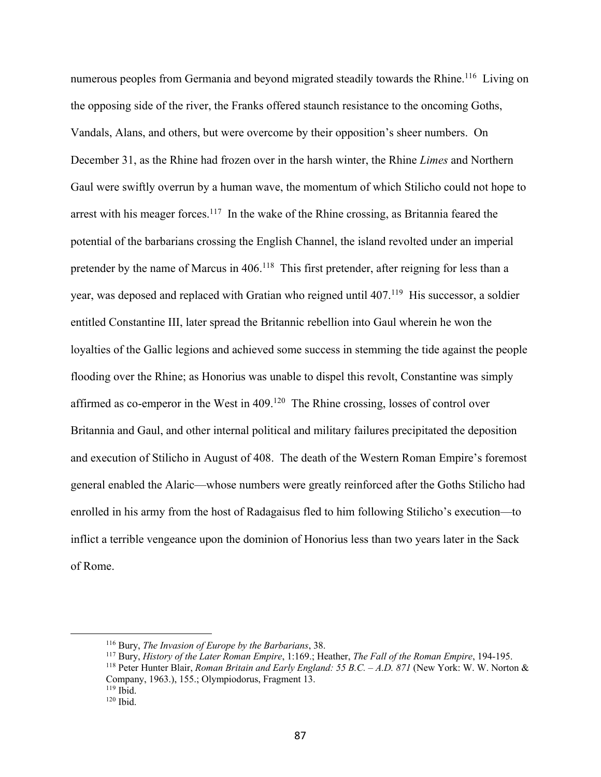numerous peoples from Germania and beyond migrated steadily towards the Rhine.<sup>116</sup> Living on the opposing side of the river, the Franks offered staunch resistance to the oncoming Goths, Vandals, Alans, and others, but were overcome by their opposition's sheer numbers. On December 31, as the Rhine had frozen over in the harsh winter, the Rhine *Limes* and Northern Gaul were swiftly overrun by a human wave, the momentum of which Stilicho could not hope to arrest with his meager forces.<sup>117</sup> In the wake of the Rhine crossing, as Britannia feared the potential of the barbarians crossing the English Channel, the island revolted under an imperial pretender by the name of Marcus in 406.<sup>118</sup> This first pretender, after reigning for less than a year, was deposed and replaced with Gratian who reigned until 407.<sup>119</sup> His successor, a soldier entitled Constantine III, later spread the Britannic rebellion into Gaul wherein he won the loyalties of the Gallic legions and achieved some success in stemming the tide against the people flooding over the Rhine; as Honorius was unable to dispel this revolt, Constantine was simply affirmed as co-emperor in the West in 409.120 The Rhine crossing, losses of control over Britannia and Gaul, and other internal political and military failures precipitated the deposition and execution of Stilicho in August of 408. The death of the Western Roman Empire's foremost general enabled the Alaric—whose numbers were greatly reinforced after the Goths Stilicho had enrolled in his army from the host of Radagaisus fled to him following Stilicho's execution—to inflict a terrible vengeance upon the dominion of Honorius less than two years later in the Sack of Rome.

<sup>116</sup> Bury, *The Invasion of Europe by the Barbarians*, 38.

<sup>117</sup> Bury, *History of the Later Roman Empire*, 1:169.; Heather, *The Fall of the Roman Empire*, 194-195.

<sup>118</sup> Peter Hunter Blair, *Roman Britain and Early England: 55 B.C. – A.D. 871* (New York: W. W. Norton & Company, 1963.), 155.; Olympiodorus, Fragment 13.  $119$  Ibid.

<sup>120</sup> Ibid.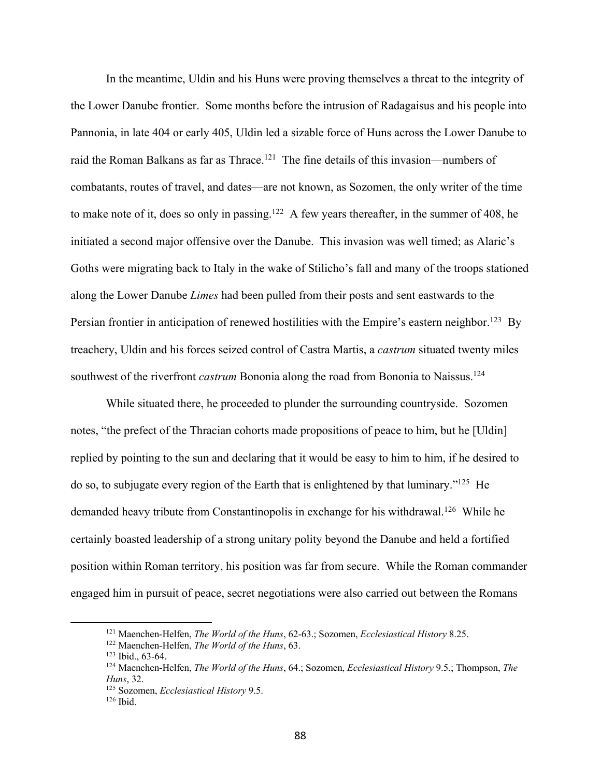In the meantime, Uldin and his Huns were proving themselves a threat to the integrity of the Lower Danube frontier. Some months before the intrusion of Radagaisus and his people into Pannonia, in late 404 or early 405, Uldin led a sizable force of Huns across the Lower Danube to raid the Roman Balkans as far as Thrace.<sup>121</sup> The fine details of this invasion—numbers of combatants, routes of travel, and dates—are not known, as Sozomen, the only writer of the time to make note of it, does so only in passing.<sup>122</sup> A few years thereafter, in the summer of 408, he initiated a second major offensive over the Danube. This invasion was well timed; as Alaric's Goths were migrating back to Italy in the wake of Stilicho's fall and many of the troops stationed along the Lower Danube *Limes* had been pulled from their posts and sent eastwards to the Persian frontier in anticipation of renewed hostilities with the Empire's eastern neighbor.<sup>123</sup> By treachery, Uldin and his forces seized control of Castra Martis, a *castrum* situated twenty miles southwest of the riverfront *castrum* Bononia along the road from Bononia to Naissus.<sup>124</sup>

While situated there, he proceeded to plunder the surrounding countryside. Sozomen notes, "the prefect of the Thracian cohorts made propositions of peace to him, but he [Uldin] replied by pointing to the sun and declaring that it would be easy to him to him, if he desired to do so, to subjugate every region of the Earth that is enlightened by that luminary."125 He demanded heavy tribute from Constantinopolis in exchange for his withdrawal.<sup>126</sup> While he certainly boasted leadership of a strong unitary polity beyond the Danube and held a fortified position within Roman territory, his position was far from secure. While the Roman commander engaged him in pursuit of peace, secret negotiations were also carried out between the Romans

<sup>121</sup> Maenchen-Helfen, *The World of the Huns*, 62-63.; Sozomen, *Ecclesiastical History* 8.25.

<sup>122</sup> Maenchen-Helfen, *The World of the Huns*, 63.

<sup>123</sup> Ibid., 63-64.

<sup>124</sup> Maenchen-Helfen, *The World of the Huns*, 64.; Sozomen, *Ecclesiastical History* 9.5.; Thompson, *The Huns*, 32.

<sup>125</sup> Sozomen, *Ecclesiastical History* 9.5.

 $126$  Ibid.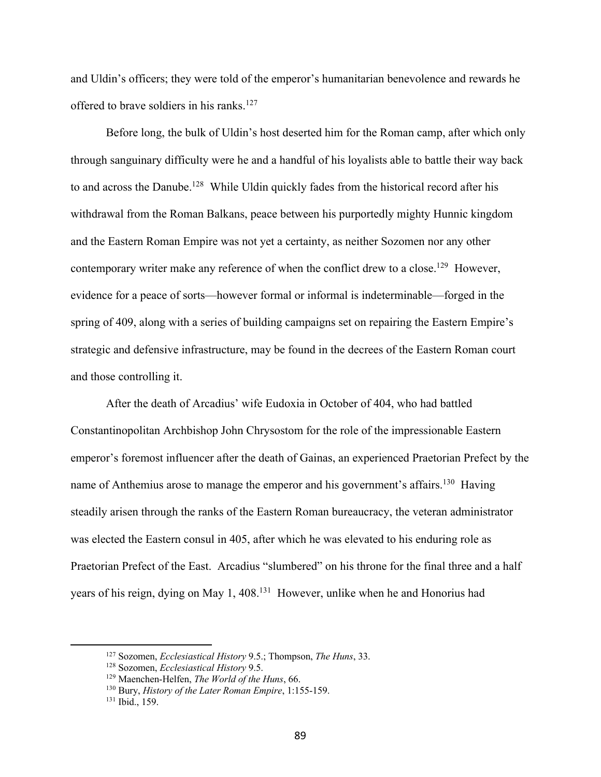and Uldin's officers; they were told of the emperor's humanitarian benevolence and rewards he offered to brave soldiers in his ranks.<sup>127</sup>

Before long, the bulk of Uldin's host deserted him for the Roman camp, after which only through sanguinary difficulty were he and a handful of his loyalists able to battle their way back to and across the Danube.<sup>128</sup> While Uldin quickly fades from the historical record after his withdrawal from the Roman Balkans, peace between his purportedly mighty Hunnic kingdom and the Eastern Roman Empire was not yet a certainty, as neither Sozomen nor any other contemporary writer make any reference of when the conflict drew to a close.<sup>129</sup> However, evidence for a peace of sorts—however formal or informal is indeterminable—forged in the spring of 409, along with a series of building campaigns set on repairing the Eastern Empire's strategic and defensive infrastructure, may be found in the decrees of the Eastern Roman court and those controlling it.

After the death of Arcadius' wife Eudoxia in October of 404, who had battled Constantinopolitan Archbishop John Chrysostom for the role of the impressionable Eastern emperor's foremost influencer after the death of Gainas, an experienced Praetorian Prefect by the name of Anthemius arose to manage the emperor and his government's affairs.<sup>130</sup> Having steadily arisen through the ranks of the Eastern Roman bureaucracy, the veteran administrator was elected the Eastern consul in 405, after which he was elevated to his enduring role as Praetorian Prefect of the East. Arcadius "slumbered" on his throne for the final three and a half years of his reign, dying on May 1, 408.131 However, unlike when he and Honorius had

<sup>127</sup> Sozomen, *Ecclesiastical History* 9.5.; Thompson, *The Huns*, 33.

<sup>128</sup> Sozomen, *Ecclesiastical History* 9.5.

<sup>129</sup> Maenchen-Helfen, *The World of the Huns*, 66.

<sup>130</sup> Bury, *History of the Later Roman Empire*, 1:155-159.

<sup>131</sup> Ibid., 159.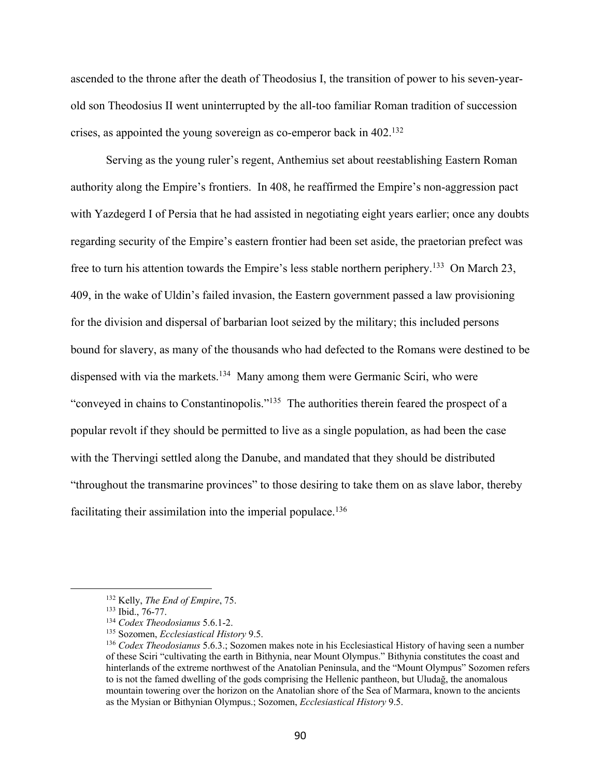ascended to the throne after the death of Theodosius I, the transition of power to his seven-yearold son Theodosius II went uninterrupted by the all-too familiar Roman tradition of succession crises, as appointed the young sovereign as co-emperor back in 402.132

Serving as the young ruler's regent, Anthemius set about reestablishing Eastern Roman authority along the Empire's frontiers. In 408, he reaffirmed the Empire's non-aggression pact with Yazdegerd I of Persia that he had assisted in negotiating eight years earlier; once any doubts regarding security of the Empire's eastern frontier had been set aside, the praetorian prefect was free to turn his attention towards the Empire's less stable northern periphery.133 On March 23, 409, in the wake of Uldin's failed invasion, the Eastern government passed a law provisioning for the division and dispersal of barbarian loot seized by the military; this included persons bound for slavery, as many of the thousands who had defected to the Romans were destined to be dispensed with via the markets.<sup>134</sup> Many among them were Germanic Sciri, who were "conveyed in chains to Constantinopolis."135 The authorities therein feared the prospect of a popular revolt if they should be permitted to live as a single population, as had been the case with the Thervingi settled along the Danube, and mandated that they should be distributed "throughout the transmarine provinces" to those desiring to take them on as slave labor, thereby facilitating their assimilation into the imperial populace.<sup>136</sup>

<sup>132</sup> Kelly, *The End of Empire*, 75.

<sup>133</sup> Ibid., 76-77.

<sup>134</sup> *Codex Theodosianus* 5.6.1-2.

<sup>135</sup> Sozomen, *Ecclesiastical History* 9.5.

<sup>136</sup> *Codex Theodosianus* 5.6.3.; Sozomen makes note in his Ecclesiastical History of having seen a number of these Sciri "cultivating the earth in Bithynia, near Mount Olympus." Bithynia constitutes the coast and hinterlands of the extreme northwest of the Anatolian Peninsula, and the "Mount Olympus" Sozomen refers to is not the famed dwelling of the gods comprising the Hellenic pantheon, but Uludağ, the anomalous mountain towering over the horizon on the Anatolian shore of the Sea of Marmara, known to the ancients as the Mysian or Bithynian Olympus.; Sozomen, *Ecclesiastical History* 9.5.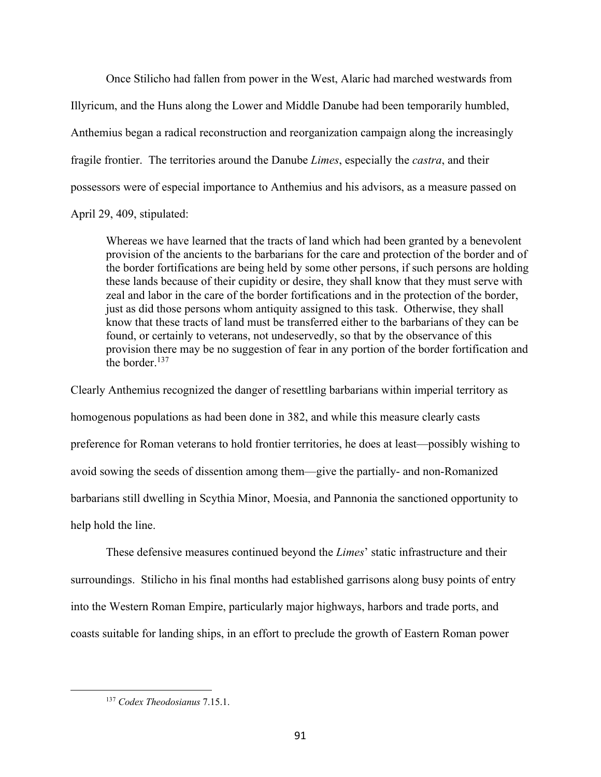Once Stilicho had fallen from power in the West, Alaric had marched westwards from Illyricum, and the Huns along the Lower and Middle Danube had been temporarily humbled, Anthemius began a radical reconstruction and reorganization campaign along the increasingly fragile frontier. The territories around the Danube *Limes*, especially the *castra*, and their possessors were of especial importance to Anthemius and his advisors, as a measure passed on

April 29, 409, stipulated:

Whereas we have learned that the tracts of land which had been granted by a benevolent provision of the ancients to the barbarians for the care and protection of the border and of the border fortifications are being held by some other persons, if such persons are holding these lands because of their cupidity or desire, they shall know that they must serve with zeal and labor in the care of the border fortifications and in the protection of the border, just as did those persons whom antiquity assigned to this task. Otherwise, they shall know that these tracts of land must be transferred either to the barbarians of they can be found, or certainly to veterans, not undeservedly, so that by the observance of this provision there may be no suggestion of fear in any portion of the border fortification and the border.<sup>137</sup>

Clearly Anthemius recognized the danger of resettling barbarians within imperial territory as homogenous populations as had been done in 382, and while this measure clearly casts preference for Roman veterans to hold frontier territories, he does at least—possibly wishing to avoid sowing the seeds of dissention among them—give the partially- and non-Romanized barbarians still dwelling in Scythia Minor, Moesia, and Pannonia the sanctioned opportunity to help hold the line.

These defensive measures continued beyond the *Limes*' static infrastructure and their surroundings. Stilicho in his final months had established garrisons along busy points of entry into the Western Roman Empire, particularly major highways, harbors and trade ports, and coasts suitable for landing ships, in an effort to preclude the growth of Eastern Roman power

<sup>137</sup> *Codex Theodosianus* 7.15.1.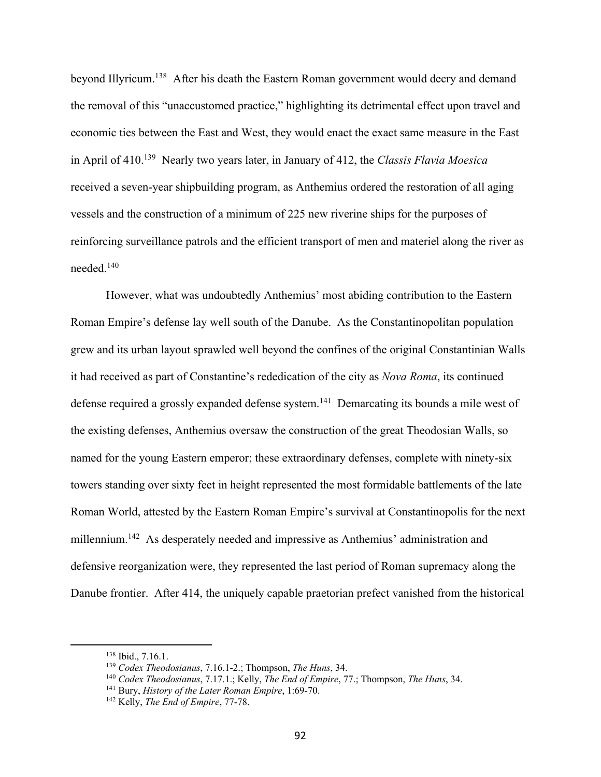beyond Illyricum.138 After his death the Eastern Roman government would decry and demand the removal of this "unaccustomed practice," highlighting its detrimental effect upon travel and economic ties between the East and West, they would enact the exact same measure in the East in April of 410.139 Nearly two years later, in January of 412, the *Classis Flavia Moesica* received a seven-year shipbuilding program, as Anthemius ordered the restoration of all aging vessels and the construction of a minimum of 225 new riverine ships for the purposes of reinforcing surveillance patrols and the efficient transport of men and materiel along the river as needed.140

However, what was undoubtedly Anthemius' most abiding contribution to the Eastern Roman Empire's defense lay well south of the Danube. As the Constantinopolitan population grew and its urban layout sprawled well beyond the confines of the original Constantinian Walls it had received as part of Constantine's rededication of the city as *Nova Roma*, its continued defense required a grossly expanded defense system.<sup>141</sup> Demarcating its bounds a mile west of the existing defenses, Anthemius oversaw the construction of the great Theodosian Walls, so named for the young Eastern emperor; these extraordinary defenses, complete with ninety-six towers standing over sixty feet in height represented the most formidable battlements of the late Roman World, attested by the Eastern Roman Empire's survival at Constantinopolis for the next millennium.<sup>142</sup> As desperately needed and impressive as Anthemius' administration and defensive reorganization were, they represented the last period of Roman supremacy along the Danube frontier. After 414, the uniquely capable praetorian prefect vanished from the historical

<sup>138</sup> Ibid., 7.16.1.

<sup>139</sup> *Codex Theodosianus*, 7.16.1-2.; Thompson, *The Huns*, 34.

<sup>140</sup> *Codex Theodosianus*, 7.17.1.; Kelly, *The End of Empire*, 77.; Thompson, *The Huns*, 34.

<sup>141</sup> Bury, *History of the Later Roman Empire*, 1:69-70.

<sup>142</sup> Kelly, *The End of Empire*, 77-78.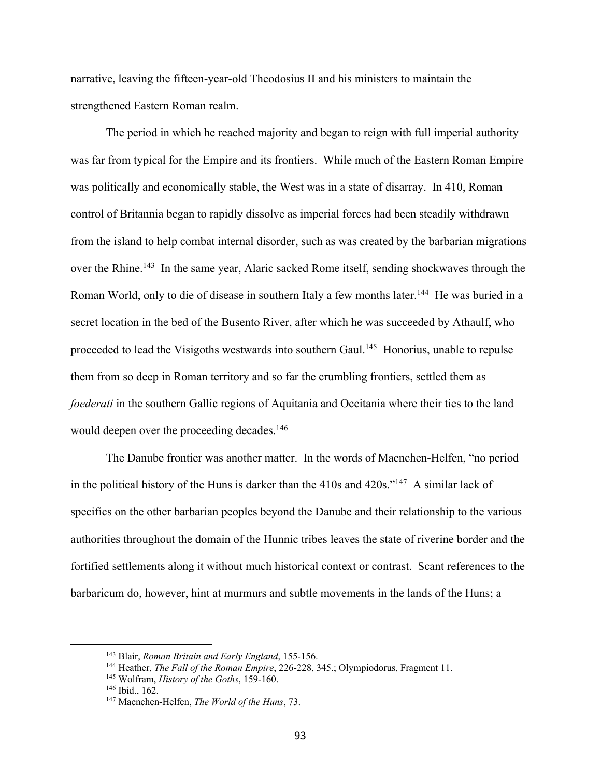narrative, leaving the fifteen-year-old Theodosius II and his ministers to maintain the strengthened Eastern Roman realm.

The period in which he reached majority and began to reign with full imperial authority was far from typical for the Empire and its frontiers. While much of the Eastern Roman Empire was politically and economically stable, the West was in a state of disarray. In 410, Roman control of Britannia began to rapidly dissolve as imperial forces had been steadily withdrawn from the island to help combat internal disorder, such as was created by the barbarian migrations over the Rhine.<sup>143</sup> In the same year, Alaric sacked Rome itself, sending shockwaves through the Roman World, only to die of disease in southern Italy a few months later.<sup>144</sup> He was buried in a secret location in the bed of the Busento River, after which he was succeeded by Athaulf, who proceeded to lead the Visigoths westwards into southern Gaul.<sup>145</sup> Honorius, unable to repulse them from so deep in Roman territory and so far the crumbling frontiers, settled them as *foederati* in the southern Gallic regions of Aquitania and Occitania where their ties to the land would deepen over the proceeding decades.<sup>146</sup>

The Danube frontier was another matter. In the words of Maenchen-Helfen, "no period in the political history of the Huns is darker than the 410s and 420s."147 A similar lack of specifics on the other barbarian peoples beyond the Danube and their relationship to the various authorities throughout the domain of the Hunnic tribes leaves the state of riverine border and the fortified settlements along it without much historical context or contrast. Scant references to the barbaricum do, however, hint at murmurs and subtle movements in the lands of the Huns; a

<sup>143</sup> Blair, *Roman Britain and Early England*, 155-156.

<sup>144</sup> Heather, *The Fall of the Roman Empire*, 226-228, 345.; Olympiodorus, Fragment 11.

<sup>145</sup> Wolfram, *History of the Goths*, 159-160.

<sup>146</sup> Ibid., 162.

<sup>147</sup> Maenchen-Helfen, *The World of the Huns*, 73.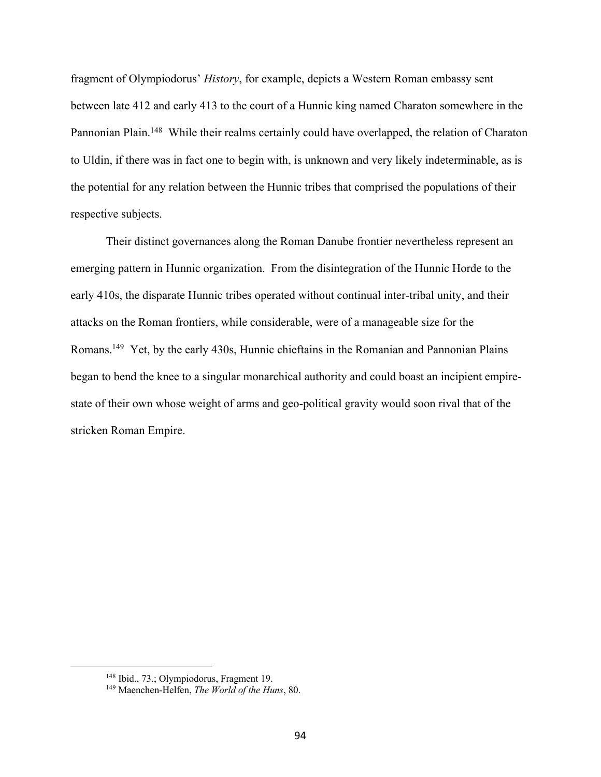fragment of Olympiodorus' *History*, for example, depicts a Western Roman embassy sent between late 412 and early 413 to the court of a Hunnic king named Charaton somewhere in the Pannonian Plain.<sup>148</sup> While their realms certainly could have overlapped, the relation of Charaton to Uldin, if there was in fact one to begin with, is unknown and very likely indeterminable, as is the potential for any relation between the Hunnic tribes that comprised the populations of their respective subjects.

Their distinct governances along the Roman Danube frontier nevertheless represent an emerging pattern in Hunnic organization. From the disintegration of the Hunnic Horde to the early 410s, the disparate Hunnic tribes operated without continual inter-tribal unity, and their attacks on the Roman frontiers, while considerable, were of a manageable size for the Romans.149 Yet, by the early 430s, Hunnic chieftains in the Romanian and Pannonian Plains began to bend the knee to a singular monarchical authority and could boast an incipient empirestate of their own whose weight of arms and geo-political gravity would soon rival that of the stricken Roman Empire.

<sup>148</sup> Ibid., 73.; Olympiodorus, Fragment 19.

<sup>149</sup> Maenchen-Helfen, *The World of the Huns*, 80.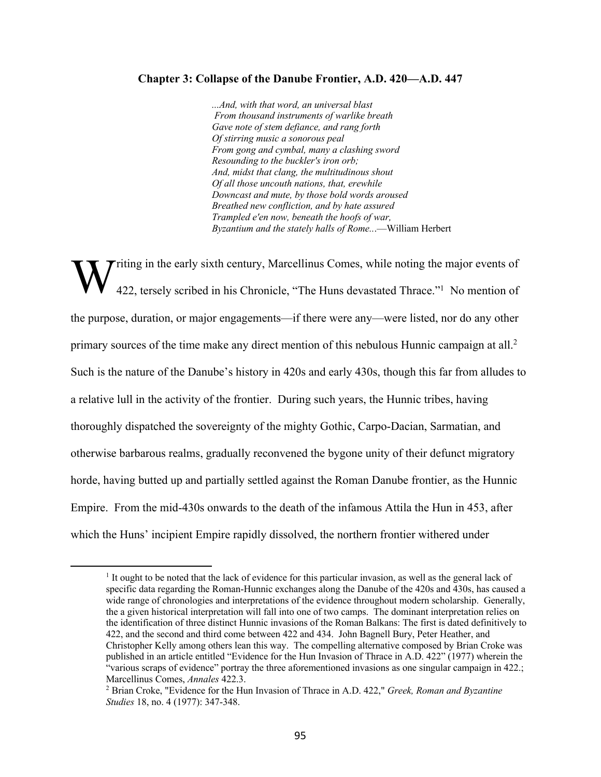## **Chapter 3: Collapse of the Danube Frontier, A.D. 420—A.D. 447**

*...And, with that word, an universal blast From thousand instruments of warlike breath Gave note of stem defiance, and rang forth Of stirring music a sonorous peal From gong and cymbal, many a clashing sword Resounding to the buckler's iron orb; And, midst that clang, the multitudinous shout Of all those uncouth nations, that, erewhile Downcast and mute, by those bold words aroused Breathed new confliction, and by hate assured Trampled e'en now, beneath the hoofs of war, Byzantium and the stately halls of Rome..*.—William Herbert

**Triting in the early sixth century, Marcellinus Comes, while noting the major events of** 422, tersely scribed in his Chronicle, "The Huns devastated Thrace."<sup>1</sup> No mention of the purpose, duration, or major engagements—if there were any—were listed, nor do any other primary sources of the time make any direct mention of this nebulous Hunnic campaign at all.<sup>2</sup> Such is the nature of the Danube's history in 420s and early 430s, though this far from alludes to a relative lull in the activity of the frontier. During such years, the Hunnic tribes, having thoroughly dispatched the sovereignty of the mighty Gothic, Carpo-Dacian, Sarmatian, and otherwise barbarous realms, gradually reconvened the bygone unity of their defunct migratory horde, having butted up and partially settled against the Roman Danube frontier, as the Hunnic Empire. From the mid-430s onwards to the death of the infamous Attila the Hun in 453, after which the Huns' incipient Empire rapidly dissolved, the northern frontier withered under W

<sup>1</sup> It ought to be noted that the lack of evidence for this particular invasion, as well as the general lack of specific data regarding the Roman-Hunnic exchanges along the Danube of the 420s and 430s, has caused a wide range of chronologies and interpretations of the evidence throughout modern scholarship. Generally, the a given historical interpretation will fall into one of two camps. The dominant interpretation relies on the identification of three distinct Hunnic invasions of the Roman Balkans: The first is dated definitively to 422, and the second and third come between 422 and 434. John Bagnell Bury, Peter Heather, and Christopher Kelly among others lean this way. The compelling alternative composed by Brian Croke was published in an article entitled "Evidence for the Hun Invasion of Thrace in A.D. 422" (1977) wherein the "various scraps of evidence" portray the three aforementioned invasions as one singular campaign in 422.; Marcellinus Comes, *Annales* 422.3.

<sup>2</sup> Brian Croke, "Evidence for the Hun Invasion of Thrace in A.D. 422," *Greek, Roman and Byzantine Studies* 18, no. 4 (1977): 347-348.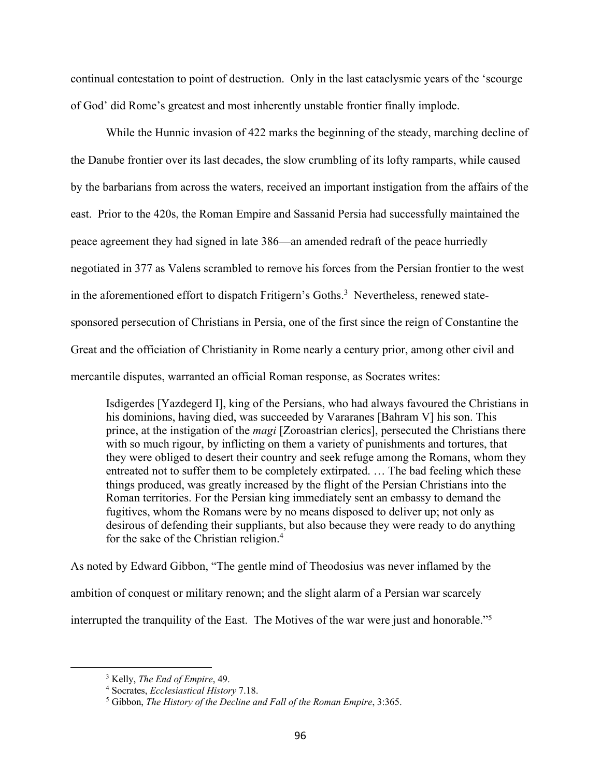continual contestation to point of destruction. Only in the last cataclysmic years of the 'scourge of God' did Rome's greatest and most inherently unstable frontier finally implode.

While the Hunnic invasion of 422 marks the beginning of the steady, marching decline of the Danube frontier over its last decades, the slow crumbling of its lofty ramparts, while caused by the barbarians from across the waters, received an important instigation from the affairs of the east. Prior to the 420s, the Roman Empire and Sassanid Persia had successfully maintained the peace agreement they had signed in late 386—an amended redraft of the peace hurriedly negotiated in 377 as Valens scrambled to remove his forces from the Persian frontier to the west in the aforementioned effort to dispatch Fritigern's Goths.<sup>3</sup> Nevertheless, renewed statesponsored persecution of Christians in Persia, one of the first since the reign of Constantine the Great and the officiation of Christianity in Rome nearly a century prior, among other civil and mercantile disputes, warranted an official Roman response, as Socrates writes:

Isdigerdes [Yazdegerd I], king of the Persians, who had always favoured the Christians in his dominions, having died, was succeeded by Vararanes [Bahram V] his son. This prince, at the instigation of the *magi* [Zoroastrian clerics], persecuted the Christians there with so much rigour, by inflicting on them a variety of punishments and tortures, that they were obliged to desert their country and seek refuge among the Romans, whom they entreated not to suffer them to be completely extirpated. … The bad feeling which these things produced, was greatly increased by the flight of the Persian Christians into the Roman territories. For the Persian king immediately sent an embassy to demand the fugitives, whom the Romans were by no means disposed to deliver up; not only as desirous of defending their suppliants, but also because they were ready to do anything for the sake of the Christian religion.4

As noted by Edward Gibbon, "The gentle mind of Theodosius was never inflamed by the ambition of conquest or military renown; and the slight alarm of a Persian war scarcely interrupted the tranquility of the East. The Motives of the war were just and honorable."5

<sup>3</sup> Kelly, *The End of Empire*, 49.

<sup>4</sup> Socrates, *Ecclesiastical History* 7.18.

<sup>5</sup> Gibbon, *The History of the Decline and Fall of the Roman Empire*, 3:365.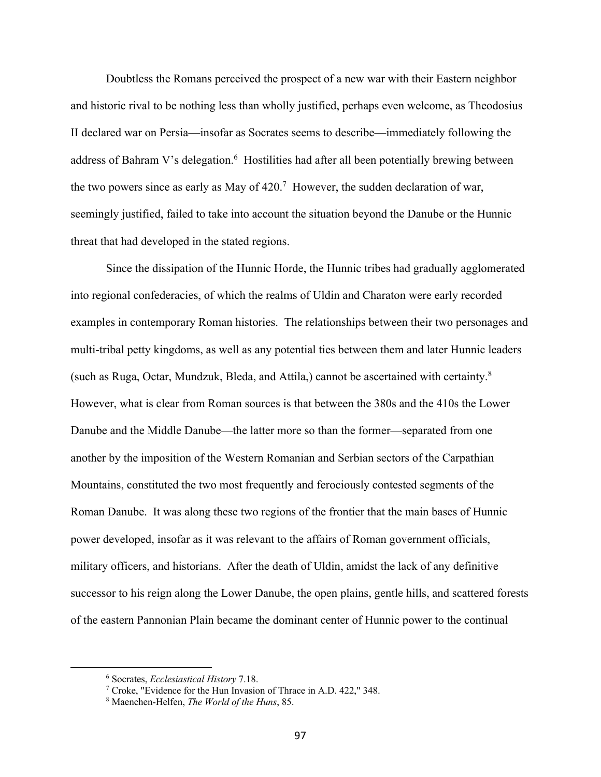Doubtless the Romans perceived the prospect of a new war with their Eastern neighbor and historic rival to be nothing less than wholly justified, perhaps even welcome, as Theodosius II declared war on Persia—insofar as Socrates seems to describe—immediately following the address of Bahram V's delegation.<sup>6</sup> Hostilities had after all been potentially brewing between the two powers since as early as May of  $420$ .<sup>7</sup> However, the sudden declaration of war, seemingly justified, failed to take into account the situation beyond the Danube or the Hunnic threat that had developed in the stated regions.

Since the dissipation of the Hunnic Horde, the Hunnic tribes had gradually agglomerated into regional confederacies, of which the realms of Uldin and Charaton were early recorded examples in contemporary Roman histories. The relationships between their two personages and multi-tribal petty kingdoms, as well as any potential ties between them and later Hunnic leaders (such as Ruga, Octar, Mundzuk, Bleda, and Attila,) cannot be ascertained with certainty.<sup>8</sup> However, what is clear from Roman sources is that between the 380s and the 410s the Lower Danube and the Middle Danube—the latter more so than the former—separated from one another by the imposition of the Western Romanian and Serbian sectors of the Carpathian Mountains, constituted the two most frequently and ferociously contested segments of the Roman Danube. It was along these two regions of the frontier that the main bases of Hunnic power developed, insofar as it was relevant to the affairs of Roman government officials, military officers, and historians. After the death of Uldin, amidst the lack of any definitive successor to his reign along the Lower Danube, the open plains, gentle hills, and scattered forests of the eastern Pannonian Plain became the dominant center of Hunnic power to the continual

<sup>6</sup> Socrates, *Ecclesiastical History* 7.18.

<sup>7</sup> Croke, "Evidence for the Hun Invasion of Thrace in A.D. 422," 348.

<sup>8</sup> Maenchen-Helfen, *The World of the Huns*, 85.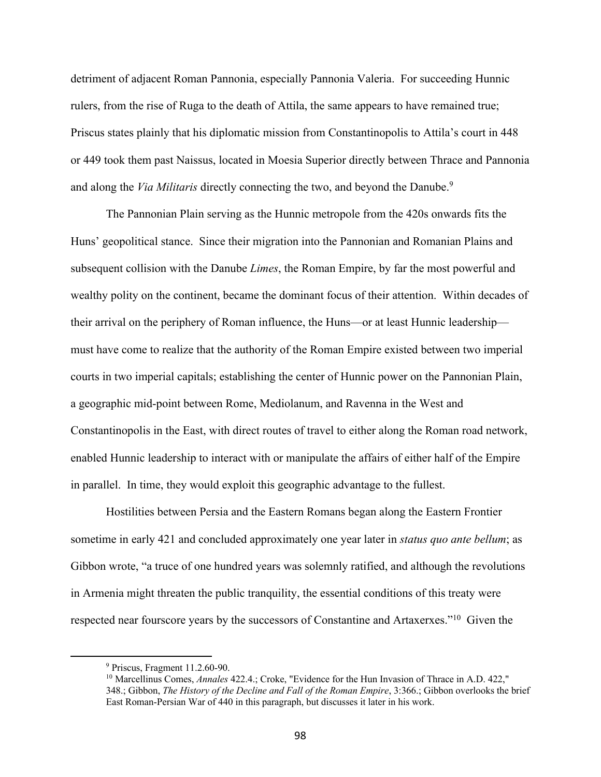detriment of adjacent Roman Pannonia, especially Pannonia Valeria. For succeeding Hunnic rulers, from the rise of Ruga to the death of Attila, the same appears to have remained true; Priscus states plainly that his diplomatic mission from Constantinopolis to Attila's court in 448 or 449 took them past Naissus, located in Moesia Superior directly between Thrace and Pannonia and along the *Via Militaris* directly connecting the two, and beyond the Danube.<sup>9</sup>

The Pannonian Plain serving as the Hunnic metropole from the 420s onwards fits the Huns' geopolitical stance. Since their migration into the Pannonian and Romanian Plains and subsequent collision with the Danube *Limes*, the Roman Empire, by far the most powerful and wealthy polity on the continent, became the dominant focus of their attention. Within decades of their arrival on the periphery of Roman influence, the Huns—or at least Hunnic leadership must have come to realize that the authority of the Roman Empire existed between two imperial courts in two imperial capitals; establishing the center of Hunnic power on the Pannonian Plain, a geographic mid-point between Rome, Mediolanum, and Ravenna in the West and Constantinopolis in the East, with direct routes of travel to either along the Roman road network, enabled Hunnic leadership to interact with or manipulate the affairs of either half of the Empire in parallel. In time, they would exploit this geographic advantage to the fullest.

Hostilities between Persia and the Eastern Romans began along the Eastern Frontier sometime in early 421 and concluded approximately one year later in *status quo ante bellum*; as Gibbon wrote, "a truce of one hundred years was solemnly ratified, and although the revolutions in Armenia might threaten the public tranquility, the essential conditions of this treaty were respected near fourscore years by the successors of Constantine and Artaxerxes."10 Given the

<sup>9</sup> Priscus, Fragment 11.2.60-90.

<sup>10</sup> Marcellinus Comes, *Annales* 422.4.; Croke, "Evidence for the Hun Invasion of Thrace in A.D. 422," 348.; Gibbon, *The History of the Decline and Fall of the Roman Empire*, 3:366.; Gibbon overlooks the brief East Roman-Persian War of 440 in this paragraph, but discusses it later in his work.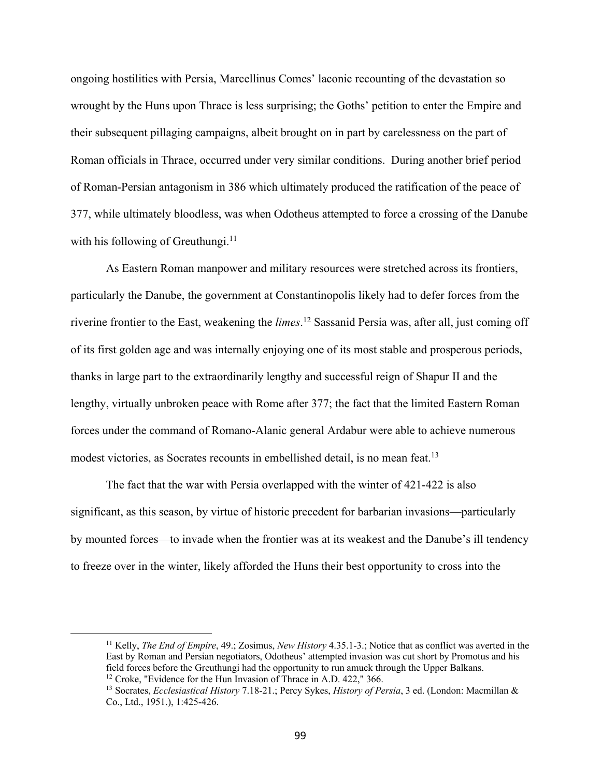ongoing hostilities with Persia, Marcellinus Comes' laconic recounting of the devastation so wrought by the Huns upon Thrace is less surprising; the Goths' petition to enter the Empire and their subsequent pillaging campaigns, albeit brought on in part by carelessness on the part of Roman officials in Thrace, occurred under very similar conditions. During another brief period of Roman-Persian antagonism in 386 which ultimately produced the ratification of the peace of 377, while ultimately bloodless, was when Odotheus attempted to force a crossing of the Danube with his following of Greuthungi.<sup>11</sup>

As Eastern Roman manpower and military resources were stretched across its frontiers, particularly the Danube, the government at Constantinopolis likely had to defer forces from the riverine frontier to the East, weakening the *limes*. <sup>12</sup> Sassanid Persia was, after all, just coming off of its first golden age and was internally enjoying one of its most stable and prosperous periods, thanks in large part to the extraordinarily lengthy and successful reign of Shapur II and the lengthy, virtually unbroken peace with Rome after 377; the fact that the limited Eastern Roman forces under the command of Romano-Alanic general Ardabur were able to achieve numerous modest victories, as Socrates recounts in embellished detail, is no mean feat.<sup>13</sup>

The fact that the war with Persia overlapped with the winter of 421-422 is also significant, as this season, by virtue of historic precedent for barbarian invasions—particularly by mounted forces—to invade when the frontier was at its weakest and the Danube's ill tendency to freeze over in the winter, likely afforded the Huns their best opportunity to cross into the

<sup>11</sup> Kelly, *The End of Empire*, 49.; Zosimus, *New History* 4.35.1-3.; Notice that as conflict was averted in the East by Roman and Persian negotiators, Odotheus' attempted invasion was cut short by Promotus and his field forces before the Greuthungi had the opportunity to run amuck through the Upper Balkans. <sup>12</sup> Croke, "Evidence for the Hun Invasion of Thrace in A.D. 422," 366.

<sup>13</sup> Socrates, *Ecclesiastical History* 7.18-21.; Percy Sykes, *History of Persia*, 3 ed. (London: Macmillan & Co., Ltd., 1951.), 1:425-426.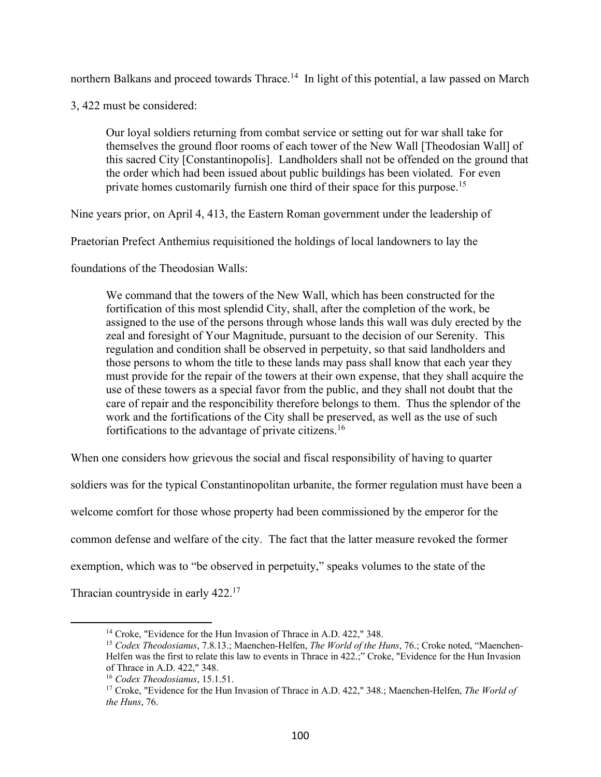northern Balkans and proceed towards Thrace.<sup>14</sup> In light of this potential, a law passed on March

3, 422 must be considered:

Our loyal soldiers returning from combat service or setting out for war shall take for themselves the ground floor rooms of each tower of the New Wall [Theodosian Wall] of this sacred City [Constantinopolis]. Landholders shall not be offended on the ground that the order which had been issued about public buildings has been violated. For even private homes customarily furnish one third of their space for this purpose.<sup>15</sup>

Nine years prior, on April 4, 413, the Eastern Roman government under the leadership of

Praetorian Prefect Anthemius requisitioned the holdings of local landowners to lay the

foundations of the Theodosian Walls:

We command that the towers of the New Wall, which has been constructed for the fortification of this most splendid City, shall, after the completion of the work, be assigned to the use of the persons through whose lands this wall was duly erected by the zeal and foresight of Your Magnitude, pursuant to the decision of our Serenity. This regulation and condition shall be observed in perpetuity, so that said landholders and those persons to whom the title to these lands may pass shall know that each year they must provide for the repair of the towers at their own expense, that they shall acquire the use of these towers as a special favor from the public, and they shall not doubt that the care of repair and the responcibility therefore belongs to them. Thus the splendor of the work and the fortifications of the City shall be preserved, as well as the use of such fortifications to the advantage of private citizens.16

When one considers how grievous the social and fiscal responsibility of having to quarter soldiers was for the typical Constantinopolitan urbanite, the former regulation must have been a welcome comfort for those whose property had been commissioned by the emperor for the common defense and welfare of the city. The fact that the latter measure revoked the former exemption, which was to "be observed in perpetuity," speaks volumes to the state of the Thracian countryside in early 422.17

<sup>&</sup>lt;sup>14</sup> Croke, "Evidence for the Hun Invasion of Thrace in A.D. 422," 348.

<sup>15</sup> *Codex Theodosianus*, 7.8.13.; Maenchen-Helfen, *The World of the Huns*, 76.; Croke noted, "Maenchen-Helfen was the first to relate this law to events in Thrace in 422.;" Croke, "Evidence for the Hun Invasion of Thrace in A.D. 422," 348.

<sup>16</sup> *Codex Theodosianus*, 15.1.51.

<sup>17</sup> Croke, "Evidence for the Hun Invasion of Thrace in A.D. 422," 348.; Maenchen-Helfen, *The World of the Huns*, 76.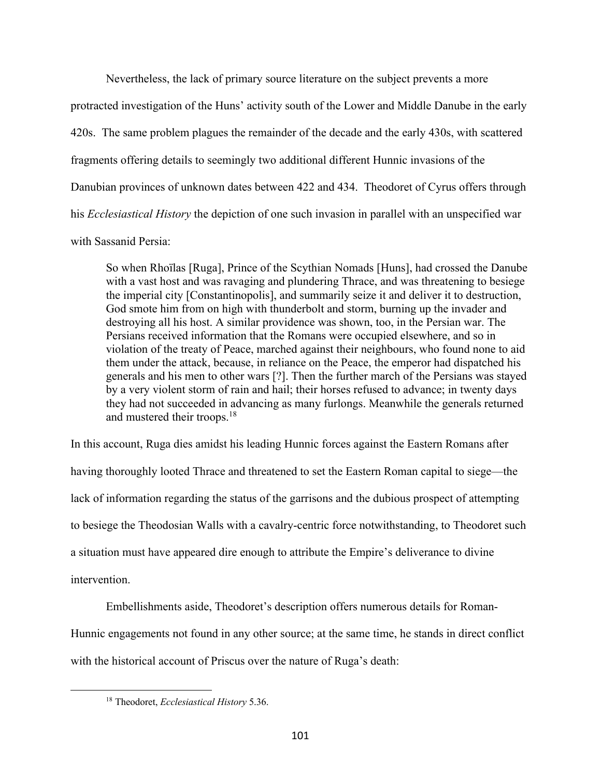Nevertheless, the lack of primary source literature on the subject prevents a more

protracted investigation of the Huns' activity south of the Lower and Middle Danube in the early 420s. The same problem plagues the remainder of the decade and the early 430s, with scattered fragments offering details to seemingly two additional different Hunnic invasions of the Danubian provinces of unknown dates between 422 and 434. Theodoret of Cyrus offers through his *Ecclesiastical History* the depiction of one such invasion in parallel with an unspecified war with Sassanid Persia:

So when Rhoïlas [Ruga], Prince of the Scythian Nomads [Huns], had crossed the Danube with a vast host and was ravaging and plundering Thrace, and was threatening to besiege the imperial city [Constantinopolis], and summarily seize it and deliver it to destruction, God smote him from on high with thunderbolt and storm, burning up the invader and destroying all his host. A similar providence was shown, too, in the Persian war. The Persians received information that the Romans were occupied elsewhere, and so in violation of the treaty of Peace, marched against their neighbours, who found none to aid them under the attack, because, in reliance on the Peace, the emperor had dispatched his generals and his men to other wars [?]. Then the further march of the Persians was stayed by a very violent storm of rain and hail; their horses refused to advance; in twenty days they had not succeeded in advancing as many furlongs. Meanwhile the generals returned and mustered their troops.18

In this account, Ruga dies amidst his leading Hunnic forces against the Eastern Romans after having thoroughly looted Thrace and threatened to set the Eastern Roman capital to siege—the lack of information regarding the status of the garrisons and the dubious prospect of attempting to besiege the Theodosian Walls with a cavalry-centric force notwithstanding, to Theodoret such a situation must have appeared dire enough to attribute the Empire's deliverance to divine intervention.

Embellishments aside, Theodoret's description offers numerous details for Roman-Hunnic engagements not found in any other source; at the same time, he stands in direct conflict with the historical account of Priscus over the nature of Ruga's death:

<sup>18</sup> Theodoret, *Ecclesiastical History* 5.36.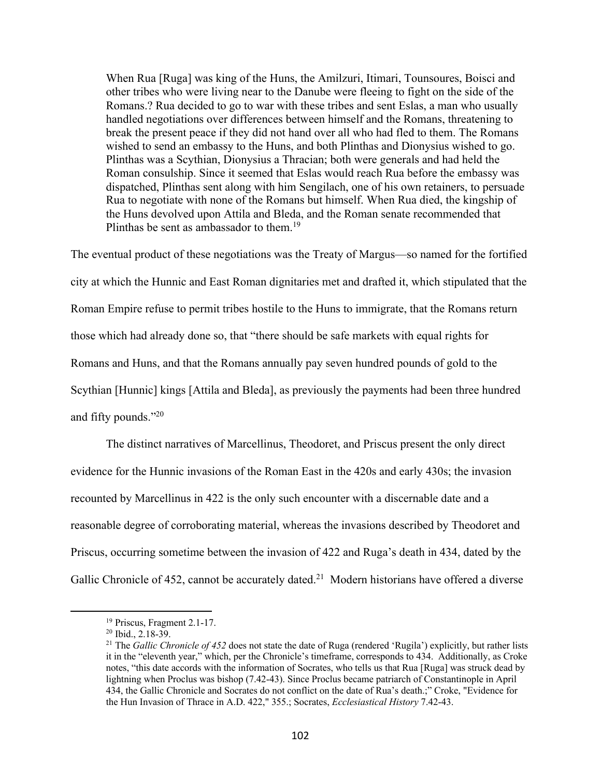When Rua [Ruga] was king of the Huns, the Amilzuri, Itimari, Tounsoures, Boisci and other tribes who were living near to the Danube were fleeing to fight on the side of the Romans.? Rua decided to go to war with these tribes and sent Eslas, a man who usually handled negotiations over differences between himself and the Romans, threatening to break the present peace if they did not hand over all who had fled to them. The Romans wished to send an embassy to the Huns, and both Plinthas and Dionysius wished to go. Plinthas was a Scythian, Dionysius a Thracian; both were generals and had held the Roman consulship. Since it seemed that Eslas would reach Rua before the embassy was dispatched, Plinthas sent along with him Sengilach, one of his own retainers, to persuade Rua to negotiate with none of the Romans but himself. When Rua died, the kingship of the Huns devolved upon Attila and Bleda, and the Roman senate recommended that Plinthas be sent as ambassador to them.<sup>19</sup>

The eventual product of these negotiations was the Treaty of Margus—so named for the fortified city at which the Hunnic and East Roman dignitaries met and drafted it, which stipulated that the Roman Empire refuse to permit tribes hostile to the Huns to immigrate, that the Romans return those which had already done so, that "there should be safe markets with equal rights for Romans and Huns, and that the Romans annually pay seven hundred pounds of gold to the Scythian [Hunnic] kings [Attila and Bleda], as previously the payments had been three hundred and fifty pounds."20

The distinct narratives of Marcellinus, Theodoret, and Priscus present the only direct evidence for the Hunnic invasions of the Roman East in the 420s and early 430s; the invasion recounted by Marcellinus in 422 is the only such encounter with a discernable date and a reasonable degree of corroborating material, whereas the invasions described by Theodoret and Priscus, occurring sometime between the invasion of 422 and Ruga's death in 434, dated by the Gallic Chronicle of 452, cannot be accurately dated.<sup>21</sup> Modern historians have offered a diverse

<sup>19</sup> Priscus, Fragment 2.1-17.

 $20$  Ibid.,  $2.18-39$ .

<sup>&</sup>lt;sup>21</sup> The *Gallic Chronicle of 452* does not state the date of Ruga (rendered 'Rugila') explicitly, but rather lists it in the "eleventh year," which, per the Chronicle's timeframe, corresponds to 434. Additionally, as Croke notes, "this date accords with the information of Socrates, who tells us that Rua [Ruga] was struck dead by lightning when Proclus was bishop (7.42-43). Since Proclus became patriarch of Constantinople in April 434, the Gallic Chronicle and Socrates do not conflict on the date of Rua's death.;" Croke, "Evidence for the Hun Invasion of Thrace in A.D. 422," 355.; Socrates, *Ecclesiastical History* 7.42-43.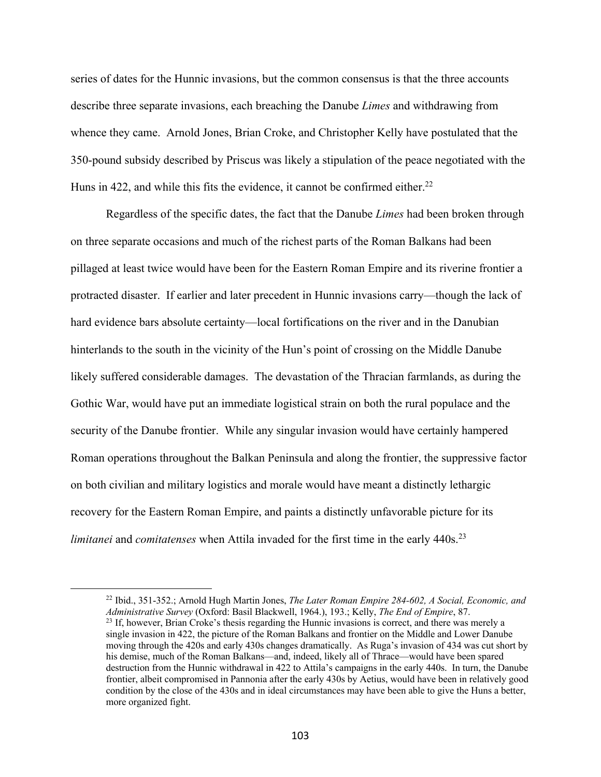series of dates for the Hunnic invasions, but the common consensus is that the three accounts describe three separate invasions, each breaching the Danube *Limes* and withdrawing from whence they came. Arnold Jones, Brian Croke, and Christopher Kelly have postulated that the 350-pound subsidy described by Priscus was likely a stipulation of the peace negotiated with the Huns in 422, and while this fits the evidence, it cannot be confirmed either.<sup>22</sup>

Regardless of the specific dates, the fact that the Danube *Limes* had been broken through on three separate occasions and much of the richest parts of the Roman Balkans had been pillaged at least twice would have been for the Eastern Roman Empire and its riverine frontier a protracted disaster. If earlier and later precedent in Hunnic invasions carry—though the lack of hard evidence bars absolute certainty—local fortifications on the river and in the Danubian hinterlands to the south in the vicinity of the Hun's point of crossing on the Middle Danube likely suffered considerable damages. The devastation of the Thracian farmlands, as during the Gothic War, would have put an immediate logistical strain on both the rural populace and the security of the Danube frontier. While any singular invasion would have certainly hampered Roman operations throughout the Balkan Peninsula and along the frontier, the suppressive factor on both civilian and military logistics and morale would have meant a distinctly lethargic recovery for the Eastern Roman Empire, and paints a distinctly unfavorable picture for its *limitanei* and *comitatenses* when Attila invaded for the first time in the early 440s.<sup>23</sup>

<sup>22</sup> Ibid., 351-352.; Arnold Hugh Martin Jones, *The Later Roman Empire 284-602, A Social, Economic, and Administrative Survey* (Oxford: Basil Blackwell, 1964.), 193.; Kelly, *The End of Empire*, 87. <sup>23</sup> If, however, Brian Croke's thesis regarding the Hunnic invasions is correct, and there was merely a single invasion in 422, the picture of the Roman Balkans and frontier on the Middle and Lower Danube moving through the 420s and early 430s changes dramatically. As Ruga's invasion of 434 was cut short by his demise, much of the Roman Balkans—and, indeed, likely all of Thrace—would have been spared destruction from the Hunnic withdrawal in 422 to Attila's campaigns in the early 440s. In turn, the Danube frontier, albeit compromised in Pannonia after the early 430s by Aetius, would have been in relatively good condition by the close of the 430s and in ideal circumstances may have been able to give the Huns a better, more organized fight.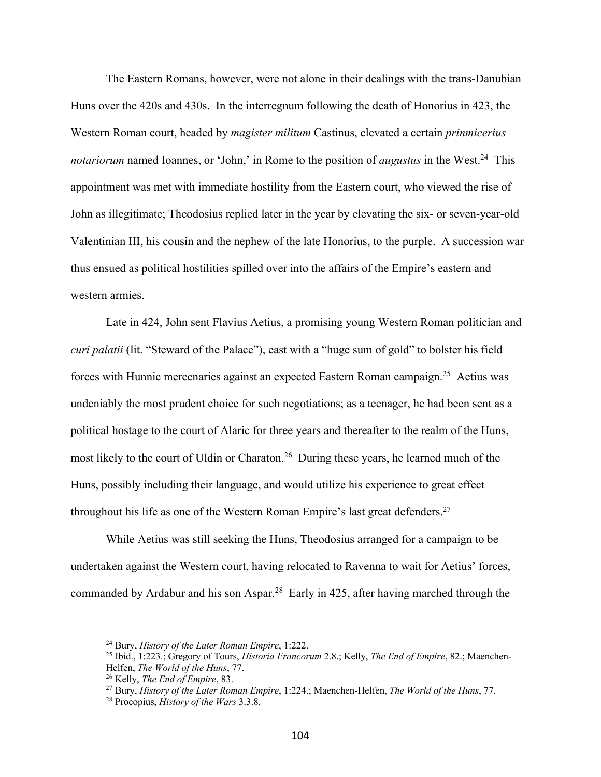The Eastern Romans, however, were not alone in their dealings with the trans-Danubian Huns over the 420s and 430s. In the interregnum following the death of Honorius in 423, the Western Roman court, headed by *magister militum* Castinus, elevated a certain *prinmicerius notariorum* named Ioannes, or 'John,' in Rome to the position of *augustus* in the West.<sup>24</sup> This appointment was met with immediate hostility from the Eastern court, who viewed the rise of John as illegitimate; Theodosius replied later in the year by elevating the six- or seven-year-old Valentinian III, his cousin and the nephew of the late Honorius, to the purple. A succession war thus ensued as political hostilities spilled over into the affairs of the Empire's eastern and western armies.

Late in 424, John sent Flavius Aetius, a promising young Western Roman politician and *curi palatii* (lit. "Steward of the Palace"), east with a "huge sum of gold" to bolster his field forces with Hunnic mercenaries against an expected Eastern Roman campaign.<sup>25</sup> Aetius was undeniably the most prudent choice for such negotiations; as a teenager, he had been sent as a political hostage to the court of Alaric for three years and thereafter to the realm of the Huns, most likely to the court of Uldin or Charaton.<sup>26</sup> During these years, he learned much of the Huns, possibly including their language, and would utilize his experience to great effect throughout his life as one of the Western Roman Empire's last great defenders.<sup>27</sup>

While Aetius was still seeking the Huns, Theodosius arranged for a campaign to be undertaken against the Western court, having relocated to Ravenna to wait for Aetius' forces, commanded by Ardabur and his son Aspar.<sup>28</sup> Early in 425, after having marched through the

<sup>24</sup> Bury, *History of the Later Roman Empire*, 1:222.

<sup>25</sup> Ibid., 1:223.; Gregory of Tours, *Historia Francorum* 2.8.; Kelly, *The End of Empire*, 82.; Maenchen-Helfen, *The World of the Huns*, 77.

<sup>26</sup> Kelly, *The End of Empire*, 83.

<sup>27</sup> Bury, *History of the Later Roman Empire*, 1:224.; Maenchen-Helfen, *The World of the Huns*, 77.

<sup>28</sup> Procopius, *History of the Wars* 3.3.8.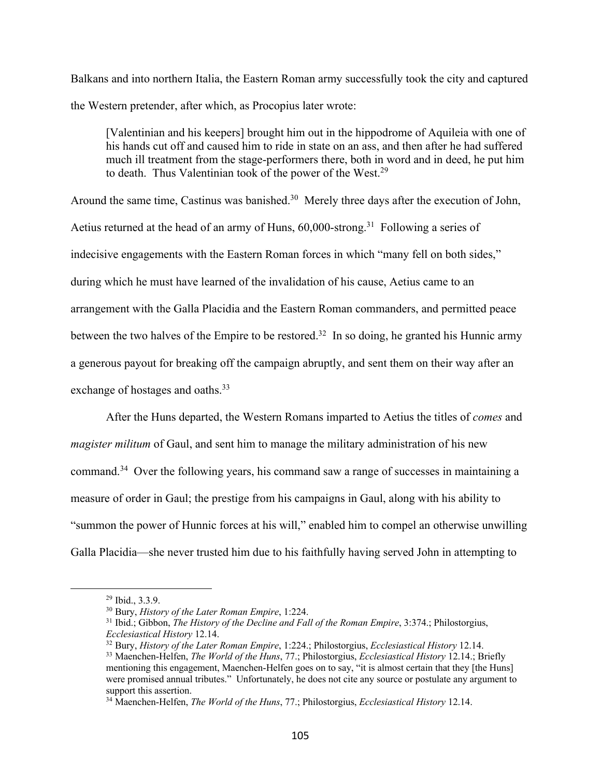Balkans and into northern Italia, the Eastern Roman army successfully took the city and captured the Western pretender, after which, as Procopius later wrote:

[Valentinian and his keepers] brought him out in the hippodrome of Aquileia with one of his hands cut off and caused him to ride in state on an ass, and then after he had suffered much ill treatment from the stage-performers there, both in word and in deed, he put him to death. Thus Valentinian took of the power of the West.<sup>29</sup>

Around the same time, Castinus was banished.<sup>30</sup> Merely three days after the execution of John, Aetius returned at the head of an army of Huns, 60,000-strong.<sup>31</sup> Following a series of indecisive engagements with the Eastern Roman forces in which "many fell on both sides," during which he must have learned of the invalidation of his cause, Aetius came to an arrangement with the Galla Placidia and the Eastern Roman commanders, and permitted peace between the two halves of the Empire to be restored.<sup>32</sup> In so doing, he granted his Hunnic army a generous payout for breaking off the campaign abruptly, and sent them on their way after an exchange of hostages and oaths.<sup>33</sup>

After the Huns departed, the Western Romans imparted to Aetius the titles of *comes* and *magister militum* of Gaul, and sent him to manage the military administration of his new command.34 Over the following years, his command saw a range of successes in maintaining a measure of order in Gaul; the prestige from his campaigns in Gaul, along with his ability to "summon the power of Hunnic forces at his will," enabled him to compel an otherwise unwilling Galla Placidia—she never trusted him due to his faithfully having served John in attempting to

<sup>&</sup>lt;sup>29</sup> Ibid., 3.3.9.<br><sup>30</sup> Bury, *History of the Later Roman Empire*, 1:224.

<sup>30</sup> Bury, *History of the Later Roman Empire*, 1:224. 31 Ibid.; Gibbon, *The History of the Decline and Fall of the Roman Empire*, 3:374.; Philostorgius, *Ecclesiastical History* 12.14.

<sup>32</sup> Bury, *History of the Later Roman Empire*, 1:224.; Philostorgius, *Ecclesiastical History* 12.14.

<sup>33</sup> Maenchen-Helfen, *The World of the Huns*, 77.; Philostorgius, *Ecclesiastical History* 12.14.; Briefly mentioning this engagement, Maenchen-Helfen goes on to say, "it is almost certain that they [the Huns] were promised annual tributes." Unfortunately, he does not cite any source or postulate any argument to support this assertion.

<sup>34</sup> Maenchen-Helfen, *The World of the Huns*, 77.; Philostorgius, *Ecclesiastical History* 12.14.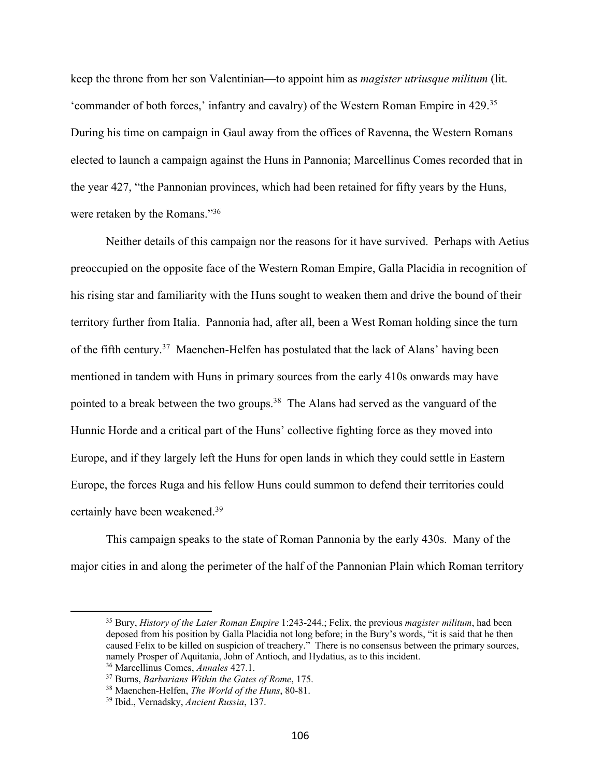keep the throne from her son Valentinian—to appoint him as *magister utriusque militum* (lit. 'commander of both forces,' infantry and cavalry) of the Western Roman Empire in 429.35 During his time on campaign in Gaul away from the offices of Ravenna, the Western Romans elected to launch a campaign against the Huns in Pannonia; Marcellinus Comes recorded that in the year 427, "the Pannonian provinces, which had been retained for fifty years by the Huns, were retaken by the Romans."36

Neither details of this campaign nor the reasons for it have survived. Perhaps with Aetius preoccupied on the opposite face of the Western Roman Empire, Galla Placidia in recognition of his rising star and familiarity with the Huns sought to weaken them and drive the bound of their territory further from Italia. Pannonia had, after all, been a West Roman holding since the turn of the fifth century.37 Maenchen-Helfen has postulated that the lack of Alans' having been mentioned in tandem with Huns in primary sources from the early 410s onwards may have pointed to a break between the two groups.<sup>38</sup> The Alans had served as the vanguard of the Hunnic Horde and a critical part of the Huns' collective fighting force as they moved into Europe, and if they largely left the Huns for open lands in which they could settle in Eastern Europe, the forces Ruga and his fellow Huns could summon to defend their territories could certainly have been weakened.39

This campaign speaks to the state of Roman Pannonia by the early 430s. Many of the major cities in and along the perimeter of the half of the Pannonian Plain which Roman territory

<sup>35</sup> Bury, *History of the Later Roman Empire* 1:243-244.; Felix, the previous *magister militum*, had been deposed from his position by Galla Placidia not long before; in the Bury's words, "it is said that he then caused Felix to be killed on suspicion of treachery." There is no consensus between the primary sources, namely Prosper of Aquitania, John of Antioch, and Hydatius, as to this incident.

<sup>36</sup> Marcellinus Comes, *Annales* 427.1.

<sup>37</sup> Burns, *Barbarians Within the Gates of Rome*, 175.

<sup>38</sup> Maenchen-Helfen, *The World of the Huns*, 80-81.

<sup>39</sup> Ibid., Vernadsky, *Ancient Russia*, 137.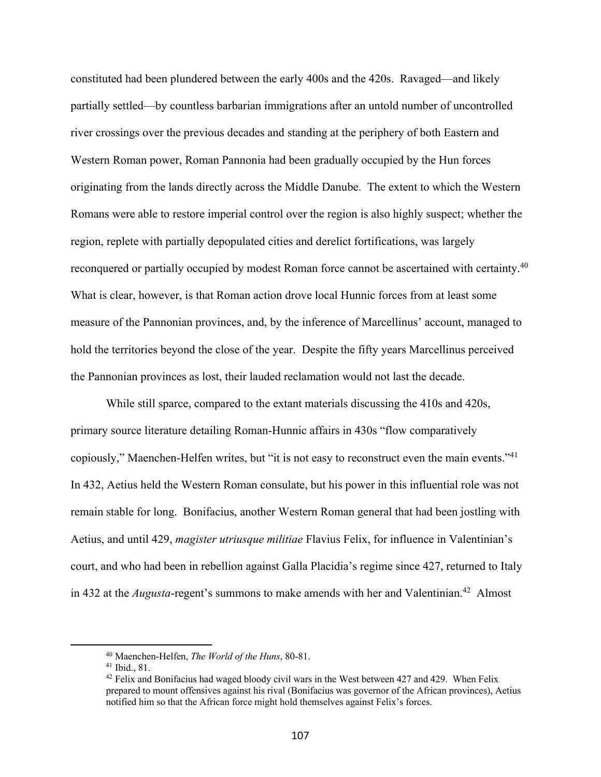constituted had been plundered between the early 400s and the 420s. Ravaged—and likely partially settled—by countless barbarian immigrations after an untold number of uncontrolled river crossings over the previous decades and standing at the periphery of both Eastern and Western Roman power, Roman Pannonia had been gradually occupied by the Hun forces originating from the lands directly across the Middle Danube. The extent to which the Western Romans were able to restore imperial control over the region is also highly suspect; whether the region, replete with partially depopulated cities and derelict fortifications, was largely reconquered or partially occupied by modest Roman force cannot be ascertained with certainty.<sup>40</sup> What is clear, however, is that Roman action drove local Hunnic forces from at least some measure of the Pannonian provinces, and, by the inference of Marcellinus' account, managed to hold the territories beyond the close of the year. Despite the fifty years Marcellinus perceived the Pannonian provinces as lost, their lauded reclamation would not last the decade.

While still sparce, compared to the extant materials discussing the 410s and 420s, primary source literature detailing Roman-Hunnic affairs in 430s "flow comparatively copiously," Maenchen-Helfen writes, but "it is not easy to reconstruct even the main events."41 In 432, Aetius held the Western Roman consulate, but his power in this influential role was not remain stable for long. Bonifacius, another Western Roman general that had been jostling with Aetius, and until 429, *magister utriusque militiae* Flavius Felix, for influence in Valentinian's court, and who had been in rebellion against Galla Placidia's regime since 427, returned to Italy in 432 at the *Augusta*-regent's summons to make amends with her and Valentinian.<sup>42</sup> Almost

<sup>40</sup> Maenchen-Helfen, *The World of the Huns*, 80-81.

<sup>41</sup> Ibid., 81.

 $42$  Felix and Bonifacius had waged bloody civil wars in the West between 427 and 429. When Felix prepared to mount offensives against his rival (Bonifacius was governor of the African provinces), Aetius notified him so that the African force might hold themselves against Felix's forces.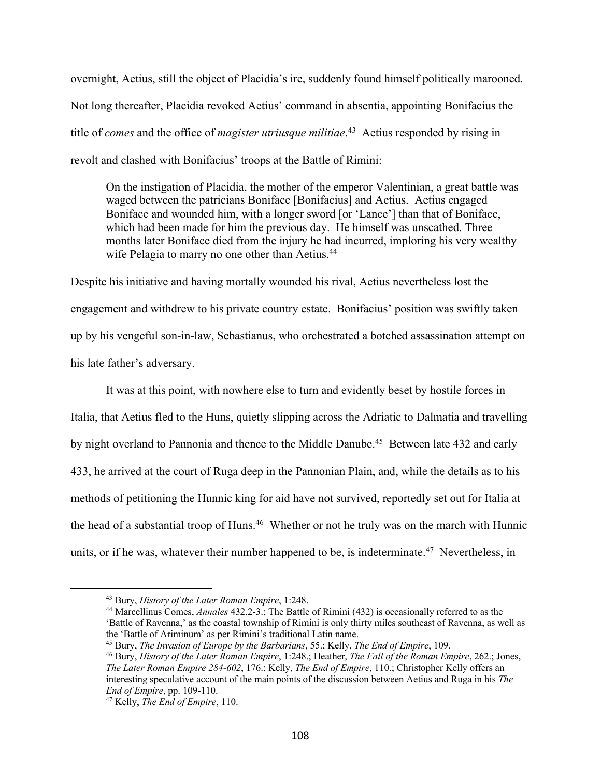overnight, Aetius, still the object of Placidia's ire, suddenly found himself politically marooned. Not long thereafter, Placidia revoked Aetius' command in absentia, appointing Bonifacius the title of *comes* and the office of *magister utriusque militiae*. 43 Aetius responded by rising in revolt and clashed with Bonifacius' troops at the Battle of Rimini:

On the instigation of Placidia, the mother of the emperor Valentinian, a great battle was waged between the patricians Boniface [Bonifacius] and Aetius. Aetius engaged Boniface and wounded him, with a longer sword [or 'Lance'] than that of Boniface, which had been made for him the previous day. He himself was unscathed. Three months later Boniface died from the injury he had incurred, imploring his very wealthy wife Pelagia to marry no one other than Aetius.<sup>44</sup>

Despite his initiative and having mortally wounded his rival, Aetius nevertheless lost the engagement and withdrew to his private country estate. Bonifacius' position was swiftly taken up by his vengeful son-in-law, Sebastianus, who orchestrated a botched assassination attempt on his late father's adversary.

It was at this point, with nowhere else to turn and evidently beset by hostile forces in Italia, that Aetius fled to the Huns, quietly slipping across the Adriatic to Dalmatia and travelling by night overland to Pannonia and thence to the Middle Danube.<sup>45</sup> Between late 432 and early 433, he arrived at the court of Ruga deep in the Pannonian Plain, and, while the details as to his methods of petitioning the Hunnic king for aid have not survived, reportedly set out for Italia at the head of a substantial troop of Huns.<sup>46</sup> Whether or not he truly was on the march with Hunnic units, or if he was, whatever their number happened to be, is indeterminate.<sup>47</sup> Nevertheless, in

<sup>43</sup> Bury, *History of the Later Roman Empire*, 1:248.

<sup>44</sup> Marcellinus Comes, *Annales* 432.2-3.; The Battle of Rimini (432) is occasionally referred to as the 'Battle of Ravenna,' as the coastal township of Rimini is only thirty miles southeast of Ravenna, as well as the 'Battle of Ariminum' as per Rimini's traditional Latin name.

<sup>45</sup> Bury, *The Invasion of Europe by the Barbarians*, 55.; Kelly, *The End of Empire*, 109.

<sup>46</sup> Bury, *History of the Later Roman Empire*, 1:248.; Heather, *The Fall of the Roman Empire*, 262.; Jones, *The Later Roman Empire 284-602*, 176.; Kelly, *The End of Empire*, 110.; Christopher Kelly offers an interesting speculative account of the main points of the discussion between Aetius and Ruga in his *The End of Empire*, pp. 109-110.

<sup>47</sup> Kelly, *The End of Empire*, 110.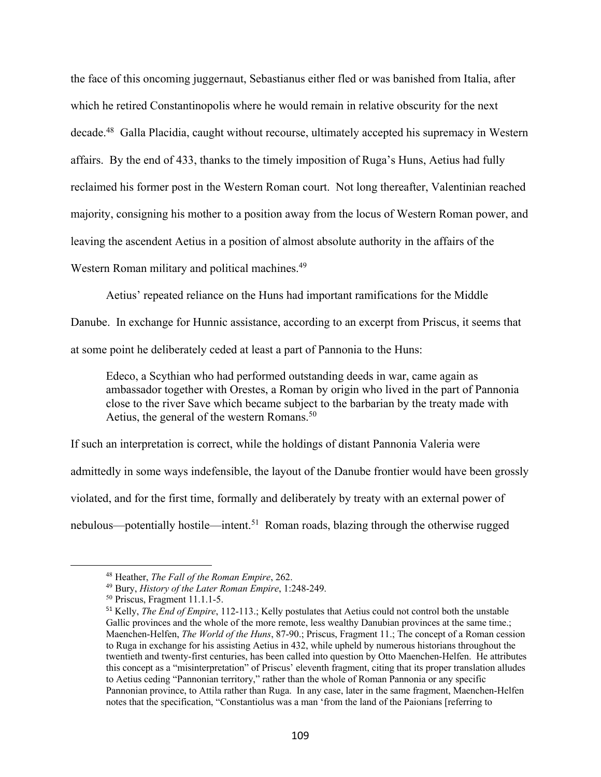the face of this oncoming juggernaut, Sebastianus either fled or was banished from Italia, after which he retired Constantinopolis where he would remain in relative obscurity for the next decade.48 Galla Placidia, caught without recourse, ultimately accepted his supremacy in Western affairs. By the end of 433, thanks to the timely imposition of Ruga's Huns, Aetius had fully reclaimed his former post in the Western Roman court. Not long thereafter, Valentinian reached majority, consigning his mother to a position away from the locus of Western Roman power, and leaving the ascendent Aetius in a position of almost absolute authority in the affairs of the Western Roman military and political machines.<sup>49</sup>

Aetius' repeated reliance on the Huns had important ramifications for the Middle

Danube. In exchange for Hunnic assistance, according to an excerpt from Priscus, it seems that at some point he deliberately ceded at least a part of Pannonia to the Huns:

Edeco, a Scythian who had performed outstanding deeds in war, came again as ambassador together with Orestes, a Roman by origin who lived in the part of Pannonia close to the river Save which became subject to the barbarian by the treaty made with Aetius, the general of the western Romans.<sup>50</sup>

If such an interpretation is correct, while the holdings of distant Pannonia Valeria were admittedly in some ways indefensible, the layout of the Danube frontier would have been grossly violated, and for the first time, formally and deliberately by treaty with an external power of nebulous—potentially hostile—intent.<sup>51</sup> Roman roads, blazing through the otherwise rugged

<sup>48</sup> Heather, *The Fall of the Roman Empire*, 262.

<sup>49</sup> Bury, *History of the Later Roman Empire*, 1:248-249.

<sup>50</sup> Priscus, Fragment 11.1.1-5.

<sup>51</sup> Kelly, *The End of Empire*, 112-113.; Kelly postulates that Aetius could not control both the unstable Gallic provinces and the whole of the more remote, less wealthy Danubian provinces at the same time.; Maenchen-Helfen, *The World of the Huns*, 87-90.; Priscus, Fragment 11.; The concept of a Roman cession to Ruga in exchange for his assisting Aetius in 432, while upheld by numerous historians throughout the twentieth and twenty-first centuries, has been called into question by Otto Maenchen-Helfen. He attributes this concept as a "misinterpretation" of Priscus' eleventh fragment, citing that its proper translation alludes to Aetius ceding "Pannonian territory," rather than the whole of Roman Pannonia or any specific Pannonian province, to Attila rather than Ruga. In any case, later in the same fragment, Maenchen-Helfen notes that the specification, "Constantiolus was a man 'from the land of the Paionians [referring to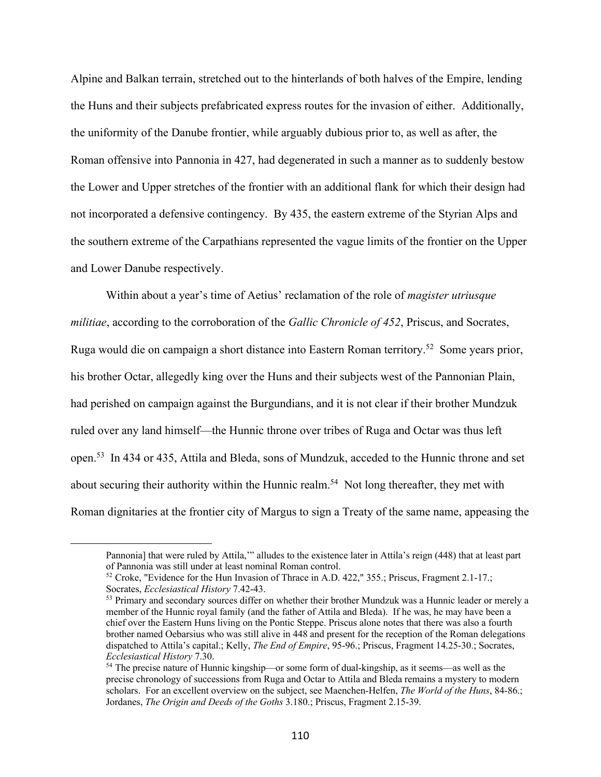Alpine and Balkan terrain, stretched out to the hinterlands of both halves of the Empire, lending the Huns and their subjects prefabricated express routes for the invasion of either. Additionally, the uniformity of the Danube frontier, while arguably dubious prior to, as well as after, the Roman offensive into Pannonia in 427, had degenerated in such a manner as to suddenly bestow the Lower and Upper stretches of the frontier with an additional flank for which their design had not incorporated a defensive contingency. By 435, the eastern extreme of the Styrian Alps and the southern extreme of the Carpathians represented the vague limits of the frontier on the Upper and Lower Danube respectively.

Within about a year's time of Aetius' reclamation of the role of *magister utriusque militiae*, according to the corroboration of the *Gallic Chronicle of 452*, Priscus, and Socrates, Ruga would die on campaign a short distance into Eastern Roman territory.52 Some years prior, his brother Octar, allegedly king over the Huns and their subjects west of the Pannonian Plain, had perished on campaign against the Burgundians, and it is not clear if their brother Mundzuk ruled over any land himself—the Hunnic throne over tribes of Ruga and Octar was thus left open.53 In 434 or 435, Attila and Bleda, sons of Mundzuk, acceded to the Hunnic throne and set about securing their authority within the Hunnic realm.<sup>54</sup> Not long thereafter, they met with Roman dignitaries at the frontier city of Margus to sign a Treaty of the same name, appeasing the

Pannonia] that were ruled by Attila,'" alludes to the existence later in Attila's reign (448) that at least part of Pannonia was still under at least nominal Roman control.

<sup>&</sup>lt;sup>52</sup> Croke, "Evidence for the Hun Invasion of Thrace in A.D. 422," 355.; Priscus, Fragment 2.1-17.; Socrates, *Ecclesiastical History* 7.42-43.

<sup>&</sup>lt;sup>53</sup> Primary and secondary sources differ on whether their brother Mundzuk was a Hunnic leader or merely a member of the Hunnic royal family (and the father of Attila and Bleda). If he was, he may have been a chief over the Eastern Huns living on the Pontic Steppe. Priscus alone notes that there was also a fourth brother named Oebarsius who was still alive in 448 and present for the reception of the Roman delegations dispatched to Attila's capital.; Kelly, *The End of Empire*, 95-96.; Priscus, Fragment 14.25-30.; Socrates, *Ecclesiastical History* 7.30.

<sup>54</sup> The precise nature of Hunnic kingship—or some form of dual-kingship, as it seems—as well as the precise chronology of successions from Ruga and Octar to Attila and Bleda remains a mystery to modern scholars. For an excellent overview on the subject, see Maenchen-Helfen, *The World of the Huns*, 84-86.; Jordanes, *The Origin and Deeds of the Goths* 3.180.; Priscus, Fragment 2.15-39.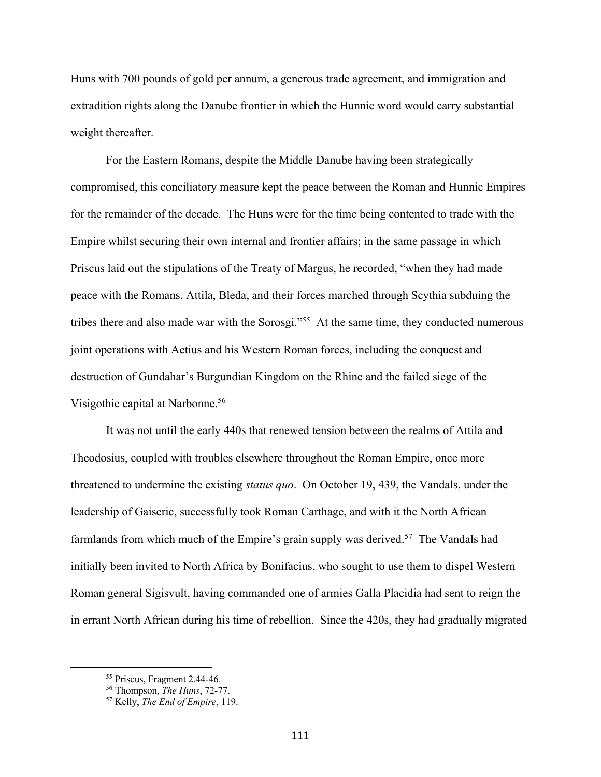Huns with 700 pounds of gold per annum, a generous trade agreement, and immigration and extradition rights along the Danube frontier in which the Hunnic word would carry substantial weight thereafter.

For the Eastern Romans, despite the Middle Danube having been strategically compromised, this conciliatory measure kept the peace between the Roman and Hunnic Empires for the remainder of the decade. The Huns were for the time being contented to trade with the Empire whilst securing their own internal and frontier affairs; in the same passage in which Priscus laid out the stipulations of the Treaty of Margus, he recorded, "when they had made peace with the Romans, Attila, Bleda, and their forces marched through Scythia subduing the tribes there and also made war with the Sorosgi."<sup>55</sup> At the same time, they conducted numerous joint operations with Aetius and his Western Roman forces, including the conquest and destruction of Gundahar's Burgundian Kingdom on the Rhine and the failed siege of the Visigothic capital at Narbonne.<sup>56</sup>

It was not until the early 440s that renewed tension between the realms of Attila and Theodosius, coupled with troubles elsewhere throughout the Roman Empire, once more threatened to undermine the existing *status quo*. On October 19, 439, the Vandals, under the leadership of Gaiseric, successfully took Roman Carthage, and with it the North African farmlands from which much of the Empire's grain supply was derived.<sup>57</sup> The Vandals had initially been invited to North Africa by Bonifacius, who sought to use them to dispel Western Roman general Sigisvult, having commanded one of armies Galla Placidia had sent to reign the in errant North African during his time of rebellion. Since the 420s, they had gradually migrated

<sup>55</sup> Priscus, Fragment 2.44-46.

<sup>56</sup> Thompson, *The Huns*, 72-77.

<sup>57</sup> Kelly, *The End of Empire*, 119.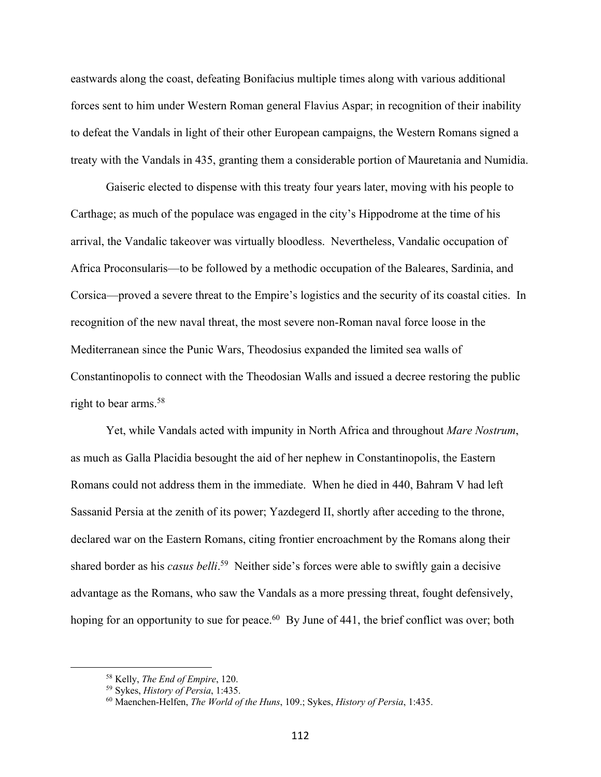eastwards along the coast, defeating Bonifacius multiple times along with various additional forces sent to him under Western Roman general Flavius Aspar; in recognition of their inability to defeat the Vandals in light of their other European campaigns, the Western Romans signed a treaty with the Vandals in 435, granting them a considerable portion of Mauretania and Numidia.

Gaiseric elected to dispense with this treaty four years later, moving with his people to Carthage; as much of the populace was engaged in the city's Hippodrome at the time of his arrival, the Vandalic takeover was virtually bloodless. Nevertheless, Vandalic occupation of Africa Proconsularis—to be followed by a methodic occupation of the Baleares, Sardinia, and Corsica—proved a severe threat to the Empire's logistics and the security of its coastal cities. In recognition of the new naval threat, the most severe non-Roman naval force loose in the Mediterranean since the Punic Wars, Theodosius expanded the limited sea walls of Constantinopolis to connect with the Theodosian Walls and issued a decree restoring the public right to bear arms.<sup>58</sup>

Yet, while Vandals acted with impunity in North Africa and throughout *Mare Nostrum*, as much as Galla Placidia besought the aid of her nephew in Constantinopolis, the Eastern Romans could not address them in the immediate. When he died in 440, Bahram V had left Sassanid Persia at the zenith of its power; Yazdegerd II, shortly after acceding to the throne, declared war on the Eastern Romans, citing frontier encroachment by the Romans along their shared border as his *casus belli*. 59 Neither side's forces were able to swiftly gain a decisive advantage as the Romans, who saw the Vandals as a more pressing threat, fought defensively, hoping for an opportunity to sue for peace.<sup>60</sup> By June of 441, the brief conflict was over; both

<sup>58</sup> Kelly, *The End of Empire*, 120.

<sup>59</sup> Sykes, *History of Persia*, 1:435.

<sup>60</sup> Maenchen-Helfen, *The World of the Huns*, 109.; Sykes, *History of Persia*, 1:435.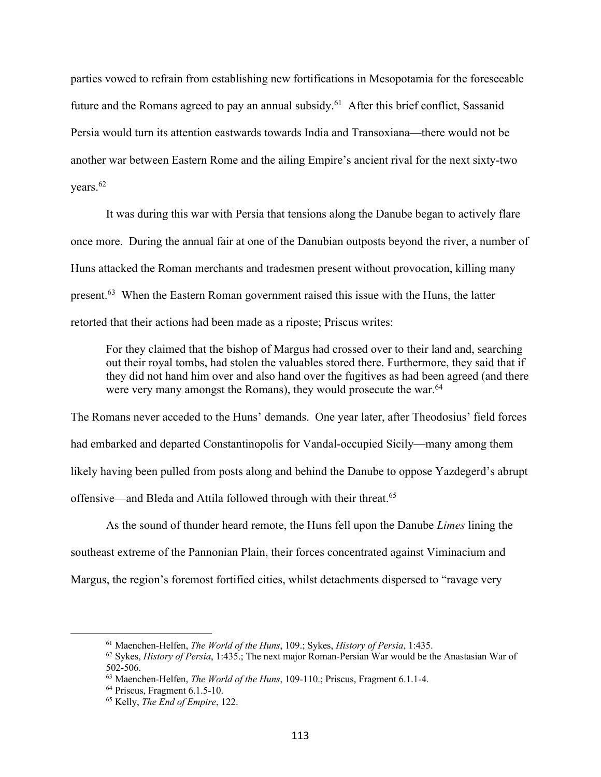parties vowed to refrain from establishing new fortifications in Mesopotamia for the foreseeable future and the Romans agreed to pay an annual subsidy.<sup>61</sup> After this brief conflict, Sassanid Persia would turn its attention eastwards towards India and Transoxiana—there would not be another war between Eastern Rome and the ailing Empire's ancient rival for the next sixty-two vears. $62$ 

It was during this war with Persia that tensions along the Danube began to actively flare once more. During the annual fair at one of the Danubian outposts beyond the river, a number of Huns attacked the Roman merchants and tradesmen present without provocation, killing many present.<sup>63</sup> When the Eastern Roman government raised this issue with the Huns, the latter retorted that their actions had been made as a riposte; Priscus writes:

For they claimed that the bishop of Margus had crossed over to their land and, searching out their royal tombs, had stolen the valuables stored there. Furthermore, they said that if they did not hand him over and also hand over the fugitives as had been agreed (and there were very many amongst the Romans), they would prosecute the war.<sup>64</sup>

The Romans never acceded to the Huns' demands. One year later, after Theodosius' field forces had embarked and departed Constantinopolis for Vandal-occupied Sicily—many among them likely having been pulled from posts along and behind the Danube to oppose Yazdegerd's abrupt offensive—and Bleda and Attila followed through with their threat.65

As the sound of thunder heard remote, the Huns fell upon the Danube *Limes* lining the southeast extreme of the Pannonian Plain, their forces concentrated against Viminacium and Margus, the region's foremost fortified cities, whilst detachments dispersed to "ravage very

<sup>61</sup> Maenchen-Helfen, *The World of the Huns*, 109.; Sykes, *History of Persia*, 1:435.

<sup>62</sup> Sykes, *History of Persia*, 1:435.; The next major Roman-Persian War would be the Anastasian War of 502-506.

<sup>63</sup> Maenchen-Helfen, *The World of the Huns*, 109-110.; Priscus, Fragment 6.1.1-4.

<sup>64</sup> Priscus, Fragment 6.1.5-10.

<sup>65</sup> Kelly, *The End of Empire*, 122.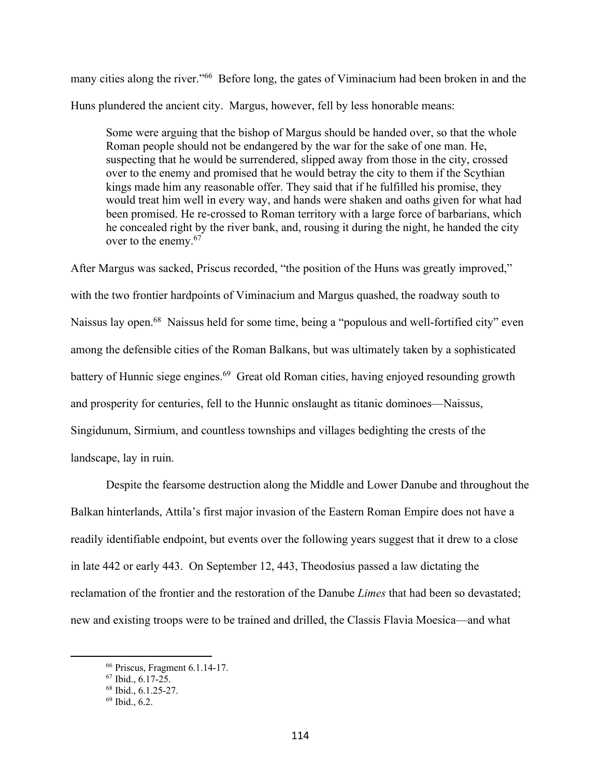many cities along the river."<sup>66</sup> Before long, the gates of Viminacium had been broken in and the Huns plundered the ancient city. Margus, however, fell by less honorable means:

Some were arguing that the bishop of Margus should be handed over, so that the whole Roman people should not be endangered by the war for the sake of one man. He, suspecting that he would be surrendered, slipped away from those in the city, crossed over to the enemy and promised that he would betray the city to them if the Scythian kings made him any reasonable offer. They said that if he fulfilled his promise, they would treat him well in every way, and hands were shaken and oaths given for what had been promised. He re-crossed to Roman territory with a large force of barbarians, which he concealed right by the river bank, and, rousing it during the night, he handed the city over to the enemy.<sup>67</sup>

After Margus was sacked, Priscus recorded, "the position of the Huns was greatly improved," with the two frontier hardpoints of Viminacium and Margus quashed, the roadway south to Naissus lay open.68 Naissus held for some time, being a "populous and well-fortified city" even among the defensible cities of the Roman Balkans, but was ultimately taken by a sophisticated battery of Hunnic siege engines.<sup>69</sup> Great old Roman cities, having enjoyed resounding growth and prosperity for centuries, fell to the Hunnic onslaught as titanic dominoes—Naissus, Singidunum, Sirmium, and countless townships and villages bedighting the crests of the landscape, lay in ruin.

Despite the fearsome destruction along the Middle and Lower Danube and throughout the Balkan hinterlands, Attila's first major invasion of the Eastern Roman Empire does not have a readily identifiable endpoint, but events over the following years suggest that it drew to a close in late 442 or early 443. On September 12, 443, Theodosius passed a law dictating the reclamation of the frontier and the restoration of the Danube *Limes* that had been so devastated; new and existing troops were to be trained and drilled, the Classis Flavia Moesica—and what

<sup>66</sup> Priscus, Fragment 6.1.14-17.

<sup>67</sup> Ibid., 6.17-25.

<sup>68</sup> Ibid., 6.1.25-27.

<sup>69</sup> Ibid., 6.2.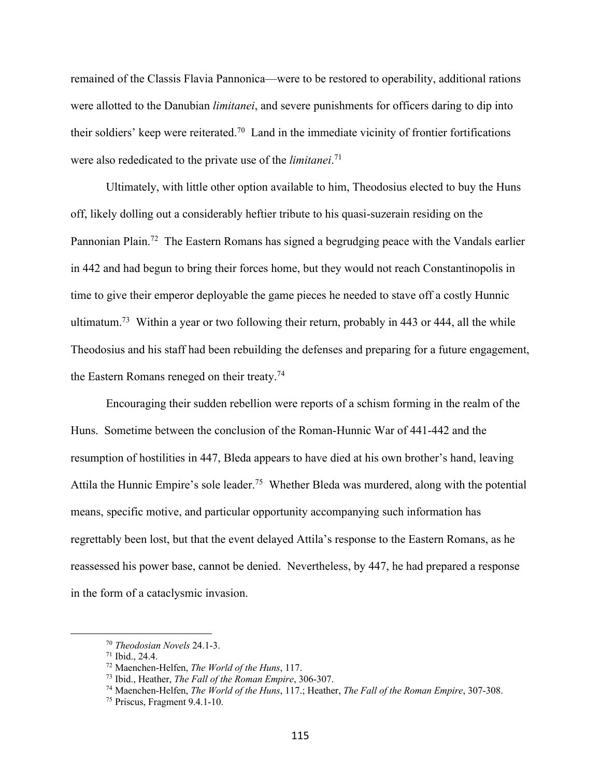remained of the Classis Flavia Pannonica—were to be restored to operability, additional rations were allotted to the Danubian *limitanei*, and severe punishments for officers daring to dip into their soldiers' keep were reiterated.<sup>70</sup> Land in the immediate vicinity of frontier fortifications were also rededicated to the private use of the *limitanei*. 71

Ultimately, with little other option available to him, Theodosius elected to buy the Huns off, likely dolling out a considerably heftier tribute to his quasi-suzerain residing on the Pannonian Plain.<sup>72</sup> The Eastern Romans has signed a begrudging peace with the Vandals earlier in 442 and had begun to bring their forces home, but they would not reach Constantinopolis in time to give their emperor deployable the game pieces he needed to stave off a costly Hunnic ultimatum.<sup>73</sup> Within a year or two following their return, probably in 443 or 444, all the while Theodosius and his staff had been rebuilding the defenses and preparing for a future engagement, the Eastern Romans reneged on their treaty.74

Encouraging their sudden rebellion were reports of a schism forming in the realm of the Huns. Sometime between the conclusion of the Roman-Hunnic War of 441-442 and the resumption of hostilities in 447, Bleda appears to have died at his own brother's hand, leaving Attila the Hunnic Empire's sole leader. 75 Whether Bleda was murdered, along with the potential means, specific motive, and particular opportunity accompanying such information has regrettably been lost, but that the event delayed Attila's response to the Eastern Romans, as he reassessed his power base, cannot be denied. Nevertheless, by 447, he had prepared a response in the form of a cataclysmic invasion.

<sup>70</sup> *Theodosian Novels* 24.1-3. 71 Ibid., 24.4.

<sup>72</sup> Maenchen-Helfen, *The World of the Huns*, 117.

<sup>73</sup> Ibid., Heather, *The Fall of the Roman Empire*, 306-307.

<sup>74</sup> Maenchen-Helfen, *The World of the Huns*, 117.; Heather, *The Fall of the Roman Empire*, 307-308.

<sup>75</sup> Priscus, Fragment 9.4.1-10.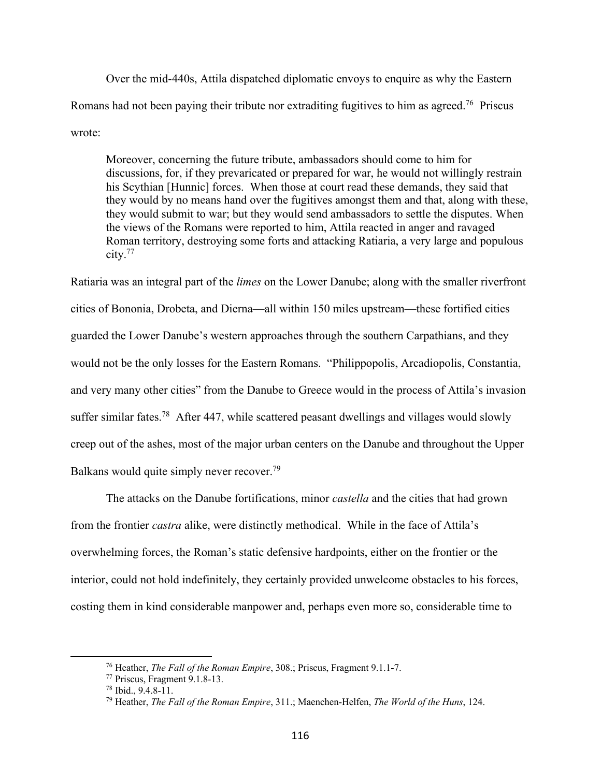Over the mid-440s, Attila dispatched diplomatic envoys to enquire as why the Eastern Romans had not been paying their tribute nor extraditing fugitives to him as agreed.<sup>76</sup> Priscus wrote:

Moreover, concerning the future tribute, ambassadors should come to him for discussions, for, if they prevaricated or prepared for war, he would not willingly restrain his Scythian [Hunnic] forces. When those at court read these demands, they said that they would by no means hand over the fugitives amongst them and that, along with these, they would submit to war; but they would send ambassadors to settle the disputes. When the views of the Romans were reported to him, Attila reacted in anger and ravaged Roman territory, destroying some forts and attacking Ratiaria, a very large and populous city.77

Ratiaria was an integral part of the *limes* on the Lower Danube; along with the smaller riverfront cities of Bononia, Drobeta, and Dierna—all within 150 miles upstream—these fortified cities guarded the Lower Danube's western approaches through the southern Carpathians, and they would not be the only losses for the Eastern Romans. "Philippopolis, Arcadiopolis, Constantia, and very many other cities" from the Danube to Greece would in the process of Attila's invasion suffer similar fates.<sup>78</sup> After 447, while scattered peasant dwellings and villages would slowly creep out of the ashes, most of the major urban centers on the Danube and throughout the Upper Balkans would quite simply never recover.<sup>79</sup>

The attacks on the Danube fortifications, minor *castella* and the cities that had grown from the frontier *castra* alike, were distinctly methodical. While in the face of Attila's overwhelming forces, the Roman's static defensive hardpoints, either on the frontier or the interior, could not hold indefinitely, they certainly provided unwelcome obstacles to his forces, costing them in kind considerable manpower and, perhaps even more so, considerable time to

<sup>76</sup> Heather, *The Fall of the Roman Empire*, 308.; Priscus, Fragment 9.1.1-7.

<sup>77</sup> Priscus, Fragment 9.1.8-13.

<sup>78</sup> Ibid., 9.4.8-11.

<sup>79</sup> Heather, *The Fall of the Roman Empire*, 311.; Maenchen-Helfen, *The World of the Huns*, 124.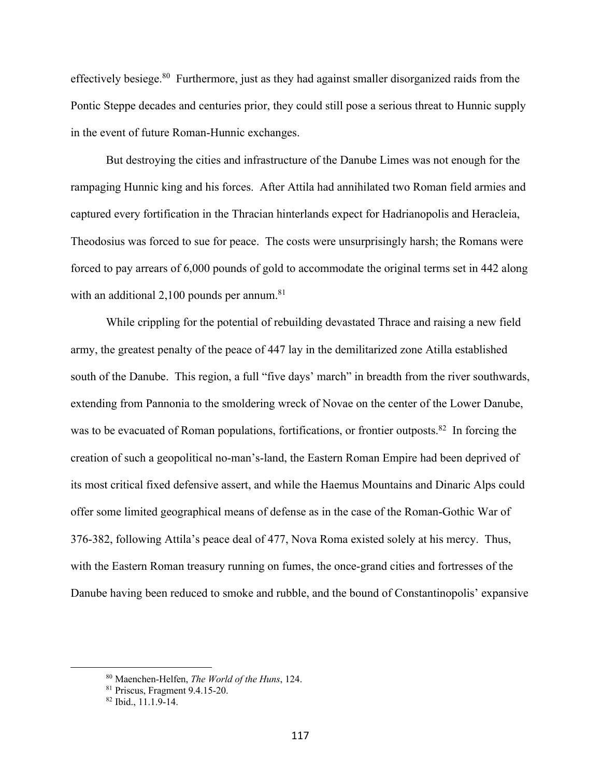effectively besiege.<sup>80</sup> Furthermore, just as they had against smaller disorganized raids from the Pontic Steppe decades and centuries prior, they could still pose a serious threat to Hunnic supply in the event of future Roman-Hunnic exchanges.

But destroying the cities and infrastructure of the Danube Limes was not enough for the rampaging Hunnic king and his forces. After Attila had annihilated two Roman field armies and captured every fortification in the Thracian hinterlands expect for Hadrianopolis and Heracleia, Theodosius was forced to sue for peace. The costs were unsurprisingly harsh; the Romans were forced to pay arrears of 6,000 pounds of gold to accommodate the original terms set in 442 along with an additional  $2,100$  pounds per annum.<sup>81</sup>

While crippling for the potential of rebuilding devastated Thrace and raising a new field army, the greatest penalty of the peace of 447 lay in the demilitarized zone Atilla established south of the Danube. This region, a full "five days' march" in breadth from the river southwards, extending from Pannonia to the smoldering wreck of Novae on the center of the Lower Danube, was to be evacuated of Roman populations, fortifications, or frontier outposts.<sup>82</sup> In forcing the creation of such a geopolitical no-man's-land, the Eastern Roman Empire had been deprived of its most critical fixed defensive assert, and while the Haemus Mountains and Dinaric Alps could offer some limited geographical means of defense as in the case of the Roman-Gothic War of 376-382, following Attila's peace deal of 477, Nova Roma existed solely at his mercy. Thus, with the Eastern Roman treasury running on fumes, the once-grand cities and fortresses of the Danube having been reduced to smoke and rubble, and the bound of Constantinopolis' expansive

<sup>80</sup> Maenchen-Helfen, *The World of the Huns*, 124.

<sup>81</sup> Priscus, Fragment 9.4.15-20.

<sup>82</sup> Ibid., 11.1.9-14.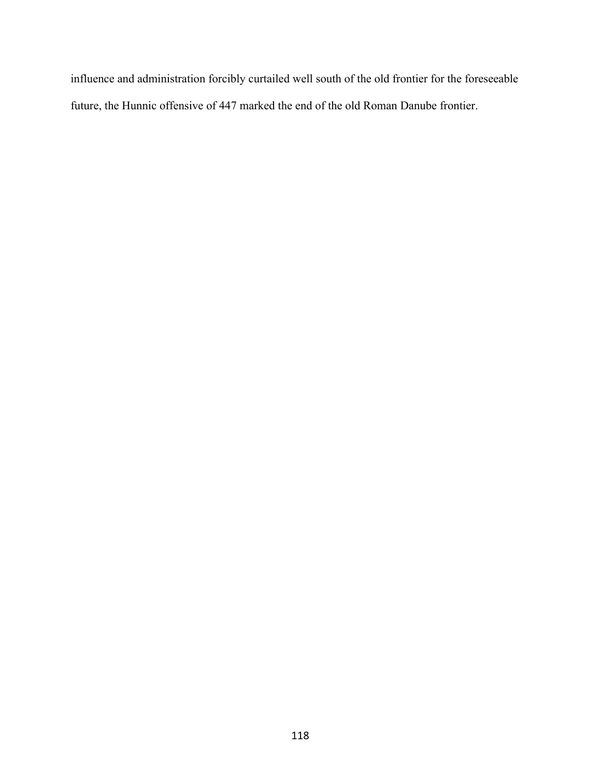influence and administration forcibly curtailed well south of the old frontier for the foreseeable future, the Hunnic offensive of 447 marked the end of the old Roman Danube frontier.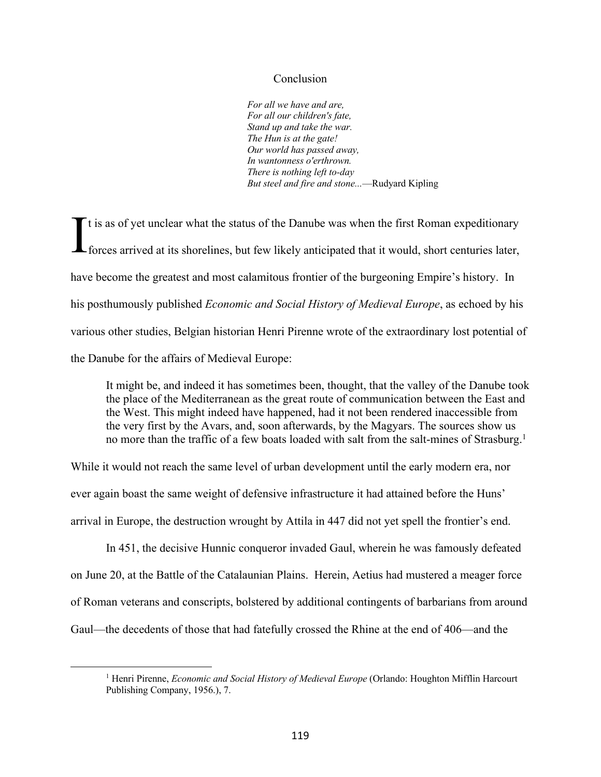## Conclusion

*For all we have and are, For all our children's fate, Stand up and take the war. The Hun is at the gate! Our world has passed away, In wantonness o'erthrown. There is nothing left to-day But steel and fire and stone...*—Rudyard Kipling

It is as of yet unclear what the status of the Danube was when the first Roman expeditionary<br>forces arrived at its shorelines, but few likely anticipated that it would, short centuries later, forces arrived at its shorelines, but few likely anticipated that it would, short centuries later, have become the greatest and most calamitous frontier of the burgeoning Empire's history. In his posthumously published *Economic and Social History of Medieval Europe*, as echoed by his various other studies, Belgian historian Henri Pirenne wrote of the extraordinary lost potential of the Danube for the affairs of Medieval Europe:

It might be, and indeed it has sometimes been, thought, that the valley of the Danube took the place of the Mediterranean as the great route of communication between the East and the West. This might indeed have happened, had it not been rendered inaccessible from the very first by the Avars, and, soon afterwards, by the Magyars. The sources show us no more than the traffic of a few boats loaded with salt from the salt-mines of Strasburg.<sup>1</sup>

While it would not reach the same level of urban development until the early modern era, nor ever again boast the same weight of defensive infrastructure it had attained before the Huns' arrival in Europe, the destruction wrought by Attila in 447 did not yet spell the frontier's end.

In 451, the decisive Hunnic conqueror invaded Gaul, wherein he was famously defeated on June 20, at the Battle of the Catalaunian Plains. Herein, Aetius had mustered a meager force of Roman veterans and conscripts, bolstered by additional contingents of barbarians from around Gaul—the decedents of those that had fatefully crossed the Rhine at the end of 406—and the

<sup>1</sup> Henri Pirenne, *Economic and Social History of Medieval Europe* (Orlando: Houghton Mifflin Harcourt Publishing Company, 1956.), 7.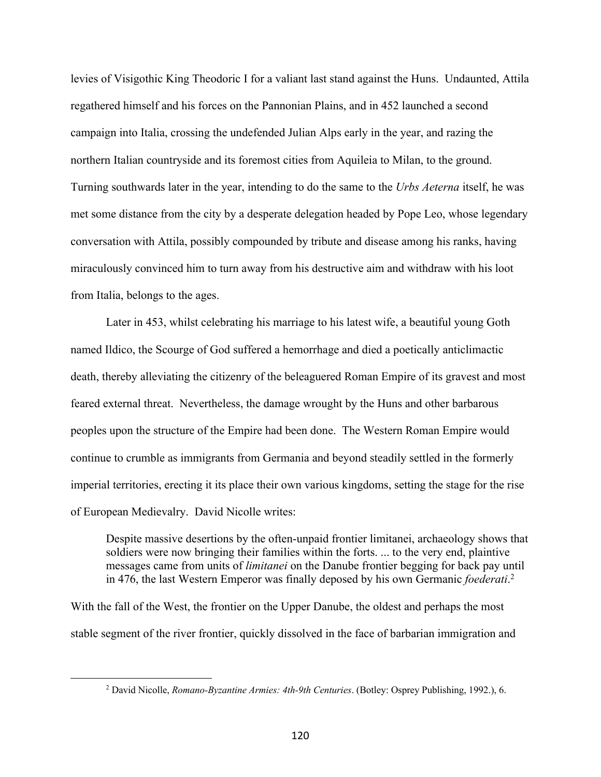levies of Visigothic King Theodoric I for a valiant last stand against the Huns. Undaunted, Attila regathered himself and his forces on the Pannonian Plains, and in 452 launched a second campaign into Italia, crossing the undefended Julian Alps early in the year, and razing the northern Italian countryside and its foremost cities from Aquileia to Milan, to the ground. Turning southwards later in the year, intending to do the same to the *Urbs Aeterna* itself, he was met some distance from the city by a desperate delegation headed by Pope Leo, whose legendary conversation with Attila, possibly compounded by tribute and disease among his ranks, having miraculously convinced him to turn away from his destructive aim and withdraw with his loot from Italia, belongs to the ages.

Later in 453, whilst celebrating his marriage to his latest wife, a beautiful young Goth named Ildico, the Scourge of God suffered a hemorrhage and died a poetically anticlimactic death, thereby alleviating the citizenry of the beleaguered Roman Empire of its gravest and most feared external threat. Nevertheless, the damage wrought by the Huns and other barbarous peoples upon the structure of the Empire had been done. The Western Roman Empire would continue to crumble as immigrants from Germania and beyond steadily settled in the formerly imperial territories, erecting it its place their own various kingdoms, setting the stage for the rise of European Medievalry. David Nicolle writes:

Despite massive desertions by the often-unpaid frontier limitanei, archaeology shows that soldiers were now bringing their families within the forts. ... to the very end, plaintive messages came from units of *limitanei* on the Danube frontier begging for back pay until in 476, the last Western Emperor was finally deposed by his own Germanic *foederati*. 2

With the fall of the West, the frontier on the Upper Danube, the oldest and perhaps the most stable segment of the river frontier, quickly dissolved in the face of barbarian immigration and

<sup>2</sup> David Nicolle, *Romano-Byzantine Armies: 4th-9th Centuries*. (Botley: Osprey Publishing, 1992.), 6.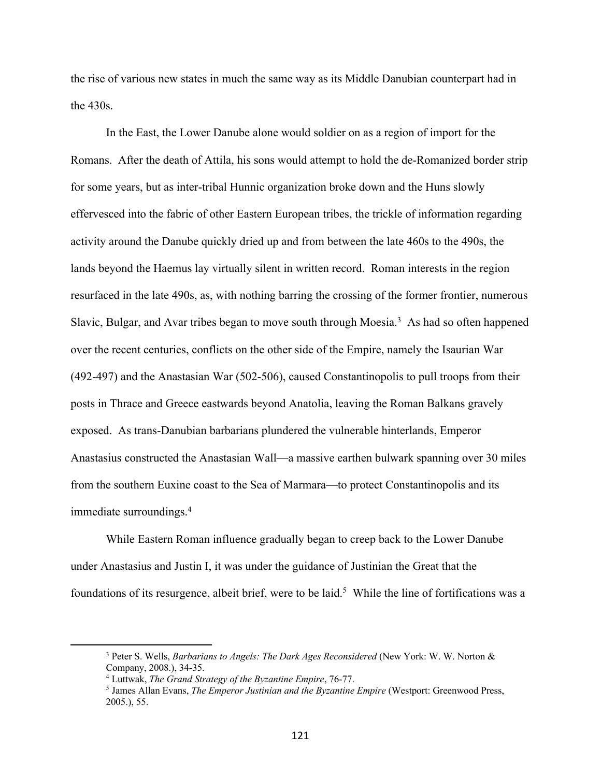the rise of various new states in much the same way as its Middle Danubian counterpart had in the 430s.

In the East, the Lower Danube alone would soldier on as a region of import for the Romans. After the death of Attila, his sons would attempt to hold the de-Romanized border strip for some years, but as inter-tribal Hunnic organization broke down and the Huns slowly effervesced into the fabric of other Eastern European tribes, the trickle of information regarding activity around the Danube quickly dried up and from between the late 460s to the 490s, the lands beyond the Haemus lay virtually silent in written record. Roman interests in the region resurfaced in the late 490s, as, with nothing barring the crossing of the former frontier, numerous Slavic, Bulgar, and Avar tribes began to move south through Moesia.<sup>3</sup> As had so often happened over the recent centuries, conflicts on the other side of the Empire, namely the Isaurian War (492-497) and the Anastasian War (502-506), caused Constantinopolis to pull troops from their posts in Thrace and Greece eastwards beyond Anatolia, leaving the Roman Balkans gravely exposed. As trans-Danubian barbarians plundered the vulnerable hinterlands, Emperor Anastasius constructed the Anastasian Wall—a massive earthen bulwark spanning over 30 miles from the southern Euxine coast to the Sea of Marmara—to protect Constantinopolis and its immediate surroundings.4

While Eastern Roman influence gradually began to creep back to the Lower Danube under Anastasius and Justin I, it was under the guidance of Justinian the Great that the foundations of its resurgence, albeit brief, were to be laid.<sup>5</sup> While the line of fortifications was a

<sup>3</sup> Peter S. Wells, *Barbarians to Angels: The Dark Ages Reconsidered* (New York: W. W. Norton & Company, 2008.), 34-35.

<sup>4</sup> Luttwak, *The Grand Strategy of the Byzantine Empire*, 76-77.

<sup>5</sup> James Allan Evans, *The Emperor Justinian and the Byzantine Empire* (Westport: Greenwood Press, 2005.), 55.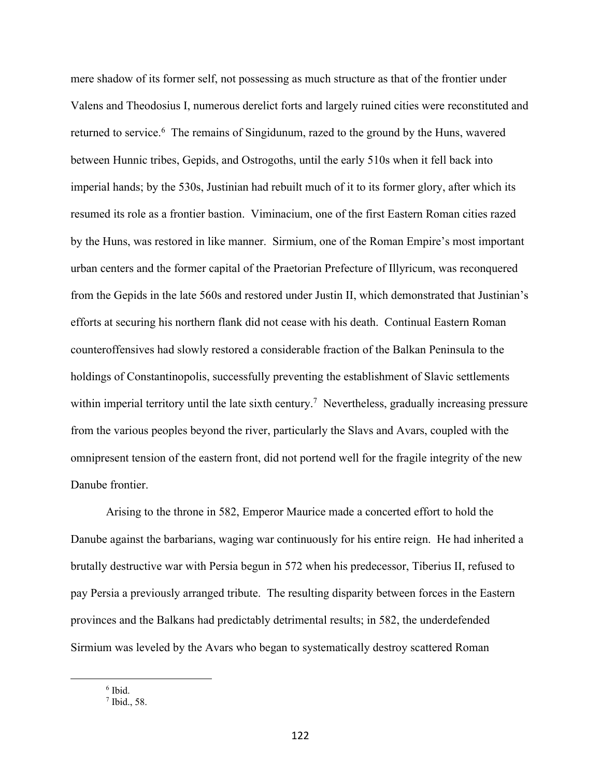mere shadow of its former self, not possessing as much structure as that of the frontier under Valens and Theodosius I, numerous derelict forts and largely ruined cities were reconstituted and returned to service.<sup>6</sup> The remains of Singidunum, razed to the ground by the Huns, wavered between Hunnic tribes, Gepids, and Ostrogoths, until the early 510s when it fell back into imperial hands; by the 530s, Justinian had rebuilt much of it to its former glory, after which its resumed its role as a frontier bastion. Viminacium, one of the first Eastern Roman cities razed by the Huns, was restored in like manner. Sirmium, one of the Roman Empire's most important urban centers and the former capital of the Praetorian Prefecture of Illyricum, was reconquered from the Gepids in the late 560s and restored under Justin II, which demonstrated that Justinian's efforts at securing his northern flank did not cease with his death. Continual Eastern Roman counteroffensives had slowly restored a considerable fraction of the Balkan Peninsula to the holdings of Constantinopolis, successfully preventing the establishment of Slavic settlements within imperial territory until the late sixth century.<sup>7</sup> Nevertheless, gradually increasing pressure from the various peoples beyond the river, particularly the Slavs and Avars, coupled with the omnipresent tension of the eastern front, did not portend well for the fragile integrity of the new Danube frontier.

Arising to the throne in 582, Emperor Maurice made a concerted effort to hold the Danube against the barbarians, waging war continuously for his entire reign. He had inherited a brutally destructive war with Persia begun in 572 when his predecessor, Tiberius II, refused to pay Persia a previously arranged tribute. The resulting disparity between forces in the Eastern provinces and the Balkans had predictably detrimental results; in 582, the underdefended Sirmium was leveled by the Avars who began to systematically destroy scattered Roman

<sup>6</sup> Ibid.

<sup>7</sup> Ibid., 58.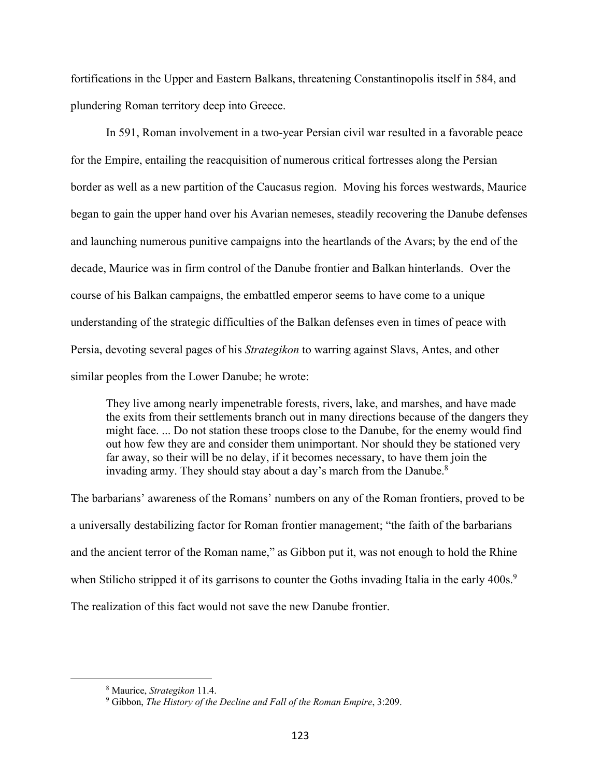fortifications in the Upper and Eastern Balkans, threatening Constantinopolis itself in 584, and plundering Roman territory deep into Greece.

In 591, Roman involvement in a two-year Persian civil war resulted in a favorable peace for the Empire, entailing the reacquisition of numerous critical fortresses along the Persian border as well as a new partition of the Caucasus region. Moving his forces westwards, Maurice began to gain the upper hand over his Avarian nemeses, steadily recovering the Danube defenses and launching numerous punitive campaigns into the heartlands of the Avars; by the end of the decade, Maurice was in firm control of the Danube frontier and Balkan hinterlands. Over the course of his Balkan campaigns, the embattled emperor seems to have come to a unique understanding of the strategic difficulties of the Balkan defenses even in times of peace with Persia, devoting several pages of his *Strategikon* to warring against Slavs, Antes, and other similar peoples from the Lower Danube; he wrote:

They live among nearly impenetrable forests, rivers, lake, and marshes, and have made the exits from their settlements branch out in many directions because of the dangers they might face. ... Do not station these troops close to the Danube, for the enemy would find out how few they are and consider them unimportant. Nor should they be stationed very far away, so their will be no delay, if it becomes necessary, to have them join the invading army. They should stay about a day's march from the Danube.<sup>8</sup>

The barbarians' awareness of the Romans' numbers on any of the Roman frontiers, proved to be a universally destabilizing factor for Roman frontier management; "the faith of the barbarians and the ancient terror of the Roman name," as Gibbon put it, was not enough to hold the Rhine when Stilicho stripped it of its garrisons to counter the Goths invading Italia in the early 400s.<sup>9</sup> The realization of this fact would not save the new Danube frontier.

<sup>8</sup> Maurice, *Strategikon* 11.4.

<sup>9</sup> Gibbon, *The History of the Decline and Fall of the Roman Empire*, 3:209.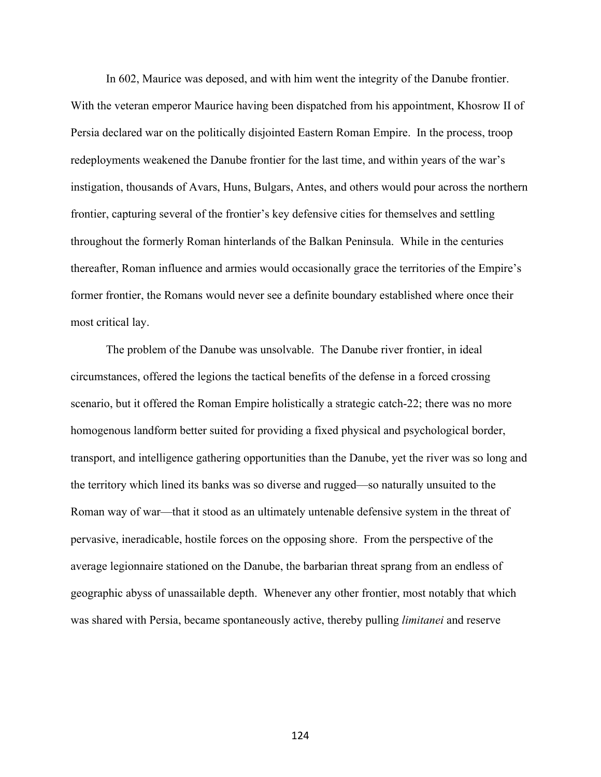In 602, Maurice was deposed, and with him went the integrity of the Danube frontier. With the veteran emperor Maurice having been dispatched from his appointment, Khosrow II of Persia declared war on the politically disjointed Eastern Roman Empire. In the process, troop redeployments weakened the Danube frontier for the last time, and within years of the war's instigation, thousands of Avars, Huns, Bulgars, Antes, and others would pour across the northern frontier, capturing several of the frontier's key defensive cities for themselves and settling throughout the formerly Roman hinterlands of the Balkan Peninsula. While in the centuries thereafter, Roman influence and armies would occasionally grace the territories of the Empire's former frontier, the Romans would never see a definite boundary established where once their most critical lay.

The problem of the Danube was unsolvable. The Danube river frontier, in ideal circumstances, offered the legions the tactical benefits of the defense in a forced crossing scenario, but it offered the Roman Empire holistically a strategic catch-22; there was no more homogenous landform better suited for providing a fixed physical and psychological border, transport, and intelligence gathering opportunities than the Danube, yet the river was so long and the territory which lined its banks was so diverse and rugged—so naturally unsuited to the Roman way of war—that it stood as an ultimately untenable defensive system in the threat of pervasive, ineradicable, hostile forces on the opposing shore. From the perspective of the average legionnaire stationed on the Danube, the barbarian threat sprang from an endless of geographic abyss of unassailable depth. Whenever any other frontier, most notably that which was shared with Persia, became spontaneously active, thereby pulling *limitanei* and reserve

124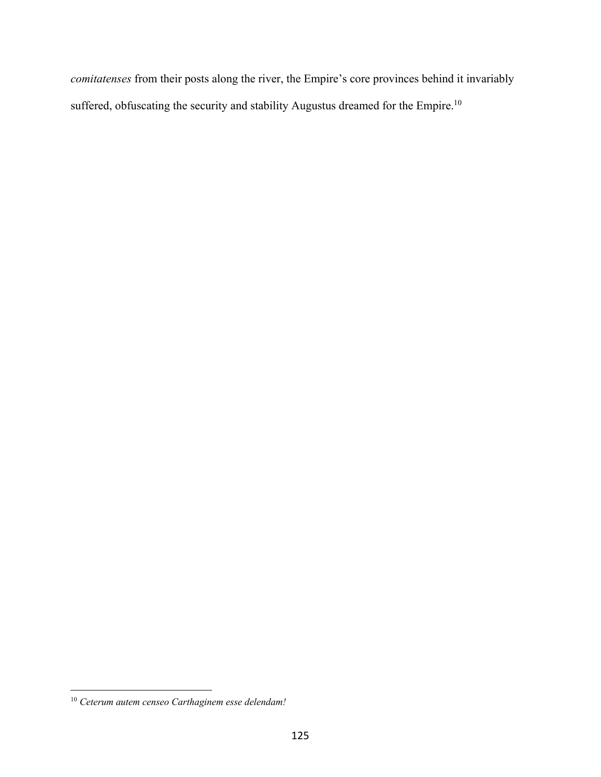*comitatenses* from their posts along the river, the Empire's core provinces behind it invariably suffered, obfuscating the security and stability Augustus dreamed for the Empire.<sup>10</sup>

<sup>10</sup> *Ceterum autem censeo Carthaginem esse delendam!*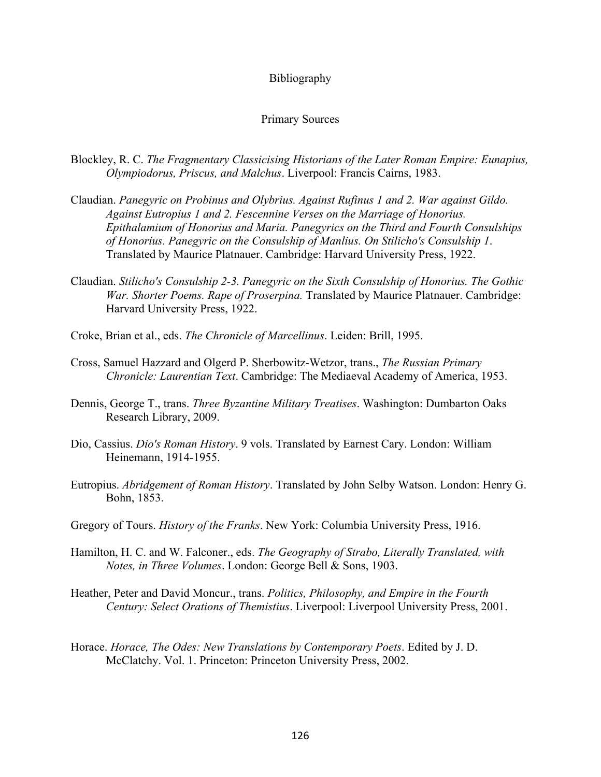## Bibliography

## Primary Sources

- Blockley, R. C. *The Fragmentary Classicising Historians of the Later Roman Empire: Eunapius, Olympiodorus, Priscus, and Malchus*. Liverpool: Francis Cairns, 1983.
- Claudian. *Panegyric on Probinus and Olybrius. Against Rufinus 1 and 2. War against Gildo. Against Eutropius 1 and 2. Fescennine Verses on the Marriage of Honorius. Epithalamium of Honorius and Maria. Panegyrics on the Third and Fourth Consulships of Honorius. Panegyric on the Consulship of Manlius. On Stilicho's Consulship 1*. Translated by Maurice Platnauer. Cambridge: Harvard University Press, 1922.
- Claudian. *Stilicho's Consulship 2-3. Panegyric on the Sixth Consulship of Honorius. The Gothic War. Shorter Poems. Rape of Proserpina.* Translated by Maurice Platnauer. Cambridge: Harvard University Press, 1922.
- Croke, Brian et al., eds. *The Chronicle of Marcellinus*. Leiden: Brill, 1995.
- Cross, Samuel Hazzard and Olgerd P. Sherbowitz-Wetzor, trans., *The Russian Primary Chronicle: Laurentian Text*. Cambridge: The Mediaeval Academy of America, 1953.
- Dennis, George T., trans. *Three Byzantine Military Treatises*. Washington: Dumbarton Oaks Research Library, 2009.
- Dio, Cassius. *Dio's Roman History*. 9 vols. Translated by Earnest Cary. London: William Heinemann, 1914-1955.
- Eutropius. *Abridgement of Roman History*. Translated by John Selby Watson. London: Henry G. Bohn, 1853.
- Gregory of Tours. *History of the Franks*. New York: Columbia University Press, 1916.
- Hamilton, H. C. and W. Falconer., eds. *The Geography of Strabo, Literally Translated, with Notes, in Three Volumes*. London: George Bell & Sons, 1903.
- Heather, Peter and David Moncur., trans. *Politics, Philosophy, and Empire in the Fourth Century: Select Orations of Themistius*. Liverpool: Liverpool University Press, 2001.
- Horace. *Horace, The Odes: New Translations by Contemporary Poets*. Edited by J. D. McClatchy. Vol. 1. Princeton: Princeton University Press, 2002.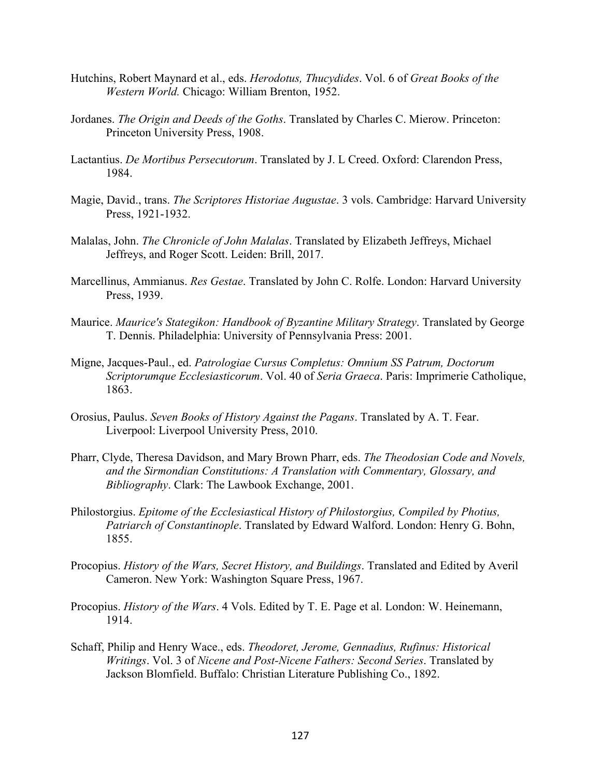- Hutchins, Robert Maynard et al., eds. *Herodotus, Thucydides*. Vol. 6 of *Great Books of the Western World.* Chicago: William Brenton, 1952.
- Jordanes. *The Origin and Deeds of the Goths*. Translated by Charles C. Mierow. Princeton: Princeton University Press, 1908.
- Lactantius. *De Mortibus Persecutorum*. Translated by J. L Creed. Oxford: Clarendon Press, 1984.
- Magie, David., trans. *The Scriptores Historiae Augustae*. 3 vols. Cambridge: Harvard University Press, 1921-1932.
- Malalas, John. *The Chronicle of John Malalas*. Translated by Elizabeth Jeffreys, Michael Jeffreys, and Roger Scott. Leiden: Brill, 2017.
- Marcellinus, Ammianus. *Res Gestae*. Translated by John C. Rolfe. London: Harvard University Press, 1939.
- Maurice. *Maurice's Stategikon: Handbook of Byzantine Military Strategy*. Translated by George T. Dennis. Philadelphia: University of Pennsylvania Press: 2001.
- Migne, Jacques-Paul., ed. *Patrologiae Cursus Completus: Omnium SS Patrum, Doctorum Scriptorumque Ecclesiasticorum*. Vol. 40 of *Seria Graeca*. Paris: Imprimerie Catholique, 1863.
- Orosius, Paulus. *Seven Books of History Against the Pagans*. Translated by A. T. Fear. Liverpool: Liverpool University Press, 2010.
- Pharr, Clyde, Theresa Davidson, and Mary Brown Pharr, eds. *The Theodosian Code and Novels, and the Sirmondian Constitutions: A Translation with Commentary, Glossary, and Bibliography*. Clark: The Lawbook Exchange, 2001.
- Philostorgius. *Epitome of the Ecclesiastical History of Philostorgius, Compiled by Photius, Patriarch of Constantinople*. Translated by Edward Walford. London: Henry G. Bohn, 1855.
- Procopius. *History of the Wars, Secret History, and Buildings*. Translated and Edited by Averil Cameron. New York: Washington Square Press, 1967.
- Procopius. *History of the Wars*. 4 Vols. Edited by T. E. Page et al. London: W. Heinemann, 1914.
- Schaff, Philip and Henry Wace., eds. *Theodoret, Jerome, Gennadius, Rufinus: Historical Writings*. Vol. 3 of *Nicene and Post-Nicene Fathers: Second Series*. Translated by Jackson Blomfield. Buffalo: Christian Literature Publishing Co., 1892.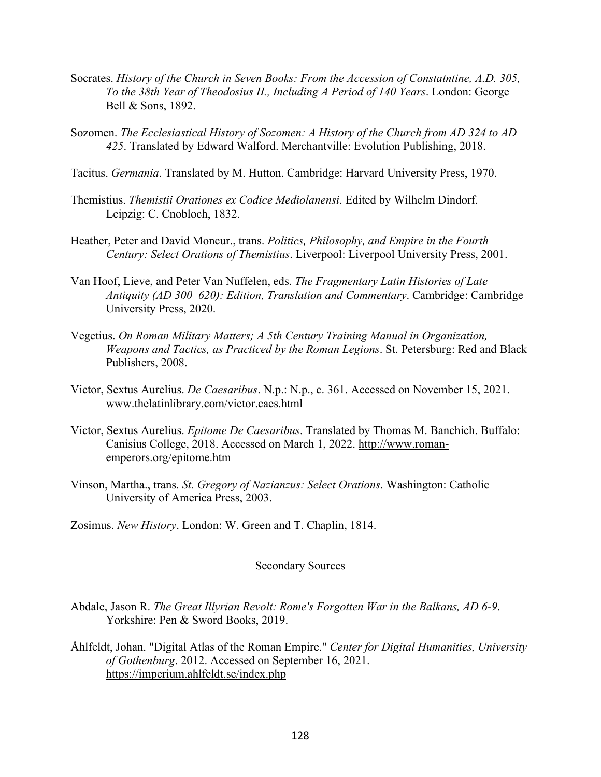- Socrates. *History of the Church in Seven Books: From the Accession of Constatntine, A.D. 305, To the 38th Year of Theodosius II., Including A Period of 140 Years*. London: George Bell & Sons, 1892.
- Sozomen. *The Ecclesiastical History of Sozomen: A History of the Church from AD 324 to AD 425*. Translated by Edward Walford. Merchantville: Evolution Publishing, 2018.
- Tacitus. *Germania*. Translated by M. Hutton. Cambridge: Harvard University Press, 1970.
- Themistius. *Themistii Orationes ex Codice Mediolanensi*. Edited by Wilhelm Dindorf. Leipzig: C. Cnobloch, 1832.
- Heather, Peter and David Moncur., trans. *Politics, Philosophy, and Empire in the Fourth Century: Select Orations of Themistius*. Liverpool: Liverpool University Press, 2001.
- Van Hoof, Lieve, and Peter Van Nuffelen, eds. *The Fragmentary Latin Histories of Late Antiquity (AD 300–620): Edition, Translation and Commentary*. Cambridge: Cambridge University Press, 2020.
- Vegetius. *On Roman Military Matters; A 5th Century Training Manual in Organization, Weapons and Tactics, as Practiced by the Roman Legions*. St. Petersburg: Red and Black Publishers, 2008.
- Victor, Sextus Aurelius. *De Caesaribus*. N.p.: N.p., c. 361. Accessed on November 15, 2021. www.thelatinlibrary.com/victor.caes.html
- Victor, Sextus Aurelius. *Epitome De Caesaribus*. Translated by Thomas M. Banchich. Buffalo: Canisius College, 2018. Accessed on March 1, 2022. http://www.romanemperors.org/epitome.htm
- Vinson, Martha., trans. *St. Gregory of Nazianzus: Select Orations*. Washington: Catholic University of America Press, 2003.
- Zosimus. *New History*. London: W. Green and T. Chaplin, 1814.

## Secondary Sources

- Abdale, Jason R. *The Great Illyrian Revolt: Rome's Forgotten War in the Balkans, AD 6-9*. Yorkshire: Pen & Sword Books, 2019.
- Åhlfeldt, Johan. "Digital Atlas of the Roman Empire." *Center for Digital Humanities, University of Gothenburg*. 2012. Accessed on September 16, 2021. https://imperium.ahlfeldt.se/index.php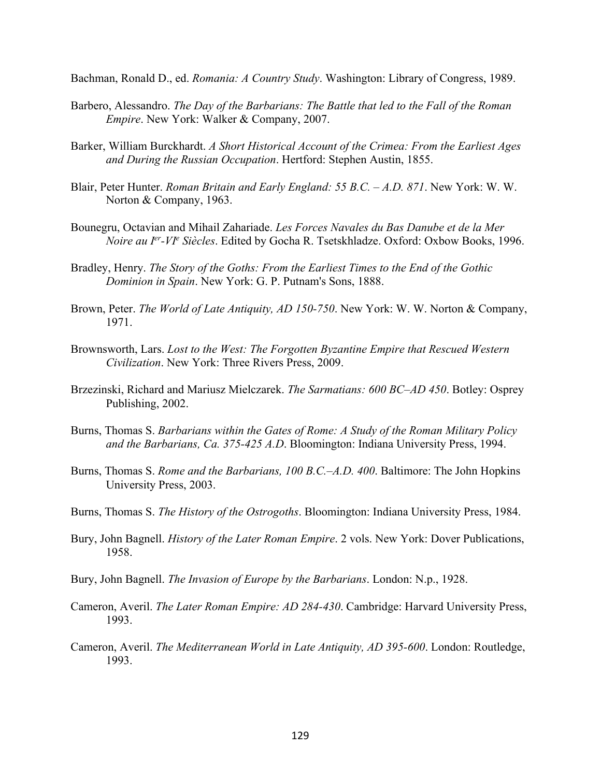Bachman, Ronald D., ed. *Romania: A Country Study*. Washington: Library of Congress, 1989.

- Barbero, Alessandro. *The Day of the Barbarians: The Battle that led to the Fall of the Roman Empire*. New York: Walker & Company, 2007.
- Barker, William Burckhardt. *A Short Historical Account of the Crimea: From the Earliest Ages and During the Russian Occupation*. Hertford: Stephen Austin, 1855.
- Blair, Peter Hunter. *Roman Britain and Early England: 55 B.C. – A.D. 871*. New York: W. W. Norton & Company, 1963.
- Bounegru, Octavian and Mihail Zahariade. *Les Forces Navales du Bas Danube et de la Mer Noire au Ier-VIe Siècles*. Edited by Gocha R. Tsetskhladze. Oxford: Oxbow Books, 1996.
- Bradley, Henry. *The Story of the Goths: From the Earliest Times to the End of the Gothic Dominion in Spain*. New York: G. P. Putnam's Sons, 1888.
- Brown, Peter. *The World of Late Antiquity, AD 150-750*. New York: W. W. Norton & Company, 1971.
- Brownsworth, Lars. *Lost to the West: The Forgotten Byzantine Empire that Rescued Western Civilization*. New York: Three Rivers Press, 2009.
- Brzezinski, Richard and Mariusz Mielczarek. *The Sarmatians: 600 BC–AD 450*. Botley: Osprey Publishing, 2002.
- Burns, Thomas S. *Barbarians within the Gates of Rome: A Study of the Roman Military Policy and the Barbarians, Ca. 375-425 A.D*. Bloomington: Indiana University Press, 1994.
- Burns, Thomas S. *Rome and the Barbarians, 100 B.C.*–*A.D. 400*. Baltimore: The John Hopkins University Press, 2003.
- Burns, Thomas S. *The History of the Ostrogoths*. Bloomington: Indiana University Press, 1984.
- Bury, John Bagnell. *History of the Later Roman Empire*. 2 vols. New York: Dover Publications, 1958.
- Bury, John Bagnell. *The Invasion of Europe by the Barbarians*. London: N.p., 1928.
- Cameron, Averil. *The Later Roman Empire: AD 284-430*. Cambridge: Harvard University Press, 1993.
- Cameron, Averil. *The Mediterranean World in Late Antiquity, AD 395-600*. London: Routledge, 1993.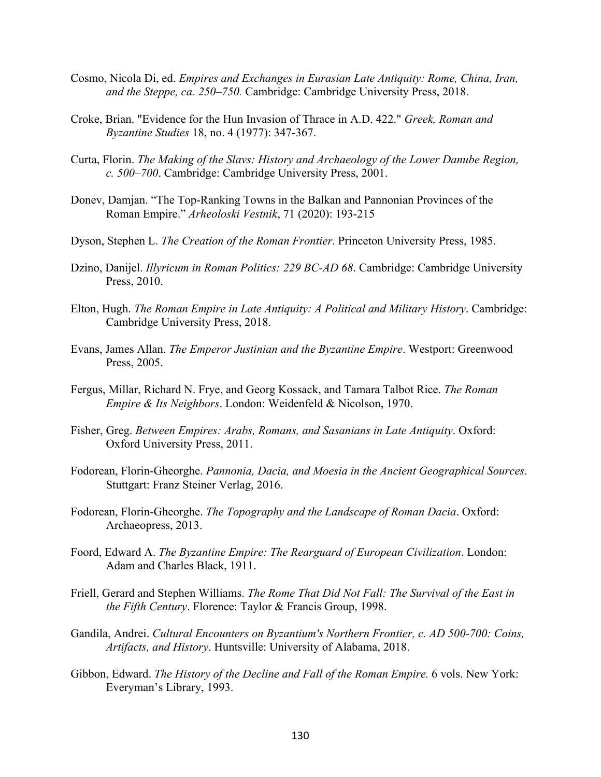- Cosmo, Nicola Di, ed. *Empires and Exchanges in Eurasian Late Antiquity: Rome, China, Iran, and the Steppe, ca. 250–750.* Cambridge: Cambridge University Press, 2018.
- Croke, Brian. "Evidence for the Hun Invasion of Thrace in A.D. 422." *Greek, Roman and Byzantine Studies* 18, no. 4 (1977): 347-367.
- Curta, Florin. *The Making of the Slavs: History and Archaeology of the Lower Danube Region, c. 500–700*. Cambridge: Cambridge University Press, 2001.
- Donev, Damjan. "The Top-Ranking Towns in the Balkan and Pannonian Provinces of the Roman Empire." *Arheoloski Vestnik*, 71 (2020): 193-215
- Dyson, Stephen L. *The Creation of the Roman Frontier*. Princeton University Press, 1985.
- Dzino, Danijel. *Illyricum in Roman Politics: 229 BC-AD 68*. Cambridge: Cambridge University Press, 2010.
- Elton, Hugh. *The Roman Empire in Late Antiquity: A Political and Military History*. Cambridge: Cambridge University Press, 2018.
- Evans, James Allan. *The Emperor Justinian and the Byzantine Empire*. Westport: Greenwood Press, 2005.
- Fergus, Millar, Richard N. Frye, and Georg Kossack, and Tamara Talbot Rice. *The Roman Empire & Its Neighbors*. London: Weidenfeld & Nicolson, 1970.
- Fisher, Greg. *Between Empires: Arabs, Romans, and Sasanians in Late Antiquity*. Oxford: Oxford University Press, 2011.
- Fodorean, Florin-Gheorghe. *Pannonia, Dacia, and Moesia in the Ancient Geographical Sources*. Stuttgart: Franz Steiner Verlag, 2016.
- Fodorean, Florin-Gheorghe. *The Topography and the Landscape of Roman Dacia*. Oxford: Archaeopress, 2013.
- Foord, Edward A. *The Byzantine Empire: The Rearguard of European Civilization*. London: Adam and Charles Black, 1911.
- Friell, Gerard and Stephen Williams. *The Rome That Did Not Fall: The Survival of the East in the Fifth Century*. Florence: Taylor & Francis Group, 1998.
- Gandila, Andrei. *Cultural Encounters on Byzantium's Northern Frontier, c. AD 500-700: Coins, Artifacts, and History*. Huntsville: University of Alabama, 2018.
- Gibbon, Edward. *The History of the Decline and Fall of the Roman Empire*. 6 vols. New York: Everyman's Library, 1993.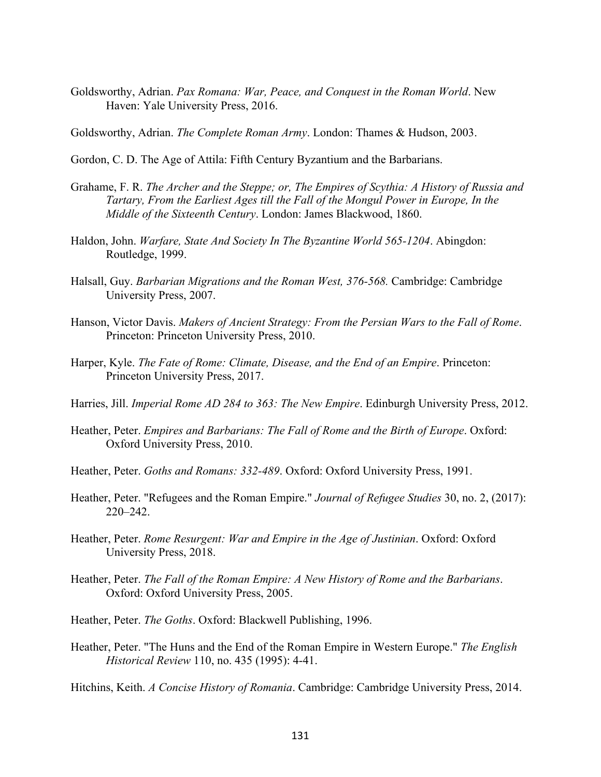Goldsworthy, Adrian. *Pax Romana: War, Peace, and Conquest in the Roman World*. New Haven: Yale University Press, 2016.

Goldsworthy, Adrian. *The Complete Roman Army*. London: Thames & Hudson, 2003.

- Gordon, C. D. The Age of Attila: Fifth Century Byzantium and the Barbarians.
- Grahame, F. R. *The Archer and the Steppe; or, The Empires of Scythia: A History of Russia and Tartary, From the Earliest Ages till the Fall of the Mongul Power in Europe, In the Middle of the Sixteenth Century*. London: James Blackwood, 1860.
- Haldon, John. *Warfare, State And Society In The Byzantine World 565-1204*. Abingdon: Routledge, 1999.
- Halsall, Guy. *Barbarian Migrations and the Roman West, 376-568.* Cambridge: Cambridge University Press, 2007.
- Hanson, Victor Davis. *Makers of Ancient Strategy: From the Persian Wars to the Fall of Rome*. Princeton: Princeton University Press, 2010.
- Harper, Kyle. *The Fate of Rome: Climate, Disease, and the End of an Empire*. Princeton: Princeton University Press, 2017.
- Harries, Jill. *Imperial Rome AD 284 to 363: The New Empire*. Edinburgh University Press, 2012.
- Heather, Peter. *Empires and Barbarians: The Fall of Rome and the Birth of Europe*. Oxford: Oxford University Press, 2010.
- Heather, Peter. *Goths and Romans: 332-489*. Oxford: Oxford University Press, 1991.
- Heather, Peter. "Refugees and the Roman Empire." *Journal of Refugee Studies* 30, no. 2, (2017): 220–242.
- Heather, Peter. *Rome Resurgent: War and Empire in the Age of Justinian*. Oxford: Oxford University Press, 2018.
- Heather, Peter. *The Fall of the Roman Empire: A New History of Rome and the Barbarians*. Oxford: Oxford University Press, 2005.
- Heather, Peter. *The Goths*. Oxford: Blackwell Publishing, 1996.
- Heather, Peter. "The Huns and the End of the Roman Empire in Western Europe." *The English Historical Review* 110, no. 435 (1995): 4-41.

Hitchins, Keith. *A Concise History of Romania*. Cambridge: Cambridge University Press, 2014.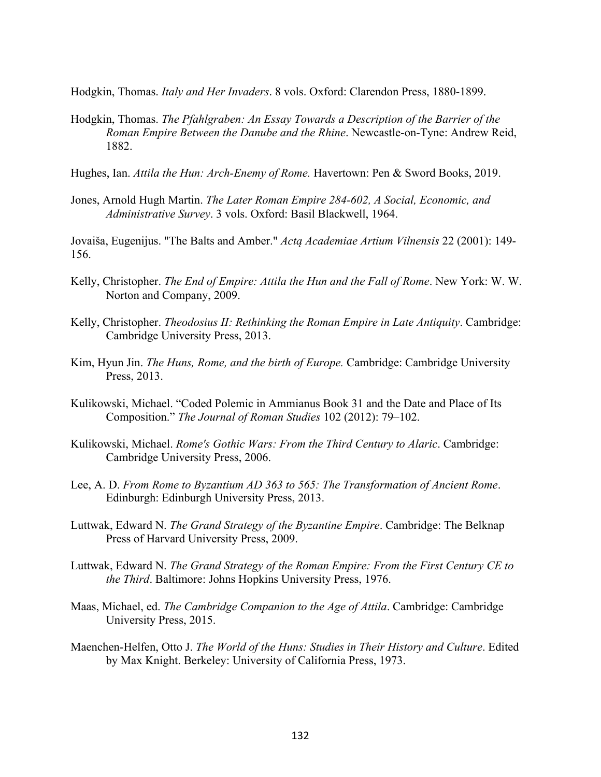Hodgkin, Thomas. *Italy and Her Invaders*. 8 vols. Oxford: Clarendon Press, 1880-1899.

- Hodgkin, Thomas. *The Pfahlgraben: An Essay Towards a Description of the Barrier of the Roman Empire Between the Danube and the Rhine*. Newcastle-on-Tyne: Andrew Reid, 1882.
- Hughes, Ian. *Attila the Hun: Arch-Enemy of Rome.* Havertown: Pen & Sword Books, 2019.
- Jones, Arnold Hugh Martin. *The Later Roman Empire 284-602, A Social, Economic, and Administrative Survey*. 3 vols. Oxford: Basil Blackwell, 1964.

Jovaiša, Eugenijus. "The Balts and Amber." *Actą Academiae Artium Vilnensis* 22 (2001): 149- 156.

- Kelly, Christopher. *The End of Empire: Attila the Hun and the Fall of Rome*. New York: W. W. Norton and Company, 2009.
- Kelly, Christopher. *Theodosius II: Rethinking the Roman Empire in Late Antiquity*. Cambridge: Cambridge University Press, 2013.
- Kim, Hyun Jin. *The Huns, Rome, and the birth of Europe.* Cambridge: Cambridge University Press, 2013.
- Kulikowski, Michael. "Coded Polemic in Ammianus Book 31 and the Date and Place of Its Composition." *The Journal of Roman Studies* 102 (2012): 79–102.
- Kulikowski, Michael. *Rome's Gothic Wars: From the Third Century to Alaric*. Cambridge: Cambridge University Press, 2006.
- Lee, A. D. *From Rome to Byzantium AD 363 to 565: The Transformation of Ancient Rome*. Edinburgh: Edinburgh University Press, 2013.
- Luttwak, Edward N. *The Grand Strategy of the Byzantine Empire*. Cambridge: The Belknap Press of Harvard University Press, 2009.
- Luttwak, Edward N. *The Grand Strategy of the Roman Empire: From the First Century CE to the Third*. Baltimore: Johns Hopkins University Press, 1976.
- Maas, Michael, ed. *The Cambridge Companion to the Age of Attila*. Cambridge: Cambridge University Press, 2015.
- Maenchen-Helfen, Otto J. *The World of the Huns: Studies in Their History and Culture*. Edited by Max Knight. Berkeley: University of California Press, 1973.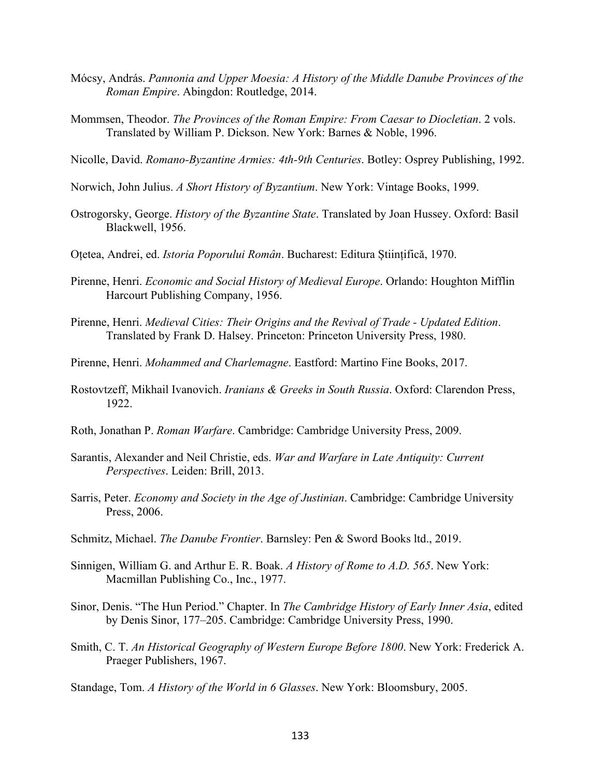- Mócsy, András. *Pannonia and Upper Moesia: A History of the Middle Danube Provinces of the Roman Empire*. Abingdon: Routledge, 2014.
- Mommsen, Theodor. *The Provinces of the Roman Empire: From Caesar to Diocletian*. 2 vols. Translated by William P. Dickson. New York: Barnes & Noble, 1996.

Nicolle, David. *Romano-Byzantine Armies: 4th-9th Centuries*. Botley: Osprey Publishing, 1992.

- Norwich, John Julius. *A Short History of Byzantium*. New York: Vintage Books, 1999.
- Ostrogorsky, George. *History of the Byzantine State*. Translated by Joan Hussey. Oxford: Basil Blackwell, 1956.
- Oțetea, Andrei, ed. *Istoria Poporului Român*. Bucharest: Editura Științifică, 1970.
- Pirenne, Henri. *Economic and Social History of Medieval Europe*. Orlando: Houghton Mifflin Harcourt Publishing Company, 1956.
- Pirenne, Henri. *Medieval Cities: Their Origins and the Revival of Trade - Updated Edition*. Translated by Frank D. Halsey. Princeton: Princeton University Press, 1980.
- Pirenne, Henri. *Mohammed and Charlemagne*. Eastford: Martino Fine Books, 2017.
- Rostovtzeff, Mikhail Ivanovich. *Iranians & Greeks in South Russia*. Oxford: Clarendon Press, 1922.
- Roth, Jonathan P. *Roman Warfare*. Cambridge: Cambridge University Press, 2009.
- Sarantis, Alexander and Neil Christie, eds. *War and Warfare in Late Antiquity: Current Perspectives*. Leiden: Brill, 2013.
- Sarris, Peter. *Economy and Society in the Age of Justinian*. Cambridge: Cambridge University Press, 2006.
- Schmitz, Michael. *The Danube Frontier*. Barnsley: Pen & Sword Books ltd., 2019.
- Sinnigen, William G. and Arthur E. R. Boak. *A History of Rome to A.D. 565*. New York: Macmillan Publishing Co., Inc., 1977.
- Sinor, Denis. "The Hun Period." Chapter. In *The Cambridge History of Early Inner Asia*, edited by Denis Sinor, 177–205. Cambridge: Cambridge University Press, 1990.
- Smith, C. T. *An Historical Geography of Western Europe Before 1800*. New York: Frederick A. Praeger Publishers, 1967.
- Standage, Tom. *A History of the World in 6 Glasses*. New York: Bloomsbury, 2005.